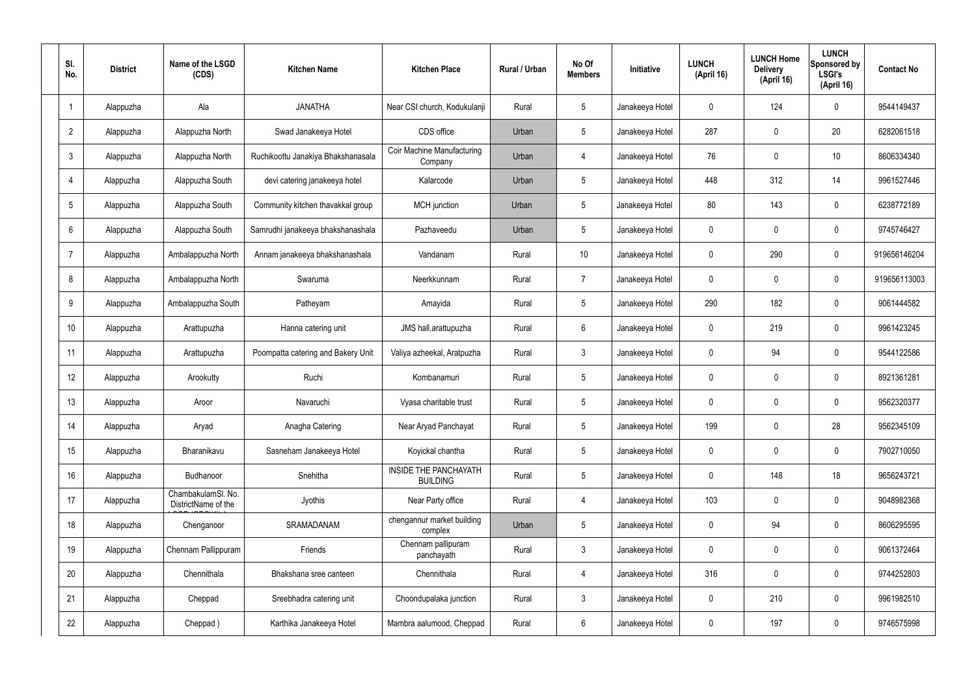| SI.<br>No.      | <b>District</b> | Name of the LSGD<br>(CDS)                 | <b>Kitchen Name</b>                | <b>Kitchen Place</b>                            | Rural / Urban | No Of<br><b>Members</b> | <b>Initiative</b> | <b>LUNCH</b><br>(April 16) | <b>LUNCH Home</b><br><b>Delivery</b><br>(April 16) | <b>LUNCH</b><br>Sponsored by<br><b>LSGI's</b><br>(April 16) | <b>Contact No</b> |
|-----------------|-----------------|-------------------------------------------|------------------------------------|-------------------------------------------------|---------------|-------------------------|-------------------|----------------------------|----------------------------------------------------|-------------------------------------------------------------|-------------------|
|                 | Alappuzha       | Ala                                       | <b>JANATHA</b>                     | Near CSI church, Kodukulanji                    | Rural         | $5\phantom{.0}$         | Janakeeya Hotel   | $\mathbf 0$                | 124                                                | $\mathbf 0$                                                 | 9544149437        |
| $\overline{2}$  | Alappuzha       | Alappuzha North                           | Swad Janakeeya Hotel               | CDS office                                      | Urban         | $5\phantom{.0}$         | Janakeeya Hotel   | 287                        | $\mathbf 0$                                        | 20                                                          | 6282061518        |
| $\mathbf{3}$    | Alappuzha       | Alappuzha North                           | Ruchikoottu Janakiya Bhakshanasala | <b>Coir Machine Manufacturing</b><br>Company    | Urban         | 4                       | Janakeeya Hotel   | 76                         | $\mathbf 0$                                        | 10                                                          | 8606334340        |
| $\overline{4}$  | Alappuzha       | Alappuzha South                           | devi catering janakeeya hotel      | Kalarcode                                       | Urban         | $5\phantom{.0}$         | Janakeeya Hotel   | 448                        | 312                                                | 14                                                          | 9961527446        |
| $5\phantom{.0}$ | Alappuzha       | Alappuzha South                           | Community kitchen thavakkal group  | MCH junction                                    | Urban         | $5\phantom{.0}$         | Janakeeya Hotel   | 80                         | 143                                                | $\mathbf 0$                                                 | 6238772189        |
| 6               | Alappuzha       | Alappuzha South                           | Samrudhi janakeeya bhakshanashala  | Pazhaveedu                                      | Urban         | $5\phantom{.0}$         | Janakeeya Hotel   | $\mathbf 0$                | $\mathbf 0$                                        | $\mathbf 0$                                                 | 9745746427        |
| $\overline{7}$  | Alappuzha       | Ambalappuzha North                        | Annam janakeeya bhakshanashala     | Vandanam                                        | Rural         | 10 <sup>°</sup>         | Janakeeya Hotel   | $\mathbf 0$                | 290                                                | $\mathbf 0$                                                 | 919656146204      |
| 8               | Alappuzha       | Ambalappuzha North                        | Swaruma                            | Neerkkunnam                                     | Rural         | $\overline{7}$          | Janakeeya Hotel   | $\mathbf 0$                | $\mathbf 0$                                        | $\mathbf 0$                                                 | 919656113003      |
| 9               | Alappuzha       | Ambalappuzha South                        | Patheyam                           | Amayida                                         | Rural         | $5\phantom{.0}$         | Janakeeya Hotel   | 290                        | 182                                                | $\mathbf 0$                                                 | 9061444582        |
| 10              | Alappuzha       | Arattupuzha                               | Hanna catering unit                | JMS hall, arattupuzha                           | Rural         | $6\phantom{.}6$         | Janakeeya Hotel   | $\mathbf 0$                | 219                                                | $\mathbf 0$                                                 | 9961423245        |
| 11              | Alappuzha       | Arattupuzha                               | Poompatta catering and Bakery Unit | Valiya azheekal, Aratpuzha                      | Rural         | $\mathbf{3}$            | Janakeeya Hotel   | $\mathbf 0$                | 94                                                 | $\mathbf 0$                                                 | 9544122586        |
| 12              | Alappuzha       | Arookutty                                 | Ruchi                              | Kombanamuri                                     | Rural         | $5\phantom{.0}$         | Janakeeya Hotel   | $\mathbf 0$                | $\mathbf 0$                                        | $\mathbf 0$                                                 | 8921361281        |
| 13              | Alappuzha       | Aroor                                     | Navaruchi                          | Vyasa charitable trust                          | Rural         | $5\phantom{.0}$         | Janakeeya Hotel   | $\mathbf 0$                | 0                                                  | 0                                                           | 9562320377        |
| 14              | Alappuzha       | Aryad                                     | Anagha Catering                    | Near Aryad Panchayat                            | Rural         | $5\phantom{.0}$         | Janakeeya Hotel   | 199                        | $\mathbf 0$                                        | 28                                                          | 9562345109        |
| 15              | Alappuzha       | Bharanikavu                               | Sasneham Janakeeya Hotel           | Koyickal chantha                                | Rural         | $5\phantom{.0}$         | Janakeeya Hotel   | $\mathbf 0$                | $\mathbf 0$                                        | $\mathbf 0$                                                 | 7902710050        |
| 16              | Alappuzha       | Budhanoor                                 | Snehitha                           | <b>INSIDE THE PANCHAYATH</b><br><b>BUILDING</b> | Rural         | $5\phantom{.0}$         | Janakeeya Hotel   | $\mathbf 0$                | 148                                                | 18                                                          | 9656243721        |
| 17              | Alappuzha       | ChambakulamSl. No.<br>DistrictName of the | Jyothis                            | Near Party office                               | Rural         | 4                       | Janakeeya Hotel   | 103                        | $\mathbf 0$                                        | $\mathbf 0$                                                 | 9048982368        |
| 18              | Alappuzha       | Chenganoor                                | SRAMADANAM                         | chengannur market building<br>complex           | Urban         | $5\phantom{.0}$         | Janakeeya Hotel   | $\mathbf 0$                | 94                                                 | $\mathbf 0$                                                 | 8606295595        |
| 19              | Alappuzha       | Chennam Pallippuram                       | Friends                            | Chennam pallipuram<br>panchayath                | Rural         | $\mathbf{3}$            | Janakeeya Hotel   | $\mathbf 0$                | 0                                                  | $\mathbf 0$                                                 | 9061372464        |
| 20              | Alappuzha       | Chennithala                               | Bhakshana sree canteen             | Chennithala                                     | Rural         | $\overline{4}$          | Janakeeya Hotel   | 316                        | 0                                                  | $\mathbf 0$                                                 | 9744252803        |
| 21              | Alappuzha       | Cheppad                                   | Sreebhadra catering unit           | Choondupalaka junction                          | Rural         | $\mathbf{3}$            | Janakeeya Hotel   | $\mathbf 0$                | 210                                                | $\mathbf 0$                                                 | 9961982510        |
| 22              | Alappuzha       | Cheppad)                                  | Karthika Janakeeya Hotel           | Mambra aalumood, Cheppad                        | Rural         | $6\overline{6}$         | Janakeeya Hotel   | 0                          | 197                                                | $\mathbf 0$                                                 | 9746575998        |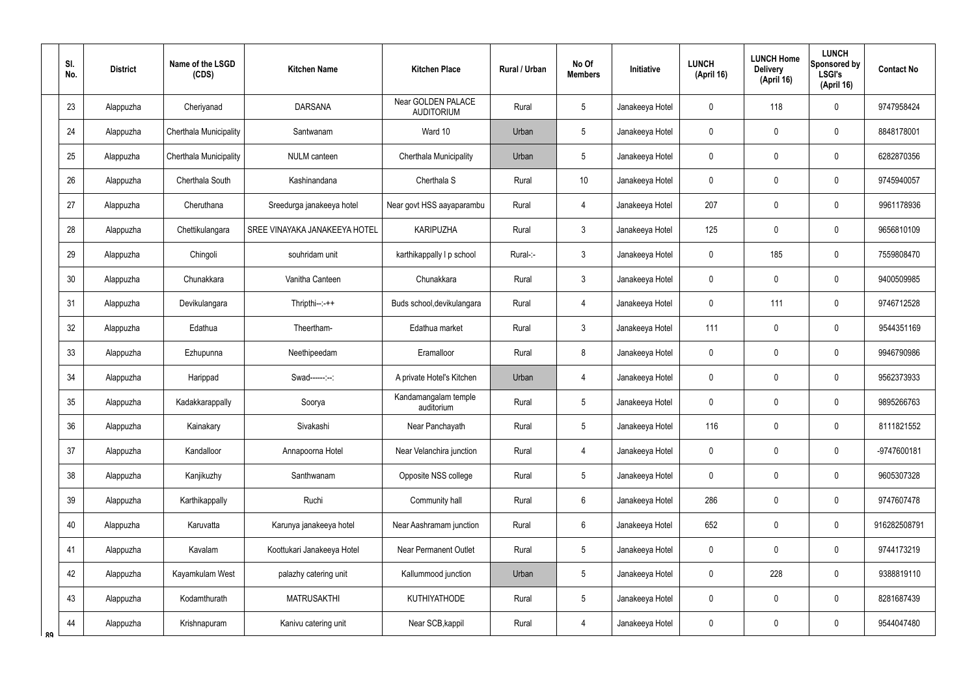|    | SI.<br>No. | <b>District</b> | Name of the LSGD<br>(CDS) | <b>Kitchen Name</b>           | <b>Kitchen Place</b>                    | <b>Rural / Urban</b> | No Of<br><b>Members</b> | Initiative      | <b>LUNCH</b><br>(April 16) | <b>LUNCH Home</b><br><b>Delivery</b><br>(April 16) | <b>LUNCH</b><br>Sponsored by<br><b>LSGI's</b><br>(April 16) | <b>Contact No</b> |
|----|------------|-----------------|---------------------------|-------------------------------|-----------------------------------------|----------------------|-------------------------|-----------------|----------------------------|----------------------------------------------------|-------------------------------------------------------------|-------------------|
|    | 23         | Alappuzha       | Cheriyanad                | <b>DARSANA</b>                | Near GOLDEN PALACE<br><b>AUDITORIUM</b> | Rural                | 5                       | Janakeeya Hotel | 0                          | 118                                                | $\mathbf 0$                                                 | 9747958424        |
|    | 24         | Alappuzha       | Cherthala Municipality    | Santwanam                     | Ward 10                                 | Urban                | 5                       | Janakeeya Hotel | 0                          | $\mathbf 0$                                        | $\mathbf 0$                                                 | 8848178001        |
|    | 25         | Alappuzha       | Cherthala Municipality    | NULM canteen                  | Cherthala Municipality                  | Urban                | 5                       | Janakeeya Hotel | 0                          | 0                                                  | $\mathbf 0$                                                 | 6282870356        |
|    | 26         | Alappuzha       | Cherthala South           | Kashinandana                  | Cherthala S                             | Rural                | 10                      | Janakeeya Hotel | 0                          | $\mathbf 0$                                        | $\mathbf 0$                                                 | 9745940057        |
|    | 27         | Alappuzha       | Cheruthana                | Sreedurga janakeeya hotel     | Near govt HSS aayaparambu               | Rural                | 4                       | Janakeeya Hotel | 207                        | 0                                                  | $\mathbf 0$                                                 | 9961178936        |
|    | 28         | Alappuzha       | Chettikulangara           | SREE VINAYAKA JANAKEEYA HOTEL | <b>KARIPUZHA</b>                        | Rural                | $\mathbf{3}$            | Janakeeya Hotel | 125                        | $\mathbf 0$                                        | $\mathbf 0$                                                 | 9656810109        |
|    | 29         | Alappuzha       | Chingoli                  | souhridam unit                | karthikappally I p school               | Rural-:-             | $\mathbf{3}$            | Janakeeya Hotel | 0                          | 185                                                | $\mathbf 0$                                                 | 7559808470        |
|    | 30         | Alappuzha       | Chunakkara                | Vanitha Canteen               | Chunakkara                              | Rural                | $\mathfrak{Z}$          | Janakeeya Hotel | 0                          | $\mathbf 0$                                        | $\mathbf 0$                                                 | 9400509985        |
|    | 31         | Alappuzha       | Devikulangara             | $Thripthi--++$                | Buds school, devikulangara              | Rural                | $\overline{4}$          | Janakeeya Hotel | 0                          | 111                                                | $\mathbf 0$                                                 | 9746712528        |
|    | 32         | Alappuzha       | Edathua                   | Theertham-                    | Edathua market                          | Rural                | 3                       | Janakeeya Hotel | 111                        | $\mathbf 0$                                        | $\mathbf 0$                                                 | 9544351169        |
|    | 33         | Alappuzha       | Ezhupunna                 | Neethipeedam                  | Eramalloor                              | Rural                | 8                       | Janakeeya Hotel | 0                          | 0                                                  | $\mathbf 0$                                                 | 9946790986        |
|    | 34         | Alappuzha       | Harippad                  | Swad------:--:                | A private Hotel's Kitchen               | Urban                | $\overline{4}$          | Janakeeya Hotel | 0                          | $\mathbf 0$                                        | $\mathbf 0$                                                 | 9562373933        |
|    | 35         | Alappuzha       | Kadakkarappally           | Soorya                        | Kandamangalam temple<br>auditorium      | Rural                | 5                       | Janakeeya Hotel | 0                          | $\mathbf 0$                                        | $\mathbf 0$                                                 | 9895266763        |
|    | 36         | Alappuzha       | Kainakary                 | Sivakashi                     | Near Panchayath                         | Rural                | 5                       | Janakeeya Hotel | 116                        | $\mathbf 0$                                        | $\mathbf 0$                                                 | 8111821552        |
|    | 37         | Alappuzha       | Kandalloor                | Annapoorna Hotel              | Near Velanchira junction                | Rural                | $\overline{4}$          | Janakeeya Hotel | 0                          | $\pmb{0}$                                          | $\pmb{0}$                                                   | -9747600181       |
|    | 38         | Alappuzha       | Kanjikuzhy                | Santhwanam                    | Opposite NSS college                    | Rural                | 5                       | Janakeeya Hotel | 0                          | $\pmb{0}$                                          | $\pmb{0}$                                                   | 9605307328        |
|    | 39         | Alappuzha       | Karthikappally            | Ruchi                         | Community hall                          | Rural                | $6\overline{6}$         | Janakeeya Hotel | 286                        | $\mathbf 0$                                        | $\mathbf 0$                                                 | 9747607478        |
|    | 40         | Alappuzha       | Karuvatta                 | Karunya janakeeya hotel       | Near Aashramam junction                 | Rural                | $6\overline{6}$         | Janakeeya Hotel | 652                        | $\pmb{0}$                                          | $\pmb{0}$                                                   | 916282508791      |
|    | 41         | Alappuzha       | Kavalam                   | Koottukari Janakeeya Hotel    | <b>Near Permanent Outlet</b>            | Rural                | 5                       | Janakeeya Hotel | 0                          | $\pmb{0}$                                          | $\pmb{0}$                                                   | 9744173219        |
|    | 42         | Alappuzha       | Kayamkulam West           | palazhy catering unit         | Kallummood junction                     | Urban                | $5\phantom{.0}$         | Janakeeya Hotel | 0                          | 228                                                | $\pmb{0}$                                                   | 9388819110        |
|    | 43         | Alappuzha       | Kodamthurath              | <b>MATRUSAKTHI</b>            | <b>KUTHIYATHODE</b>                     | Rural                | 5                       | Janakeeya Hotel | 0                          | $\overline{0}$                                     | $\pmb{0}$                                                   | 8281687439        |
| ՋQ | 44         | Alappuzha       | Krishnapuram              | Kanivu catering unit          | Near SCB, kappil                        | Rural                | $\overline{4}$          | Janakeeya Hotel | 0                          | $\mathbf 0$                                        | $\pmb{0}$                                                   | 9544047480        |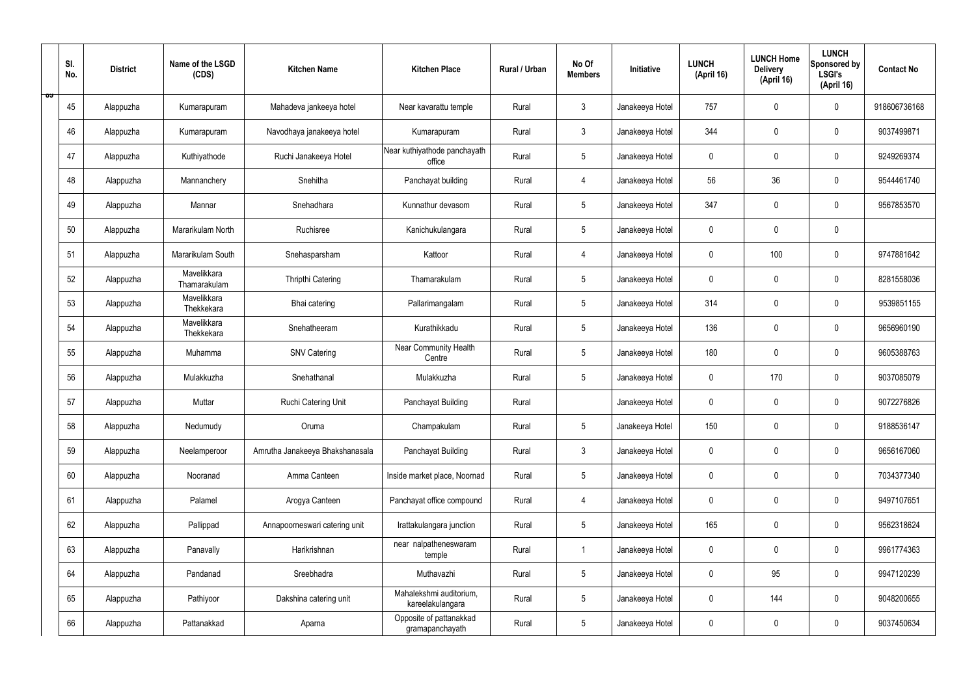|   | SI.<br>No. | <b>District</b> | Name of the LSGD<br>(CDS)   | <b>Kitchen Name</b>             | <b>Kitchen Place</b>                        | Rural / Urban | No Of<br><b>Members</b> | Initiative      | <b>LUNCH</b><br>(April 16) | <b>LUNCH Home</b><br><b>Delivery</b><br>(April 16) | <b>LUNCH</b><br>Sponsored by<br><b>LSGI's</b><br>(April 16) | <b>Contact No</b> |
|---|------------|-----------------|-----------------------------|---------------------------------|---------------------------------------------|---------------|-------------------------|-----------------|----------------------------|----------------------------------------------------|-------------------------------------------------------------|-------------------|
| ಾ | 45         | Alappuzha       | Kumarapuram                 | Mahadeva jankeeya hotel         | Near kavarattu temple                       | Rural         | $\mathbf{3}$            | Janakeeya Hotel | 757                        | $\mathbf 0$                                        | $\mathbf 0$                                                 | 918606736168      |
|   | 46         | Alappuzha       | Kumarapuram                 | Navodhaya janakeeya hotel       | Kumarapuram                                 | Rural         | $\mathbf{3}$            | Janakeeya Hotel | 344                        | $\mathbf 0$                                        | $\mathbf 0$                                                 | 9037499871        |
|   | 47         | Alappuzha       | Kuthiyathode                | Ruchi Janakeeya Hotel           | Near kuthiyathode panchayath<br>office      | Rural         | $5\overline{)}$         | Janakeeya Hotel | $\mathbf 0$                | $\mathbf 0$                                        | $\mathbf 0$                                                 | 9249269374        |
|   | 48         | Alappuzha       | Mannanchery                 | Snehitha                        | Panchayat building                          | Rural         | 4                       | Janakeeya Hotel | 56                         | 36                                                 | $\mathbf 0$                                                 | 9544461740        |
|   | 49         | Alappuzha       | Mannar                      | Snehadhara                      | Kunnathur devasom                           | Rural         | $5\phantom{.0}$         | Janakeeya Hotel | 347                        | $\mathbf 0$                                        | $\mathbf 0$                                                 | 9567853570        |
|   | 50         | Alappuzha       | Mararikulam North           | Ruchisree                       | Kanichukulangara                            | Rural         | $5\phantom{.0}$         | Janakeeya Hotel | $\mathbf 0$                | $\mathbf 0$                                        | $\mathbf 0$                                                 |                   |
|   | 51         | Alappuzha       | Mararikulam South           | Snehasparsham                   | Kattoor                                     | Rural         | $\overline{4}$          | Janakeeya Hotel | $\mathbf 0$                | 100                                                | $\mathbf 0$                                                 | 9747881642        |
|   | 52         | Alappuzha       | Mavelikkara<br>Thamarakulam | Thripthi Catering               | Thamarakulam                                | Rural         | $5\phantom{.0}$         | Janakeeya Hotel | $\mathbf 0$                | $\mathbf 0$                                        | $\mathbf 0$                                                 | 8281558036        |
|   | 53         | Alappuzha       | Mavelikkara<br>Thekkekara   | Bhai catering                   | Pallarimangalam                             | Rural         | $5\phantom{.0}$         | Janakeeya Hotel | 314                        | $\mathbf 0$                                        | $\mathbf 0$                                                 | 9539851155        |
|   | 54         | Alappuzha       | Mavelikkara<br>Thekkekara   | Snehatheeram                    | Kurathikkadu                                | Rural         | $5\overline{)}$         | Janakeeya Hotel | 136                        | $\mathbf 0$                                        | $\mathbf 0$                                                 | 9656960190        |
|   | 55         | Alappuzha       | Muhamma                     | <b>SNV Catering</b>             | Near Community Health<br>Centre             | Rural         | $5\phantom{.0}$         | Janakeeya Hotel | 180                        | $\mathbf 0$                                        | $\mathbf 0$                                                 | 9605388763        |
|   | 56         | Alappuzha       | Mulakkuzha                  | Snehathanal                     | Mulakkuzha                                  | Rural         | $5\phantom{.0}$         | Janakeeya Hotel | $\mathbf 0$                | 170                                                | $\mathbf 0$                                                 | 9037085079        |
|   | 57         | Alappuzha       | Muttar                      | Ruchi Catering Unit             | Panchayat Building                          | Rural         |                         | Janakeeya Hotel | $\mathbf 0$                | 0                                                  | $\mathbf 0$                                                 | 9072276826        |
|   | 58         | Alappuzha       | Nedumudy                    | Oruma                           | Champakulam                                 | Rural         | $5\phantom{.0}$         | Janakeeya Hotel | 150                        | $\mathbf 0$                                        | $\mathbf 0$                                                 | 9188536147        |
|   | 59         | Alappuzha       | Neelamperoor                | Amrutha Janakeeya Bhakshanasala | Panchayat Building                          | Rural         | $\mathbf{3}$            | Janakeeya Hotel | $\mathbf 0$                | $\mathbf 0$                                        | $\mathbf 0$                                                 | 9656167060        |
|   | 60         | Alappuzha       | Nooranad                    | Amma Canteen                    | Inside market place, Noornad                | Rural         | $5\overline{)}$         | Janakeeya Hotel | $\pmb{0}$                  | $\pmb{0}$                                          | $\mathbf 0$                                                 | 7034377340        |
|   | 61         | Alappuzha       | Palamel                     | Arogya Canteen                  | Panchayat office compound                   | Rural         | $\overline{4}$          | Janakeeya Hotel | $\pmb{0}$                  | $\pmb{0}$                                          | $\mathbf 0$                                                 | 9497107651        |
|   | 62         | Alappuzha       | Pallippad                   | Annapoorneswari catering unit   | Irattakulangara junction                    | Rural         | $5\phantom{.0}$         | Janakeeya Hotel | 165                        | $\pmb{0}$                                          | $\mathbf 0$                                                 | 9562318624        |
|   | 63         | Alappuzha       | Panavally                   | Harikrishnan                    | near nalpatheneswaram<br>temple             | Rural         | $\mathbf{1}$            | Janakeeya Hotel | $\pmb{0}$                  | $\pmb{0}$                                          | $\mathbf 0$                                                 | 9961774363        |
|   | 64         | Alappuzha       | Pandanad                    | Sreebhadra                      | Muthavazhi                                  | Rural         | $5\phantom{.0}$         | Janakeeya Hotel | $\pmb{0}$                  | 95                                                 | $\mathbf 0$                                                 | 9947120239        |
|   | 65         | Alappuzha       | Pathiyoor                   | Dakshina catering unit          | Mahalekshmi auditorium,<br>kareelakulangara | Rural         | $5\phantom{.0}$         | Janakeeya Hotel | $\pmb{0}$                  | 144                                                | $\mathbf 0$                                                 | 9048200655        |
|   | 66         | Alappuzha       | Pattanakkad                 | Aparna                          | Opposite of pattanakkad<br>gramapanchayath  | Rural         | $5\phantom{.0}$         | Janakeeya Hotel | 0                          | $\pmb{0}$                                          | $\boldsymbol{0}$                                            | 9037450634        |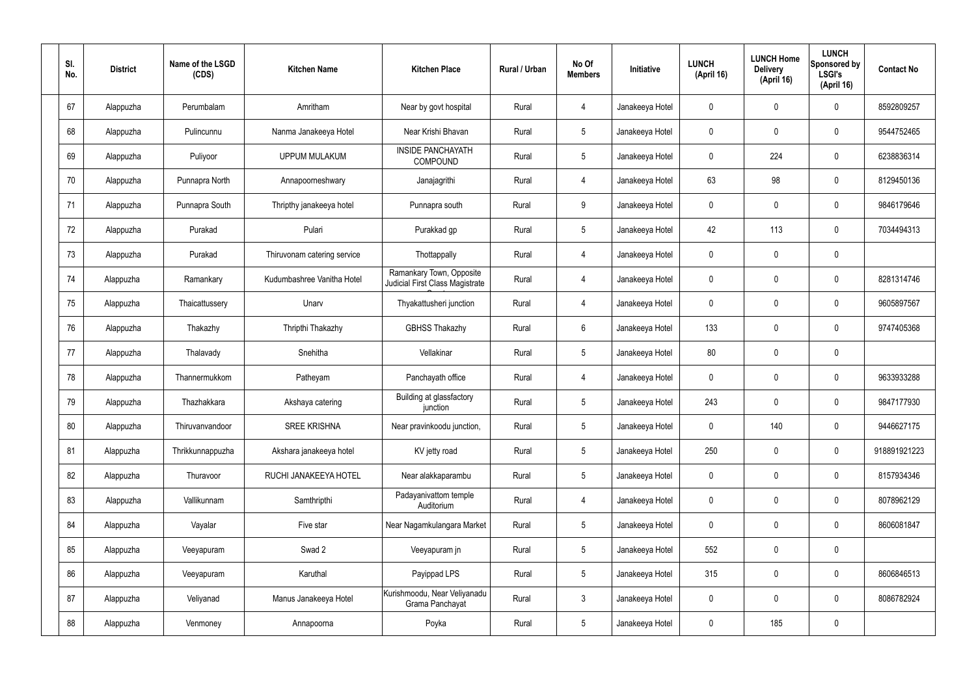| SI.<br>No. | <b>District</b> | Name of the LSGD<br>(CDS) | <b>Kitchen Name</b>         | <b>Kitchen Place</b>                                        | Rural / Urban | No Of<br><b>Members</b> | Initiative      | <b>LUNCH</b><br>(April 16) | <b>LUNCH Home</b><br><b>Delivery</b><br>(April 16) | <b>LUNCH</b><br>Sponsored by<br><b>LSGI's</b><br>(April 16) | <b>Contact No</b> |
|------------|-----------------|---------------------------|-----------------------------|-------------------------------------------------------------|---------------|-------------------------|-----------------|----------------------------|----------------------------------------------------|-------------------------------------------------------------|-------------------|
| 67         | Alappuzha       | Perumbalam                | Amritham                    | Near by govt hospital                                       | Rural         | $\overline{4}$          | Janakeeya Hotel | $\mathbf 0$                | $\mathbf 0$                                        | $\mathbf 0$                                                 | 8592809257        |
| 68         | Alappuzha       | Pulincunnu                | Nanma Janakeeya Hotel       | Near Krishi Bhavan                                          | Rural         | $5\phantom{.0}$         | Janakeeya Hotel | $\mathbf 0$                | $\mathbf 0$                                        | $\pmb{0}$                                                   | 9544752465        |
| 69         | Alappuzha       | Puliyoor                  | <b>UPPUM MULAKUM</b>        | <b>INSIDE PANCHAYATH</b><br>COMPOUND                        | Rural         | $5\phantom{.0}$         | Janakeeya Hotel | $\mathbf 0$                | 224                                                | $\pmb{0}$                                                   | 6238836314        |
| 70         | Alappuzha       | Punnapra North            | Annapoorneshwary            | Janajagrithi                                                | Rural         | $\overline{4}$          | Janakeeya Hotel | 63                         | 98                                                 | $\pmb{0}$                                                   | 8129450136        |
| 71         | Alappuzha       | Punnapra South            | Thripthy janakeeya hotel    | Punnapra south                                              | Rural         | 9                       | Janakeeya Hotel | $\mathbf 0$                | $\mathbf 0$                                        | $\mathbf 0$                                                 | 9846179646        |
| 72         | Alappuzha       | Purakad                   | Pulari                      | Purakkad gp                                                 | Rural         | $5\phantom{.0}$         | Janakeeya Hotel | 42                         | 113                                                | $\pmb{0}$                                                   | 7034494313        |
| 73         | Alappuzha       | Purakad                   | Thiruvonam catering service | Thottappally                                                | Rural         | $\overline{4}$          | Janakeeya Hotel | $\mathbf 0$                | $\mathbf 0$                                        | $\mathbf 0$                                                 |                   |
| 74         | Alappuzha       | Ramankary                 | Kudumbashree Vanitha Hotel  | Ramankary Town, Opposite<br>Judicial First Class Magistrate | Rural         | 4                       | Janakeeya Hotel | $\mathbf 0$                | $\mathbf 0$                                        | $\pmb{0}$                                                   | 8281314746        |
| 75         | Alappuzha       | Thaicattussery            | Unarv                       | Thyakattusheri junction                                     | Rural         | 4                       | Janakeeya Hotel | $\mathbf 0$                | $\mathbf 0$                                        | $\mathbf 0$                                                 | 9605897567        |
| 76         | Alappuzha       | Thakazhy                  | Thripthi Thakazhy           | <b>GBHSS Thakazhy</b>                                       | Rural         | $6\overline{6}$         | Janakeeya Hotel | 133                        | $\mathbf 0$                                        | $\pmb{0}$                                                   | 9747405368        |
| 77         | Alappuzha       | Thalavady                 | Snehitha                    | Vellakinar                                                  | Rural         | $5\phantom{.0}$         | Janakeeya Hotel | 80                         | $\pmb{0}$                                          | $\pmb{0}$                                                   |                   |
| 78         | Alappuzha       | Thannermukkom             | Patheyam                    | Panchayath office                                           | Rural         | 4                       | Janakeeya Hotel | $\mathbf 0$                | $\mathbf 0$                                        | $\pmb{0}$                                                   | 9633933288        |
| 79         | Alappuzha       | Thazhakkara               | Akshaya catering            | Building at glassfactory<br>junction                        | Rural         | 5                       | Janakeeya Hotel | 243                        | $\mathbf 0$                                        | $\mathbf 0$                                                 | 9847177930        |
| 80         | Alappuzha       | Thiruvanvandoor           | <b>SREE KRISHNA</b>         | Near pravinkoodu junction,                                  | Rural         | 5 <sub>5</sub>          | Janakeeya Hotel | $\pmb{0}$                  | 140                                                | $\pmb{0}$                                                   | 9446627175        |
| 81         | Alappuzha       | Thrikkunnappuzha          | Akshara janakeeya hotel     | KV jetty road                                               | Rural         | 5 <sup>5</sup>          | Janakeeya Hotel | 250                        | $\pmb{0}$                                          | $\mathbf 0$                                                 | 918891921223      |
| 82         | Alappuzha       | Thuravoor                 | RUCHI JANAKEEYA HOTEL       | Near alakkaparambu                                          | Rural         | 5 <sup>5</sup>          | Janakeeya Hotel | $\pmb{0}$                  | $\pmb{0}$                                          | $\mathbf 0$                                                 | 8157934346        |
| 83         | Alappuzha       | Vallikunnam               | Samthripthi                 | Padayanivattom temple<br>Auditorium                         | Rural         | $\overline{4}$          | Janakeeya Hotel | $\mathbf 0$                | $\pmb{0}$                                          | $\mathbf 0$                                                 | 8078962129        |
| 84         | Alappuzha       | Vayalar                   | Five star                   | Near Nagamkulangara Market                                  | Rural         | 5 <sup>5</sup>          | Janakeeya Hotel | $\pmb{0}$                  | $\pmb{0}$                                          | $\mathbf 0$                                                 | 8606081847        |
| 85         | Alappuzha       | Veeyapuram                | Swad 2                      | Veeyapuram jn                                               | Rural         | 5 <sup>5</sup>          | Janakeeya Hotel | 552                        | $\pmb{0}$                                          | $\mathbf 0$                                                 |                   |
| 86         | Alappuzha       | Veeyapuram                | Karuthal                    | Payippad LPS                                                | Rural         | 5 <sub>5</sub>          | Janakeeya Hotel | 315                        | $\pmb{0}$                                          | $\mathbf 0$                                                 | 8606846513        |
| 87         | Alappuzha       | Veliyanad                 | Manus Janakeeya Hotel       | Kurishmoodu, Near Veliyanadu<br>Grama Panchayat             | Rural         | $3\phantom{a}$          | Janakeeya Hotel | $\mathbf 0$                | $\pmb{0}$                                          | $\mathbf 0$                                                 | 8086782924        |
| 88         | Alappuzha       | Venmoney                  | Annapoorna                  | Poyka                                                       | Rural         | 5 <sub>5</sub>          | Janakeeya Hotel | 0                          | 185                                                | $\pmb{0}$                                                   |                   |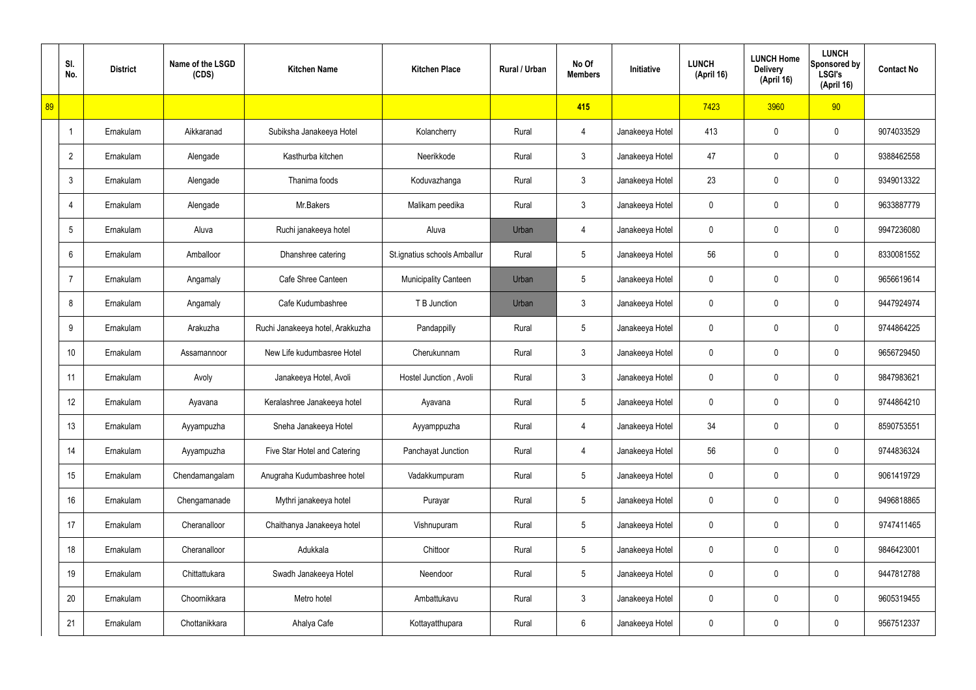|    | SI.<br>No.      | <b>District</b> | Name of the LSGD<br>(CDS) | <b>Kitchen Name</b>              | <b>Kitchen Place</b>         | Rural / Urban | No Of<br><b>Members</b> | Initiative      | <b>LUNCH</b><br>(April 16) | <b>LUNCH Home</b><br><b>Delivery</b><br>(April 16) | <b>LUNCH</b><br>Sponsored by<br><b>LSGI's</b><br>(April 16) | <b>Contact No</b> |
|----|-----------------|-----------------|---------------------------|----------------------------------|------------------------------|---------------|-------------------------|-----------------|----------------------------|----------------------------------------------------|-------------------------------------------------------------|-------------------|
| 89 |                 |                 |                           |                                  |                              |               | 415                     |                 | 7423                       | 3960                                               | 90                                                          |                   |
|    | $\overline{1}$  | Ernakulam       | Aikkaranad                | Subiksha Janakeeya Hotel         | Kolancherry                  | Rural         | 4                       | Janakeeya Hotel | 413                        | 0                                                  | $\boldsymbol{0}$                                            | 9074033529        |
|    | $\overline{2}$  | Ernakulam       | Alengade                  | Kasthurba kitchen                | Neerikkode                   | Rural         | $\mathbf{3}$            | Janakeeya Hotel | 47                         | 0                                                  | $\boldsymbol{0}$                                            | 9388462558        |
|    | $\mathbf{3}$    | Ernakulam       | Alengade                  | Thanima foods                    | Koduvazhanga                 | Rural         | $\mathfrak{Z}$          | Janakeeya Hotel | 23                         | 0                                                  | $\boldsymbol{0}$                                            | 9349013322        |
|    | 4               | Ernakulam       | Alengade                  | Mr.Bakers                        | Malikam peedika              | Rural         | $\mathfrak{Z}$          | Janakeeya Hotel | 0                          | 0                                                  | $\boldsymbol{0}$                                            | 9633887779        |
|    | $5\phantom{.0}$ | Ernakulam       | Aluva                     | Ruchi janakeeya hotel            | Aluva                        | Urban         | $\overline{4}$          | Janakeeya Hotel | 0                          | 0                                                  | $\boldsymbol{0}$                                            | 9947236080        |
|    | 6               | Ernakulam       | Amballoor                 | Dhanshree catering               | St.ignatius schools Amballur | Rural         | $5\phantom{.0}$         | Janakeeya Hotel | 56                         | 0                                                  | $\boldsymbol{0}$                                            | 8330081552        |
|    | $\overline{7}$  | Ernakulam       | Angamaly                  | Cafe Shree Canteen               | <b>Municipality Canteen</b>  | Urban         | $5\phantom{.0}$         | Janakeeya Hotel | 0                          | 0                                                  | $\boldsymbol{0}$                                            | 9656619614        |
|    | 8               | Ernakulam       | Angamaly                  | Cafe Kudumbashree                | T B Junction                 | Urban         | $\mathfrak{Z}$          | Janakeeya Hotel | 0                          | 0                                                  | $\boldsymbol{0}$                                            | 9447924974        |
|    | 9               | Ernakulam       | Arakuzha                  | Ruchi Janakeeya hotel, Arakkuzha | Pandappilly                  | Rural         | $5\phantom{.0}$         | Janakeeya Hotel | 0                          | 0                                                  | $\mathbf 0$                                                 | 9744864225        |
|    | 10              | Ernakulam       | Assamannoor               | New Life kudumbasree Hotel       | Cherukunnam                  | Rural         | $\mathfrak{Z}$          | Janakeeya Hotel | 0                          | 0                                                  | $\boldsymbol{0}$                                            | 9656729450        |
|    | 11              | Ernakulam       | Avoly                     | Janakeeya Hotel, Avoli           | Hostel Junction, Avoli       | Rural         | $\mathfrak{Z}$          | Janakeeya Hotel | 0                          | 0                                                  | $\mathbf 0$                                                 | 9847983621        |
|    | 12              | Ernakulam       | Ayavana                   | Keralashree Janakeeya hotel      | Ayavana                      | Rural         | $5\phantom{.0}$         | Janakeeya Hotel | 0                          | 0                                                  | $\mathbf 0$                                                 | 9744864210        |
|    | 13              | Ernakulam       | Ayyampuzha                | Sneha Janakeeya Hotel            | Ayyamppuzha                  | Rural         | $\overline{4}$          | Janakeeya Hotel | 34                         | 0                                                  | $\mathbf 0$                                                 | 8590753551        |
|    | 14              | Ernakulam       | Ayyampuzha                | Five Star Hotel and Catering     | Panchayat Junction           | Rural         | 4                       | Janakeeya Hotel | 56                         | 0                                                  | $\mathbf 0$                                                 | 9744836324        |
|    | 15              | Ernakulam       | Chendamangalam            | Anugraha Kudumbashree hotel      | Vadakkumpuram                | Rural         | $5\,$                   | Janakeeya Hotel | 0                          | 0                                                  | $\mathbf 0$                                                 | 9061419729        |
|    | 16              | Ernakulam       | Chengamanade              | Mythri janakeeya hotel           | Purayar                      | Rural         | $5\,$                   | Janakeeya Hotel | 0                          | 0                                                  | $\mathbf 0$                                                 | 9496818865        |
|    | 17              | Ernakulam       | Cheranalloor              | Chaithanya Janakeeya hotel       | Vishnupuram                  | Rural         | $5\,$                   | Janakeeya Hotel | 0                          | 0                                                  | $\mathbf 0$                                                 | 9747411465        |
|    | 18              | Ernakulam       | Cheranalloor              | Adukkala                         | Chittoor                     | Rural         | $5\,$                   | Janakeeya Hotel | 0                          | 0                                                  | $\mathbf 0$                                                 | 9846423001        |
|    | 19              | Ernakulam       | Chittattukara             | Swadh Janakeeya Hotel            | Neendoor                     | Rural         | $5\,$                   | Janakeeya Hotel | 0                          | 0                                                  | $\mathbf 0$                                                 | 9447812788        |
|    | 20              | Ernakulam       | Choornikkara              | Metro hotel                      | Ambattukavu                  | Rural         | $\mathbf{3}$            | Janakeeya Hotel | 0                          | 0                                                  | $\mathbf 0$                                                 | 9605319455        |
|    | 21              | Ernakulam       | Chottanikkara             | Ahalya Cafe                      | Kottayatthupara              | Rural         | $6\phantom{.}6$         | Janakeeya Hotel | 0                          | 0                                                  | $\boldsymbol{0}$                                            | 9567512337        |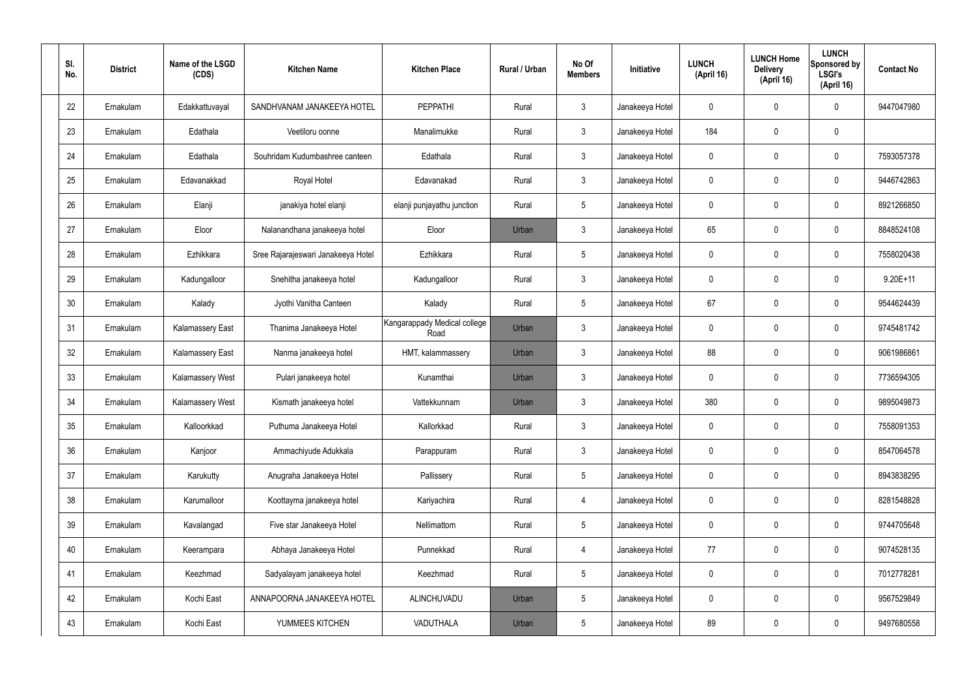| SI.<br>No. | <b>District</b> | Name of the LSGD<br>(CDS) | <b>Kitchen Name</b>                | <b>Kitchen Place</b>                 | Rural / Urban | No Of<br><b>Members</b> | Initiative      | <b>LUNCH</b><br>(April 16) | <b>LUNCH Home</b><br><b>Delivery</b><br>(April 16) | <b>LUNCH</b><br>Sponsored by<br><b>LSGI's</b><br>(April 16) | <b>Contact No</b> |
|------------|-----------------|---------------------------|------------------------------------|--------------------------------------|---------------|-------------------------|-----------------|----------------------------|----------------------------------------------------|-------------------------------------------------------------|-------------------|
| 22         | Ernakulam       | Edakkattuvayal            | SANDHVANAM JANAKEEYA HOTEL         | <b>PEPPATHI</b>                      | Rural         | $\mathbf{3}$            | Janakeeya Hotel | 0                          | 0                                                  | $\mathbf 0$                                                 | 9447047980        |
| 23         | Ernakulam       | Edathala                  | Veetiloru oonne                    | Manalimukke                          | Rural         | $\mathbf{3}$            | Janakeeya Hotel | 184                        | 0                                                  | $\mathbf 0$                                                 |                   |
| 24         | Ernakulam       | Edathala                  | Souhridam Kudumbashree canteen     | Edathala                             | Rural         | $\mathbf{3}$            | Janakeeya Hotel | $\mathbf 0$                | 0                                                  | $\mathbf 0$                                                 | 7593057378        |
| 25         | Ernakulam       | Edavanakkad               | Royal Hotel                        | Edavanakad                           | Rural         | $\mathbf{3}$            | Janakeeya Hotel | $\mathbf 0$                | 0                                                  | $\mathbf 0$                                                 | 9446742863        |
| 26         | Ernakulam       | Elanji                    | janakiya hotel elanji              | elanji punjayathu junction           | Rural         | $5\phantom{.0}$         | Janakeeya Hotel | $\mathbf 0$                | 0                                                  | $\mathbf 0$                                                 | 8921266850        |
| 27         | Ernakulam       | Eloor                     | Nalanandhana janakeeya hotel       | Eloor                                | Urban         | $\mathbf{3}$            | Janakeeya Hotel | 65                         | 0                                                  | $\mathbf 0$                                                 | 8848524108        |
| 28         | Ernakulam       | Ezhikkara                 | Sree Rajarajeswari Janakeeya Hotel | Ezhikkara                            | Rural         | $5\phantom{.0}$         | Janakeeya Hotel | $\mathbf 0$                | 0                                                  | $\mathbf 0$                                                 | 7558020438        |
| 29         | Ernakulam       | Kadungalloor              | Snehitha janakeeya hotel           | Kadungalloor                         | Rural         | $\mathbf{3}$            | Janakeeya Hotel | $\mathbf 0$                | 0                                                  | $\mathbf 0$                                                 | $9.20E+11$        |
| 30         | Ernakulam       | Kalady                    | Jyothi Vanitha Canteen             | Kalady                               | Rural         | $5\phantom{.0}$         | Janakeeya Hotel | 67                         | 0                                                  | $\mathbf 0$                                                 | 9544624439        |
| 31         | Ernakulam       | <b>Kalamassery East</b>   | Thanima Janakeeya Hotel            | Kangarappady Medical college<br>Road | Urban         | $\mathbf{3}$            | Janakeeya Hotel | $\mathbf 0$                | 0                                                  | $\mathbf 0$                                                 | 9745481742        |
| 32         | Ernakulam       | <b>Kalamassery East</b>   | Nanma janakeeya hotel              | HMT, kalammassery                    | Urban         | $\mathbf{3}$            | Janakeeya Hotel | 88                         | 0                                                  | $\mathbf 0$                                                 | 9061986861        |
| 33         | Ernakulam       | Kalamassery West          | Pulari janakeeya hotel             | Kunamthai                            | Urban         | $\mathfrak{Z}$          | Janakeeya Hotel | $\mathbf 0$                | 0                                                  | $\boldsymbol{0}$                                            | 7736594305        |
| 34         | Ernakulam       | Kalamassery West          | Kismath janakeeya hotel            | Vattekkunnam                         | Urban         | $\mathbf{3}$            | Janakeeya Hotel | 380                        | 0                                                  | 0                                                           | 9895049873        |
| 35         | Ernakulam       | Kalloorkkad               | Puthuma Janakeeya Hotel            | Kallorkkad                           | Rural         | $\mathbf{3}$            | Janakeeya Hotel | $\mathbf 0$                | 0                                                  | $\mathbf 0$                                                 | 7558091353        |
| 36         | Ernakulam       | Kanjoor                   | Ammachiyude Adukkala               | Parappuram                           | Rural         | $3\phantom{a}$          | Janakeeya Hotel | $\mathbf 0$                | $\mathbf 0$                                        | $\mathbf 0$                                                 | 8547064578        |
| 37         | Ernakulam       | Karukutty                 | Anugraha Janakeeya Hotel           | Pallissery                           | Rural         | $5\phantom{.0}$         | Janakeeya Hotel | $\mathbf 0$                | $\mathbf 0$                                        | $\mathbf 0$                                                 | 8943838295        |
| 38         | Ernakulam       | Karumalloor               | Koottayma janakeeya hotel          | Kariyachira                          | Rural         | $\overline{4}$          | Janakeeya Hotel | $\mathbf 0$                | $\mathbf 0$                                        | $\mathbf 0$                                                 | 8281548828        |
| 39         | Ernakulam       | Kavalangad                | Five star Janakeeya Hotel          | Nellimattom                          | Rural         | $5\phantom{.0}$         | Janakeeya Hotel | $\mathbf 0$                | $\mathbf 0$                                        | $\mathbf 0$                                                 | 9744705648        |
| 40         | Ernakulam       | Keerampara                | Abhaya Janakeeya Hotel             | Punnekkad                            | Rural         | $\overline{4}$          | Janakeeya Hotel | 77                         | 0                                                  | $\mathbf 0$                                                 | 9074528135        |
| 41         | Ernakulam       | Keezhmad                  | Sadyalayam janakeeya hotel         | Keezhmad                             | Rural         | $5\phantom{.0}$         | Janakeeya Hotel | 0                          | 0                                                  | $\mathbf 0$                                                 | 7012778281        |
| 42         | Ernakulam       | Kochi East                | ANNAPOORNA JANAKEEYA HOTEL         | ALINCHUVADU                          | Urban         | $5\,$                   | Janakeeya Hotel | $\mathbf 0$                | $\mathbf 0$                                        | $\mathbf 0$                                                 | 9567529849        |
| 43         | Ernakulam       | Kochi East                | YUMMEES KITCHEN                    | VADUTHALA                            | Urban         | $5\phantom{.0}$         | Janakeeya Hotel | 89                         | 0                                                  | $\boldsymbol{0}$                                            | 9497680558        |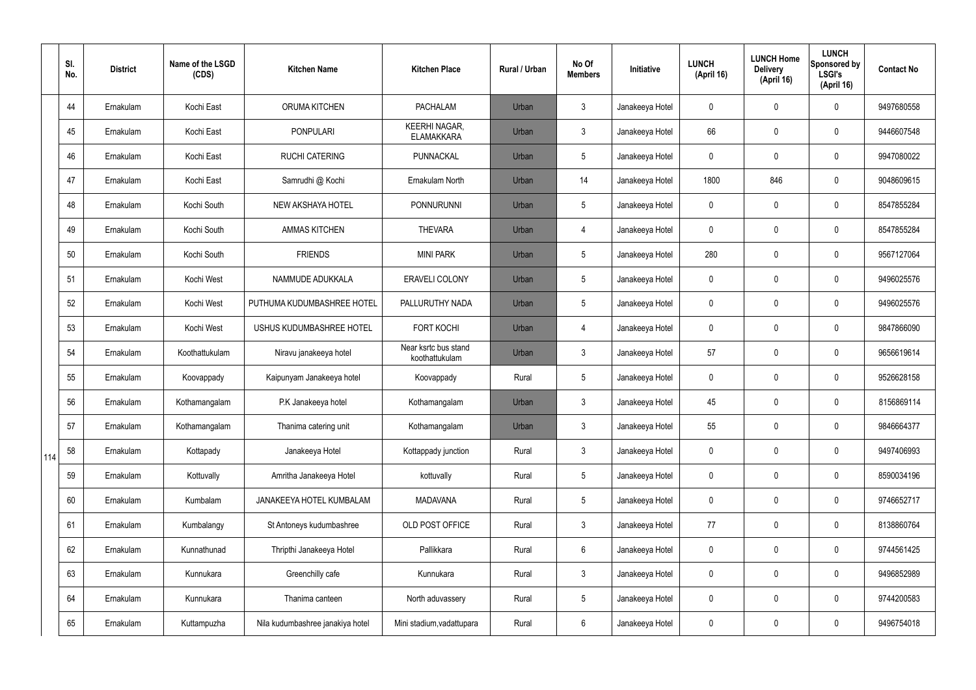|     | SI.<br>No. | <b>District</b> | Name of the LSGD<br>(CDS) | <b>Kitchen Name</b>              | <b>Kitchen Place</b>                      | <b>Rural / Urban</b> | No Of<br><b>Members</b> | Initiative      | <b>LUNCH</b><br>(April 16) | <b>LUNCH Home</b><br><b>Delivery</b><br>(April 16) | <b>LUNCH</b><br>Sponsored by<br><b>LSGI's</b><br>(April 16) | <b>Contact No</b> |
|-----|------------|-----------------|---------------------------|----------------------------------|-------------------------------------------|----------------------|-------------------------|-----------------|----------------------------|----------------------------------------------------|-------------------------------------------------------------|-------------------|
|     | 44         | Ernakulam       | Kochi East                | ORUMA KITCHEN                    | <b>PACHALAM</b>                           | Urban                | $\mathbf{3}$            | Janakeeya Hotel | 0                          | 0                                                  | $\mathbf 0$                                                 | 9497680558        |
|     | 45         | Ernakulam       | Kochi East                | <b>PONPULARI</b>                 | <b>KEERHI NAGAR,</b><br><b>ELAMAKKARA</b> | Urban                | $\mathfrak{Z}$          | Janakeeya Hotel | 66                         | 0                                                  | $\boldsymbol{0}$                                            | 9446607548        |
|     | 46         | Ernakulam       | Kochi East                | <b>RUCHI CATERING</b>            | PUNNACKAL                                 | Urban                | 5                       | Janakeeya Hotel | 0                          | 0                                                  | $\mathbf 0$                                                 | 9947080022        |
|     | 47         | Ernakulam       | Kochi East                | Samrudhi @ Kochi                 | Ernakulam North                           | Urban                | 14                      | Janakeeya Hotel | 1800                       | 846                                                | $\mathbf 0$                                                 | 9048609615        |
|     | 48         | Ernakulam       | Kochi South               | NEW AKSHAYA HOTEL                | <b>PONNURUNNI</b>                         | Urban                | 5                       | Janakeeya Hotel | 0                          | 0                                                  | $\mathbf 0$                                                 | 8547855284        |
|     | 49         | Ernakulam       | Kochi South               | <b>AMMAS KITCHEN</b>             | <b>THEVARA</b>                            | Urban                | $\overline{4}$          | Janakeeya Hotel | 0                          | 0                                                  | $\mathbf 0$                                                 | 8547855284        |
|     | 50         | Ernakulam       | Kochi South               | <b>FRIENDS</b>                   | <b>MINI PARK</b>                          | Urban                | 5                       | Janakeeya Hotel | 280                        | 0                                                  | $\mathbf 0$                                                 | 9567127064        |
|     | 51         | Ernakulam       | Kochi West                | NAMMUDE ADUKKALA                 | <b>ERAVELI COLONY</b>                     | Urban                | 5                       | Janakeeya Hotel | 0                          | 0                                                  | $\mathbf 0$                                                 | 9496025576        |
|     | 52         | Ernakulam       | Kochi West                | PUTHUMA KUDUMBASHREE HOTEL       | PALLURUTHY NADA                           | Urban                | 5                       | Janakeeya Hotel | 0                          | 0                                                  | $\mathbf 0$                                                 | 9496025576        |
|     | 53         | Ernakulam       | Kochi West                | USHUS KUDUMBASHREE HOTEL         | <b>FORT KOCHI</b>                         | Urban                | $\overline{4}$          | Janakeeya Hotel | 0                          | 0                                                  | $\pmb{0}$                                                   | 9847866090        |
|     | 54         | Ernakulam       | Koothattukulam            | Niravu janakeeya hotel           | Near ksrtc bus stand<br>koothattukulam    | Urban                | $\mathfrak{Z}$          | Janakeeya Hotel | 57                         | 0                                                  | $\pmb{0}$                                                   | 9656619614        |
|     | 55         | Ernakulam       | Koovappady                | Kaipunyam Janakeeya hotel        | Koovappady                                | Rural                | 5                       | Janakeeya Hotel | 0                          | 0                                                  | $\boldsymbol{0}$                                            | 9526628158        |
|     | 56         | Ernakulam       | Kothamangalam             | P.K Janakeeya hotel              | Kothamangalam                             | Urban                | 3                       | Janakeeya Hotel | 45                         | 0                                                  | $\mathbf 0$                                                 | 8156869114        |
|     | 57         | Ernakulam       | Kothamangalam             | Thanima catering unit            | Kothamangalam                             | Urban                | $\mathbf{3}$            | Janakeeya Hotel | 55                         | 0                                                  | $\mathbf 0$                                                 | 9846664377        |
| 114 | 58         | Ernakulam       | Kottapady                 | Janakeeya Hotel                  | Kottappady junction                       | Rural                | $\mathbf{3}$            | Janakeeya Hotel | 0                          | 0                                                  | $\mathbf 0$                                                 | 9497406993        |
|     | 59         | Ernakulam       | Kottuvally                | Amritha Janakeeya Hotel          | kottuvally                                | Rural                | 5                       | Janakeeya Hotel | 0                          | 0                                                  | $\mathbf 0$                                                 | 8590034196        |
|     | 60         | Ernakulam       | Kumbalam                  | JANAKEEYA HOTEL KUMBALAM         | <b>MADAVANA</b>                           | Rural                | 5                       | Janakeeya Hotel | 0                          | 0                                                  | $\pmb{0}$                                                   | 9746652717        |
|     | 61         | Ernakulam       | Kumbalangy                | St Antoneys kudumbashree         | OLD POST OFFICE                           | Rural                | $\mathbf{3}$            | Janakeeya Hotel | 77                         | 0                                                  | $\pmb{0}$                                                   | 8138860764        |
|     | 62         | Ernakulam       | Kunnathunad               | Thripthi Janakeeya Hotel         | Pallikkara                                | Rural                | 6                       | Janakeeya Hotel | 0                          | 0                                                  | $\pmb{0}$                                                   | 9744561425        |
|     | 63         | Ernakulam       | Kunnukara                 | Greenchilly cafe                 | Kunnukara                                 | Rural                | $\mathfrak{Z}$          | Janakeeya Hotel | 0                          | 0                                                  | $\pmb{0}$                                                   | 9496852989        |
|     | 64         | Ernakulam       | Kunnukara                 | Thanima canteen                  | North aduvassery                          | Rural                | $5\phantom{.0}$         | Janakeeya Hotel | 0                          | 0                                                  | $\pmb{0}$                                                   | 9744200583        |
|     | 65         | Ernakulam       | Kuttampuzha               | Nila kudumbashree janakiya hotel | Mini stadium, vadattupara                 | Rural                | $6\phantom{.}$          | Janakeeya Hotel | 0                          | 0                                                  | $\pmb{0}$                                                   | 9496754018        |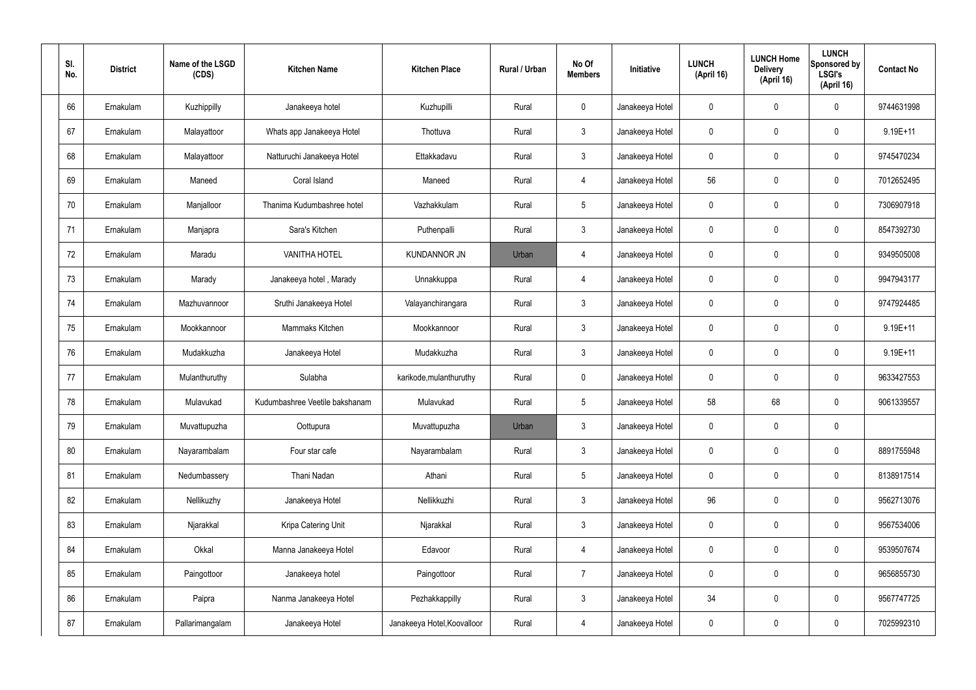| SI.<br>No. | <b>District</b> | Name of the LSGD<br>(CDS) | <b>Kitchen Name</b>            | <b>Kitchen Place</b>        | Rural / Urban | No Of<br><b>Members</b> | Initiative      | <b>LUNCH</b><br>(April 16) | <b>LUNCH Home</b><br><b>Delivery</b><br>(April 16) | <b>LUNCH</b><br>Sponsored by<br>LSGI's<br>(April 16) | <b>Contact No</b> |
|------------|-----------------|---------------------------|--------------------------------|-----------------------------|---------------|-------------------------|-----------------|----------------------------|----------------------------------------------------|------------------------------------------------------|-------------------|
| 66         | Ernakulam       | Kuzhippilly               | Janakeeya hotel                | Kuzhupilli                  | Rural         | $\mathsf{O}$            | Janakeeya Hotel | $\mathbf 0$                | 0                                                  | $\mathbf 0$                                          | 9744631998        |
| 67         | Ernakulam       | Malayattoor               | Whats app Janakeeya Hotel      | Thottuva                    | Rural         | $\mathbf{3}$            | Janakeeya Hotel | $\mathbf 0$                | 0                                                  | $\mathbf 0$                                          | 9.19E+11          |
| 68         | Ernakulam       | Malayattoor               | Natturuchi Janakeeya Hotel     | Ettakkadavu                 | Rural         | $\mathbf{3}$            | Janakeeya Hotel | $\mathbf 0$                | 0                                                  | $\mathbf 0$                                          | 9745470234        |
| 69         | Ernakulam       | Maneed                    | Coral Island                   | Maneed                      | Rural         | $\overline{4}$          | Janakeeya Hotel | 56                         | 0                                                  | $\mathbf 0$                                          | 7012652495        |
| 70         | Ernakulam       | Manjalloor                | Thanima Kudumbashree hotel     | Vazhakkulam                 | Rural         | $5\phantom{.0}$         | Janakeeya Hotel | $\mathbf 0$                | 0                                                  | $\mathbf 0$                                          | 7306907918        |
| 71         | Ernakulam       | Manjapra                  | Sara's Kitchen                 | Puthenpalli                 | Rural         | $\mathbf{3}$            | Janakeeya Hotel | $\mathbf 0$                | 0                                                  | $\mathbf 0$                                          | 8547392730        |
| 72         | Ernakulam       | Maradu                    | <b>VANITHA HOTEL</b>           | <b>KUNDANNOR JN</b>         | Urban         | 4                       | Janakeeya Hotel | $\mathbf 0$                | 0                                                  | $\mathbf 0$                                          | 9349505008        |
| 73         | Ernakulam       | Marady                    | Janakeeya hotel, Marady        | Unnakkuppa                  | Rural         | $\overline{4}$          | Janakeeya Hotel | $\mathbf 0$                | 0                                                  | $\mathbf 0$                                          | 9947943177        |
| 74         | Ernakulam       | Mazhuvannoor              | Sruthi Janakeeya Hotel         | Valayanchirangara           | Rural         | $\mathbf{3}$            | Janakeeya Hotel | $\mathbf 0$                | 0                                                  | $\mathbf 0$                                          | 9747924485        |
| 75         | Ernakulam       | Mookkannoor               | Mammaks Kitchen                | Mookkannoor                 | Rural         | $\mathbf{3}$            | Janakeeya Hotel | $\mathbf 0$                | 0                                                  | $\mathbf 0$                                          | $9.19E + 11$      |
| 76         | Ernakulam       | Mudakkuzha                | Janakeeya Hotel                | Mudakkuzha                  | Rural         | $\mathbf{3}$            | Janakeeya Hotel | $\mathbf 0$                | 0                                                  | $\boldsymbol{0}$                                     | $9.19E + 11$      |
| 77         | Ernakulam       | Mulanthuruthy             | Sulabha                        | karikode, mulanthuruthy     | Rural         | $\mathbf 0$             | Janakeeya Hotel | $\mathbf 0$                | 0                                                  | $\mathbf 0$                                          | 9633427553        |
| 78         | Ernakulam       | Mulavukad                 | Kudumbashree Veetile bakshanam | Mulavukad                   | Rural         | $5\phantom{.0}$         | Janakeeya Hotel | 58                         | 68                                                 | $\mathbf 0$                                          | 9061339557        |
| 79         | Ernakulam       | Muvattupuzha              | Oottupura                      | Muvattupuzha                | Urban         | $\mathfrak{Z}$          | Janakeeya Hotel | $\mathbf 0$                | $\mathsf{0}$                                       | $\pmb{0}$                                            |                   |
| 80         | Ernakulam       | Nayarambalam              | Four star cafe                 | Nayarambalam                | Rural         | $3\phantom{a}$          | Janakeeya Hotel | $\mathbf 0$                | $\mathbf 0$                                        | $\mathbf 0$                                          | 8891755948        |
| 81         | Ernakulam       | Nedumbassery              | Thani Nadan                    | Athani                      | Rural         | $5\phantom{.0}$         | Janakeeya Hotel | $\mathbf 0$                | $\mathbf 0$                                        | $\mathbf 0$                                          | 8138917514        |
| 82         | Ernakulam       | Nellikuzhy                | Janakeeya Hotel                | Nellikkuzhi                 | Rural         | $\mathfrak{Z}$          | Janakeeya Hotel | 96                         | 0                                                  | $\mathbf 0$                                          | 9562713076        |
| 83         | Ernakulam       | Njarakkal                 | Kripa Catering Unit            | Njarakkal                   | Rural         | $\mathfrak{Z}$          | Janakeeya Hotel | 0                          | 0                                                  | $\mathbf 0$                                          | 9567534006        |
| 84         | Ernakulam       | Okkal                     | Manna Janakeeya Hotel          | Edavoor                     | Rural         | $\overline{4}$          | Janakeeya Hotel | $\mathbf 0$                | 0                                                  | $\mathbf 0$                                          | 9539507674        |
| 85         | Ernakulam       | Paingottoor               | Janakeeya hotel                | Paingottoor                 | Rural         | $\overline{7}$          | Janakeeya Hotel | 0                          | 0                                                  | $\mathbf 0$                                          | 9656855730        |
| 86         | Ernakulam       | Paipra                    | Nanma Janakeeya Hotel          | Pezhakkappilly              | Rural         | $\mathfrak{Z}$          | Janakeeya Hotel | 34                         | 0                                                  | $\mathbf 0$                                          | 9567747725        |
| 87         | Ernakulam       | Pallarimangalam           | Janakeeya Hotel                | Janakeeya Hotel, Koovalloor | Rural         | 4                       | Janakeeya Hotel | 0                          | 0                                                  | $\boldsymbol{0}$                                     | 7025992310        |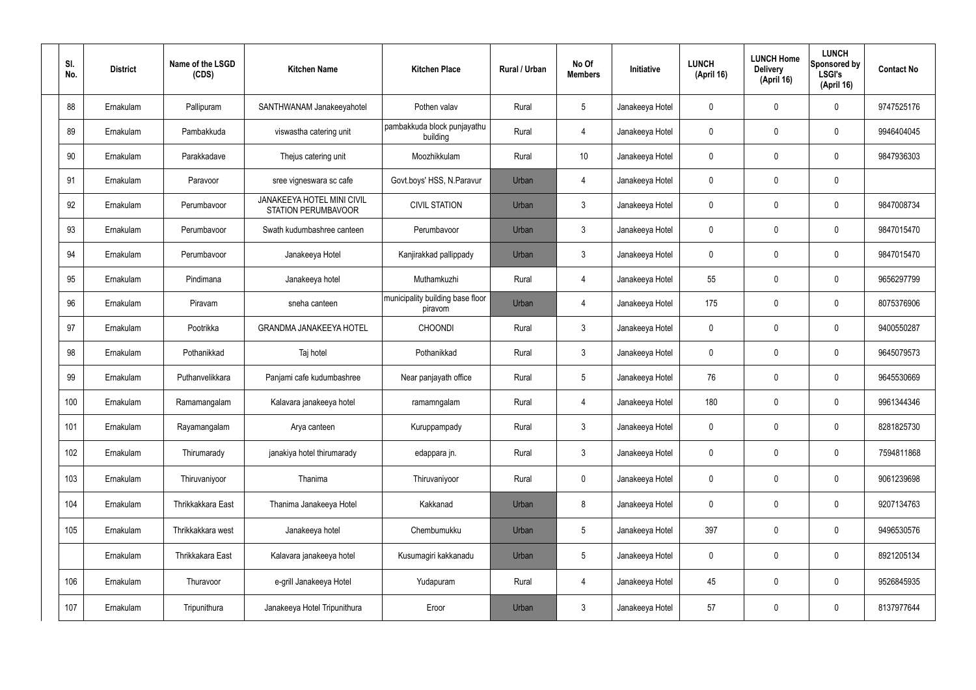| SI.<br>No. | <b>District</b> | Name of the LSGD<br>(CDS) | <b>Kitchen Name</b>                                             | <b>Kitchen Place</b>                        | Rural / Urban | No Of<br><b>Members</b> | <b>Initiative</b> | <b>LUNCH</b><br>(April 16) | <b>LUNCH Home</b><br><b>Delivery</b><br>(April 16) | <b>LUNCH</b><br>Sponsored by<br>LSGI's<br>(April 16) | <b>Contact No</b> |
|------------|-----------------|---------------------------|-----------------------------------------------------------------|---------------------------------------------|---------------|-------------------------|-------------------|----------------------------|----------------------------------------------------|------------------------------------------------------|-------------------|
| 88         | Ernakulam       | Pallipuram                | SANTHWANAM Janakeeyahotel                                       | Pothen valav                                | Rural         | $5\phantom{.0}$         | Janakeeya Hotel   | $\mathbf 0$                | 0                                                  | $\mathbf 0$                                          | 9747525176        |
| 89         | Ernakulam       | Pambakkuda                | viswastha catering unit                                         | pambakkuda block punjayathu<br>building     | Rural         | $\overline{4}$          | Janakeeya Hotel   | $\mathbf 0$                | 0                                                  | $\mathbf 0$                                          | 9946404045        |
| 90         | Ernakulam       | Parakkadave               | Thejus catering unit                                            | Moozhikkulam                                | Rural         | 10 <sup>°</sup>         | Janakeeya Hotel   | $\mathbf 0$                | 0                                                  | $\mathbf 0$                                          | 9847936303        |
| 91         | Ernakulam       | Paravoor                  | sree vigneswara sc cafe                                         | Govt.boys' HSS, N.Paravur                   | Urban         | $\overline{4}$          | Janakeeya Hotel   | $\mathbf 0$                | 0                                                  | $\mathbf 0$                                          |                   |
| 92         | Ernakulam       | Perumbavoor               | <b>JANAKEEYA HOTEL MINI CIVIL</b><br><b>STATION PERUMBAVOOR</b> | <b>CIVIL STATION</b>                        | Urban         | $\mathbf{3}$            | Janakeeya Hotel   | $\mathbf 0$                | 0                                                  | $\mathbf 0$                                          | 9847008734        |
| 93         | Ernakulam       | Perumbavoor               | Swath kudumbashree canteen                                      | Perumbavoor                                 | Urban         | $\mathbf{3}$            | Janakeeya Hotel   | $\mathbf 0$                | 0                                                  | $\mathbf 0$                                          | 9847015470        |
| 94         | Ernakulam       | Perumbavoor               | Janakeeya Hotel                                                 | Kanjirakkad pallippady                      | Urban         | $\mathbf{3}$            | Janakeeya Hotel   | $\mathbf 0$                | 0                                                  | $\mathbf 0$                                          | 9847015470        |
| 95         | Ernakulam       | Pindimana                 | Janakeeya hotel                                                 | Muthamkuzhi                                 | Rural         | $\overline{4}$          | Janakeeya Hotel   | 55                         | 0                                                  | $\mathbf 0$                                          | 9656297799        |
| 96         | Ernakulam       | Piravam                   | sneha canteen                                                   | municipality building base floor<br>piravom | Urban         | $\overline{4}$          | Janakeeya Hotel   | 175                        | $\mathbf 0$                                        | $\mathbf 0$                                          | 8075376906        |
| 97         | Ernakulam       | Pootrikka                 | <b>GRANDMA JANAKEEYA HOTEL</b>                                  | <b>CHOONDI</b>                              | Rural         | $\mathbf{3}$            | Janakeeya Hotel   | $\mathbf 0$                | 0                                                  | $\mathbf 0$                                          | 9400550287        |
| 98         | Ernakulam       | Pothanikkad               | Taj hotel                                                       | Pothanikkad                                 | Rural         | $\mathbf{3}$            | Janakeeya Hotel   | $\mathbf 0$                | 0                                                  | $\mathbf 0$                                          | 9645079573        |
| 99         | Ernakulam       | Puthanvelikkara           | Panjami cafe kudumbashree                                       | Near panjayath office                       | Rural         | $5\phantom{.0}$         | Janakeeya Hotel   | 76                         | 0                                                  | $\mathbf 0$                                          | 9645530669        |
| 100        | Ernakulam       | Ramamangalam              | Kalavara janakeeya hotel                                        | ramamngalam                                 | Rural         | 4                       | Janakeeya Hotel   | 180                        | 0                                                  | $\mathbf 0$                                          | 9961344346        |
| 101        | Ernakulam       | Rayamangalam              | Arya canteen                                                    | Kuruppampady                                | Rural         | $\mathbf{3}$            | Janakeeya Hotel   | $\mathbf 0$                | 0                                                  | $\mathbf 0$                                          | 8281825730        |
| 102        | Ernakulam       | Thirumarady               | janakiya hotel thirumarady                                      | edappara jn.                                | Rural         | $\mathfrak{Z}$          | Janakeeya Hotel   | $\pmb{0}$                  | 0                                                  | $\mathbf 0$                                          | 7594811868        |
| 103        | Ernakulam       | Thiruvaniyoor             | Thanima                                                         | Thiruvaniyoor                               | Rural         | $\mathbf 0$             | Janakeeya Hotel   | $\pmb{0}$                  | 0                                                  | $\mathbf 0$                                          | 9061239698        |
| 104        | Ernakulam       | Thrikkakkara East         | Thanima Janakeeya Hotel                                         | Kakkanad                                    | Urban         | 8                       | Janakeeya Hotel   | $\mathbf 0$                | 0                                                  | $\mathbf 0$                                          | 9207134763        |
| 105        | Ernakulam       | Thrikkakkara west         | Janakeeya hotel                                                 | Chembumukku                                 | Urban         | $5\phantom{.0}$         | Janakeeya Hotel   | 397                        | 0                                                  | $\mathbf 0$                                          | 9496530576        |
|            | Ernakulam       | Thrikkakara East          | Kalavara janakeeya hotel                                        | Kusumagiri kakkanadu                        | Urban         | $\sqrt{5}$              | Janakeeya Hotel   | $\pmb{0}$                  | 0                                                  | $\mathbf 0$                                          | 8921205134        |
| 106        | Ernakulam       | Thuravoor                 | e-grill Janakeeya Hotel                                         | Yudapuram                                   | Rural         | 4                       | Janakeeya Hotel   | 45                         | 0                                                  | $\mathbf 0$                                          | 9526845935        |
| 107        | Ernakulam       | Tripunithura              | Janakeeya Hotel Tripunithura                                    | Eroor                                       | Urban         | $\mathfrak{Z}$          | Janakeeya Hotel   | 57                         | 0                                                  | $\mathbf 0$                                          | 8137977644        |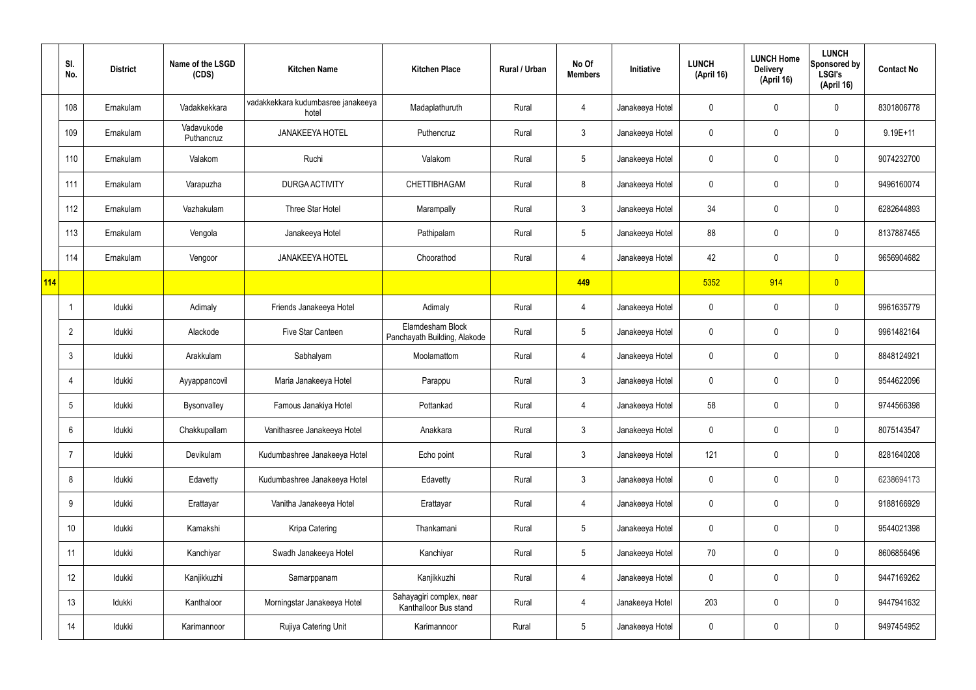|     | SI.<br>No.      | <b>District</b> | Name of the LSGD<br>(CDS) | <b>Kitchen Name</b>                         | <b>Kitchen Place</b>                              | Rural / Urban | No Of<br><b>Members</b> | Initiative      | <b>LUNCH</b><br>(April 16) | <b>LUNCH Home</b><br><b>Delivery</b><br>(April 16) | <b>LUNCH</b><br>Sponsored by<br><b>LSGI's</b><br>(April 16) | <b>Contact No</b> |
|-----|-----------------|-----------------|---------------------------|---------------------------------------------|---------------------------------------------------|---------------|-------------------------|-----------------|----------------------------|----------------------------------------------------|-------------------------------------------------------------|-------------------|
|     | 108             | Ernakulam       | Vadakkekkara              | vadakkekkara kudumbasree janakeeya<br>hotel | Madaplathuruth                                    | Rural         | 4                       | Janakeeya Hotel | 0                          | 0                                                  | $\mathbf 0$                                                 | 8301806778        |
|     | 109             | Ernakulam       | Vadavukode<br>Puthancruz  | <b>JANAKEEYA HOTEL</b>                      | Puthencruz                                        | Rural         | $\mathbf{3}$            | Janakeeya Hotel | 0                          | 0                                                  | $\boldsymbol{0}$                                            | $9.19E + 11$      |
|     | 110             | Ernakulam       | Valakom                   | Ruchi                                       | Valakom                                           | Rural         | $5\phantom{.0}$         | Janakeeya Hotel | 0                          | 0                                                  | $\pmb{0}$                                                   | 9074232700        |
|     | 111             | Ernakulam       | Varapuzha                 | <b>DURGA ACTIVITY</b>                       | CHETTIBHAGAM                                      | Rural         | 8                       | Janakeeya Hotel | 0                          | 0                                                  | $\mathbf 0$                                                 | 9496160074        |
|     | 112             | Ernakulam       | Vazhakulam                | Three Star Hotel                            | Marampally                                        | Rural         | $\mathbf{3}$            | Janakeeya Hotel | 34                         | $\mathbf 0$                                        | $\pmb{0}$                                                   | 6282644893        |
|     | 113             | Ernakulam       | Vengola                   | Janakeeya Hotel                             | Pathipalam                                        | Rural         | $5\phantom{.0}$         | Janakeeya Hotel | 88                         | $\mathbf 0$                                        | $\pmb{0}$                                                   | 8137887455        |
|     | 114             | Ernakulam       | Vengoor                   | <b>JANAKEEYA HOTEL</b>                      | Choorathod                                        | Rural         | $\overline{4}$          | Janakeeya Hotel | 42                         | $\mathbf 0$                                        | $\pmb{0}$                                                   | 9656904682        |
| 114 |                 |                 |                           |                                             |                                                   |               | 449                     |                 | 5352                       | 914                                                | $\overline{0}$                                              |                   |
|     | $\overline{1}$  | Idukki          | Adimaly                   | Friends Janakeeya Hotel                     | Adimaly                                           | Rural         | $\overline{4}$          | Janakeeya Hotel | 0                          | $\mathbf 0$                                        | $\pmb{0}$                                                   | 9961635779        |
|     | $\overline{2}$  | Idukki          | Alackode                  | Five Star Canteen                           | Elamdesham Block<br>Panchayath Building, Alakode  | Rural         | $5\phantom{.0}$         | Janakeeya Hotel | 0                          | 0                                                  | $\mathbf 0$                                                 | 9961482164        |
|     | $\mathbf{3}$    | Idukki          | Arakkulam                 | Sabhalyam                                   | Moolamattom                                       | Rural         | $\overline{4}$          | Janakeeya Hotel | 0                          | $\mathbf 0$                                        | $\pmb{0}$                                                   | 8848124921        |
|     | 4               | Idukki          | Ayyappancovil             | Maria Janakeeya Hotel                       | Parappu                                           | Rural         | $\mathbf{3}$            | Janakeeya Hotel | 0                          | 0                                                  | $\pmb{0}$                                                   | 9544622096        |
|     | 5               | Idukki          | Bysonvalley               | Famous Janakiya Hotel                       | Pottankad                                         | Rural         | 4                       | Janakeeya Hotel | 58                         | 0                                                  | 0                                                           | 9744566398        |
|     | $6\,$           | Idukki          | Chakkupallam              | Vanithasree Janakeeya Hotel                 | Anakkara                                          | Rural         | $\mathbf{3}$            | Janakeeya Hotel | 0                          | 0                                                  | $\mathbf 0$                                                 | 8075143547        |
|     | $\overline{7}$  | Idukki          | Devikulam                 | Kudumbashree Janakeeya Hotel                | Echo point                                        | Rural         | $\mathbf{3}$            | Janakeeya Hotel | 121                        | 0                                                  | $\mathbf 0$                                                 | 8281640208        |
|     | 8               | Idukki          | Edavetty                  | Kudumbashree Janakeeya Hotel                | Edavetty                                          | Rural         | $\mathbf{3}$            | Janakeeya Hotel | 0                          | 0                                                  | $\mathbf 0$                                                 | 6238694173        |
|     | 9               | Idukki          | Erattayar                 | Vanitha Janakeeya Hotel                     | Erattayar                                         | Rural         | 4                       | Janakeeya Hotel | 0                          | 0                                                  | $\mathbf 0$                                                 | 9188166929        |
|     | 10 <sup>°</sup> | Idukki          | Kamakshi                  | Kripa Catering                              | Thankamani                                        | Rural         | $5\phantom{.0}$         | Janakeeya Hotel | 0                          | 0                                                  | $\mathbf 0$                                                 | 9544021398        |
|     | 11              | Idukki          | Kanchiyar                 | Swadh Janakeeya Hotel                       | Kanchiyar                                         | Rural         | $5\phantom{.0}$         | Janakeeya Hotel | 70                         | 0                                                  | $\mathbf 0$                                                 | 8606856496        |
|     | 12              | Idukki          | Kanjikkuzhi               | Samarppanam                                 | Kanjikkuzhi                                       | Rural         | $\overline{4}$          | Janakeeya Hotel | 0                          | 0                                                  | $\mathbf 0$                                                 | 9447169262        |
|     | 13              | Idukki          | Kanthaloor                | Morningstar Janakeeya Hotel                 | Sahayagiri complex, near<br>Kanthalloor Bus stand | Rural         | $\overline{4}$          | Janakeeya Hotel | 203                        | 0                                                  | $\mathbf 0$                                                 | 9447941632        |
|     | 14              | Idukki          | Karimannoor               | Rujiya Catering Unit                        | Karimannoor                                       | Rural         | $5\phantom{.0}$         | Janakeeya Hotel | 0                          | 0                                                  | $\pmb{0}$                                                   | 9497454952        |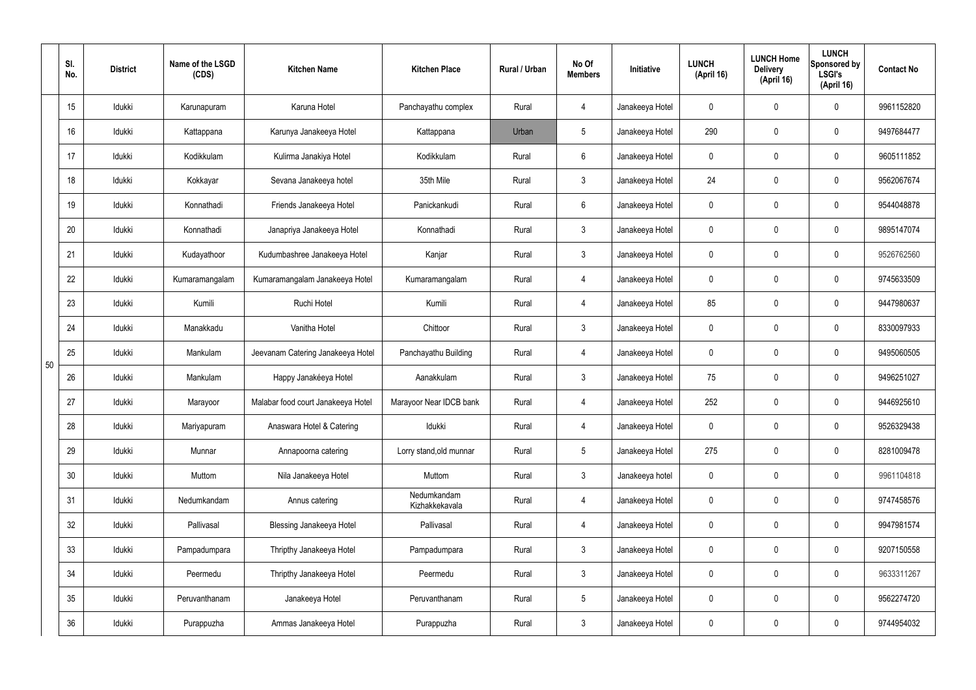|    | SI.<br>No. | <b>District</b> | Name of the LSGD<br>(CDS) | <b>Kitchen Name</b>                | <b>Kitchen Place</b>          | <b>Rural / Urban</b> | No Of<br><b>Members</b> | Initiative      | <b>LUNCH</b><br>(April 16) | <b>LUNCH Home</b><br><b>Delivery</b><br>(April 16) | <b>LUNCH</b><br>Sponsored by<br><b>LSGI's</b><br>(April 16) | <b>Contact No</b> |
|----|------------|-----------------|---------------------------|------------------------------------|-------------------------------|----------------------|-------------------------|-----------------|----------------------------|----------------------------------------------------|-------------------------------------------------------------|-------------------|
|    | 15         | Idukki          | Karunapuram               | Karuna Hotel                       | Panchayathu complex           | Rural                | 4                       | Janakeeya Hotel | 0                          | 0                                                  | $\pmb{0}$                                                   | 9961152820        |
|    | 16         | Idukki          | Kattappana                | Karunya Janakeeya Hotel            | Kattappana                    | Urban                | $5\phantom{.0}$         | Janakeeya Hotel | 290                        | $\mathbf 0$                                        | $\mathbf 0$                                                 | 9497684477        |
|    | 17         | Idukki          | Kodikkulam                | Kulirma Janakiya Hotel             | Kodikkulam                    | Rural                | $6^{\circ}$             | Janakeeya Hotel | 0                          | 0                                                  | $\pmb{0}$                                                   | 9605111852        |
|    | 18         | Idukki          | Kokkayar                  | Sevana Janakeeya hotel             | 35th Mile                     | Rural                | $\mathbf{3}$            | Janakeeya Hotel | 24                         | $\mathbf 0$                                        | $\pmb{0}$                                                   | 9562067674        |
|    | 19         | Idukki          | Konnathadi                | Friends Janakeeya Hotel            | Panickankudi                  | Rural                | $6^{\circ}$             | Janakeeya Hotel | 0                          | 0                                                  | $\pmb{0}$                                                   | 9544048878        |
|    | 20         | Idukki          | Konnathadi                | Janapriya Janakeeya Hotel          | Konnathadi                    | Rural                | $\mathbf{3}$            | Janakeeya Hotel | 0                          | $\mathbf 0$                                        | $\pmb{0}$                                                   | 9895147074        |
|    | 21         | Idukki          | Kudayathoor               | Kudumbashree Janakeeya Hotel       | Kanjar                        | Rural                | $\mathbf{3}$            | Janakeeya Hotel | 0                          | 0                                                  | $\pmb{0}$                                                   | 9526762560        |
|    | 22         | Idukki          | Kumaramangalam            | Kumaramangalam Janakeeya Hotel     | Kumaramangalam                | Rural                | 4                       | Janakeeya Hotel | 0                          | $\mathbf 0$                                        | $\mathbf 0$                                                 | 9745633509        |
|    | 23         | Idukki          | Kumili                    | Ruchi Hotel                        | Kumili                        | Rural                | 4                       | Janakeeya Hotel | 85                         | 0                                                  | $\pmb{0}$                                                   | 9447980637        |
|    | 24         | Idukki          | Manakkadu                 | Vanitha Hotel                      | Chittoor                      | Rural                | 3                       | Janakeeya Hotel | 0                          | $\mathbf 0$                                        | $\pmb{0}$                                                   | 8330097933        |
| 50 | 25         | Idukki          | Mankulam                  | Jeevanam Catering Janakeeya Hotel  | Panchayathu Building          | Rural                | 4                       | Janakeeya Hotel | 0                          | $\mathbf 0$                                        | $\mathbf 0$                                                 | 9495060505        |
|    | 26         | Idukki          | Mankulam                  | Happy Janakéeya Hotel              | Aanakkulam                    | Rural                | 3                       | Janakeeya Hotel | 75                         | $\mathbf 0$                                        | 0                                                           | 9496251027        |
|    | 27         | Idukki          | Marayoor                  | Malabar food court Janakeeya Hotel | Marayoor Near IDCB bank       | Rural                | 4                       | Janakeeya Hotel | 252                        | $\mathbf 0$                                        | $\mathbf 0$                                                 | 9446925610        |
|    | 28         | Idukki          | Mariyapuram               | Anaswara Hotel & Catering          | Idukki                        | Rural                | 4                       | Janakeeya Hotel | $\mathbf 0$                | $\mathbf 0$                                        | $\mathbf 0$                                                 | 9526329438        |
|    | 29         | Idukki          | Munnar                    | Annapoorna catering                | Lorry stand, old munnar       | Rural                | 5 <sub>5</sub>          | Janakeeya Hotel | 275                        | $\mathbf 0$                                        | $\mathbf 0$                                                 | 8281009478        |
|    | 30         | Idukki          | Muttom                    | Nila Janakeeya Hotel               | Muttom                        | Rural                | 3                       | Janakeeya hotel | 0                          | 0                                                  | $\mathbf 0$                                                 | 9961104818        |
|    | 31         | Idukki          | Nedumkandam               | Annus catering                     | Nedumkandam<br>Kizhakkekavala | Rural                | $\overline{4}$          | Janakeeya Hotel | $\pmb{0}$                  | $\mathbf 0$                                        | $\pmb{0}$                                                   | 9747458576        |
|    | 32         | Idukki          | Pallivasal                | <b>Blessing Janakeeya Hotel</b>    | Pallivasal                    | Rural                | $\overline{4}$          | Janakeeya Hotel | 0                          | 0                                                  | $\mathbf 0$                                                 | 9947981574        |
|    | 33         | Idukki          | Pampadumpara              | Thripthy Janakeeya Hotel           | Pampadumpara                  | Rural                | $\mathfrak{Z}$          | Janakeeya Hotel | $\pmb{0}$                  | $\mathbf 0$                                        | $\pmb{0}$                                                   | 9207150558        |
|    | 34         | Idukki          | Peermedu                  | Thripthy Janakeeya Hotel           | Peermedu                      | Rural                | $\mathfrak{Z}$          | Janakeeya Hotel | 0                          | $\mathbf 0$                                        | $\mathbf 0$                                                 | 9633311267        |
|    | 35         | Idukki          | Peruvanthanam             | Janakeeya Hotel                    | Peruvanthanam                 | Rural                | $5\phantom{.0}$         | Janakeeya Hotel | 0                          | $\mathbf 0$                                        | $\mathbf 0$                                                 | 9562274720        |
|    | 36         | Idukki          | Purappuzha                | Ammas Janakeeya Hotel              | Purappuzha                    | Rural                | $\mathfrak{Z}$          | Janakeeya Hotel | 0                          | $\mathbf 0$                                        | $\mathbf 0$                                                 | 9744954032        |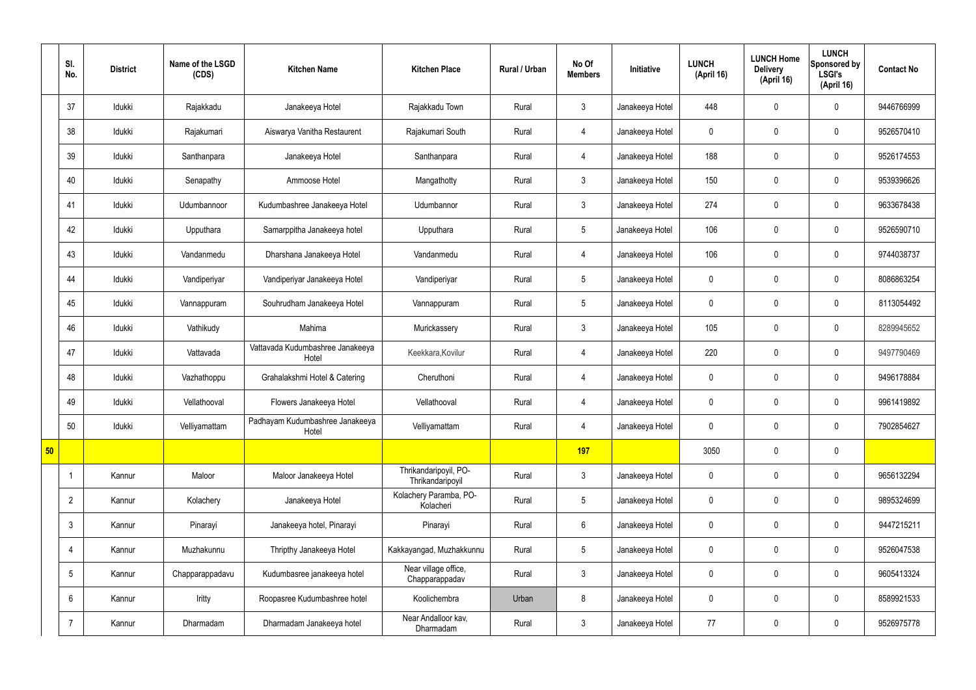|    | SI.<br>No.      | <b>District</b> | Name of the LSGD<br>(CDS) | <b>Kitchen Name</b>                       | <b>Kitchen Place</b>                      | Rural / Urban | No Of<br><b>Members</b> | <b>Initiative</b> | <b>LUNCH</b><br>(April 16) | <b>LUNCH Home</b><br><b>Delivery</b><br>(April 16) | <b>LUNCH</b><br>Sponsored by<br><b>LSGI's</b><br>(April 16) | <b>Contact No</b> |
|----|-----------------|-----------------|---------------------------|-------------------------------------------|-------------------------------------------|---------------|-------------------------|-------------------|----------------------------|----------------------------------------------------|-------------------------------------------------------------|-------------------|
|    | 37              | Idukki          | Rajakkadu                 | Janakeeya Hotel                           | Rajakkadu Town                            | Rural         | $\mathbf{3}$            | Janakeeya Hotel   | 448                        | $\mathbf 0$                                        | $\mathbf 0$                                                 | 9446766999        |
|    | 38              | Idukki          | Rajakumari                | Aiswarya Vanitha Restaurent               | Rajakumari South                          | Rural         | 4                       | Janakeeya Hotel   | $\mathbf 0$                | $\mathbf 0$                                        | $\mathbf 0$                                                 | 9526570410        |
|    | 39              | Idukki          | Santhanpara               | Janakeeya Hotel                           | Santhanpara                               | Rural         | $\overline{4}$          | Janakeeya Hotel   | 188                        | $\mathbf 0$                                        | $\mathbf 0$                                                 | 9526174553        |
|    | 40              | Idukki          | Senapathy                 | Ammoose Hotel                             | Mangathotty                               | Rural         | $\mathbf{3}$            | Janakeeya Hotel   | 150                        | $\mathbf 0$                                        | $\mathbf 0$                                                 | 9539396626        |
|    | 41              | Idukki          | Udumbannoor               | Kudumbashree Janakeeya Hotel              | Udumbannor                                | Rural         | $\mathbf{3}$            | Janakeeya Hotel   | 274                        | $\mathbf 0$                                        | $\mathbf 0$                                                 | 9633678438        |
|    | 42              | Idukki          | Upputhara                 | Samarppitha Janakeeya hotel               | Upputhara                                 | Rural         | $5\overline{)}$         | Janakeeya Hotel   | 106                        | $\mathbf 0$                                        | $\mathbf 0$                                                 | 9526590710        |
|    | 43              | Idukki          | Vandanmedu                | Dharshana Janakeeya Hotel                 | Vandanmedu                                | Rural         | $\overline{4}$          | Janakeeya Hotel   | 106                        | $\mathbf 0$                                        | $\mathbf 0$                                                 | 9744038737        |
|    | 44              | Idukki          | Vandiperiyar              | Vandiperiyar Janakeeya Hotel              | Vandiperiyar                              | Rural         | $5\phantom{.0}$         | Janakeeya Hotel   | $\mathbf 0$                | $\mathbf 0$                                        | $\mathbf 0$                                                 | 8086863254        |
|    | 45              | Idukki          | Vannappuram               | Souhrudham Janakeeya Hotel                | Vannappuram                               | Rural         | $5\overline{)}$         | Janakeeya Hotel   | $\mathbf 0$                | $\mathbf 0$                                        | $\mathbf 0$                                                 | 8113054492        |
|    | 46              | Idukki          | Vathikudy                 | Mahima                                    | Murickassery                              | Rural         | $\mathbf{3}$            | Janakeeya Hotel   | 105                        | $\mathbf 0$                                        | $\mathbf 0$                                                 | 8289945652        |
|    | 47              | Idukki          | Vattavada                 | Vattavada Kudumbashree Janakeeya<br>Hotel | Keekkara, Kovilur                         | Rural         | $\overline{4}$          | Janakeeya Hotel   | 220                        | $\mathbf 0$                                        | $\mathbf 0$                                                 | 9497790469        |
|    | 48              | Idukki          | Vazhathoppu               | Grahalakshmi Hotel & Catering             | Cheruthoni                                | Rural         | 4                       | Janakeeya Hotel   | $\mathbf 0$                | $\mathbf 0$                                        | $\mathbf 0$                                                 | 9496178884        |
|    | 49              | Idukki          | Vellathooval              | Flowers Janakeeya Hotel                   | Vellathooval                              | Rural         | $\overline{4}$          | Janakeeya Hotel   | $\mathbf 0$                | $\mathbf 0$                                        | $\mathbf 0$                                                 | 9961419892        |
|    | 50              | Idukki          | Velliyamattam             | Padhayam Kudumbashree Janakeeya<br>Hotel  | Velliyamattam                             | Rural         | $\overline{4}$          | Janakeeya Hotel   | $\mathbf 0$                | $\pmb{0}$                                          | $\mathbf 0$                                                 | 7902854627        |
| 50 |                 |                 |                           |                                           |                                           |               | 197                     |                   | 3050                       | $\pmb{0}$                                          | $\mathbf 0$                                                 |                   |
|    | $\overline{1}$  | Kannur          | Maloor                    | Maloor Janakeeya Hotel                    | Thrikandaripoyil, PO-<br>Thrikandaripoyil | Rural         | $\mathbf{3}$            | Janakeeya Hotel   | $\mathbf 0$                | $\pmb{0}$                                          | $\mathbf 0$                                                 | 9656132294        |
|    | $\overline{2}$  | Kannur          | Kolachery                 | Janakeeya Hotel                           | Kolachery Paramba, PO-<br>Kolacheri       | Rural         | $5\overline{)}$         | Janakeeya Hotel   | $\mathbf 0$                | $\pmb{0}$                                          | $\mathbf 0$                                                 | 9895324699        |
|    | $\mathfrak{Z}$  | Kannur          | Pinarayi                  | Janakeeya hotel, Pinarayi                 | Pinarayi                                  | Rural         | $6\phantom{.}6$         | Janakeeya Hotel   | $\mathbf 0$                | $\pmb{0}$                                          | $\mathbf 0$                                                 | 9447215211        |
|    | $\overline{4}$  | Kannur          | Muzhakunnu                | Thripthy Janakeeya Hotel                  | Kakkayangad, Muzhakkunnu                  | Rural         | $5\phantom{.0}$         | Janakeeya Hotel   | $\mathbf 0$                | $\pmb{0}$                                          | $\mathbf 0$                                                 | 9526047538        |
|    | $5\phantom{.0}$ | Kannur          | Chapparappadavu           | Kudumbasree janakeeya hotel               | Near village office,<br>Chapparappadav    | Rural         | $\mathbf{3}$            | Janakeeya Hotel   | $\mathbf 0$                | $\mathbf 0$                                        | $\mathbf 0$                                                 | 9605413324        |
|    | 6               | Kannur          | Iritty                    | Roopasree Kudumbashree hotel              | Koolichembra                              | Urban         | 8                       | Janakeeya Hotel   | $\mathbf 0$                | $\pmb{0}$                                          | $\mathbf 0$                                                 | 8589921533        |
|    | $\overline{7}$  | Kannur          | Dharmadam                 | Dharmadam Janakeeya hotel                 | Near Andalloor kav,<br>Dharmadam          | Rural         | $3\phantom{.0}$         | Janakeeya Hotel   | 77                         | $\pmb{0}$                                          | $\mathbf 0$                                                 | 9526975778        |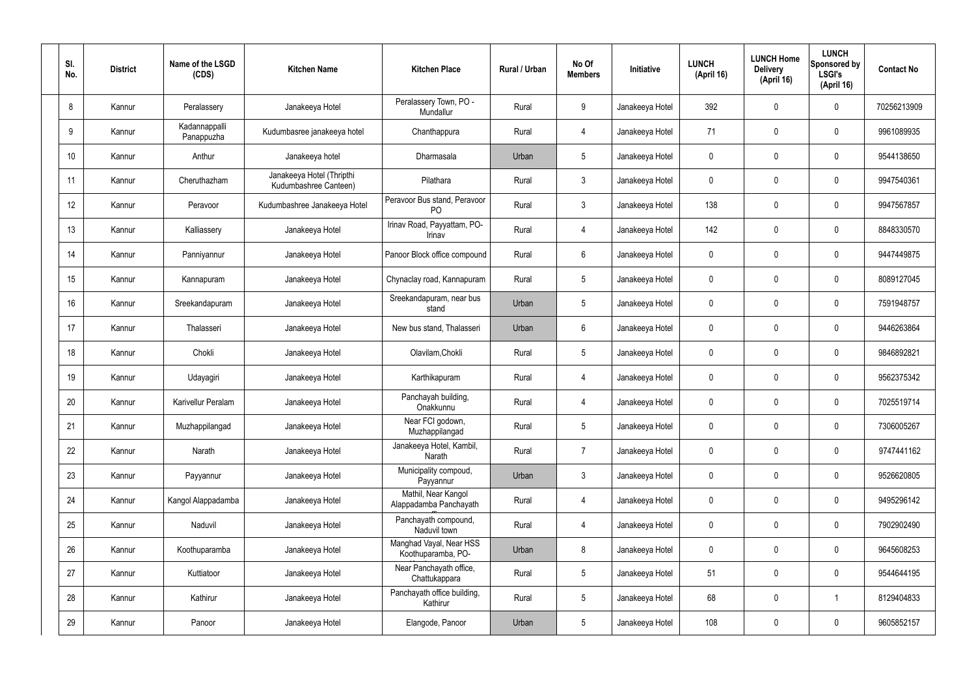| SI.<br>No. | <b>District</b> | Name of the LSGD<br>(CDS)   | <b>Kitchen Name</b>                                | <b>Kitchen Place</b>                           | Rural / Urban | No Of<br><b>Members</b> | Initiative      | <b>LUNCH</b><br>(April 16) | <b>LUNCH Home</b><br><b>Delivery</b><br>(April 16) | <b>LUNCH</b><br>Sponsored by<br><b>LSGI's</b><br>(April 16) | <b>Contact No</b> |
|------------|-----------------|-----------------------------|----------------------------------------------------|------------------------------------------------|---------------|-------------------------|-----------------|----------------------------|----------------------------------------------------|-------------------------------------------------------------|-------------------|
| 8          | Kannur          | Peralassery                 | Janakeeya Hotel                                    | Peralassery Town, PO -<br>Mundallur            | Rural         | 9                       | Janakeeya Hotel | 392                        | 0                                                  | $\mathbf 0$                                                 | 70256213909       |
| 9          | Kannur          | Kadannappalli<br>Panappuzha | Kudumbasree janakeeya hotel                        | Chanthappura                                   | Rural         | $\overline{4}$          | Janakeeya Hotel | 71                         | $\mathbf 0$                                        | $\mathbf 0$                                                 | 9961089935        |
| 10         | Kannur          | Anthur                      | Janakeeya hotel                                    | Dharmasala                                     | Urban         | $5\phantom{.0}$         | Janakeeya Hotel | 0                          | 0                                                  | $\mathbf 0$                                                 | 9544138650        |
| 11         | Kannur          | Cheruthazham                | Janakeeya Hotel (Thripthi<br>Kudumbashree Canteen) | Pilathara                                      | Rural         | $\mathbf{3}$            | Janakeeya Hotel | 0                          | 0                                                  | $\mathbf 0$                                                 | 9947540361        |
| 12         | Kannur          | Peravoor                    | Kudumbashree Janakeeya Hotel                       | Peravoor Bus stand, Peravoor<br>P <sub>O</sub> | Rural         | $\mathbf{3}$            | Janakeeya Hotel | 138                        | 0                                                  | $\mathbf 0$                                                 | 9947567857        |
| 13         | Kannur          | Kalliassery                 | Janakeeya Hotel                                    | Irinav Road, Payyattam, PO-<br>Irinav          | Rural         | $\overline{4}$          | Janakeeya Hotel | 142                        | 0                                                  | $\mathbf 0$                                                 | 8848330570        |
| 14         | Kannur          | Panniyannur                 | Janakeeya Hotel                                    | Panoor Block office compound                   | Rural         | $6\phantom{.}6$         | Janakeeya Hotel | 0                          | 0                                                  | $\mathbf 0$                                                 | 9447449875        |
| 15         | Kannur          | Kannapuram                  | Janakeeya Hotel                                    | Chynaclay road, Kannapuram                     | Rural         | $5\phantom{.0}$         | Janakeeya Hotel | 0                          | 0                                                  | $\mathbf 0$                                                 | 8089127045        |
| 16         | Kannur          | Sreekandapuram              | Janakeeya Hotel                                    | Sreekandapuram, near bus<br>stand              | Urban         | $5\phantom{.0}$         | Janakeeya Hotel | 0                          | 0                                                  | $\mathbf 0$                                                 | 7591948757        |
| 17         | Kannur          | Thalasseri                  | Janakeeya Hotel                                    | New bus stand, Thalasseri                      | Urban         | $6\phantom{.}6$         | Janakeeya Hotel | 0                          | 0                                                  | $\mathbf 0$                                                 | 9446263864        |
| 18         | Kannur          | Chokli                      | Janakeeya Hotel                                    | Olavilam, Chokli                               | Rural         | $5\phantom{.0}$         | Janakeeya Hotel | 0                          | 0                                                  | $\mathbf 0$                                                 | 9846892821        |
| 19         | Kannur          | Udayagiri                   | Janakeeya Hotel                                    | Karthikapuram                                  | Rural         | 4                       | Janakeeya Hotel | 0                          | 0                                                  | $\mathbf 0$                                                 | 9562375342        |
| 20         | Kannur          | Karivellur Peralam          | Janakeeya Hotel                                    | Panchayah building,<br>Onakkunnu               | Rural         | 4                       | Janakeeya Hotel | 0                          | 0                                                  | $\mathbf 0$                                                 | 7025519714        |
| 21         | Kannur          | Muzhappilangad              | Janakeeya Hotel                                    | Near FCI godown,<br>Muzhappilangad             | Rural         | $5\phantom{.0}$         | Janakeeya Hotel | $\mathbf 0$                | 0                                                  | $\mathbf 0$                                                 | 7306005267        |
| 22         | Kannur          | Narath                      | Janakeeya Hotel                                    | Janakeeya Hotel, Kambil,<br>Narath             | Rural         | $\overline{7}$          | Janakeeya Hotel | $\pmb{0}$                  | 0                                                  | $\mathbf 0$                                                 | 9747441162        |
| 23         | Kannur          | Payyannur                   | Janakeeya Hotel                                    | Municipality compoud,<br>Payyannur             | Urban         | $\mathbf{3}$            | Janakeeya Hotel | $\pmb{0}$                  | 0                                                  | $\mathbf 0$                                                 | 9526620805        |
| 24         | Kannur          | Kangol Alappadamba          | Janakeeya Hotel                                    | Mathil, Near Kangol<br>Alappadamba Panchayath  | Rural         | $\overline{4}$          | Janakeeya Hotel | $\pmb{0}$                  | 0                                                  | $\mathbf 0$                                                 | 9495296142        |
| 25         | Kannur          | Naduvil                     | Janakeeya Hotel                                    | Panchayath compound,<br>Naduvil town           | Rural         | $\overline{4}$          | Janakeeya Hotel | 0                          | 0                                                  | $\mathbf 0$                                                 | 7902902490        |
| 26         | Kannur          | Koothuparamba               | Janakeeya Hotel                                    | Manghad Vayal, Near HSS<br>Koothuparamba, PO-  | Urban         | 8                       | Janakeeya Hotel | $\mathbf 0$                | 0                                                  | $\mathbf 0$                                                 | 9645608253        |
| 27         | Kannur          | Kuttiatoor                  | Janakeeya Hotel                                    | Near Panchayath office,<br>Chattukappara       | Rural         | $5\phantom{.0}$         | Janakeeya Hotel | 51                         | 0                                                  | $\mathbf 0$                                                 | 9544644195        |
| 28         | Kannur          | Kathirur                    | Janakeeya Hotel                                    | Panchayath office building,<br>Kathirur        | Rural         | $5\phantom{.0}$         | Janakeeya Hotel | 68                         | 0                                                  | $\overline{1}$                                              | 8129404833        |
| 29         | Kannur          | Panoor                      | Janakeeya Hotel                                    | Elangode, Panoor                               | Urban         | $\overline{5}$          | Janakeeya Hotel | 108                        | $\pmb{0}$                                          | $\pmb{0}$                                                   | 9605852157        |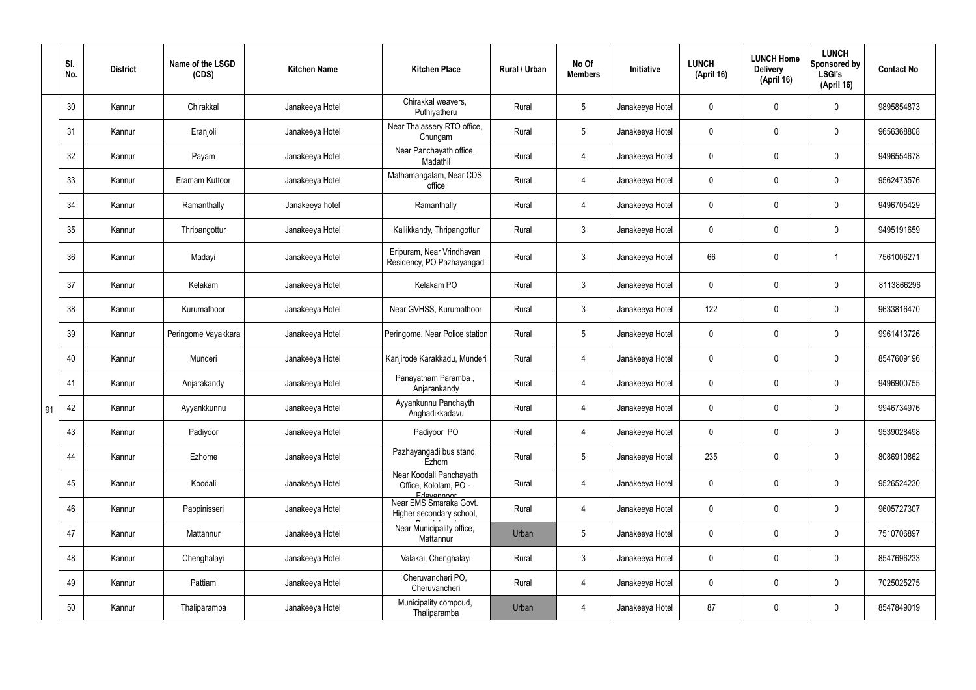|    | SI.<br>No. | <b>District</b> | Name of the LSGD<br>(CDS) | <b>Kitchen Name</b> | <b>Kitchen Place</b>                                           | Rural / Urban | No Of<br><b>Members</b> | Initiative      | <b>LUNCH</b><br>(April 16) | <b>LUNCH Home</b><br><b>Delivery</b><br>(April 16) | <b>LUNCH</b><br>Sponsored by<br><b>LSGI's</b><br>(April 16) | <b>Contact No</b> |
|----|------------|-----------------|---------------------------|---------------------|----------------------------------------------------------------|---------------|-------------------------|-----------------|----------------------------|----------------------------------------------------|-------------------------------------------------------------|-------------------|
|    | 30         | Kannur          | Chirakkal                 | Janakeeya Hotel     | Chirakkal weavers,<br>Puthiyatheru                             | Rural         | $5\overline{)}$         | Janakeeya Hotel | $\mathbf 0$                | $\mathbf 0$                                        | $\mathbf 0$                                                 | 9895854873        |
|    | 31         | Kannur          | Eranjoli                  | Janakeeya Hotel     | Near Thalassery RTO office,<br>Chungam                         | Rural         | $5\overline{)}$         | Janakeeya Hotel | $\mathbf 0$                | $\mathbf 0$                                        | $\mathbf 0$                                                 | 9656368808        |
|    | 32         | Kannur          | Payam                     | Janakeeya Hotel     | Near Panchayath office,<br>Madathil                            | Rural         | 4                       | Janakeeya Hotel | $\mathbf 0$                | $\mathbf 0$                                        | $\mathbf 0$                                                 | 9496554678        |
|    | 33         | Kannur          | Eramam Kuttoor            | Janakeeya Hotel     | Mathamangalam, Near CDS<br>office                              | Rural         | 4                       | Janakeeya Hotel | $\mathbf 0$                | $\mathbf 0$                                        | $\mathbf 0$                                                 | 9562473576        |
|    | 34         | Kannur          | Ramanthally               | Janakeeya hotel     | Ramanthally                                                    | Rural         | 4                       | Janakeeya Hotel | $\mathbf 0$                | $\mathbf 0$                                        | $\mathbf 0$                                                 | 9496705429        |
|    | 35         | Kannur          | Thripangottur             | Janakeeya Hotel     | Kallikkandy, Thripangottur                                     | Rural         | 3                       | Janakeeya Hotel | $\mathbf 0$                | $\mathbf 0$                                        | $\mathbf 0$                                                 | 9495191659        |
|    | 36         | Kannur          | Madayi                    | Janakeeya Hotel     | Eripuram, Near Vrindhavan<br>Residency, PO Pazhayangadi        | Rural         | $\mathbf{3}$            | Janakeeya Hotel | 66                         | 0                                                  |                                                             | 7561006271        |
|    | 37         | Kannur          | Kelakam                   | Janakeeya Hotel     | Kelakam PO                                                     | Rural         | $\mathbf{3}$            | Janakeeya Hotel | $\mathbf 0$                | 0                                                  | $\mathbf 0$                                                 | 8113866296        |
|    | 38         | Kannur          | Kurumathoor               | Janakeeya Hotel     | Near GVHSS, Kurumathoor                                        | Rural         | $\mathbf{3}$            | Janakeeya Hotel | 122                        | 0                                                  | $\mathbf 0$                                                 | 9633816470        |
|    | 39         | Kannur          | Peringome Vayakkara       | Janakeeya Hotel     | Peringome, Near Police station                                 | Rural         | $5\phantom{.0}$         | Janakeeya Hotel | $\mathbf 0$                | 0                                                  | $\mathbf 0$                                                 | 9961413726        |
|    | 40         | Kannur          | Munderi                   | Janakeeya Hotel     | Kanjirode Karakkadu, Munderi                                   | Rural         | 4                       | Janakeeya Hotel | $\mathbf 0$                | $\mathbf 0$                                        | $\mathbf 0$                                                 | 8547609196        |
|    | 41         | Kannur          | Anjarakandy               | Janakeeya Hotel     | Panayatham Paramba,<br>Anjarankandy                            | Rural         | $\overline{4}$          | Janakeeya Hotel | $\mathbf 0$                | 0                                                  | $\mathbf 0$                                                 | 9496900755        |
| 91 | 42         | Kannur          | Ayyankkunnu               | Janakeeya Hotel     | Ayyankunnu Panchayth<br>Anghadikkadavu                         | Rural         | 4                       | Janakeeya Hotel | $\mathbf 0$                | 0                                                  | $\mathbf{0}$                                                | 9946734976        |
|    | 43         | Kannur          | Padiyoor                  | Janakeeya Hotel     | Padiyoor PO                                                    | Rural         | $\overline{4}$          | Janakeeya Hotel | $\mathbf 0$                | $\pmb{0}$                                          | $\mathbf 0$                                                 | 9539028498        |
|    | 44         | Kannur          | Ezhome                    | Janakeeya Hotel     | Pazhayangadi bus stand,<br>Ezhom                               | Rural         | $5\overline{)}$         | Janakeeya Hotel | 235                        | $\pmb{0}$                                          | $\mathbf 0$                                                 | 8086910862        |
|    | 45         | Kannur          | Koodali                   | Janakeeya Hotel     | Near Koodali Panchayath<br>Office, Kololam, PO -<br>Edavannoor | Rural         | $\overline{4}$          | Janakeeya Hotel | $\pmb{0}$                  | 0                                                  | $\mathbf 0$                                                 | 9526524230        |
|    | 46         | Kannur          | Pappinisseri              | Janakeeya Hotel     | Near EMS Smaraka Govt.<br>Higher secondary school,             | Rural         | $\overline{4}$          | Janakeeya Hotel | $\pmb{0}$                  | $\pmb{0}$                                          | $\mathbf 0$                                                 | 9605727307        |
|    | 47         | Kannur          | Mattannur                 | Janakeeya Hotel     | Near Municipality office,<br>Mattannur                         | Urban         | $5\overline{)}$         | Janakeeya Hotel | $\pmb{0}$                  | $\pmb{0}$                                          | $\mathbf 0$                                                 | 7510706897        |
|    | 48         | Kannur          | Chenghalayi               | Janakeeya Hotel     | Valakai, Chenghalayi                                           | Rural         | $\mathbf{3}$            | Janakeeya Hotel | $\pmb{0}$                  | $\pmb{0}$                                          | $\mathbf 0$                                                 | 8547696233        |
|    | 49         | Kannur          | Pattiam                   | Janakeeya Hotel     | Cheruvancheri PO,<br>Cheruvancheri                             | Rural         | $\overline{4}$          | Janakeeya Hotel | $\pmb{0}$                  | $\pmb{0}$                                          | $\mathbf 0$                                                 | 7025025275        |
|    | 50         | Kannur          | Thaliparamba              | Janakeeya Hotel     | Municipality compoud,<br>Thaliparamba                          | Urban         | 4                       | Janakeeya Hotel | 87                         | $\pmb{0}$                                          | $\pmb{0}$                                                   | 8547849019        |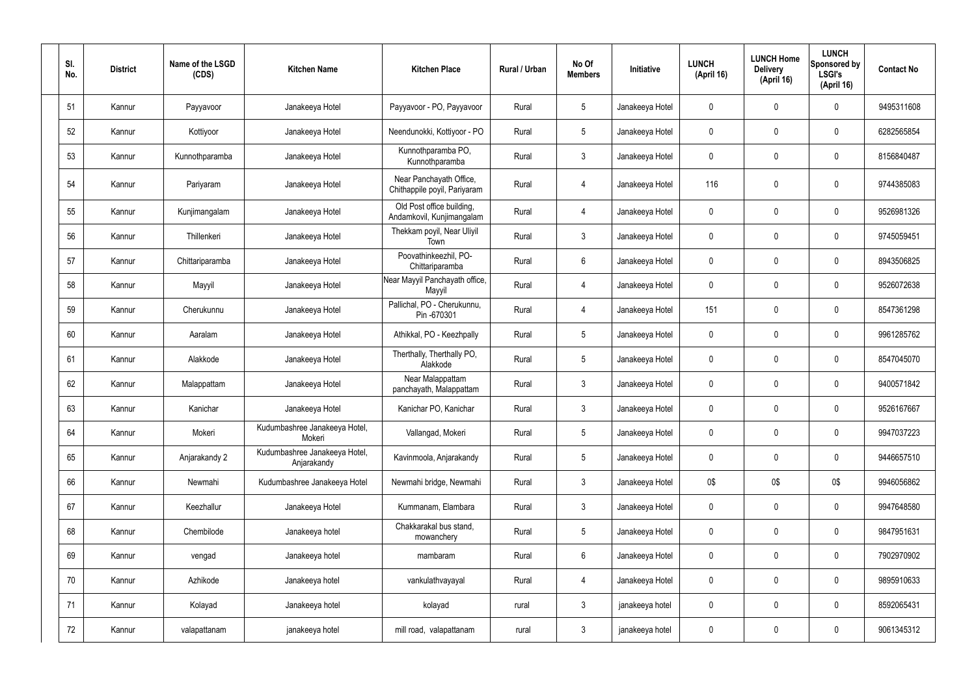| SI.<br>No. | <b>District</b> | Name of the LSGD<br>(CDS) | <b>Kitchen Name</b>                          | <b>Kitchen Place</b>                                    | Rural / Urban | No Of<br><b>Members</b> | Initiative      | <b>LUNCH</b><br>(April 16) | <b>LUNCH Home</b><br><b>Delivery</b><br>(April 16) | <b>LUNCH</b><br>Sponsored by<br><b>LSGI's</b><br>(April 16) | <b>Contact No</b> |
|------------|-----------------|---------------------------|----------------------------------------------|---------------------------------------------------------|---------------|-------------------------|-----------------|----------------------------|----------------------------------------------------|-------------------------------------------------------------|-------------------|
| 51         | Kannur          | Payyavoor                 | Janakeeya Hotel                              | Payyavoor - PO, Payyavoor                               | Rural         | $5\overline{)}$         | Janakeeya Hotel | $\mathbf 0$                | $\mathbf 0$                                        | $\mathbf 0$                                                 | 9495311608        |
| 52         | Kannur          | Kottiyoor                 | Janakeeya Hotel                              | Neendunokki, Kottiyoor - PO                             | Rural         | $5\phantom{.0}$         | Janakeeya Hotel | $\mathbf 0$                | $\mathbf 0$                                        | $\mathbf 0$                                                 | 6282565854        |
| 53         | Kannur          | Kunnothparamba            | Janakeeya Hotel                              | Kunnothparamba PO,<br>Kunnothparamba                    | Rural         | $\mathbf{3}$            | Janakeeya Hotel | $\mathbf 0$                | $\mathbf 0$                                        | $\mathbf 0$                                                 | 8156840487        |
| 54         | Kannur          | Pariyaram                 | Janakeeya Hotel                              | Near Panchayath Office,<br>Chithappile poyil, Pariyaram | Rural         | 4                       | Janakeeya Hotel | 116                        | 0                                                  | $\mathbf 0$                                                 | 9744385083        |
| 55         | Kannur          | Kunjimangalam             | Janakeeya Hotel                              | Old Post office building,<br>Andamkovil, Kunjimangalam  | Rural         | 4                       | Janakeeya Hotel | $\mathbf 0$                | $\mathbf 0$                                        | $\mathbf 0$                                                 | 9526981326        |
| 56         | Kannur          | Thillenkeri               | Janakeeya Hotel                              | Thekkam poyil, Near Uliyil<br>Town                      | Rural         | $\mathbf{3}$            | Janakeeya Hotel | $\mathbf 0$                | 0                                                  | $\mathbf 0$                                                 | 9745059451        |
| 57         | Kannur          | Chittariparamba           | Janakeeya Hotel                              | Poovathinkeezhil, PO-<br>Chittariparamba                | Rural         | $6\overline{6}$         | Janakeeya Hotel | $\mathbf 0$                | $\mathbf 0$                                        | $\mathbf 0$                                                 | 8943506825        |
| 58         | Kannur          | Mayyil                    | Janakeeya Hotel                              | Near Mayyil Panchayath office,<br>Mayyil                | Rural         | $\overline{4}$          | Janakeeya Hotel | $\mathbf 0$                | 0                                                  | $\mathbf 0$                                                 | 9526072638        |
| 59         | Kannur          | Cherukunnu                | Janakeeya Hotel                              | Pallichal, PO - Cherukunnu,<br>Pin -670301              | Rural         | 4                       | Janakeeya Hotel | 151                        | 0                                                  | $\mathbf 0$                                                 | 8547361298        |
| 60         | Kannur          | Aaralam                   | Janakeeya Hotel                              | Athikkal, PO - Keezhpally                               | Rural         | $5\overline{)}$         | Janakeeya Hotel | $\mathbf 0$                | $\mathbf 0$                                        | $\mathbf 0$                                                 | 9961285762        |
| 61         | Kannur          | Alakkode                  | Janakeeya Hotel                              | Therthally, Therthally PO,<br>Alakkode                  | Rural         | $5\overline{)}$         | Janakeeya Hotel | $\mathbf 0$                | $\mathbf 0$                                        | $\mathbf 0$                                                 | 8547045070        |
| 62         | Kannur          | Malappattam               | Janakeeya Hotel                              | Near Malappattam<br>panchayath, Malappattam             | Rural         | $\mathbf{3}$            | Janakeeya Hotel | $\pmb{0}$                  | 0                                                  | $\overline{0}$                                              | 9400571842        |
| 63         | Kannur          | Kanichar                  | Janakeeya Hotel                              | Kanichar PO, Kanichar                                   | Rural         | 3                       | Janakeeya Hotel | $\mathbf 0$                | $\mathbf 0$                                        | 0                                                           | 9526167667        |
| 64         | Kannur          | Mokeri                    | Kudumbashree Janakeeya Hotel,<br>Mokeri      | Vallangad, Mokeri                                       | Rural         | $5\phantom{.0}$         | Janakeeya Hotel | $\pmb{0}$                  | 0                                                  | $\mathbf 0$                                                 | 9947037223        |
| 65         | Kannur          | Anjarakandy 2             | Kudumbashree Janakeeya Hotel,<br>Anjarakandy | Kavinmoola, Anjarakandy                                 | Rural         | $5\phantom{.0}$         | Janakeeya Hotel | $\pmb{0}$                  | 0                                                  | $\mathbf 0$                                                 | 9446657510        |
| 66         | Kannur          | Newmahi                   | Kudumbashree Janakeeya Hotel                 | Newmahi bridge, Newmahi                                 | Rural         | $\mathbf{3}$            | Janakeeya Hotel | 0\$                        | 0\$                                                | 0\$                                                         | 9946056862        |
| 67         | Kannur          | Keezhallur                | Janakeeya Hotel                              | Kummanam, Elambara                                      | Rural         | $\mathbf{3}$            | Janakeeya Hotel | $\pmb{0}$                  | 0                                                  | $\mathbf 0$                                                 | 9947648580        |
| 68         | Kannur          | Chembilode                | Janakeeya hotel                              | Chakkarakal bus stand,<br>mowanchery                    | Rural         | $5\phantom{.0}$         | Janakeeya Hotel | $\pmb{0}$                  | 0                                                  | $\mathbf 0$                                                 | 9847951631        |
| 69         | Kannur          | vengad                    | Janakeeya hotel                              | mambaram                                                | Rural         | $6\phantom{.}6$         | Janakeeya Hotel | $\pmb{0}$                  | 0                                                  | $\mathbf 0$                                                 | 7902970902        |
| 70         | Kannur          | Azhikode                  | Janakeeya hotel                              | vankulathvayayal                                        | Rural         | 4                       | Janakeeya Hotel | $\pmb{0}$                  | 0                                                  | $\mathbf 0$                                                 | 9895910633        |
| 71         | Kannur          | Kolayad                   | Janakeeya hotel                              | kolayad                                                 | rural         | $\mathbf{3}$            | janakeeya hotel | $\pmb{0}$                  | 0                                                  | $\boldsymbol{0}$                                            | 8592065431        |
| 72         | Kannur          | valapattanam              | janakeeya hotel                              | mill road, valapattanam                                 | rural         | $\mathbf{3}$            | janakeeya hotel | $\pmb{0}$                  | 0                                                  | $\boldsymbol{0}$                                            | 9061345312        |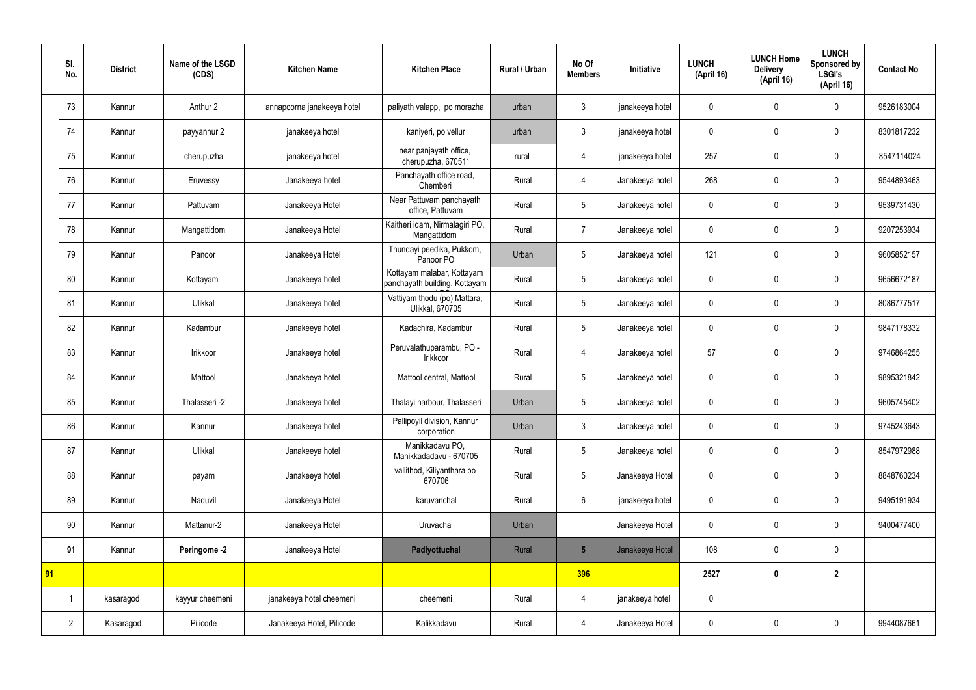|    | SI.<br>No.     | <b>District</b> | Name of the LSGD<br>(CDS) | <b>Kitchen Name</b>        | <b>Kitchen Place</b>                                        | <b>Rural / Urban</b> | No Of<br><b>Members</b> | Initiative      | <b>LUNCH</b><br>(April 16) | <b>LUNCH Home</b><br><b>Delivery</b><br>(April 16) | <b>LUNCH</b><br>Sponsored by<br><b>LSGI's</b><br>(April 16) | <b>Contact No</b> |
|----|----------------|-----------------|---------------------------|----------------------------|-------------------------------------------------------------|----------------------|-------------------------|-----------------|----------------------------|----------------------------------------------------|-------------------------------------------------------------|-------------------|
|    | 73             | Kannur          | Anthur 2                  | annapoorna janakeeya hotel | paliyath valapp, po morazha                                 | urban                | 3                       | janakeeya hotel | $\boldsymbol{0}$           | $\mathbf 0$                                        | $\mathbf 0$                                                 | 9526183004        |
|    | 74             | Kannur          | payyannur 2               | janakeeya hotel            | kaniyeri, po vellur                                         | urban                | $\mathbf{3}$            | janakeeya hotel | $\mathbf 0$                | $\mathbf 0$                                        | $\mathbf 0$                                                 | 8301817232        |
|    | 75             | Kannur          | cherupuzha                | janakeeya hotel            | near panjayath office,<br>cherupuzha, 670511                | rural                | 4                       | janakeeya hotel | 257                        | $\mathbf 0$                                        | $\mathbf 0$                                                 | 8547114024        |
|    | 76             | Kannur          | Eruvessy                  | Janakeeya hotel            | Panchayath office road,<br>Chemberi                         | Rural                | 4                       | Janakeeya hotel | 268                        | $\mathbf 0$                                        | $\mathbf 0$                                                 | 9544893463        |
|    | 77             | Kannur          | Pattuvam                  | Janakeeya Hotel            | Near Pattuvam panchayath<br>office, Pattuvam                | Rural                | 5                       | Janakeeya hotel | $\boldsymbol{0}$           | $\mathbf 0$                                        | $\mathbf 0$                                                 | 9539731430        |
|    | 78             | Kannur          | Mangattidom               | Janakeeya Hotel            | Kaitheri idam, Nirmalagiri PO,<br>Mangattidom               | Rural                | $\overline{7}$          | Janakeeya hotel | $\boldsymbol{0}$           | $\mathbf 0$                                        | $\mathbf 0$                                                 | 9207253934        |
|    | 79             | Kannur          | Panoor                    | Janakeeya Hotel            | Thundayi peedika, Pukkom,<br>Panoor PO                      | Urban                | 5                       | Janakeeya hotel | 121                        | $\mathbf 0$                                        | $\mathbf 0$                                                 | 9605852157        |
|    | 80             | Kannur          | Kottayam                  | Janakeeya hotel            | Kottayam malabar, Kottayam<br>panchayath building, Kottayam | Rural                | 5                       | Janakeeya hotel | $\boldsymbol{0}$           | $\mathbf 0$                                        | $\mathbf 0$                                                 | 9656672187        |
|    | 81             | Kannur          | Ulikkal                   | Janakeeya hotel            | Vattiyam thodu (po) Mattara,<br>Ulikkal, 670705             | Rural                | 5                       | Janakeeya hotel | $\boldsymbol{0}$           | $\mathbf 0$                                        | $\mathbf 0$                                                 | 8086777517        |
|    | 82             | Kannur          | Kadambur                  | Janakeeya hotel            | Kadachira, Kadambur                                         | Rural                | 5                       | Janakeeya hotel | $\boldsymbol{0}$           | $\mathbf 0$                                        | $\mathbf 0$                                                 | 9847178332        |
|    | 83             | Kannur          | Irikkoor                  | Janakeeya hotel            | Peruvalathuparambu, PO -<br>Irikkoor                        | Rural                | $\overline{4}$          | Janakeeya hotel | 57                         | $\mathbf 0$                                        | $\mathbf 0$                                                 | 9746864255        |
|    | 84             | Kannur          | Mattool                   | Janakeeya hotel            | Mattool central, Mattool                                    | Rural                | 5                       | Janakeeya hotel | $\boldsymbol{0}$           | $\mathbf 0$                                        | $\mathbf 0$                                                 | 9895321842        |
|    | 85             | Kannur          | Thalasseri -2             | Janakeeya hotel            | Thalayi harbour, Thalasseri                                 | Urban                | 5                       | Janakeeya hotel | $\boldsymbol{0}$           | $\mathbf 0$                                        | $\mathbf 0$                                                 | 9605745402        |
|    | 86             | Kannur          | Kannur                    | Janakeeya hotel            | Pallipoyil division, Kannur<br>corporation                  | Urban                | $\mathfrak{Z}$          | Janakeeya hotel | $\mathbf 0$                | $\pmb{0}$                                          | $\mathbf 0$                                                 | 9745243643        |
|    | 87             | Kannur          | Ulikkal                   | Janakeeya hotel            | Manikkadavu PO,<br>Manikkadadavu - 670705                   | Rural                | 5                       | Janakeeya hotel | $\mathbf 0$                | $\pmb{0}$                                          | $\mathbf 0$                                                 | 8547972988        |
|    | 88             | Kannur          | payam                     | Janakeeya hotel            | vallithod, Kiliyanthara po<br>670706                        | Rural                | 5                       | Janakeeya Hotel | $\pmb{0}$                  | $\mathbf 0$                                        | $\mathbf 0$                                                 | 8848760234        |
|    | 89             | Kannur          | Naduvil                   | Janakeeya Hotel            | karuvanchal                                                 | Rural                | $6\overline{6}$         | janakeeya hotel | $\mathbf 0$                | $\mathbf 0$                                        | $\mathbf 0$                                                 | 9495191934        |
|    | 90             | Kannur          | Mattanur-2                | Janakeeya Hotel            | Uruvachal                                                   | Urban                |                         | Janakeeya Hotel | $\pmb{0}$                  | $\pmb{0}$                                          | $\mathbf 0$                                                 | 9400477400        |
|    | 91             | Kannur          | Peringome -2              | Janakeeya Hotel            | Padiyottuchal                                               | Rural                | $5\overline{)}$         | Janakeeya Hotel | 108                        | $\pmb{0}$                                          | $\mathbf 0$                                                 |                   |
| 91 |                |                 |                           |                            |                                                             |                      | 396                     |                 | 2527                       | $\boldsymbol{0}$                                   | $\overline{2}$                                              |                   |
|    |                | kasaragod       | kayyur cheemeni           | janakeeya hotel cheemeni   | cheemeni                                                    | Rural                | 4                       | janakeeya hotel | $\pmb{0}$                  |                                                    |                                                             |                   |
|    | $\overline{2}$ | Kasaragod       | Pilicode                  | Janakeeya Hotel, Pilicode  | Kalikkadavu                                                 | Rural                | 4                       | Janakeeya Hotel | $\pmb{0}$                  | $\pmb{0}$                                          | $\mathbf 0$                                                 | 9944087661        |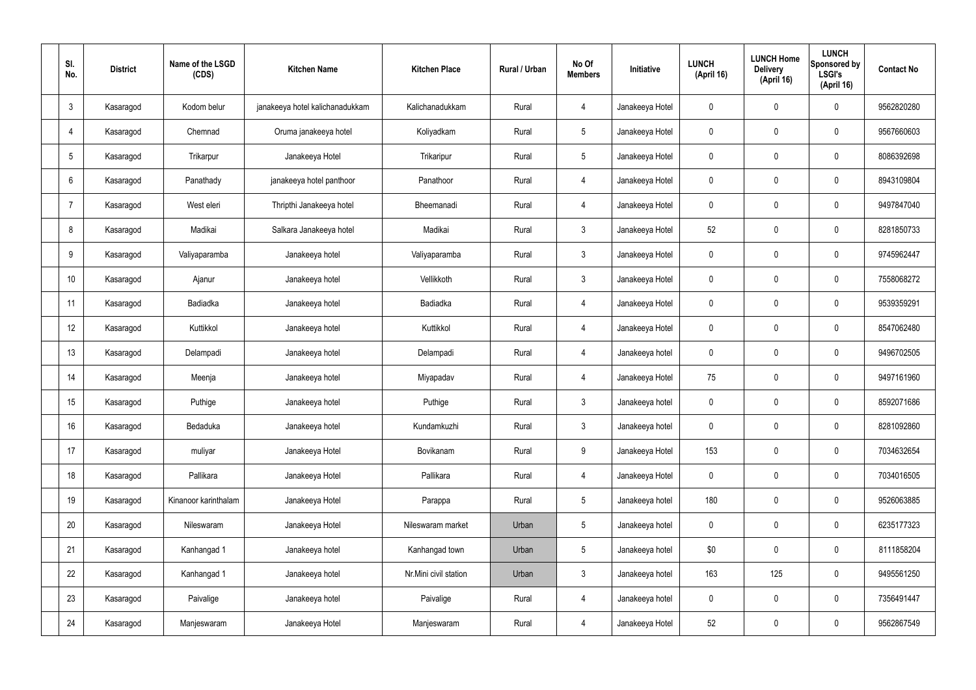| SI.<br>No.     | <b>District</b> | Name of the LSGD<br>(CDS) | <b>Kitchen Name</b>             | <b>Kitchen Place</b>  | Rural / Urban | No Of<br><b>Members</b> | <b>Initiative</b> | <b>LUNCH</b><br>(April 16) | <b>LUNCH Home</b><br><b>Delivery</b><br>(April 16) | <b>LUNCH</b><br>Sponsored by<br><b>LSGI's</b><br>(April 16) | <b>Contact No</b> |
|----------------|-----------------|---------------------------|---------------------------------|-----------------------|---------------|-------------------------|-------------------|----------------------------|----------------------------------------------------|-------------------------------------------------------------|-------------------|
| $\mathbf{3}$   | Kasaragod       | Kodom belur               | janakeeya hotel kalichanadukkam | Kalichanadukkam       | Rural         | 4                       | Janakeeya Hotel   | 0                          | $\mathbf 0$                                        | $\mathbf 0$                                                 | 9562820280        |
| 4              | Kasaragod       | Chemnad                   | Oruma janakeeya hotel           | Koliyadkam            | Rural         | $5\overline{)}$         | Janakeeya Hotel   | $\mathbf 0$                | $\mathbf 0$                                        | $\mathbf 0$                                                 | 9567660603        |
| 5              | Kasaragod       | Trikarpur                 | Janakeeya Hotel                 | Trikaripur            | Rural         | $5\overline{)}$         | Janakeeya Hotel   | $\mathbf 0$                | $\mathbf 0$                                        | $\mathbf 0$                                                 | 8086392698        |
| 6              | Kasaragod       | Panathady                 | janakeeya hotel panthoor        | Panathoor             | Rural         | $\overline{4}$          | Janakeeya Hotel   | $\mathbf 0$                | $\mathbf 0$                                        | $\mathbf 0$                                                 | 8943109804        |
| $\overline{7}$ | Kasaragod       | West eleri                | Thripthi Janakeeya hotel        | Bheemanadi            | Rural         | $\overline{4}$          | Janakeeya Hotel   | $\mathbf 0$                | $\pmb{0}$                                          | $\mathbf 0$                                                 | 9497847040        |
| 8              | Kasaragod       | Madikai                   | Salkara Janakeeya hotel         | Madikai               | Rural         | $\mathbf{3}$            | Janakeeya Hotel   | 52                         | $\pmb{0}$                                          | $\mathbf 0$                                                 | 8281850733        |
| 9              | Kasaragod       | Valiyaparamba             | Janakeeya hotel                 | Valiyaparamba         | Rural         | $\mathbf{3}$            | Janakeeya Hotel   | $\mathbf 0$                | $\pmb{0}$                                          | $\mathbf 0$                                                 | 9745962447        |
| 10             | Kasaragod       | Ajanur                    | Janakeeya hotel                 | Vellikkoth            | Rural         | $\mathbf{3}$            | Janakeeya Hotel   | $\mathbf 0$                | $\mathbf 0$                                        | $\mathbf 0$                                                 | 7558068272        |
| 11             | Kasaragod       | Badiadka                  | Janakeeya hotel                 | Badiadka              | Rural         | $\overline{4}$          | Janakeeya Hotel   | $\mathbf 0$                | $\mathbf 0$                                        | $\mathbf 0$                                                 | 9539359291        |
| 12             | Kasaragod       | Kuttikkol                 | Janakeeya hotel                 | Kuttikkol             | Rural         | $\overline{4}$          | Janakeeya Hotel   | $\mathbf 0$                | $\mathbf 0$                                        | $\mathbf 0$                                                 | 8547062480        |
| 13             | Kasaragod       | Delampadi                 | Janakeeya hotel                 | Delampadi             | Rural         | $\overline{4}$          | Janakeeya hotel   | $\mathbf 0$                | $\pmb{0}$                                          | $\mathbf 0$                                                 | 9496702505        |
| 14             | Kasaragod       | Meenja                    | Janakeeya hotel                 | Miyapadav             | Rural         | $\overline{4}$          | Janakeeya Hotel   | 75                         | $\mathbf 0$                                        | $\mathbf 0$                                                 | 9497161960        |
| 15             | Kasaragod       | Puthige                   | Janakeeya hotel                 | Puthige               | Rural         | $\mathfrak{Z}$          | Janakeeya hotel   | $\mathbf 0$                | $\mathbf 0$                                        | $\mathbf 0$                                                 | 8592071686        |
| 16             | Kasaragod       | Bedaduka                  | Janakeeya hotel                 | Kundamkuzhi           | Rural         | $\mathbf{3}$            | Janakeeya hotel   | $\mathbf 0$                | $\pmb{0}$                                          | $\mathbf 0$                                                 | 8281092860        |
| 17             | Kasaragod       | muliyar                   | Janakeeya Hotel                 | Bovikanam             | Rural         | 9                       | Janakeeya Hotel   | 153                        | $\pmb{0}$                                          | $\mathbf 0$                                                 | 7034632654        |
| 18             | Kasaragod       | Pallikara                 | Janakeeya Hotel                 | Pallikara             | Rural         | $\overline{4}$          | Janakeeya Hotel   | $\pmb{0}$                  | $\pmb{0}$                                          | $\mathbf 0$                                                 | 7034016505        |
| 19             | Kasaragod       | Kinanoor karinthalam      | Janakeeya Hotel                 | Parappa               | Rural         | $5\phantom{.0}$         | Janakeeya hotel   | 180                        | $\pmb{0}$                                          | $\mathbf 0$                                                 | 9526063885        |
| 20             | Kasaragod       | Nileswaram                | Janakeeya Hotel                 | Nileswaram market     | Urban         | $5\phantom{.0}$         | Janakeeya hotel   | $\pmb{0}$                  | $\pmb{0}$                                          | $\mathbf 0$                                                 | 6235177323        |
| 21             | Kasaragod       | Kanhangad 1               | Janakeeya hotel                 | Kanhangad town        | Urban         | $5\phantom{.0}$         | Janakeeya hotel   | \$0                        | $\pmb{0}$                                          | $\mathbf 0$                                                 | 8111858204        |
| 22             | Kasaragod       | Kanhangad 1               | Janakeeya hotel                 | Nr.Mini civil station | Urban         | $\mathbf{3}$            | Janakeeya hotel   | 163                        | 125                                                | $\mathbf 0$                                                 | 9495561250        |
| 23             | Kasaragod       | Paivalige                 | Janakeeya hotel                 | Paivalige             | Rural         | $\overline{4}$          | Janakeeya hotel   | $\pmb{0}$                  | $\pmb{0}$                                          | $\mathbf 0$                                                 | 7356491447        |
| 24             | Kasaragod       | Manjeswaram               | Janakeeya Hotel                 | Manjeswaram           | Rural         | 4                       | Janakeeya Hotel   | 52                         | $\pmb{0}$                                          | $\boldsymbol{0}$                                            | 9562867549        |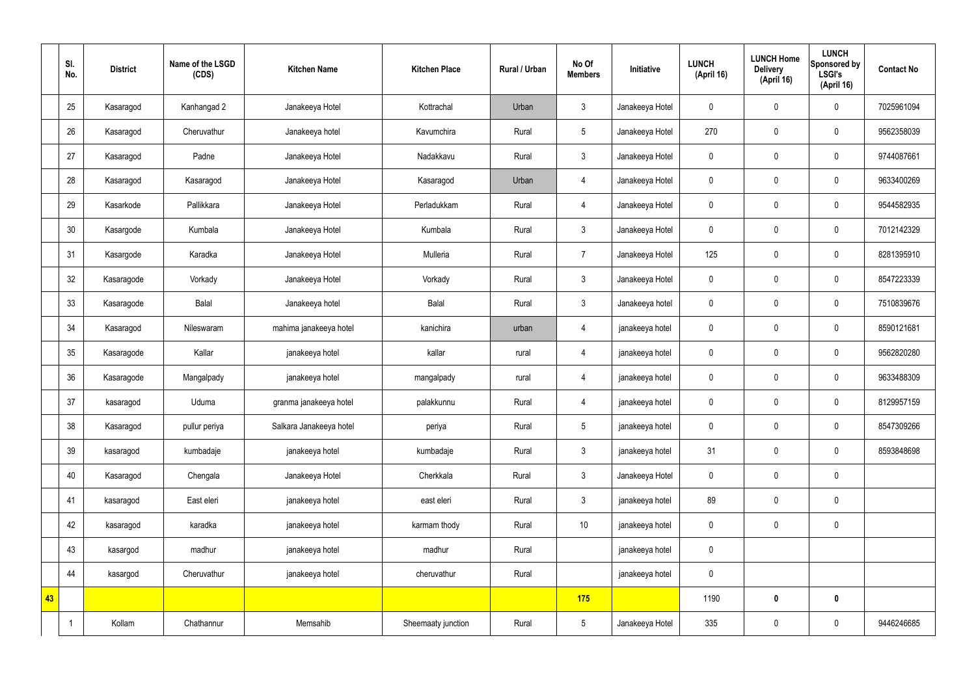|    | SI.<br>No. | <b>District</b> | Name of the LSGD<br>(CDS) | <b>Kitchen Name</b>     | <b>Kitchen Place</b> | <b>Rural / Urban</b> | No Of<br><b>Members</b> | Initiative      | <b>LUNCH</b><br>(April 16) | <b>LUNCH Home</b><br><b>Delivery</b><br>(April 16) | <b>LUNCH</b><br>Sponsored by<br><b>LSGI's</b><br>(April 16) | <b>Contact No</b> |
|----|------------|-----------------|---------------------------|-------------------------|----------------------|----------------------|-------------------------|-----------------|----------------------------|----------------------------------------------------|-------------------------------------------------------------|-------------------|
|    | 25         | Kasaragod       | Kanhangad 2               | Janakeeya Hotel         | Kottrachal           | Urban                | $\mathbf{3}$            | Janakeeya Hotel | $\mathbf 0$                | $\mathbf 0$                                        | $\mathbf 0$                                                 | 7025961094        |
|    | 26         | Kasaragod       | Cheruvathur               | Janakeeya hotel         | Kavumchira           | Rural                | 5                       | Janakeeya Hotel | 270                        | $\mathbf 0$                                        | $\mathbf 0$                                                 | 9562358039        |
|    | 27         | Kasaragod       | Padne                     | Janakeeya Hotel         | Nadakkavu            | Rural                | $\mathbf{3}$            | Janakeeya Hotel | $\mathbf 0$                | $\mathbf 0$                                        | $\mathbf 0$                                                 | 9744087661        |
|    | 28         | Kasaragod       | Kasaragod                 | Janakeeya Hotel         | Kasaragod            | Urban                | $\overline{4}$          | Janakeeya Hotel | $\mathbf 0$                | $\pmb{0}$                                          | $\pmb{0}$                                                   | 9633400269        |
|    | 29         | Kasarkode       | Pallikkara                | Janakeeya Hotel         | Perladukkam          | Rural                | $\overline{4}$          | Janakeeya Hotel | $\boldsymbol{0}$           | $\pmb{0}$                                          | $\mathbf 0$                                                 | 9544582935        |
|    | 30         | Kasargode       | Kumbala                   | Janakeeya Hotel         | Kumbala              | Rural                | $\mathfrak{Z}$          | Janakeeya Hotel | $\mathbf 0$                | $\pmb{0}$                                          | $\mathbf 0$                                                 | 7012142329        |
|    | 31         | Kasargode       | Karadka                   | Janakeeya Hotel         | Mulleria             | Rural                | $\overline{7}$          | Janakeeya Hotel | 125                        | $\pmb{0}$                                          | $\mathbf 0$                                                 | 8281395910        |
|    | 32         | Kasaragode      | Vorkady                   | Janakeeya Hotel         | Vorkady              | Rural                | $\mathbf{3}$            | Janakeeya Hotel | $\mathbf 0$                | $\mathbf 0$                                        | $\mathbf 0$                                                 | 8547223339        |
|    | 33         | Kasaragode      | Balal                     | Janakeeya hotel         | Balal                | Rural                | $\mathbf{3}$            | Janakeeya hotel | $\boldsymbol{0}$           | $\mathbf 0$                                        | $\mathbf 0$                                                 | 7510839676        |
|    | 34         | Kasaragod       | Nileswaram                | mahima janakeeya hotel  | kanichira            | urban                | $\overline{4}$          | janakeeya hotel | $\mathbf 0$                | $\pmb{0}$                                          | $\mathbf 0$                                                 | 8590121681        |
|    | 35         | Kasaragode      | Kallar                    | janakeeya hotel         | kallar               | rural                | $\overline{4}$          | janakeeya hotel | $\boldsymbol{0}$           | $\pmb{0}$                                          | $\pmb{0}$                                                   | 9562820280        |
|    | 36         | Kasaragode      | Mangalpady                | janakeeya hotel         | mangalpady           | rural                | $\overline{4}$          | janakeeya hotel | $\mathbf 0$                | $\pmb{0}$                                          | $\pmb{0}$                                                   | 9633488309        |
|    | 37         | kasaragod       | Uduma                     | granma janakeeya hotel  | palakkunnu           | Rural                | $\overline{4}$          | janakeeya hotel | $\mathbf 0$                | $\mathbf 0$                                        | $\mathbf 0$                                                 | 8129957159        |
|    | 38         | Kasaragod       | pullur periya             | Salkara Janakeeya hotel | periya               | Rural                | $5\phantom{.0}$         | janakeeya hotel | $\pmb{0}$                  | $\pmb{0}$                                          | $\mathbf 0$                                                 | 8547309266        |
|    | 39         | kasaragod       | kumbadaje                 | janakeeya hotel         | kumbadaje            | Rural                | $\mathfrak{Z}$          | janakeeya hotel | 31                         | $\pmb{0}$                                          | $\pmb{0}$                                                   | 8593848698        |
|    | 40         | Kasaragod       | Chengala                  | Janakeeya Hotel         | Cherkkala            | Rural                | $\mathfrak{Z}$          | Janakeeya Hotel | $\mathbf 0$                | $\pmb{0}$                                          | $\pmb{0}$                                                   |                   |
|    | 41         | kasaragod       | East eleri                | janakeeya hotel         | east eleri           | Rural                | $\mathfrak{Z}$          | janakeeya hotel | 89                         | $\pmb{0}$                                          | $\pmb{0}$                                                   |                   |
|    | 42         | kasaragod       | karadka                   | janakeeya hotel         | karmam thody         | Rural                | $10$                    | janakeeya hotel | $\mathbf 0$                | $\boldsymbol{0}$                                   | $\pmb{0}$                                                   |                   |
|    | 43         | kasargod        | madhur                    | janakeeya hotel         | madhur               | Rural                |                         | janakeeya hotel | $\mathbf 0$                |                                                    |                                                             |                   |
|    | 44         | kasargod        | Cheruvathur               | janakeeya hotel         | cheruvathur          | Rural                |                         | janakeeya hotel | $\pmb{0}$                  |                                                    |                                                             |                   |
| 43 |            |                 |                           |                         |                      |                      | 175                     |                 | 1190                       | $\pmb{0}$                                          | $\pmb{0}$                                                   |                   |
|    |            | Kollam          | Chathannur                | Memsahib                | Sheemaaty junction   | Rural                | $5\phantom{.0}$         | Janakeeya Hotel | 335                        | $\pmb{0}$                                          | $\pmb{0}$                                                   | 9446246685        |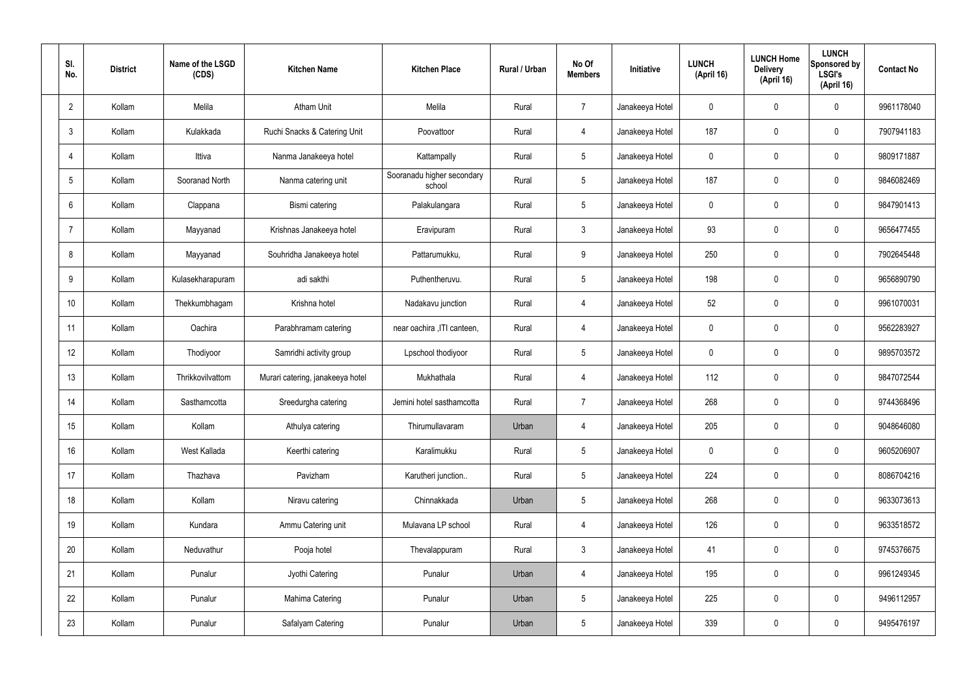| SI. | No.             | <b>District</b> | Name of the LSGD<br>(CDS) | <b>Kitchen Name</b>              | <b>Kitchen Place</b>                 | Rural / Urban | No Of<br><b>Members</b> | <b>Initiative</b> | <b>LUNCH</b><br>(April 16) | <b>LUNCH Home</b><br><b>Delivery</b><br>(April 16) | <b>LUNCH</b><br>Sponsored by<br><b>LSGI's</b><br>(April 16) | <b>Contact No</b> |
|-----|-----------------|-----------------|---------------------------|----------------------------------|--------------------------------------|---------------|-------------------------|-------------------|----------------------------|----------------------------------------------------|-------------------------------------------------------------|-------------------|
|     | $\overline{2}$  | Kollam          | Melila                    | <b>Atham Unit</b>                | Melila                               | Rural         | $\overline{7}$          | Janakeeya Hotel   | $\mathbf 0$                | 0                                                  | $\mathbf 0$                                                 | 9961178040        |
|     | $\mathbf{3}$    | Kollam          | Kulakkada                 | Ruchi Snacks & Catering Unit     | Poovattoor                           | Rural         | $\overline{4}$          | Janakeeya Hotel   | 187                        | $\mathbf 0$                                        | $\mathbf 0$                                                 | 7907941183        |
|     | $\overline{4}$  | Kollam          | Ittiva                    | Nanma Janakeeya hotel            | Kattampally                          | Rural         | $5\phantom{.0}$         | Janakeeya Hotel   | $\mathbf 0$                | $\mathbf 0$                                        | $\mathbf 0$                                                 | 9809171887        |
|     | $5\phantom{.0}$ | Kollam          | Sooranad North            | Nanma catering unit              | Sooranadu higher secondary<br>school | Rural         | $5\phantom{.0}$         | Janakeeya Hotel   | 187                        | $\mathbf 0$                                        | $\mathbf 0$                                                 | 9846082469        |
|     | 6               | Kollam          | Clappana                  | Bismi catering                   | Palakulangara                        | Rural         | $5\phantom{.0}$         | Janakeeya Hotel   | $\mathbf 0$                | $\mathbf 0$                                        | $\mathbf 0$                                                 | 9847901413        |
|     | $\overline{7}$  | Kollam          | Mayyanad                  | Krishnas Janakeeya hotel         | Eravipuram                           | Rural         | $\mathbf{3}$            | Janakeeya Hotel   | 93                         | 0                                                  | $\mathbf 0$                                                 | 9656477455        |
|     | 8               | Kollam          | Mayyanad                  | Souhridha Janakeeya hotel        | Pattarumukku,                        | Rural         | 9                       | Janakeeya Hotel   | 250                        | $\mathbf 0$                                        | $\mathbf 0$                                                 | 7902645448        |
|     | 9               | Kollam          | Kulasekharapuram          | adi sakthi                       | Puthentheruvu.                       | Rural         | $5\phantom{.0}$         | Janakeeya Hotel   | 198                        | 0                                                  | $\mathbf 0$                                                 | 9656890790        |
|     | 10              | Kollam          | Thekkumbhagam             | Krishna hotel                    | Nadakavu junction                    | Rural         | $\overline{4}$          | Janakeeya Hotel   | 52                         | $\mathbf 0$                                        | $\mathbf 0$                                                 | 9961070031        |
|     | 11              | Kollam          | Oachira                   | Parabhramam catering             | near oachira , ITI canteen,          | Rural         | 4                       | Janakeeya Hotel   | $\mathbf 0$                | 0                                                  | $\mathbf 0$                                                 | 9562283927        |
|     | 12              | Kollam          | Thodiyoor                 | Samridhi activity group          | Lpschool thodiyoor                   | Rural         | $5\phantom{.0}$         | Janakeeya Hotel   | $\mathbf 0$                | 0                                                  | $\mathbf 0$                                                 | 9895703572        |
|     | 13              | Kollam          | Thrikkovilvattom          | Murari catering, janakeeya hotel | Mukhathala                           | Rural         | 4                       | Janakeeya Hotel   | 112                        | $\mathbf 0$                                        | $\mathbf 0$                                                 | 9847072544        |
|     | 14              | Kollam          | Sasthamcotta              | Sreedurgha catering              | Jemini hotel sasthamcotta            | Rural         | $\overline{7}$          | Janakeeya Hotel   | 268                        | 0                                                  | $\mathbf 0$                                                 | 9744368496        |
|     | 15              | Kollam          | Kollam                    | Athulya catering                 | Thirumullavaram                      | Urban         | 4                       | Janakeeya Hotel   | 205                        | $\mathbf 0$                                        | $\mathbf 0$                                                 | 9048646080        |
|     | 16              | Kollam          | West Kallada              | Keerthi catering                 | Karalimukku                          | Rural         | $5\overline{)}$         | Janakeeya Hotel   | $\mathbf 0$                | $\mathbf 0$                                        | $\mathbf 0$                                                 | 9605206907        |
|     | 17              | Kollam          | Thazhava                  | Pavizham                         | Karutheri junction                   | Rural         | $5\overline{)}$         | Janakeeya Hotel   | 224                        | 0                                                  | $\mathbf 0$                                                 | 8086704216        |
|     | 18              | Kollam          | Kollam                    | Niravu catering                  | Chinnakkada                          | Urban         | $5\phantom{.0}$         | Janakeeya Hotel   | 268                        | 0                                                  | $\mathbf 0$                                                 | 9633073613        |
|     | 19              | Kollam          | Kundara                   | Ammu Catering unit               | Mulavana LP school                   | Rural         | $\overline{4}$          | Janakeeya Hotel   | 126                        | 0                                                  | $\mathbf 0$                                                 | 9633518572        |
|     | 20              | Kollam          | Neduvathur                | Pooja hotel                      | Thevalappuram                        | Rural         | $\mathfrak{Z}$          | Janakeeya Hotel   | 41                         | 0                                                  | $\mathbf 0$                                                 | 9745376675        |
|     | 21              | Kollam          | Punalur                   | Jyothi Catering                  | Punalur                              | Urban         | $\overline{4}$          | Janakeeya Hotel   | 195                        | 0                                                  | $\mathbf 0$                                                 | 9961249345        |
|     | 22              | Kollam          | Punalur                   | Mahima Catering                  | Punalur                              | Urban         | $5\phantom{.0}$         | Janakeeya Hotel   | 225                        | 0                                                  | $\mathbf 0$                                                 | 9496112957        |
|     | 23              | Kollam          | Punalur                   | Safalyam Catering                | Punalur                              | Urban         | $5\phantom{.0}$         | Janakeeya Hotel   | 339                        | 0                                                  | $\mathbf 0$                                                 | 9495476197        |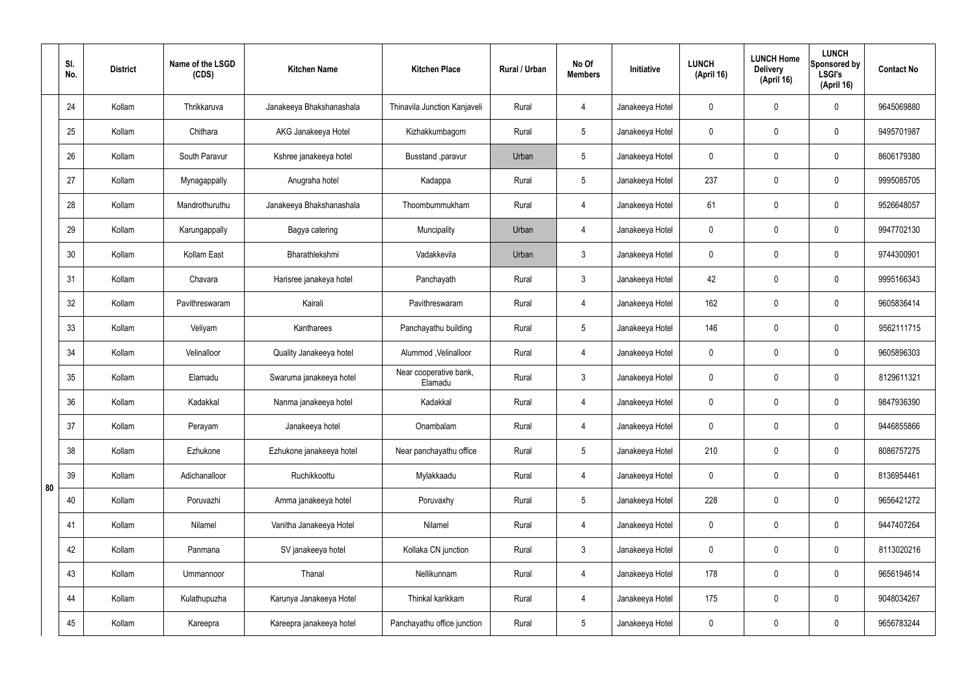|    | SI.<br>No. | <b>District</b> | Name of the LSGD<br>(CDS) | <b>Kitchen Name</b>      | <b>Kitchen Place</b>              | Rural / Urban | No Of<br><b>Members</b> | Initiative      | <b>LUNCH</b><br>(April 16) | <b>LUNCH Home</b><br><b>Delivery</b><br>(April 16) | <b>LUNCH</b><br>Sponsored by<br><b>LSGI's</b><br>(April 16) | <b>Contact No</b> |
|----|------------|-----------------|---------------------------|--------------------------|-----------------------------------|---------------|-------------------------|-----------------|----------------------------|----------------------------------------------------|-------------------------------------------------------------|-------------------|
|    | 24         | Kollam          | Thrikkaruva               | Janakeeya Bhakshanashala | Thinavila Junction Kanjaveli      | Rural         | 4                       | Janakeeya Hotel | $\mathbf 0$                | $\mathbf 0$                                        | $\mathbf 0$                                                 | 9645069880        |
|    | 25         | Kollam          | Chithara                  | AKG Janakeeya Hotel      | Kizhakkumbagom                    | Rural         | $5\overline{)}$         | Janakeeya Hotel | $\mathbf 0$                | $\mathbf 0$                                        | $\mathbf 0$                                                 | 9495701987        |
|    | 26         | Kollam          | South Paravur             | Kshree janakeeya hotel   | Busstand , paravur                | Urban         | $5\overline{)}$         | Janakeeya Hotel | $\mathbf 0$                | $\mathbf 0$                                        | $\mathbf 0$                                                 | 8606179380        |
|    | 27         | Kollam          | Mynagappally              | Anugraha hotel           | Kadappa                           | Rural         | $5\overline{)}$         | Janakeeya Hotel | 237                        | $\mathbf 0$                                        | $\mathbf 0$                                                 | 9995085705        |
|    | 28         | Kollam          | Mandrothuruthu            | Janakeeya Bhakshanashala | Thoombummukham                    | Rural         | $\overline{4}$          | Janakeeya Hotel | 61                         | $\mathbf 0$                                        | $\mathbf 0$                                                 | 9526648057        |
|    | 29         | Kollam          | Karungappally             | Bagya catering           | Muncipality                       | Urban         | 4                       | Janakeeya Hotel | $\mathbf 0$                | $\mathbf 0$                                        | $\mathbf 0$                                                 | 9947702130        |
|    | 30         | Kollam          | Kollam East               | Bharathlekshmi           | Vadakkevila                       | Urban         | $\mathbf{3}$            | Janakeeya Hotel | $\mathbf 0$                | $\mathbf 0$                                        | $\mathbf 0$                                                 | 9744300901        |
|    | 31         | Kollam          | Chavara                   | Harisree janakeya hotel  | Panchayath                        | Rural         | $\mathbf{3}$            | Janakeeya Hotel | 42                         | $\mathbf 0$                                        | $\mathbf 0$                                                 | 9995166343        |
|    | 32         | Kollam          | Pavithreswaram            | Kairali                  | Pavithreswaram                    | Rural         | 4                       | Janakeeya Hotel | 162                        | $\mathbf 0$                                        | $\mathbf 0$                                                 | 9605836414        |
|    | 33         | Kollam          | Veliyam                   | Kantharees               | Panchayathu building              | Rural         | $5\overline{)}$         | Janakeeya Hotel | 146                        | $\mathbf 0$                                        | $\mathbf 0$                                                 | 9562111715        |
|    | 34         | Kollam          | Velinalloor               | Quality Janakeeya hotel  | Alummod, Velinalloor              | Rural         | 4                       | Janakeeya Hotel | $\mathbf 0$                | $\mathbf 0$                                        | $\mathbf 0$                                                 | 9605896303        |
|    | 35         | Kollam          | Elamadu                   | Swaruma janakeeya hotel  | Near cooperative bank,<br>Elamadu | Rural         | $\mathbf{3}$            | Janakeeya Hotel | $\mathbf 0$                | $\mathbf 0$                                        | $\mathbf 0$                                                 | 8129611321        |
|    | 36         | Kollam          | Kadakkal                  | Nanma janakeeya hotel    | Kadakkal                          | Rural         | 4                       | Janakeeya Hotel | $\mathbf 0$                | 0                                                  | $\mathbf 0$                                                 | 9847936390        |
|    | 37         | Kollam          | Perayam                   | Janakeeya hotel          | Onambalam                         | Rural         | 4                       | Janakeeya Hotel | $\mathbf 0$                | $\mathbf 0$                                        | $\mathbf 0$                                                 | 9446855866        |
|    | 38         | Kollam          | Ezhukone                  | Ezhukone janakeeya hotel | Near panchayathu office           | Rural         | $5\phantom{.0}$         | Janakeeya Hotel | 210                        | $\mathbf 0$                                        | $\mathbf 0$                                                 | 8086757275        |
| 80 | 39         | Kollam          | Adichanalloor             | Ruchikkoottu             | Mylakkaadu                        | Rural         | $\overline{4}$          | Janakeeya Hotel | $\mathbf 0$                | 0                                                  | $\mathbf 0$                                                 | 8136954461        |
|    | 40         | Kollam          | Poruvazhi                 | Amma janakeeya hotel     | Poruvaxhy                         | Rural         | $5\overline{)}$         | Janakeeya Hotel | 228                        | 0                                                  | $\mathbf 0$                                                 | 9656421272        |
|    | 41         | Kollam          | Nilamel                   | Vanitha Janakeeya Hotel  | Nilamel                           | Rural         | $\overline{4}$          | Janakeeya Hotel | $\mathbf 0$                | 0                                                  | $\mathbf 0$                                                 | 9447407264        |
|    | 42         | Kollam          | Panmana                   | SV janakeeya hotel       | Kollaka CN junction               | Rural         | $\mathbf{3}$            | Janakeeya Hotel | $\mathbf 0$                | 0                                                  | $\mathbf 0$                                                 | 8113020216        |
|    | 43         | Kollam          | Ummannoor                 | Thanal                   | Nellikunnam                       | Rural         | $\overline{4}$          | Janakeeya Hotel | 178                        | 0                                                  | $\mathbf 0$                                                 | 9656194614        |
|    | 44         | Kollam          | Kulathupuzha              | Karunya Janakeeya Hotel  | Thinkal karikkam                  | Rural         | $\overline{4}$          | Janakeeya Hotel | 175                        | 0                                                  | $\mathbf 0$                                                 | 9048034267        |
|    | 45         | Kollam          | Kareepra                  | Kareepra janakeeya hotel | Panchayathu office junction       | Rural         | $5\phantom{.0}$         | Janakeeya Hotel | $\pmb{0}$                  | 0                                                  | $\overline{0}$                                              | 9656783244        |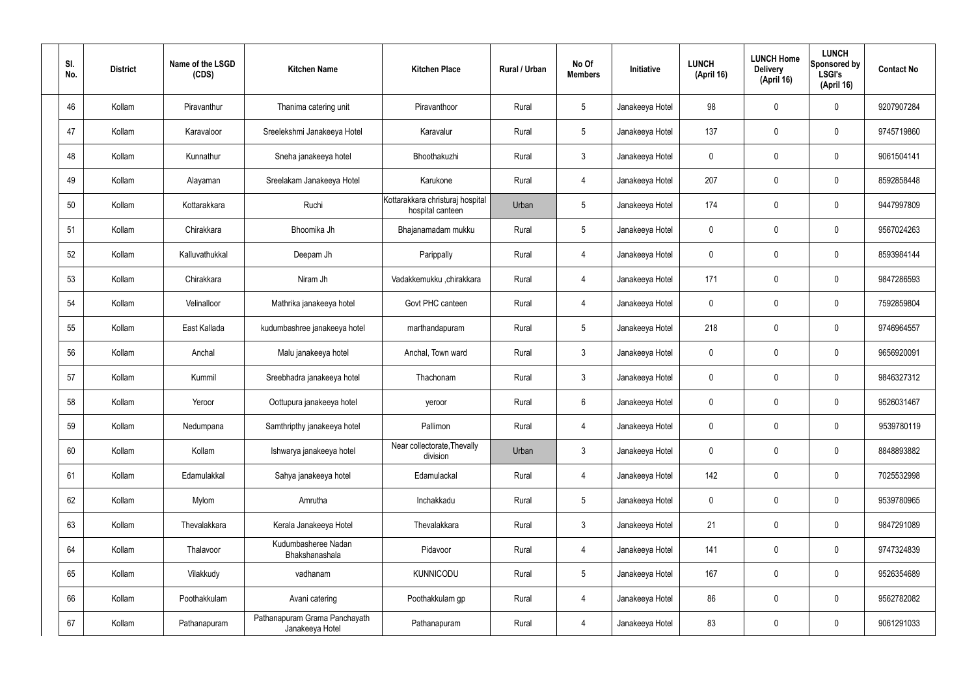| SI.<br>No. | <b>District</b> | Name of the LSGD<br>(CDS) | <b>Kitchen Name</b>                              | <b>Kitchen Place</b>                                 | Rural / Urban | No Of<br><b>Members</b> | Initiative      | <b>LUNCH</b><br>(April 16) | <b>LUNCH Home</b><br><b>Delivery</b><br>(April 16) | <b>LUNCH</b><br>Sponsored by<br><b>LSGI's</b><br>(April 16) | <b>Contact No</b> |
|------------|-----------------|---------------------------|--------------------------------------------------|------------------------------------------------------|---------------|-------------------------|-----------------|----------------------------|----------------------------------------------------|-------------------------------------------------------------|-------------------|
| 46         | Kollam          | Piravanthur               | Thanima catering unit                            | Piravanthoor                                         | Rural         | $5\phantom{.0}$         | Janakeeya Hotel | 98                         | 0                                                  | $\mathbf 0$                                                 | 9207907284        |
| 47         | Kollam          | Karavaloor                | Sreelekshmi Janakeeya Hotel                      | Karavalur                                            | Rural         | $5\phantom{.0}$         | Janakeeya Hotel | 137                        | 0                                                  | $\mathbf 0$                                                 | 9745719860        |
| 48         | Kollam          | Kunnathur                 | Sneha janakeeya hotel                            | Bhoothakuzhi                                         | Rural         | $\mathbf{3}$            | Janakeeya Hotel | $\mathbf 0$                | 0                                                  | $\mathbf 0$                                                 | 9061504141        |
| 49         | Kollam          | Alayaman                  | Sreelakam Janakeeya Hotel                        | Karukone                                             | Rural         | $\overline{4}$          | Janakeeya Hotel | 207                        | 0                                                  | $\mathbf 0$                                                 | 8592858448        |
| 50         | Kollam          | Kottarakkara              | Ruchi                                            | Kottarakkara christuraj hospital<br>hospital canteen | Urban         | $5\phantom{.0}$         | Janakeeya Hotel | 174                        | 0                                                  | $\mathbf 0$                                                 | 9447997809        |
| 51         | Kollam          | Chirakkara                | Bhoomika Jh                                      | Bhajanamadam mukku                                   | Rural         | $5\phantom{.0}$         | Janakeeya Hotel | $\mathbf 0$                | 0                                                  | $\mathbf 0$                                                 | 9567024263        |
| 52         | Kollam          | Kalluvathukkal            | Deepam Jh                                        | Parippally                                           | Rural         | 4                       | Janakeeya Hotel | $\mathbf 0$                | 0                                                  | $\mathbf 0$                                                 | 8593984144        |
| 53         | Kollam          | Chirakkara                | Niram Jh                                         | Vadakkemukku ,chirakkara                             | Rural         | $\overline{4}$          | Janakeeya Hotel | 171                        | 0                                                  | $\mathbf 0$                                                 | 9847286593        |
| 54         | Kollam          | Velinalloor               | Mathrika janakeeya hotel                         | Govt PHC canteen                                     | Rural         | $\overline{4}$          | Janakeeya Hotel | $\mathbf 0$                | 0                                                  | $\mathbf 0$                                                 | 7592859804        |
| 55         | Kollam          | East Kallada              | kudumbashree janakeeya hotel                     | marthandapuram                                       | Rural         | $5\phantom{.0}$         | Janakeeya Hotel | 218                        | 0                                                  | $\mathbf 0$                                                 | 9746964557        |
| 56         | Kollam          | Anchal                    | Malu janakeeya hotel                             | Anchal, Town ward                                    | Rural         | $\mathbf{3}$            | Janakeeya Hotel | $\mathbf 0$                | 0                                                  | $\boldsymbol{0}$                                            | 9656920091        |
| 57         | Kollam          | Kummil                    | Sreebhadra janakeeya hotel                       | Thachonam                                            | Rural         | $\mathfrak{Z}$          | Janakeeya Hotel | $\mathbf 0$                | 0                                                  | $\boldsymbol{0}$                                            | 9846327312        |
| 58         | Kollam          | Yeroor                    | Oottupura janakeeya hotel                        | yeroor                                               | Rural         | 6                       | Janakeeya Hotel | 0                          | 0                                                  | $\mathbf 0$                                                 | 9526031467        |
| 59         | Kollam          | Nedumpana                 | Samthripthy janakeeya hotel                      | Pallimon                                             | Rural         | $\overline{4}$          | Janakeeya Hotel | $\mathbf 0$                | 0                                                  | $\mathbf 0$                                                 | 9539780119        |
| 60         | Kollam          | Kollam                    | Ishwarya janakeeya hotel                         | Near collectorate, Thevally<br>division              | Urban         | $\mathbf{3}$            | Janakeeya Hotel | $\mathbf 0$                | $\mathbf 0$                                        | $\mathbf 0$                                                 | 8848893882        |
| 61         | Kollam          | Edamulakkal               | Sahya janakeeya hotel                            | Edamulackal                                          | Rural         | $\overline{4}$          | Janakeeya Hotel | 142                        | $\mathbf 0$                                        | $\mathbf 0$                                                 | 7025532998        |
| 62         | Kollam          | Mylom                     | Amrutha                                          | Inchakkadu                                           | Rural         | $5\phantom{.0}$         | Janakeeya Hotel | $\mathbf 0$                | $\mathbf 0$                                        | $\mathbf 0$                                                 | 9539780965        |
| 63         | Kollam          | Thevalakkara              | Kerala Janakeeya Hotel                           | Thevalakkara                                         | Rural         | $\mathbf{3}$            | Janakeeya Hotel | 21                         | 0                                                  | $\mathbf 0$                                                 | 9847291089        |
| 64         | Kollam          | Thalavoor                 | Kudumbasheree Nadan<br>Bhakshanashala            | Pidavoor                                             | Rural         | $\overline{4}$          | Janakeeya Hotel | 141                        | $\mathbf 0$                                        | $\mathbf 0$                                                 | 9747324839        |
| 65         | Kollam          | Vilakkudy                 | vadhanam                                         | <b>KUNNICODU</b>                                     | Rural         | $5\phantom{.0}$         | Janakeeya Hotel | 167                        | 0                                                  | $\mathbf 0$                                                 | 9526354689        |
| 66         | Kollam          | Poothakkulam              | Avani catering                                   | Poothakkulam gp                                      | Rural         | $\overline{4}$          | Janakeeya Hotel | 86                         | 0                                                  | $\mathbf 0$                                                 | 9562782082        |
| 67         | Kollam          | Pathanapuram              | Pathanapuram Grama Panchayath<br>Janakeeya Hotel | Pathanapuram                                         | Rural         | 4                       | Janakeeya Hotel | 83                         | 0                                                  | $\boldsymbol{0}$                                            | 9061291033        |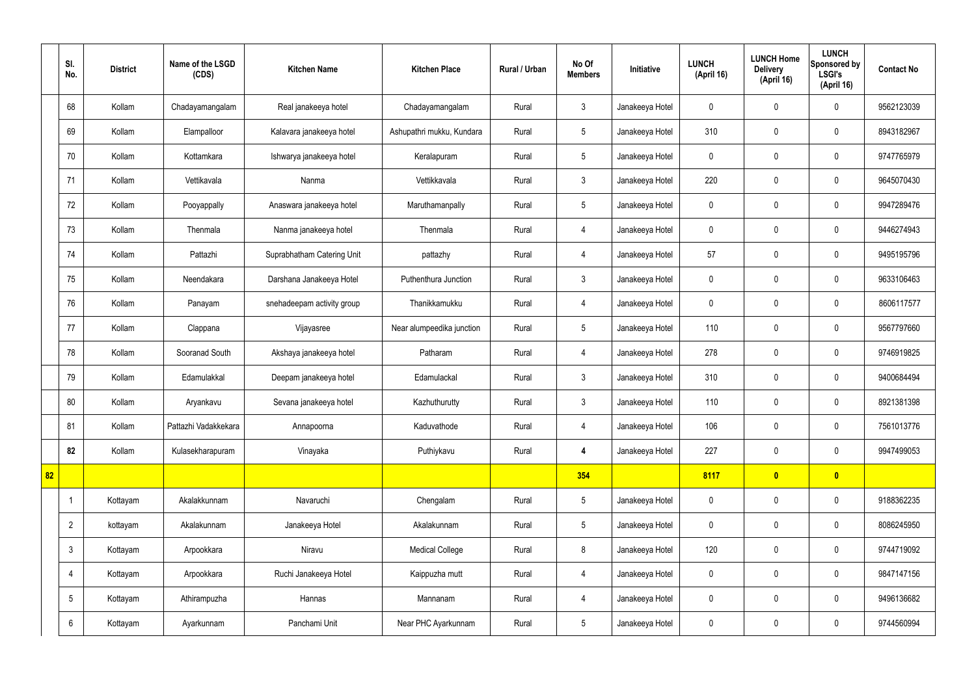|    | SI.<br>No.      | <b>District</b> | Name of the LSGD<br>(CDS) | <b>Kitchen Name</b>        | <b>Kitchen Place</b>      | <b>Rural / Urban</b> | No Of<br><b>Members</b> | Initiative      | <b>LUNCH</b><br>(April 16) | <b>LUNCH Home</b><br><b>Delivery</b><br>(April 16) | <b>LUNCH</b><br>Sponsored by<br><b>LSGI's</b><br>(April 16) | <b>Contact No</b> |
|----|-----------------|-----------------|---------------------------|----------------------------|---------------------------|----------------------|-------------------------|-----------------|----------------------------|----------------------------------------------------|-------------------------------------------------------------|-------------------|
|    | 68              | Kollam          | Chadayamangalam           | Real janakeeya hotel       | Chadayamangalam           | Rural                | $\mathbf{3}$            | Janakeeya Hotel | $\mathbf 0$                | $\mathbf 0$                                        | $\mathbf 0$                                                 | 9562123039        |
|    | 69              | Kollam          | Elampalloor               | Kalavara janakeeya hotel   | Ashupathri mukku, Kundara | Rural                | $5\phantom{.0}$         | Janakeeya Hotel | 310                        | $\mathbf 0$                                        | $\mathbf 0$                                                 | 8943182967        |
|    | 70              | Kollam          | Kottamkara                | Ishwarya janakeeya hotel   | Keralapuram               | Rural                | $5\phantom{.0}$         | Janakeeya Hotel | $\mathbf 0$                | $\mathbf 0$                                        | $\mathbf 0$                                                 | 9747765979        |
|    | 71              | Kollam          | Vettikavala               | Nanma                      | Vettikkavala              | Rural                | $\mathbf{3}$            | Janakeeya Hotel | 220                        | $\mathbf 0$                                        | $\mathbf 0$                                                 | 9645070430        |
|    | 72              | Kollam          | Pooyappally               | Anaswara janakeeya hotel   | Maruthamanpally           | Rural                | $5\phantom{.0}$         | Janakeeya Hotel | $\mathbf 0$                | $\mathbf 0$                                        | $\mathbf 0$                                                 | 9947289476        |
|    | 73              | Kollam          | Thenmala                  | Nanma janakeeya hotel      | Thenmala                  | Rural                | 4                       | Janakeeya Hotel | $\mathbf 0$                | $\mathbf 0$                                        | $\mathbf 0$                                                 | 9446274943        |
|    | 74              | Kollam          | Pattazhi                  | Suprabhatham Catering Unit | pattazhy                  | Rural                | $\overline{4}$          | Janakeeya Hotel | 57                         | $\mathbf 0$                                        | $\mathbf 0$                                                 | 9495195796        |
|    | 75              | Kollam          | Neendakara                | Darshana Janakeeya Hotel   | Puthenthura Junction      | Rural                | $\mathbf{3}$            | Janakeeya Hotel | $\mathbf 0$                | $\mathbf 0$                                        | $\mathbf 0$                                                 | 9633106463        |
|    | 76              | Kollam          | Panayam                   | snehadeepam activity group | Thanikkamukku             | Rural                | $\overline{4}$          | Janakeeya Hotel | $\mathbf 0$                | $\mathbf 0$                                        | $\mathbf 0$                                                 | 8606117577        |
|    | 77              | Kollam          | Clappana                  | Vijayasree                 | Near alumpeedika junction | Rural                | $5\phantom{.0}$         | Janakeeya Hotel | 110                        | $\mathbf 0$                                        | $\mathbf 0$                                                 | 9567797660        |
|    | 78              | Kollam          | Sooranad South            | Akshaya janakeeya hotel    | Patharam                  | Rural                | $\overline{4}$          | Janakeeya Hotel | 278                        | $\mathbf 0$                                        | $\mathbf 0$                                                 | 9746919825        |
|    | 79              | Kollam          | Edamulakkal               | Deepam janakeeya hotel     | Edamulackal               | Rural                | $\mathbf{3}$            | Janakeeya Hotel | 310                        | $\mathbf 0$                                        | $\mathbf 0$                                                 | 9400684494        |
|    | 80              | Kollam          | Aryankavu                 | Sevana janakeeya hotel     | Kazhuthurutty             | Rural                | $\mathfrak{Z}$          | Janakeeya Hotel | 110                        | $\mathbf 0$                                        | $\mathbf 0$                                                 | 8921381398        |
|    | 81              | Kollam          | Pattazhi Vadakkekara      | Annapoorna                 | Kaduvathode               | Rural                | $\overline{4}$          | Janakeeya Hotel | 106                        | $\mathbf 0$                                        | $\mathbf 0$                                                 | 7561013776        |
|    | 82              | Kollam          | Kulasekharapuram          | Vinayaka                   | Puthiykavu                | Rural                | $\overline{\mathbf{4}}$ | Janakeeya Hotel | 227                        | $\mathbf 0$                                        | $\mathbf 0$                                                 | 9947499053        |
| 82 |                 |                 |                           |                            |                           |                      | 354                     |                 | 8117                       | $\bullet$                                          | $\overline{\mathbf{0}}$                                     |                   |
|    | -1              | Kottayam        | Akalakkunnam              | Navaruchi                  | Chengalam                 | Rural                | $5\phantom{.0}$         | Janakeeya Hotel | $\mathbf 0$                | $\mathbf 0$                                        | $\mathbf 0$                                                 | 9188362235        |
|    | $\overline{2}$  | kottayam        | Akalakunnam               | Janakeeya Hotel            | Akalakunnam               | Rural                | $5\phantom{.0}$         | Janakeeya Hotel | $\boldsymbol{0}$           | $\pmb{0}$                                          | $\mathbf 0$                                                 | 8086245950        |
|    | $\mathbf{3}$    | Kottayam        | Arpookkara                | Niravu                     | <b>Medical College</b>    | Rural                | 8                       | Janakeeya Hotel | 120                        | $\pmb{0}$                                          | $\mathbf 0$                                                 | 9744719092        |
|    | 4               | Kottayam        | Arpookkara                | Ruchi Janakeeya Hotel      | Kaippuzha mutt            | Rural                | $\overline{4}$          | Janakeeya Hotel | $\pmb{0}$                  | $\pmb{0}$                                          | $\mathbf 0$                                                 | 9847147156        |
|    | $5\phantom{.0}$ | Kottayam        | Athirampuzha              | Hannas                     | Mannanam                  | Rural                | 4                       | Janakeeya Hotel | $\mathbf 0$                | $\pmb{0}$                                          | $\mathbf 0$                                                 | 9496136682        |
|    | 6               | Kottayam        | Ayarkunnam                | Panchami Unit              | Near PHC Ayarkunnam       | Rural                | $5\phantom{.0}$         | Janakeeya Hotel | $\boldsymbol{0}$           | $\pmb{0}$                                          | $\boldsymbol{0}$                                            | 9744560994        |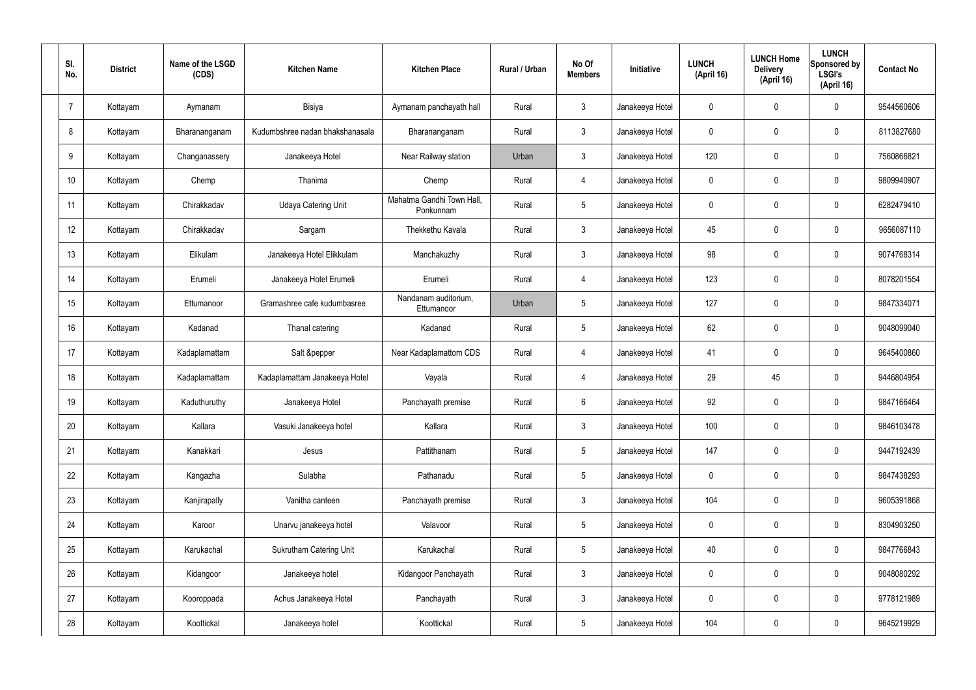| SI.<br>No.     | <b>District</b> | Name of the LSGD<br>(CDS) | <b>Kitchen Name</b>             | <b>Kitchen Place</b>                   | Rural / Urban | No Of<br><b>Members</b> | <b>Initiative</b> | <b>LUNCH</b><br>(April 16) | <b>LUNCH Home</b><br><b>Delivery</b><br>(April 16) | <b>LUNCH</b><br>Sponsored by<br><b>LSGI's</b><br>(April 16) | <b>Contact No</b> |
|----------------|-----------------|---------------------------|---------------------------------|----------------------------------------|---------------|-------------------------|-------------------|----------------------------|----------------------------------------------------|-------------------------------------------------------------|-------------------|
| $\overline{7}$ | Kottayam        | Aymanam                   | Bisiya                          | Aymanam panchayath hall                | Rural         | $\mathbf{3}$            | Janakeeya Hotel   | $\mathbf 0$                | 0                                                  | $\mathbf 0$                                                 | 9544560606        |
| 8              | Kottayam        | Bharananganam             | Kudumbshree nadan bhakshanasala | Bharananganam                          | Rural         | $\mathbf{3}$            | Janakeeya Hotel   | $\mathbf 0$                | 0                                                  | $\mathbf 0$                                                 | 8113827680        |
| 9              | Kottayam        | Changanassery             | Janakeeya Hotel                 | Near Railway station                   | Urban         | $\mathbf{3}$            | Janakeeya Hotel   | 120                        | $\mathbf 0$                                        | $\mathbf 0$                                                 | 7560866821        |
| 10             | Kottayam        | Chemp                     | Thanima                         | Chemp                                  | Rural         | $\overline{4}$          | Janakeeya Hotel   | $\mathbf 0$                | 0                                                  | $\mathbf 0$                                                 | 9809940907        |
| 11             | Kottayam        | Chirakkadav               | <b>Udaya Catering Unit</b>      | Mahatma Gandhi Town Hall,<br>Ponkunnam | Rural         | $5\phantom{.0}$         | Janakeeya Hotel   | $\mathbf 0$                | 0                                                  | $\mathbf 0$                                                 | 6282479410        |
| 12             | Kottayam        | Chirakkadav               | Sargam                          | Thekkethu Kavala                       | Rural         | $\mathbf{3}$            | Janakeeya Hotel   | 45                         | 0                                                  | $\mathbf 0$                                                 | 9656087110        |
| 13             | Kottayam        | Elikulam                  | Janakeeya Hotel Elikkulam       | Manchakuzhy                            | Rural         | $\mathbf{3}$            | Janakeeya Hotel   | 98                         | $\mathbf 0$                                        | $\mathbf 0$                                                 | 9074768314        |
| 14             | Kottayam        | Erumeli                   | Janakeeya Hotel Erumeli         | Erumeli                                | Rural         | $\overline{4}$          | Janakeeya Hotel   | 123                        | 0                                                  | $\mathbf 0$                                                 | 8078201554        |
| 15             | Kottayam        | Ettumanoor                | Gramashree cafe kudumbasree     | Nandanam auditorium,<br>Ettumanoor     | Urban         | $5\phantom{.0}$         | Janakeeya Hotel   | 127                        | $\mathbf 0$                                        | $\mathbf 0$                                                 | 9847334071        |
| 16             | Kottayam        | Kadanad                   | Thanal catering                 | Kadanad                                | Rural         | $5\phantom{.0}$         | Janakeeya Hotel   | 62                         | 0                                                  | $\mathbf 0$                                                 | 9048099040        |
| 17             | Kottayam        | Kadaplamattam             | Salt &pepper                    | Near Kadaplamattom CDS                 | Rural         | 4                       | Janakeeya Hotel   | 41                         | 0                                                  | $\mathbf 0$                                                 | 9645400860        |
| 18             | Kottayam        | Kadaplamattam             | Kadaplamattam Janakeeya Hotel   | Vayala                                 | Rural         | 4                       | Janakeeya Hotel   | 29                         | 45                                                 | $\mathbf 0$                                                 | 9446804954        |
| 19             | Kottayam        | Kaduthuruthy              | Janakeeya Hotel                 | Panchayath premise                     | Rural         | $6\phantom{.}6$         | Janakeeya Hotel   | 92                         | 0                                                  | $\mathbf 0$                                                 | 9847166464        |
| 20             | Kottayam        | Kallara                   | Vasuki Janakeeya hotel          | Kallara                                | Rural         | $\mathbf{3}$            | Janakeeya Hotel   | 100                        | $\mathbf 0$                                        | $\mathbf 0$                                                 | 9846103478        |
| 21             | Kottayam        | Kanakkari                 | Jesus                           | Pattithanam                            | Rural         | $5\overline{)}$         | Janakeeya Hotel   | 147                        | $\mathbf 0$                                        | $\mathbf 0$                                                 | 9447192439        |
| 22             | Kottayam        | Kangazha                  | Sulabha                         | Pathanadu                              | Rural         | $5\phantom{.0}$         | Janakeeya Hotel   | $\mathbf 0$                | $\mathbf 0$                                        | $\mathbf 0$                                                 | 9847438293        |
| 23             | Kottayam        | Kanjirapally              | Vanitha canteen                 | Panchayath premise                     | Rural         | $\mathfrak{Z}$          | Janakeeya Hotel   | 104                        | 0                                                  | $\mathbf 0$                                                 | 9605391868        |
| 24             | Kottayam        | Karoor                    | Unarvu janakeeya hotel          | Valavoor                               | Rural         | $5\phantom{.0}$         | Janakeeya Hotel   | $\mathbf 0$                | 0                                                  | $\mathbf 0$                                                 | 8304903250        |
| 25             | Kottayam        | Karukachal                | Sukrutham Catering Unit         | Karukachal                             | Rural         | $5\phantom{.0}$         | Janakeeya Hotel   | 40                         | 0                                                  | $\mathbf 0$                                                 | 9847766843        |
| 26             | Kottayam        | Kidangoor                 | Janakeeya hotel                 | Kidangoor Panchayath                   | Rural         | $\mathfrak{Z}$          | Janakeeya Hotel   | $\pmb{0}$                  | 0                                                  | $\mathbf 0$                                                 | 9048080292        |
| 27             | Kottayam        | Kooroppada                | Achus Janakeeya Hotel           | Panchayath                             | Rural         | $\mathfrak{Z}$          | Janakeeya Hotel   | $\mathbf 0$                | 0                                                  | $\mathbf 0$                                                 | 9778121989        |
| 28             | Kottayam        | Koottickal                | Janakeeya hotel                 | Koottickal                             | Rural         | $5\,$                   | Janakeeya Hotel   | 104                        | 0                                                  | $\mathbf 0$                                                 | 9645219929        |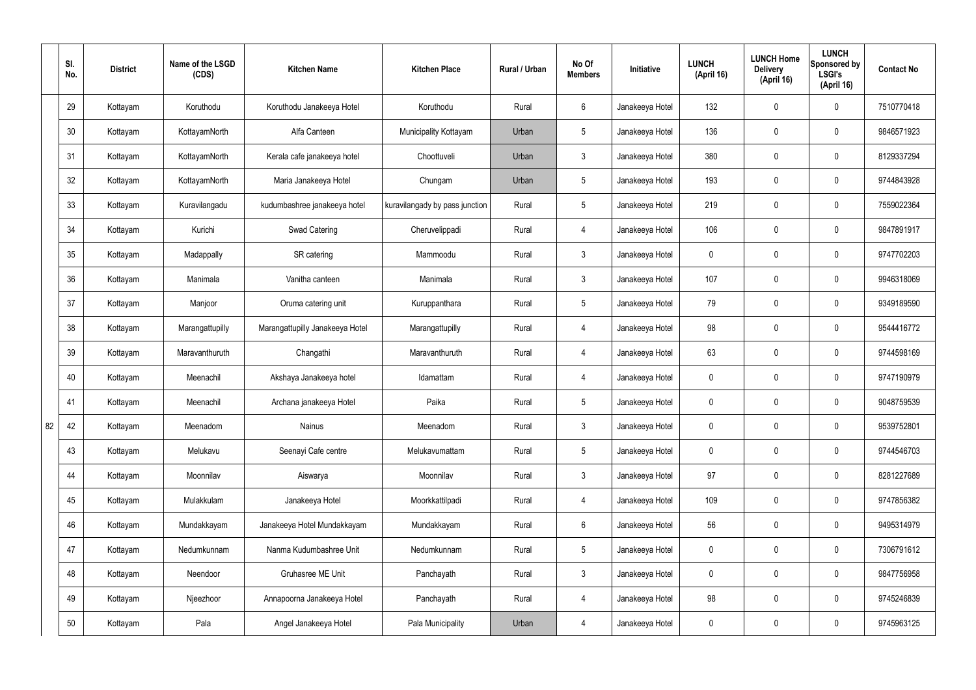|    | SI.<br>No. | <b>District</b> | Name of the LSGD<br>(CDS) | <b>Kitchen Name</b>             | <b>Kitchen Place</b>           | Rural / Urban | No Of<br><b>Members</b> | Initiative      | <b>LUNCH</b><br>(April 16) | <b>LUNCH Home</b><br><b>Delivery</b><br>(April 16) | <b>LUNCH</b><br>Sponsored by<br><b>LSGI's</b><br>(April 16) | <b>Contact No</b> |
|----|------------|-----------------|---------------------------|---------------------------------|--------------------------------|---------------|-------------------------|-----------------|----------------------------|----------------------------------------------------|-------------------------------------------------------------|-------------------|
|    | 29         | Kottayam        | Koruthodu                 | Koruthodu Janakeeya Hotel       | Koruthodu                      | Rural         | $6\overline{6}$         | Janakeeya Hotel | 132                        | $\mathbf 0$                                        | $\mathbf 0$                                                 | 7510770418        |
|    | 30         | Kottayam        | KottayamNorth             | Alfa Canteen                    | Municipality Kottayam          | Urban         | $5\overline{)}$         | Janakeeya Hotel | 136                        | $\mathbf 0$                                        | $\mathbf 0$                                                 | 9846571923        |
|    | 31         | Kottayam        | KottayamNorth             | Kerala cafe janakeeya hotel     | Choottuveli                    | Urban         | $\mathbf{3}$            | Janakeeya Hotel | 380                        | $\mathbf 0$                                        | $\mathbf 0$                                                 | 8129337294        |
|    | 32         | Kottayam        | KottayamNorth             | Maria Janakeeya Hotel           | Chungam                        | Urban         | $5\overline{)}$         | Janakeeya Hotel | 193                        | $\mathbf 0$                                        | $\mathbf 0$                                                 | 9744843928        |
|    | 33         | Kottayam        | Kuravilangadu             | kudumbashree janakeeya hotel    | kuravilangady by pass junction | Rural         | $5\overline{)}$         | Janakeeya Hotel | 219                        | $\mathbf 0$                                        | $\mathbf 0$                                                 | 7559022364        |
|    | 34         | Kottayam        | Kurichi                   | Swad Catering                   | Cheruvelippadi                 | Rural         | 4                       | Janakeeya Hotel | 106                        | $\mathbf 0$                                        | $\mathbf 0$                                                 | 9847891917        |
|    | 35         | Kottayam        | Madappally                | SR catering                     | Mammoodu                       | Rural         | 3                       | Janakeeya Hotel | $\mathbf 0$                | $\mathbf 0$                                        | $\mathbf 0$                                                 | 9747702203        |
|    | 36         | Kottayam        | Manimala                  | Vanitha canteen                 | Manimala                       | Rural         | 3                       | Janakeeya Hotel | 107                        | $\mathbf 0$                                        | $\mathbf 0$                                                 | 9946318069        |
|    | 37         | Kottayam        | Manjoor                   | Oruma catering unit             | Kuruppanthara                  | Rural         | $5\phantom{.0}$         | Janakeeya Hotel | 79                         | $\mathbf 0$                                        | $\mathbf 0$                                                 | 9349189590        |
|    | 38         | Kottayam        | Marangattupilly           | Marangattupilly Janakeeya Hotel | Marangattupilly                | Rural         | 4                       | Janakeeya Hotel | 98                         | $\mathbf 0$                                        | $\mathbf 0$                                                 | 9544416772        |
|    | 39         | Kottayam        | Maravanthuruth            | Changathi                       | Maravanthuruth                 | Rural         | 4                       | Janakeeya Hotel | 63                         | $\mathbf 0$                                        | $\mathbf 0$                                                 | 9744598169        |
|    | 40         | Kottayam        | Meenachil                 | Akshaya Janakeeya hotel         | Idamattam                      | Rural         | 4                       | Janakeeya Hotel | $\mathbf 0$                | $\mathbf 0$                                        | $\mathbf 0$                                                 | 9747190979        |
|    | 41         | Kottayam        | Meenachil                 | Archana janakeeya Hotel         | Paika                          | Rural         | 5                       | Janakeeya Hotel | $\mathbf 0$                | $\mathbf 0$                                        | $\mathbf 0$                                                 | 9048759539        |
| 82 | 42         | Kottayam        | Meenadom                  | Nainus                          | Meenadom                       | Rural         | 3                       | Janakeeya Hotel | $\mathbf 0$                | $\pmb{0}$                                          | $\mathbf 0$                                                 | 9539752801        |
|    | 43         | Kottayam        | Melukavu                  | Seenayi Cafe centre             | Melukavumattam                 | Rural         | $5\overline{)}$         | Janakeeya Hotel | $\mathbf 0$                | $\pmb{0}$                                          | $\mathbf 0$                                                 | 9744546703        |
|    | 44         | Kottayam        | Moonnilav                 | Aiswarya                        | Moonnilav                      | Rural         | $3\phantom{a}$          | Janakeeya Hotel | 97                         | $\mathbf 0$                                        | $\mathbf 0$                                                 | 8281227689        |
|    | 45         | Kottayam        | Mulakkulam                | Janakeeya Hotel                 | Moorkkattilpadi                | Rural         | $\overline{4}$          | Janakeeya Hotel | 109                        | $\pmb{0}$                                          | $\mathbf 0$                                                 | 9747856382        |
|    | 46         | Kottayam        | Mundakkayam               | Janakeeya Hotel Mundakkayam     | Mundakkayam                    | Rural         | $6\overline{6}$         | Janakeeya Hotel | 56                         | 0                                                  | $\mathbf 0$                                                 | 9495314979        |
|    | 47         | Kottayam        | Nedumkunnam               | Nanma Kudumbashree Unit         | Nedumkunnam                    | Rural         | 5 <sup>5</sup>          | Janakeeya Hotel | $\mathbf 0$                | $\pmb{0}$                                          | $\mathbf 0$                                                 | 7306791612        |
|    | 48         | Kottayam        | Neendoor                  | Gruhasree ME Unit               | Panchayath                     | Rural         | $3\phantom{a}$          | Janakeeya Hotel | $\mathbf 0$                | 0                                                  | $\mathbf 0$                                                 | 9847756958        |
|    | 49         | Kottayam        | Njeezhoor                 | Annapoorna Janakeeya Hotel      | Panchayath                     | Rural         | $\overline{4}$          | Janakeeya Hotel | 98                         | 0                                                  | $\mathbf 0$                                                 | 9745246839        |
|    | 50         | Kottayam        | Pala                      | Angel Janakeeya Hotel           | Pala Municipality              | Urban         | 4                       | Janakeeya Hotel | $\pmb{0}$                  | 0                                                  | $\boldsymbol{0}$                                            | 9745963125        |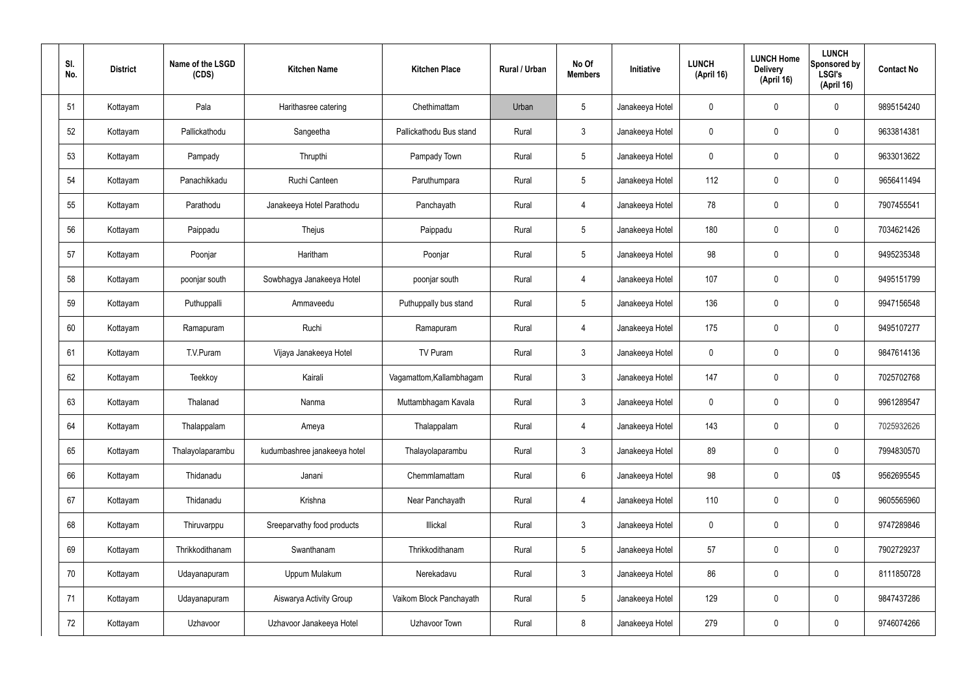| SI.<br>No. | <b>District</b> | Name of the LSGD<br>(CDS) | <b>Kitchen Name</b>          | <b>Kitchen Place</b>     | Rural / Urban | No Of<br><b>Members</b> | Initiative      | <b>LUNCH</b><br>(April 16) | <b>LUNCH Home</b><br><b>Delivery</b><br>(April 16) | <b>LUNCH</b><br>Sponsored by<br><b>LSGI's</b><br>(April 16) | <b>Contact No</b> |
|------------|-----------------|---------------------------|------------------------------|--------------------------|---------------|-------------------------|-----------------|----------------------------|----------------------------------------------------|-------------------------------------------------------------|-------------------|
| 51         | Kottayam        | Pala                      | Harithasree catering         | Chethimattam             | Urban         | $5\phantom{.0}$         | Janakeeya Hotel | $\mathbf 0$                | $\mathbf 0$                                        | 0                                                           | 9895154240        |
| 52         | Kottayam        | Pallickathodu             | Sangeetha                    | Pallickathodu Bus stand  | Rural         | $\mathbf{3}$            | Janakeeya Hotel | $\mathbf 0$                | $\mathbf 0$                                        | 0                                                           | 9633814381        |
| 53         | Kottayam        | Pampady                   | Thrupthi                     | Pampady Town             | Rural         | $5\phantom{.0}$         | Janakeeya Hotel | 0                          | $\mathbf 0$                                        | 0                                                           | 9633013622        |
| 54         | Kottayam        | Panachikkadu              | Ruchi Canteen                | Paruthumpara             | Rural         | $5\phantom{.0}$         | Janakeeya Hotel | 112                        | $\mathbf 0$                                        | 0                                                           | 9656411494        |
| 55         | Kottayam        | Parathodu                 | Janakeeya Hotel Parathodu    | Panchayath               | Rural         | $\overline{4}$          | Janakeeya Hotel | 78                         | $\mathbf 0$                                        | 0                                                           | 7907455541        |
| 56         | Kottayam        | Paippadu                  | Thejus                       | Paippadu                 | Rural         | $5\phantom{.0}$         | Janakeeya Hotel | 180                        | $\mathbf 0$                                        | 0                                                           | 7034621426        |
| 57         | Kottayam        | Poonjar                   | Haritham                     | Poonjar                  | Rural         | $5\phantom{.0}$         | Janakeeya Hotel | 98                         | $\boldsymbol{0}$                                   | 0                                                           | 9495235348        |
| 58         | Kottayam        | poonjar south             | Sowbhagya Janakeeya Hotel    | poonjar south            | Rural         | $\overline{4}$          | Janakeeya Hotel | 107                        | $\mathbf 0$                                        | 0                                                           | 9495151799        |
| 59         | Kottayam        | Puthuppalli               | Ammaveedu                    | Puthuppally bus stand    | Rural         | $5\phantom{.0}$         | Janakeeya Hotel | 136                        | $\boldsymbol{0}$                                   | 0                                                           | 9947156548        |
| 60         | Kottayam        | Ramapuram                 | Ruchi                        | Ramapuram                | Rural         | $\overline{4}$          | Janakeeya Hotel | 175                        | $\mathbf 0$                                        | 0                                                           | 9495107277        |
| 61         | Kottayam        | T.V.Puram                 | Vijaya Janakeeya Hotel       | TV Puram                 | Rural         | $\mathbf{3}$            | Janakeeya Hotel | $\mathbf 0$                | 0                                                  | 0                                                           | 9847614136        |
| 62         | Kottayam        | Teekkoy                   | Kairali                      | Vagamattom, Kallambhagam | Rural         | $\mathbf{3}$            | Janakeeya Hotel | 147                        | 0                                                  | 0                                                           | 7025702768        |
| 63         | Kottayam        | Thalanad                  | Nanma                        | Muttambhagam Kavala      | Rural         | $\mathbf{3}$            | Janakeeya Hotel | 0                          | 0                                                  | 0                                                           | 9961289547        |
| 64         | Kottayam        | Thalappalam               | Ameya                        | Thalappalam              | Rural         | $\overline{4}$          | Janakeeya Hotel | 143                        | $\mathbf 0$                                        | 0                                                           | 7025932626        |
| 65         | Kottayam        | Thalayolaparambu          | kudumbashree janakeeya hotel | Thalayolaparambu         | Rural         | $\mathbf{3}$            | Janakeeya Hotel | 89                         | $\mathbf 0$                                        | 0                                                           | 7994830570        |
| 66         | Kottayam        | Thidanadu                 | Janani                       | Chemmlamattam            | Rural         | $6\overline{6}$         | Janakeeya Hotel | 98                         | $\mathbf 0$                                        | 0\$                                                         | 9562695545        |
| 67         | Kottayam        | Thidanadu                 | Krishna                      | Near Panchayath          | Rural         | $\overline{4}$          | Janakeeya Hotel | 110                        | $\pmb{0}$                                          | 0                                                           | 9605565960        |
| 68         | Kottayam        | Thiruvarppu               | Sreeparvathy food products   | Illickal                 | Rural         | $\mathbf{3}$            | Janakeeya Hotel | $\mathbf 0$                | $\mathbf 0$                                        | 0                                                           | 9747289846        |
| 69         | Kottayam        | Thrikkodithanam           | Swanthanam                   | Thrikkodithanam          | Rural         | $5\phantom{.0}$         | Janakeeya Hotel | 57                         | $\mathbf 0$                                        | 0                                                           | 7902729237        |
| 70         | Kottayam        | Udayanapuram              | Uppum Mulakum                | Nerekadavu               | Rural         | $\mathbf{3}$            | Janakeeya Hotel | 86                         | $\mathbf 0$                                        | 0                                                           | 8111850728        |
| 71         | Kottayam        | Udayanapuram              | Aiswarya Activity Group      | Vaikom Block Panchayath  | Rural         | $5\phantom{.0}$         | Janakeeya Hotel | 129                        | $\mathbf 0$                                        | 0                                                           | 9847437286        |
| 72         | Kottayam        | Uzhavoor                  | Uzhavoor Janakeeya Hotel     | Uzhavoor Town            | Rural         | $\boldsymbol{8}$        | Janakeeya Hotel | 279                        | 0                                                  | 0                                                           | 9746074266        |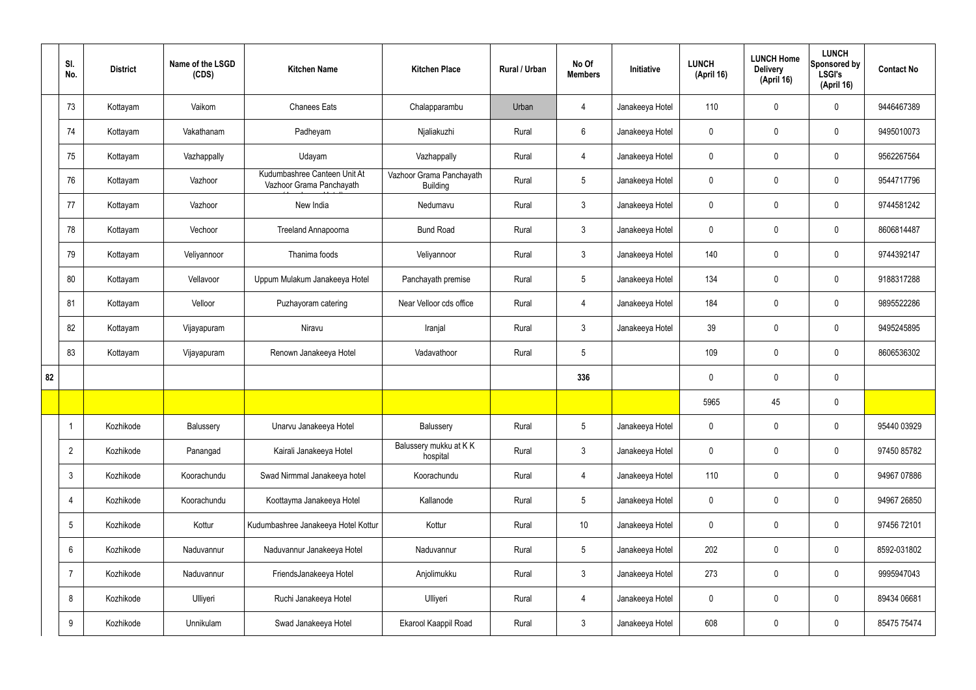|    | SI.<br>No.      | <b>District</b> | Name of the LSGD<br>(CDS) | <b>Kitchen Name</b>                                      | <b>Kitchen Place</b>                        | Rural / Urban | No Of<br><b>Members</b> | Initiative      | <b>LUNCH</b><br>(April 16) | <b>LUNCH Home</b><br><b>Delivery</b><br>(April 16) | <b>LUNCH</b><br>Sponsored by<br><b>LSGI's</b><br>(April 16) | <b>Contact No</b> |
|----|-----------------|-----------------|---------------------------|----------------------------------------------------------|---------------------------------------------|---------------|-------------------------|-----------------|----------------------------|----------------------------------------------------|-------------------------------------------------------------|-------------------|
|    | 73              | Kottayam        | Vaikom                    | <b>Chanees Eats</b>                                      | Chalapparambu                               | Urban         | 4                       | Janakeeya Hotel | 110                        | $\mathbf 0$                                        | $\mathbf 0$                                                 | 9446467389        |
|    | 74              | Kottayam        | Vakathanam                | Padheyam                                                 | Njaliakuzhi                                 | Rural         | $6\overline{6}$         | Janakeeya Hotel | $\mathbf 0$                | $\mathbf 0$                                        | $\mathbf 0$                                                 | 9495010073        |
|    | 75              | Kottayam        | Vazhappally               | Udayam                                                   | Vazhappally                                 | Rural         | $\overline{4}$          | Janakeeya Hotel | $\mathbf 0$                | $\mathbf 0$                                        | $\mathbf 0$                                                 | 9562267564        |
|    | 76              | Kottayam        | Vazhoor                   | Kudumbashree Canteen Unit At<br>Vazhoor Grama Panchayath | Vazhoor Grama Panchayath<br><b>Building</b> | Rural         | $5\phantom{.0}$         | Janakeeya Hotel | $\mathbf 0$                | $\mathbf 0$                                        | $\mathbf 0$                                                 | 9544717796        |
|    | 77              | Kottayam        | Vazhoor                   | New India                                                | Nedumavu                                    | Rural         | $\mathbf{3}$            | Janakeeya Hotel | $\mathbf 0$                | $\mathbf 0$                                        | $\mathbf 0$                                                 | 9744581242        |
|    | 78              | Kottayam        | Vechoor                   | Treeland Annapoorna                                      | <b>Bund Road</b>                            | Rural         | $\mathbf{3}$            | Janakeeya Hotel | $\mathbf 0$                | $\mathbf 0$                                        | $\mathbf 0$                                                 | 8606814487        |
|    | 79              | Kottayam        | Veliyannoor               | Thanima foods                                            | Veliyannoor                                 | Rural         | $\mathbf{3}$            | Janakeeya Hotel | 140                        | $\mathbf 0$                                        | $\mathbf 0$                                                 | 9744392147        |
|    | 80              | Kottayam        | Vellavoor                 | Uppum Mulakum Janakeeya Hotel                            | Panchayath premise                          | Rural         | $5\phantom{.0}$         | Janakeeya Hotel | 134                        | $\mathbf 0$                                        | $\mathbf 0$                                                 | 9188317288        |
|    | 81              | Kottayam        | Velloor                   | Puzhayoram catering                                      | Near Velloor cds office                     | Rural         | $\overline{4}$          | Janakeeya Hotel | 184                        | $\mathbf 0$                                        | $\mathbf 0$                                                 | 9895522286        |
|    | 82              | Kottayam        | Vijayapuram               | Niravu                                                   | Iranjal                                     | Rural         | $\mathbf{3}$            | Janakeeya Hotel | 39                         | $\mathbf 0$                                        | $\mathbf 0$                                                 | 9495245895        |
|    | 83              | Kottayam        | Vijayapuram               | Renown Janakeeya Hotel                                   | Vadavathoor                                 | Rural         | 5                       |                 | 109                        | $\pmb{0}$                                          | $\mathbf 0$                                                 | 8606536302        |
| 82 |                 |                 |                           |                                                          |                                             |               | 336                     |                 | $\mathbf 0$                | $\mathbf 0$                                        | $\mathbf 0$                                                 |                   |
|    |                 |                 |                           |                                                          |                                             |               |                         |                 | 5965                       | 45                                                 | $\mathbf 0$                                                 |                   |
|    |                 | Kozhikode       | Balussery                 | Unarvu Janakeeya Hotel                                   | Balussery                                   | Rural         | 5 <sub>5</sub>          | Janakeeya Hotel | $\pmb{0}$                  | $\pmb{0}$                                          | $\mathbf 0$                                                 | 95440 03929       |
|    | $\overline{2}$  | Kozhikode       | Panangad                  | Kairali Janakeeya Hotel                                  | Balussery mukku at KK<br>hospital           | Rural         | $\mathbf{3}$            | Janakeeya Hotel | $\pmb{0}$                  | $\pmb{0}$                                          | $\mathbf 0$                                                 | 97450 85782       |
|    | $\mathbf{3}$    | Kozhikode       | Koorachundu               | Swad Nirmmal Janakeeya hotel                             | Koorachundu                                 | Rural         | $\overline{4}$          | Janakeeya Hotel | 110                        | $\pmb{0}$                                          | $\mathbf 0$                                                 | 94967 07886       |
|    | 4               | Kozhikode       | Koorachundu               | Koottayma Janakeeya Hotel                                | Kallanode                                   | Rural         | $5\phantom{.0}$         | Janakeeya Hotel | $\pmb{0}$                  | $\pmb{0}$                                          | $\mathbf 0$                                                 | 94967 26850       |
|    | $5\phantom{.0}$ | Kozhikode       | Kottur                    | Kudumbashree Janakeeya Hotel Kottur                      | Kottur                                      | Rural         | $10$                    | Janakeeya Hotel | $\pmb{0}$                  | $\pmb{0}$                                          | $\mathbf 0$                                                 | 97456 72101       |
|    | 6               | Kozhikode       | Naduvannur                | Naduvannur Janakeeya Hotel                               | Naduvannur                                  | Rural         | $5\phantom{.0}$         | Janakeeya Hotel | 202                        | $\pmb{0}$                                          | $\mathbf 0$                                                 | 8592-031802       |
|    | $\overline{7}$  | Kozhikode       | Naduvannur                | FriendsJanakeeya Hotel                                   | Anjolimukku                                 | Rural         | $\mathbf{3}$            | Janakeeya Hotel | 273                        | $\pmb{0}$                                          | $\mathbf 0$                                                 | 9995947043        |
|    | 8               | Kozhikode       | Ulliyeri                  | Ruchi Janakeeya Hotel                                    | Ulliyeri                                    | Rural         | 4                       | Janakeeya Hotel | $\pmb{0}$                  | $\pmb{0}$                                          | $\mathbf 0$                                                 | 89434 06681       |
|    | 9               | Kozhikode       | Unnikulam                 | Swad Janakeeya Hotel                                     | Ekarool Kaappil Road                        | Rural         | $\mathbf{3}$            | Janakeeya Hotel | 608                        | $\pmb{0}$                                          | $\boldsymbol{0}$                                            | 85475 75474       |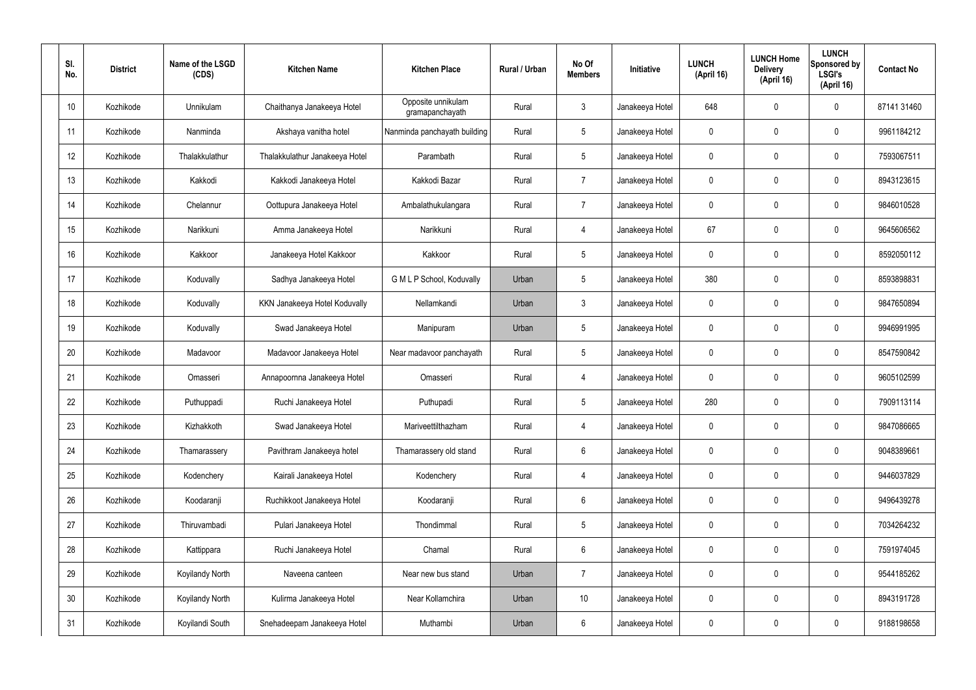| SI.<br>No. | <b>District</b> | Name of the LSGD<br>(CDS) | <b>Kitchen Name</b>            | <b>Kitchen Place</b>                  | Rural / Urban | No Of<br><b>Members</b> | Initiative      | <b>LUNCH</b><br>(April 16) | <b>LUNCH Home</b><br><b>Delivery</b><br>(April 16) | <b>LUNCH</b><br>Sponsored by<br><b>LSGI's</b><br>(April 16) | <b>Contact No</b> |
|------------|-----------------|---------------------------|--------------------------------|---------------------------------------|---------------|-------------------------|-----------------|----------------------------|----------------------------------------------------|-------------------------------------------------------------|-------------------|
| 10         | Kozhikode       | Unnikulam                 | Chaithanya Janakeeya Hotel     | Opposite unnikulam<br>gramapanchayath | Rural         | $\mathbf{3}$            | Janakeeya Hotel | 648                        | 0                                                  | $\mathbf 0$                                                 | 87141 31460       |
| 11         | Kozhikode       | Nanminda                  | Akshaya vanitha hotel          | Nanminda panchayath building          | Rural         | $5\phantom{.0}$         | Janakeeya Hotel | $\mathbf 0$                | 0                                                  | $\mathbf 0$                                                 | 9961184212        |
| 12         | Kozhikode       | Thalakkulathur            | Thalakkulathur Janakeeya Hotel | Parambath                             | Rural         | $5\phantom{.0}$         | Janakeeya Hotel | $\mathbf 0$                | 0                                                  | $\mathbf 0$                                                 | 7593067511        |
| 13         | Kozhikode       | Kakkodi                   | Kakkodi Janakeeya Hotel        | Kakkodi Bazar                         | Rural         | $\overline{7}$          | Janakeeya Hotel | $\mathbf 0$                | 0                                                  | $\mathbf 0$                                                 | 8943123615        |
| 14         | Kozhikode       | Chelannur                 | Oottupura Janakeeya Hotel      | Ambalathukulangara                    | Rural         | $\overline{7}$          | Janakeeya Hotel | $\mathbf 0$                | 0                                                  | $\mathbf 0$                                                 | 9846010528        |
| 15         | Kozhikode       | Narikkuni                 | Amma Janakeeya Hotel           | Narikkuni                             | Rural         | 4                       | Janakeeya Hotel | 67                         | 0                                                  | $\mathbf 0$                                                 | 9645606562        |
| 16         | Kozhikode       | Kakkoor                   | Janakeeya Hotel Kakkoor        | Kakkoor                               | Rural         | $5\phantom{.0}$         | Janakeeya Hotel | $\mathbf 0$                | 0                                                  | $\mathbf 0$                                                 | 8592050112        |
| 17         | Kozhikode       | Koduvally                 | Sadhya Janakeeya Hotel         | G M L P School, Koduvally             | Urban         | $5\phantom{.0}$         | Janakeeya Hotel | 380                        | 0                                                  | $\mathbf 0$                                                 | 8593898831        |
| 18         | Kozhikode       | Koduvally                 | KKN Janakeeya Hotel Koduvally  | Nellamkandi                           | Urban         | $\mathbf{3}$            | Janakeeya Hotel | $\mathbf 0$                | 0                                                  | $\mathbf 0$                                                 | 9847650894        |
| 19         | Kozhikode       | Koduvally                 | Swad Janakeeya Hotel           | Manipuram                             | Urban         | $5\phantom{.0}$         | Janakeeya Hotel | $\mathbf 0$                | 0                                                  | $\mathbf 0$                                                 | 9946991995        |
| 20         | Kozhikode       | Madavoor                  | Madavoor Janakeeya Hotel       | Near madavoor panchayath              | Rural         | $5\,$                   | Janakeeya Hotel | $\mathbf 0$                | 0                                                  | $\mathbf 0$                                                 | 8547590842        |
| 21         | Kozhikode       | Omasseri                  | Annapoornna Janakeeya Hotel    | Omasseri                              | Rural         | 4                       | Janakeeya Hotel | $\mathbf 0$                | 0                                                  | $\mathbf 0$                                                 | 9605102599        |
| 22         | Kozhikode       | Puthuppadi                | Ruchi Janakeeya Hotel          | Puthupadi                             | Rural         | $5\phantom{.0}$         | Janakeeya Hotel | 280                        | 0                                                  | 0                                                           | 7909113114        |
| 23         | Kozhikode       | Kizhakkoth                | Swad Janakeeya Hotel           | Mariveettilthazham                    | Rural         | $\overline{4}$          | Janakeeya Hotel | $\mathbf 0$                | 0                                                  | $\mathbf 0$                                                 | 9847086665        |
| 24         | Kozhikode       | Thamarassery              | Pavithram Janakeeya hotel      | Thamarassery old stand                | Rural         | $6\overline{6}$         | Janakeeya Hotel | $\mathbf 0$                | 0                                                  | $\mathbf 0$                                                 | 9048389661        |
| 25         | Kozhikode       | Kodenchery                | Kairali Janakeeya Hotel        | Kodenchery                            | Rural         | $\overline{4}$          | Janakeeya Hotel | $\mathbf 0$                | 0                                                  | $\mathbf 0$                                                 | 9446037829        |
| 26         | Kozhikode       | Koodaranji                | Ruchikkoot Janakeeya Hotel     | Koodaranji                            | Rural         | $6\,$                   | Janakeeya Hotel | $\mathbf 0$                | 0                                                  | $\mathbf 0$                                                 | 9496439278        |
| 27         | Kozhikode       | Thiruvambadi              | Pulari Janakeeya Hotel         | Thondimmal                            | Rural         | $5\phantom{.0}$         | Janakeeya Hotel | $\mathbf 0$                | $\mathbf 0$                                        | $\mathbf 0$                                                 | 7034264232        |
| 28         | Kozhikode       | Kattippara                | Ruchi Janakeeya Hotel          | Chamal                                | Rural         | $6\,$                   | Janakeeya Hotel | $\mathbf 0$                | $\mathbf 0$                                        | $\mathbf 0$                                                 | 7591974045        |
| 29         | Kozhikode       | Koyilandy North           | Naveena canteen                | Near new bus stand                    | Urban         | $\overline{7}$          | Janakeeya Hotel | $\mathbf 0$                | $\mathbf 0$                                        | $\mathbf 0$                                                 | 9544185262        |
| 30         | Kozhikode       | Koyilandy North           | Kulirma Janakeeya Hotel        | Near Kollamchira                      | Urban         | 10 <sup>°</sup>         | Janakeeya Hotel | $\pmb{0}$                  | 0                                                  | $\mathbf 0$                                                 | 8943191728        |
| 31         | Kozhikode       | Koyilandi South           | Snehadeepam Janakeeya Hotel    | Muthambi                              | Urban         | $6\,$                   | Janakeeya Hotel | 0                          | $\pmb{0}$                                          | $\mathbf 0$                                                 | 9188198658        |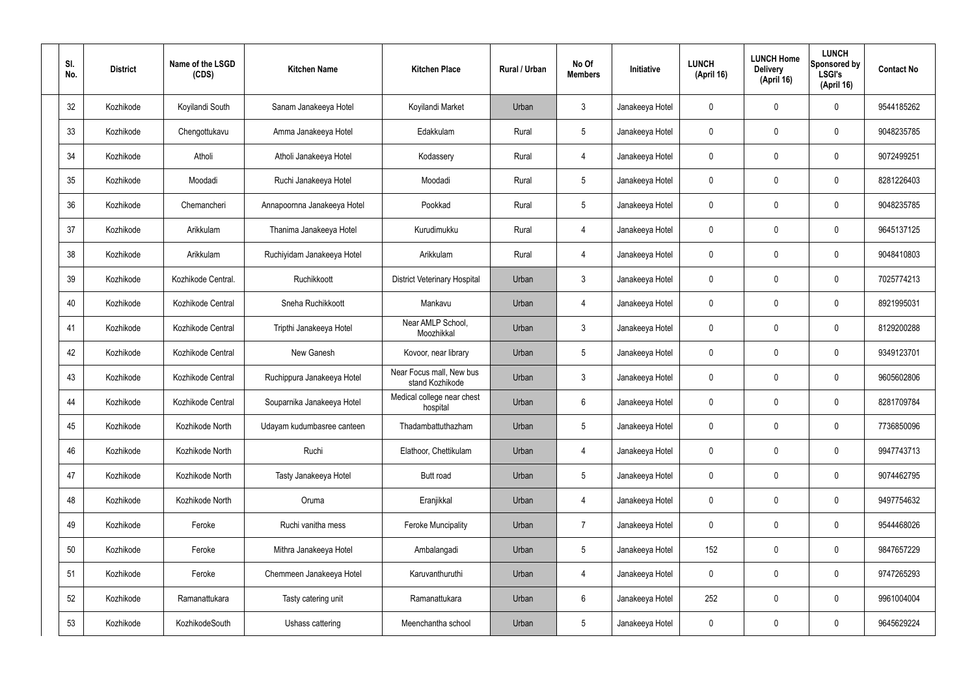| SI.<br>No. | <b>District</b> | Name of the LSGD<br>(CDS) | <b>Kitchen Name</b>         | <b>Kitchen Place</b>                        | Rural / Urban | No Of<br><b>Members</b> | Initiative      | <b>LUNCH</b><br>(April 16) | <b>LUNCH Home</b><br><b>Delivery</b><br>(April 16) | <b>LUNCH</b><br>Sponsored by<br><b>LSGI's</b><br>(April 16) | <b>Contact No</b> |
|------------|-----------------|---------------------------|-----------------------------|---------------------------------------------|---------------|-------------------------|-----------------|----------------------------|----------------------------------------------------|-------------------------------------------------------------|-------------------|
| 32         | Kozhikode       | Koyilandi South           | Sanam Janakeeya Hotel       | Koyilandi Market                            | Urban         | 3                       | Janakeeya Hotel | 0                          | 0                                                  | $\mathbf 0$                                                 | 9544185262        |
| 33         | Kozhikode       | Chengottukavu             | Amma Janakeeya Hotel        | Edakkulam                                   | Rural         | $5\phantom{.0}$         | Janakeeya Hotel | $\mathbf 0$                | 0                                                  | $\mathbf 0$                                                 | 9048235785        |
| 34         | Kozhikode       | Atholi                    | Atholi Janakeeya Hotel      | Kodassery                                   | Rural         | 4                       | Janakeeya Hotel | 0                          | 0                                                  | $\mathbf 0$                                                 | 9072499251        |
| 35         | Kozhikode       | Moodadi                   | Ruchi Janakeeya Hotel       | Moodadi                                     | Rural         | $5\phantom{.0}$         | Janakeeya Hotel | $\mathbf 0$                | 0                                                  | $\mathbf 0$                                                 | 8281226403        |
| 36         | Kozhikode       | Chemancheri               | Annapoornna Janakeeya Hotel | Pookkad                                     | Rural         | $5\,$                   | Janakeeya Hotel | 0                          | 0                                                  | $\mathbf 0$                                                 | 9048235785        |
| 37         | Kozhikode       | Arikkulam                 | Thanima Janakeeya Hotel     | Kurudimukku                                 | Rural         | 4                       | Janakeeya Hotel | $\mathbf 0$                | $\mathbf{0}$                                       | $\mathbf 0$                                                 | 9645137125        |
| 38         | Kozhikode       | Arikkulam                 | Ruchiyidam Janakeeya Hotel  | Arikkulam                                   | Rural         | 4                       | Janakeeya Hotel | 0                          | 0                                                  | $\mathbf 0$                                                 | 9048410803        |
| 39         | Kozhikode       | Kozhikode Central.        | Ruchikkoott                 | <b>District Veterinary Hospital</b>         | Urban         | $\mathfrak{Z}$          | Janakeeya Hotel | $\mathbf 0$                | $\mathbf{0}$                                       | $\mathbf 0$                                                 | 7025774213        |
| 40         | Kozhikode       | Kozhikode Central         | Sneha Ruchikkoott           | Mankavu                                     | Urban         | 4                       | Janakeeya Hotel | $\mathbf 0$                | 0                                                  | $\mathbf 0$                                                 | 8921995031        |
| 41         | Kozhikode       | Kozhikode Central         | Tripthi Janakeeya Hotel     | Near AMLP School,<br>Moozhikkal             | Urban         | $\mathbf{3}$            | Janakeeya Hotel | $\mathbf 0$                | 0                                                  | $\boldsymbol{0}$                                            | 8129200288        |
| 42         | Kozhikode       | Kozhikode Central         | New Ganesh                  | Kovoor, near library                        | Urban         | $5\phantom{.0}$         | Janakeeya Hotel | $\mathbf 0$                | 0                                                  | $\boldsymbol{0}$                                            | 9349123701        |
| 43         | Kozhikode       | Kozhikode Central         | Ruchippura Janakeeya Hotel  | Near Focus mall, New bus<br>stand Kozhikode | Urban         | $\mathfrak{Z}$          | Janakeeya Hotel | $\mathbf 0$                | 0                                                  | $\boldsymbol{0}$                                            | 9605602806        |
| 44         | Kozhikode       | Kozhikode Central         | Souparnika Janakeeya Hotel  | Medical college near chest<br>hospital      | Urban         | $6\phantom{.}6$         | Janakeeya Hotel | 0                          | 0                                                  | 0                                                           | 8281709784        |
| 45         | Kozhikode       | Kozhikode North           | Udayam kudumbasree canteen  | Thadambattuthazham                          | Urban         | $5\,$                   | Janakeeya Hotel | $\mathbf 0$                | $\mathbf 0$                                        | $\mathbf 0$                                                 | 7736850096        |
| 46         | Kozhikode       | Kozhikode North           | Ruchi                       | Elathoor, Chettikulam                       | Urban         | $\overline{4}$          | Janakeeya Hotel | $\mathbf 0$                | $\mathbf 0$                                        | $\mathbf 0$                                                 | 9947743713        |
| 47         | Kozhikode       | Kozhikode North           | Tasty Janakeeya Hotel       | Butt road                                   | Urban         | $5\phantom{.0}$         | Janakeeya Hotel | $\mathbf 0$                | $\mathbf 0$                                        | $\mathbf 0$                                                 | 9074462795        |
| 48         | Kozhikode       | Kozhikode North           | Oruma                       | Eranjikkal                                  | Urban         | 4                       | Janakeeya Hotel | $\mathbf 0$                | $\mathbf 0$                                        | $\mathbf 0$                                                 | 9497754632        |
| 49         | Kozhikode       | Feroke                    | Ruchi vanitha mess          | <b>Feroke Muncipality</b>                   | Urban         | $\overline{7}$          | Janakeeya Hotel | $\mathbf 0$                | 0                                                  | $\mathbf 0$                                                 | 9544468026        |
| 50         | Kozhikode       | Feroke                    | Mithra Janakeeya Hotel      | Ambalangadi                                 | Urban         | $5\,$                   | Janakeeya Hotel | 152                        | 0                                                  | $\mathbf 0$                                                 | 9847657229        |
| 51         | Kozhikode       | Feroke                    | Chemmeen Janakeeya Hotel    | Karuvanthuruthi                             | Urban         | 4                       | Janakeeya Hotel | 0                          | 0                                                  | $\mathbf 0$                                                 | 9747265293        |
| 52         | Kozhikode       | Ramanattukara             | Tasty catering unit         | Ramanattukara                               | Urban         | $6\,$                   | Janakeeya Hotel | 252                        | 0                                                  | $\mathbf 0$                                                 | 9961004004        |
| 53         | Kozhikode       | KozhikodeSouth            | Ushass cattering            | Meenchantha school                          | Urban         | $\sqrt{5}$              | Janakeeya Hotel | 0                          | 0                                                  | $\boldsymbol{0}$                                            | 9645629224        |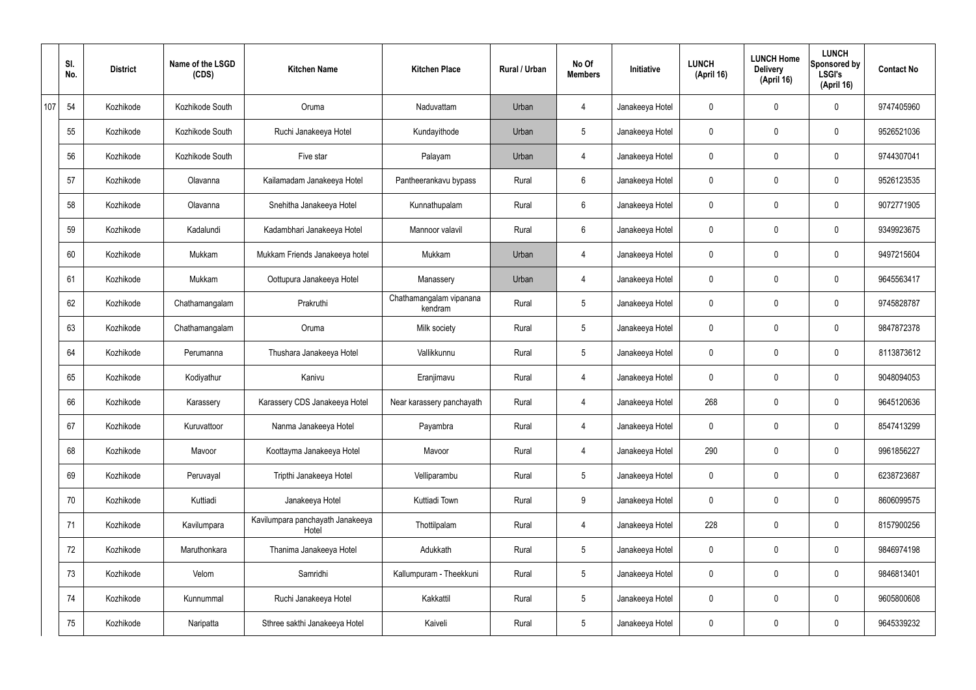|     | SI.<br>No. | <b>District</b> | Name of the LSGD<br>(CDS) | <b>Kitchen Name</b>                       | <b>Kitchen Place</b>               | Rural / Urban | No Of<br><b>Members</b> | Initiative      | <b>LUNCH</b><br>(April 16) | <b>LUNCH Home</b><br><b>Delivery</b><br>(April 16) | <b>LUNCH</b><br>Sponsored by<br><b>LSGI's</b><br>(April 16) | <b>Contact No</b> |
|-----|------------|-----------------|---------------------------|-------------------------------------------|------------------------------------|---------------|-------------------------|-----------------|----------------------------|----------------------------------------------------|-------------------------------------------------------------|-------------------|
| 107 | 54         | Kozhikode       | Kozhikode South           | Oruma                                     | Naduvattam                         | Urban         | 4                       | Janakeeya Hotel | 0                          | 0                                                  | $\mathbf 0$                                                 | 9747405960        |
|     | 55         | Kozhikode       | Kozhikode South           | Ruchi Janakeeya Hotel                     | Kundayithode                       | Urban         | $5\phantom{.0}$         | Janakeeya Hotel | 0                          | $\mathbf 0$                                        | $\mathbf 0$                                                 | 9526521036        |
|     | 56         | Kozhikode       | Kozhikode South           | Five star                                 | Palayam                            | Urban         | $\overline{4}$          | Janakeeya Hotel | 0                          | 0                                                  | $\mathbf 0$                                                 | 9744307041        |
|     | 57         | Kozhikode       | Olavanna                  | Kailamadam Janakeeya Hotel                | Pantheerankavu bypass              | Rural         | $6\phantom{.}6$         | Janakeeya Hotel | 0                          | $\mathbf 0$                                        | $\mathbf 0$                                                 | 9526123535        |
|     | 58         | Kozhikode       | Olavanna                  | Snehitha Janakeeya Hotel                  | Kunnathupalam                      | Rural         | $6\overline{6}$         | Janakeeya Hotel | 0                          | $\mathbf 0$                                        | $\mathbf 0$                                                 | 9072771905        |
|     | 59         | Kozhikode       | Kadalundi                 | Kadambhari Janakeeya Hotel                | Mannoor valavil                    | Rural         | $6\phantom{.}6$         | Janakeeya Hotel | 0                          | 0                                                  | $\mathbf 0$                                                 | 9349923675        |
|     | 60         | Kozhikode       | Mukkam                    | Mukkam Friends Janakeeya hotel            | Mukkam                             | Urban         | $\overline{4}$          | Janakeeya Hotel | 0                          | $\mathbf 0$                                        | $\mathbf 0$                                                 | 9497215604        |
|     | 61         | Kozhikode       | Mukkam                    | Oottupura Janakeeya Hotel                 | Manassery                          | Urban         | 4                       | Janakeeya Hotel | 0                          | 0                                                  | $\mathbf 0$                                                 | 9645563417        |
|     | 62         | Kozhikode       | Chathamangalam            | Prakruthi                                 | Chathamangalam vipanana<br>kendram | Rural         | $5\overline{)}$         | Janakeeya Hotel | 0                          | $\mathbf 0$                                        | $\mathbf 0$                                                 | 9745828787        |
|     | 63         | Kozhikode       | Chathamangalam            | Oruma                                     | Milk society                       | Rural         | $5\phantom{.0}$         | Janakeeya Hotel | 0                          | 0                                                  | $\mathbf 0$                                                 | 9847872378        |
|     | 64         | Kozhikode       | Perumanna                 | Thushara Janakeeya Hotel                  | Vallikkunnu                        | Rural         | $5\phantom{.0}$         | Janakeeya Hotel | 0                          | 0                                                  | $\mathbf 0$                                                 | 8113873612        |
|     | 65         | Kozhikode       | Kodiyathur                | Kanivu                                    | Eranjimavu                         | Rural         | 4                       | Janakeeya Hotel | 0                          | 0                                                  | $\mathbf 0$                                                 | 9048094053        |
|     | 66         | Kozhikode       | Karassery                 | Karassery CDS Janakeeya Hotel             | Near karassery panchayath          | Rural         | 4                       | Janakeeya Hotel | 268                        | 0                                                  | $\mathbf 0$                                                 | 9645120636        |
|     | 67         | Kozhikode       | Kuruvattoor               | Nanma Janakeeya Hotel                     | Payambra                           | Rural         | $\overline{4}$          | Janakeeya Hotel | 0                          | $\mathbf 0$                                        | $\mathbf 0$                                                 | 8547413299        |
|     | 68         | Kozhikode       | Mavoor                    | Koottayma Janakeeya Hotel                 | Mavoor                             | Rural         | $\overline{4}$          | Janakeeya Hotel | 290                        | $\mathbf 0$                                        | $\mathbf 0$                                                 | 9961856227        |
|     | 69         | Kozhikode       | Peruvayal                 | Tripthi Janakeeya Hotel                   | Velliparambu                       | Rural         | $5\overline{)}$         | Janakeeya Hotel | 0                          | $\mathbf 0$                                        | $\mathbf 0$                                                 | 6238723687        |
|     | 70         | Kozhikode       | Kuttiadi                  | Janakeeya Hotel                           | Kuttiadi Town                      | Rural         | 9                       | Janakeeya Hotel | 0                          | 0                                                  | $\mathbf 0$                                                 | 8606099575        |
|     | 71         | Kozhikode       | Kavilumpara               | Kavilumpara panchayath Janakeeya<br>Hotel | Thottilpalam                       | Rural         | $\overline{4}$          | Janakeeya Hotel | 228                        | 0                                                  | $\mathbf 0$                                                 | 8157900256        |
|     | 72         | Kozhikode       | Maruthonkara              | Thanima Janakeeya Hotel                   | Adukkath                           | Rural         | $5\overline{)}$         | Janakeeya Hotel | 0                          | 0                                                  | $\mathbf 0$                                                 | 9846974198        |
|     | 73         | Kozhikode       | Velom                     | Samridhi                                  | Kallumpuram - Theekkuni            | Rural         | $5\overline{)}$         | Janakeeya Hotel | 0                          | 0                                                  | $\mathbf 0$                                                 | 9846813401        |
|     | 74         | Kozhikode       | Kunnummal                 | Ruchi Janakeeya Hotel                     | Kakkattil                          | Rural         | $5\phantom{.0}$         | Janakeeya Hotel | 0                          | 0                                                  | $\mathbf 0$                                                 | 9605800608        |
|     | 75         | Kozhikode       | Naripatta                 | Sthree sakthi Janakeeya Hotel             | Kaiveli                            | Rural         | $5\phantom{.0}$         | Janakeeya Hotel | 0                          | 0                                                  | $\overline{0}$                                              | 9645339232        |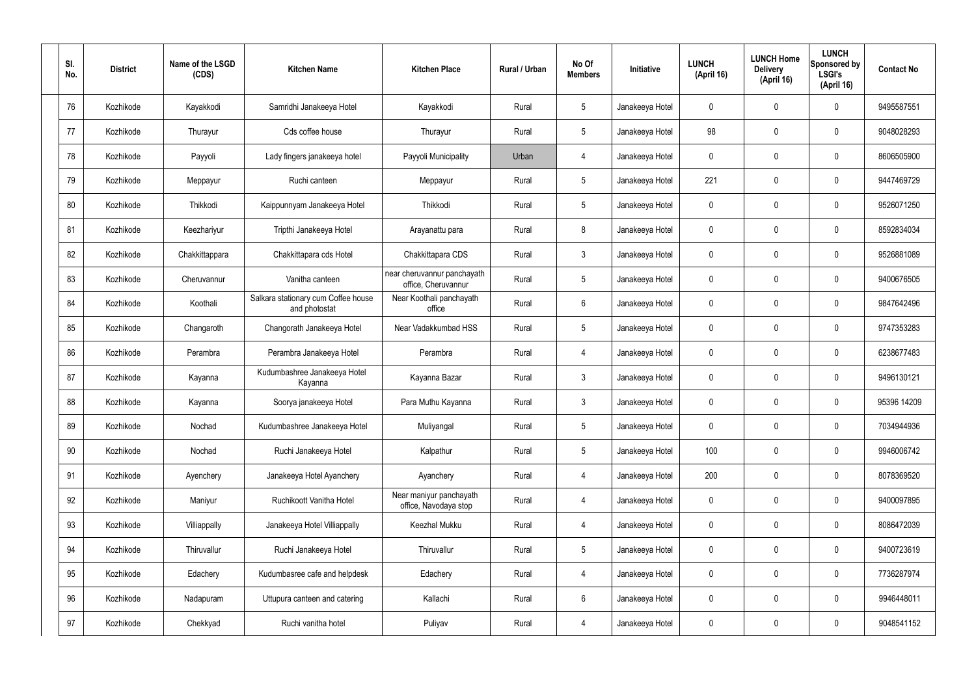| SI.<br>No. | <b>District</b> | Name of the LSGD<br>(CDS) | <b>Kitchen Name</b>                                  | <b>Kitchen Place</b>                               | Rural / Urban | No Of<br><b>Members</b> | <b>Initiative</b> | <b>LUNCH</b><br>(April 16) | <b>LUNCH Home</b><br><b>Delivery</b><br>(April 16) | <b>LUNCH</b><br>Sponsored by<br>LSGI's<br>(April 16) | <b>Contact No</b> |
|------------|-----------------|---------------------------|------------------------------------------------------|----------------------------------------------------|---------------|-------------------------|-------------------|----------------------------|----------------------------------------------------|------------------------------------------------------|-------------------|
| 76         | Kozhikode       | Kayakkodi                 | Samridhi Janakeeya Hotel                             | Kayakkodi                                          | Rural         | $5\phantom{.0}$         | Janakeeya Hotel   | 0                          | 0                                                  | $\mathbf 0$                                          | 9495587551        |
| 77         | Kozhikode       | Thurayur                  | Cds coffee house                                     | Thurayur                                           | Rural         | $5\overline{)}$         | Janakeeya Hotel   | 98                         | 0                                                  | $\mathbf 0$                                          | 9048028293        |
| 78         | Kozhikode       | Payyoli                   | Lady fingers janakeeya hotel                         | Payyoli Municipality                               | Urban         | 4                       | Janakeeya Hotel   | $\mathbf 0$                | 0                                                  | $\mathbf 0$                                          | 8606505900        |
| 79         | Kozhikode       | Meppayur                  | Ruchi canteen                                        | Meppayur                                           | Rural         | $5\overline{)}$         | Janakeeya Hotel   | 221                        | 0                                                  | $\mathbf 0$                                          | 9447469729        |
| 80         | Kozhikode       | Thikkodi                  | Kaippunnyam Janakeeya Hotel                          | Thikkodi                                           | Rural         | $5\overline{)}$         | Janakeeya Hotel   | $\mathbf 0$                | 0                                                  | $\mathbf 0$                                          | 9526071250        |
| 81         | Kozhikode       | Keezhariyur               | Tripthi Janakeeya Hotel                              | Arayanattu para                                    | Rural         | 8                       | Janakeeya Hotel   | $\mathbf 0$                | $\mathbf{0}$                                       | $\mathbf 0$                                          | 8592834034        |
| 82         | Kozhikode       | Chakkittappara            | Chakkittapara cds Hotel                              | Chakkittapara CDS                                  | Rural         | $\mathbf{3}$            | Janakeeya Hotel   | $\mathbf 0$                | $\mathbf{0}$                                       | $\mathbf 0$                                          | 9526881089        |
| 83         | Kozhikode       | Cheruvannur               | Vanitha canteen                                      | near cheruvannur panchayath<br>office, Cheruvannur | Rural         | $5\phantom{.0}$         | Janakeeya Hotel   | $\mathbf 0$                | $\mathbf{0}$                                       | $\mathbf 0$                                          | 9400676505        |
| 84         | Kozhikode       | Koothali                  | Salkara stationary cum Coffee house<br>and photostat | Near Koothali panchayath<br>office                 | Rural         | $6\phantom{.}6$         | Janakeeya Hotel   | $\mathbf 0$                | 0                                                  | $\mathbf 0$                                          | 9847642496        |
| 85         | Kozhikode       | Changaroth                | Changorath Janakeeya Hotel                           | Near Vadakkumbad HSS                               | Rural         | $5\phantom{.0}$         | Janakeeya Hotel   | $\mathbf 0$                | 0                                                  | $\mathbf 0$                                          | 9747353283        |
| 86         | Kozhikode       | Perambra                  | Perambra Janakeeya Hotel                             | Perambra                                           | Rural         | 4                       | Janakeeya Hotel   | $\mathbf 0$                | 0                                                  | $\mathbf 0$                                          | 6238677483        |
| 87         | Kozhikode       | Kayanna                   | Kudumbashree Janakeeya Hotel<br>Kayanna              | Kayanna Bazar                                      | Rural         | $\mathbf{3}$            | Janakeeya Hotel   | $\mathbf 0$                | 0                                                  | $\boldsymbol{0}$                                     | 9496130121        |
| 88         | Kozhikode       | Kayanna                   | Soorya janakeeya Hotel                               | Para Muthu Kayanna                                 | Rural         | $\mathbf{3}$            | Janakeeya Hotel   | 0                          | 0                                                  | 0                                                    | 95396 14209       |
| 89         | Kozhikode       | Nochad                    | Kudumbashree Janakeeya Hotel                         | Muliyangal                                         | Rural         | $5\phantom{.0}$         | Janakeeya Hotel   | $\mathbf 0$                | 0                                                  | $\mathbf 0$                                          | 7034944936        |
| 90         | Kozhikode       | Nochad                    | Ruchi Janakeeya Hotel                                | Kalpathur                                          | Rural         | $5\phantom{.0}$         | Janakeeya Hotel   | 100                        | $\mathbf 0$                                        | $\mathbf 0$                                          | 9946006742        |
| 91         | Kozhikode       | Ayenchery                 | Janakeeya Hotel Ayanchery                            | Ayanchery                                          | Rural         | 4                       | Janakeeya Hotel   | 200                        | $\mathbf 0$                                        | $\mathbf 0$                                          | 8078369520        |
| 92         | Kozhikode       | Maniyur                   | Ruchikoott Vanitha Hotel                             | Near maniyur panchayath<br>office, Navodaya stop   | Rural         | $\overline{4}$          | Janakeeya Hotel   | $\mathbf 0$                | $\mathbf 0$                                        | $\mathbf 0$                                          | 9400097895        |
| 93         | Kozhikode       | Villiappally              | Janakeeya Hotel Villiappally                         | Keezhal Mukku                                      | Rural         | 4                       | Janakeeya Hotel   | $\mathbf 0$                | $\mathbf 0$                                        | $\mathbf 0$                                          | 8086472039        |
| 94         | Kozhikode       | Thiruvallur               | Ruchi Janakeeya Hotel                                | Thiruvallur                                        | Rural         | $5\phantom{.0}$         | Janakeeya Hotel   | $\mathbf 0$                | $\mathbf 0$                                        | $\mathbf 0$                                          | 9400723619        |
| 95         | Kozhikode       | Edachery                  | Kudumbasree cafe and helpdesk                        | Edachery                                           | Rural         | 4                       | Janakeeya Hotel   | $\mathbf 0$                | 0                                                  | $\mathbf 0$                                          | 7736287974        |
| 96         | Kozhikode       | Nadapuram                 | Uttupura canteen and catering                        | Kallachi                                           | Rural         | $6\,$                   | Janakeeya Hotel   | $\mathbf 0$                | $\mathbf 0$                                        | $\mathbf 0$                                          | 9946448011        |
| 97         | Kozhikode       | Chekkyad                  | Ruchi vanitha hotel                                  | Puliyav                                            | Rural         | $\overline{4}$          | Janakeeya Hotel   | 0                          | 0                                                  | $\boldsymbol{0}$                                     | 9048541152        |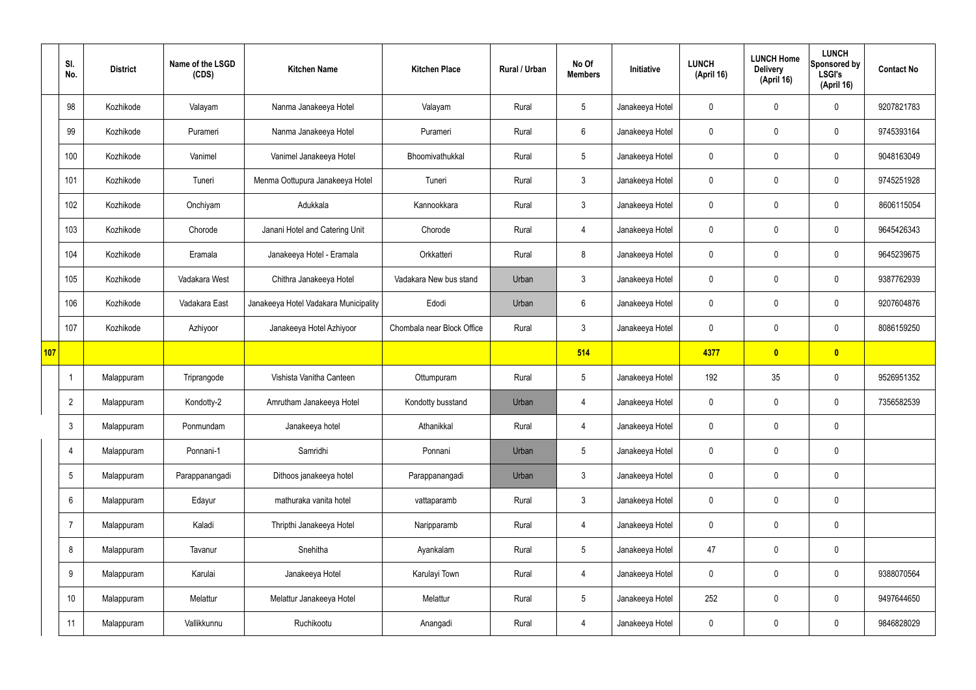|     | SI.<br>No.     | <b>District</b> | Name of the LSGD<br>(CDS) | <b>Kitchen Name</b>                   | <b>Kitchen Place</b>       | Rural / Urban | No Of<br><b>Members</b> | Initiative      | <b>LUNCH</b><br>(April 16) | <b>LUNCH Home</b><br><b>Delivery</b><br>(April 16) | <b>LUNCH</b><br>Sponsored by<br><b>LSGI's</b><br>(April 16) | <b>Contact No</b> |
|-----|----------------|-----------------|---------------------------|---------------------------------------|----------------------------|---------------|-------------------------|-----------------|----------------------------|----------------------------------------------------|-------------------------------------------------------------|-------------------|
|     | 98             | Kozhikode       | Valayam                   | Nanma Janakeeya Hotel                 | Valayam                    | Rural         | $5\phantom{.0}$         | Janakeeya Hotel | $\mathbf 0$                | $\mathbf 0$                                        | $\mathbf 0$                                                 | 9207821783        |
|     | 99             | Kozhikode       | Purameri                  | Nanma Janakeeya Hotel                 | Purameri                   | Rural         | $6\phantom{.}6$         | Janakeeya Hotel | $\mathbf 0$                | $\mathbf 0$                                        | $\mathbf 0$                                                 | 9745393164        |
|     | 100            | Kozhikode       | Vanimel                   | Vanimel Janakeeya Hotel               | Bhoomivathukkal            | Rural         | $5\overline{)}$         | Janakeeya Hotel | $\mathbf 0$                | $\mathbf 0$                                        | $\mathbf 0$                                                 | 9048163049        |
|     | 101            | Kozhikode       | Tuneri                    | Menma Oottupura Janakeeya Hotel       | Tuneri                     | Rural         | 3 <sup>5</sup>          | Janakeeya Hotel | $\mathbf 0$                | $\mathbf 0$                                        | $\mathbf 0$                                                 | 9745251928        |
|     | 102            | Kozhikode       | Onchiyam                  | Adukkala                              | Kannookkara                | Rural         | 3 <sup>5</sup>          | Janakeeya Hotel | $\mathbf 0$                | $\mathbf 0$                                        | $\mathbf 0$                                                 | 8606115054        |
|     | 103            | Kozhikode       | Chorode                   | Janani Hotel and Catering Unit        | Chorode                    | Rural         | $\overline{4}$          | Janakeeya Hotel | $\mathbf 0$                | $\mathbf 0$                                        | $\mathbf 0$                                                 | 9645426343        |
|     | 104            | Kozhikode       | Eramala                   | Janakeeya Hotel - Eramala             | Orkkatteri                 | Rural         | 8                       | Janakeeya Hotel | $\mathbf 0$                | $\mathbf 0$                                        | $\mathbf 0$                                                 | 9645239675        |
|     | 105            | Kozhikode       | Vadakara West             | Chithra Janakeeya Hotel               | Vadakara New bus stand     | Urban         | $\mathbf{3}$            | Janakeeya Hotel | $\mathbf 0$                | $\mathbf 0$                                        | $\mathbf 0$                                                 | 9387762939        |
|     | 106            | Kozhikode       | Vadakara East             | Janakeeya Hotel Vadakara Municipality | Edodi                      | Urban         | $6\phantom{.}6$         | Janakeeya Hotel | $\mathbf 0$                | $\mathbf 0$                                        | $\mathbf 0$                                                 | 9207604876        |
|     | 107            | Kozhikode       | Azhiyoor                  | Janakeeya Hotel Azhiyoor              | Chombala near Block Office | Rural         | $\mathbf{3}$            | Janakeeya Hotel | $\mathbf 0$                | $\mathbf 0$                                        | $\mathbf 0$                                                 | 8086159250        |
| 107 |                |                 |                           |                                       |                            |               | 514                     |                 | 4377                       | $\bullet$                                          | $\overline{\mathbf{0}}$                                     |                   |
|     | -1             | Malappuram      | Triprangode               | Vishista Vanitha Canteen              | Ottumpuram                 | Rural         | $5\phantom{.0}$         | Janakeeya Hotel | 192                        | 35                                                 | $\mathbf 0$                                                 | 9526951352        |
|     | $\overline{2}$ | Malappuram      | Kondotty-2                | Amrutham Janakeeya Hotel              | Kondotty busstand          | Urban         | 4                       | Janakeeya Hotel | $\mathbf 0$                | $\mathbf 0$                                        | $\mathbf 0$                                                 | 7356582539        |
|     | $\mathbf{3}$   | Malappuram      | Ponmundam                 | Janakeeya hotel                       | Athanikkal                 | Rural         | 4                       | Janakeeya Hotel | $\mathbf 0$                | $\mathbf 0$                                        | $\mathbf 0$                                                 |                   |
|     | 4              | Malappuram      | Ponnani-1                 | Samridhi                              | Ponnani                    | Urban         | 5 <sup>5</sup>          | Janakeeya Hotel | $\mathbf 0$                | $\pmb{0}$                                          | $\mathbf 0$                                                 |                   |
|     | 5              | Malappuram      | Parappanangadi            | Dithoos janakeeya hotel               | Parappanangadi             | Urban         | $3\phantom{a}$          | Janakeeya Hotel | $\mathbf 0$                | $\pmb{0}$                                          | $\mathbf 0$                                                 |                   |
|     | 6              | Malappuram      | Edayur                    | mathuraka vanita hotel                | vattaparamb                | Rural         | $3\phantom{a}$          | Janakeeya Hotel | $\mathbf 0$                | $\pmb{0}$                                          | $\mathbf 0$                                                 |                   |
|     | $\overline{7}$ | Malappuram      | Kaladi                    | Thripthi Janakeeya Hotel              | Naripparamb                | Rural         | $\overline{4}$          | Janakeeya Hotel | $\mathbf 0$                | $\pmb{0}$                                          | $\mathbf 0$                                                 |                   |
|     | 8              | Malappuram      | Tavanur                   | Snehitha                              | Ayankalam                  | Rural         | 5 <sup>5</sup>          | Janakeeya Hotel | 47                         | $\pmb{0}$                                          | $\mathbf 0$                                                 |                   |
|     | 9              | Malappuram      | Karulai                   | Janakeeya Hotel                       | Karulayi Town              | Rural         | $\overline{4}$          | Janakeeya Hotel | $\mathbf 0$                | $\pmb{0}$                                          | $\mathbf 0$                                                 | 9388070564        |
|     | 10             | Malappuram      | Melattur                  | Melattur Janakeeya Hotel              | Melattur                   | Rural         | 5 <sub>5</sub>          | Janakeeya Hotel | 252                        | $\pmb{0}$                                          | $\mathbf 0$                                                 | 9497644650        |
|     | 11             | Malappuram      | Vallikkunnu               | Ruchikootu                            | Anangadi                   | Rural         | 4                       | Janakeeya Hotel | $\pmb{0}$                  | $\pmb{0}$                                          | $\boldsymbol{0}$                                            | 9846828029        |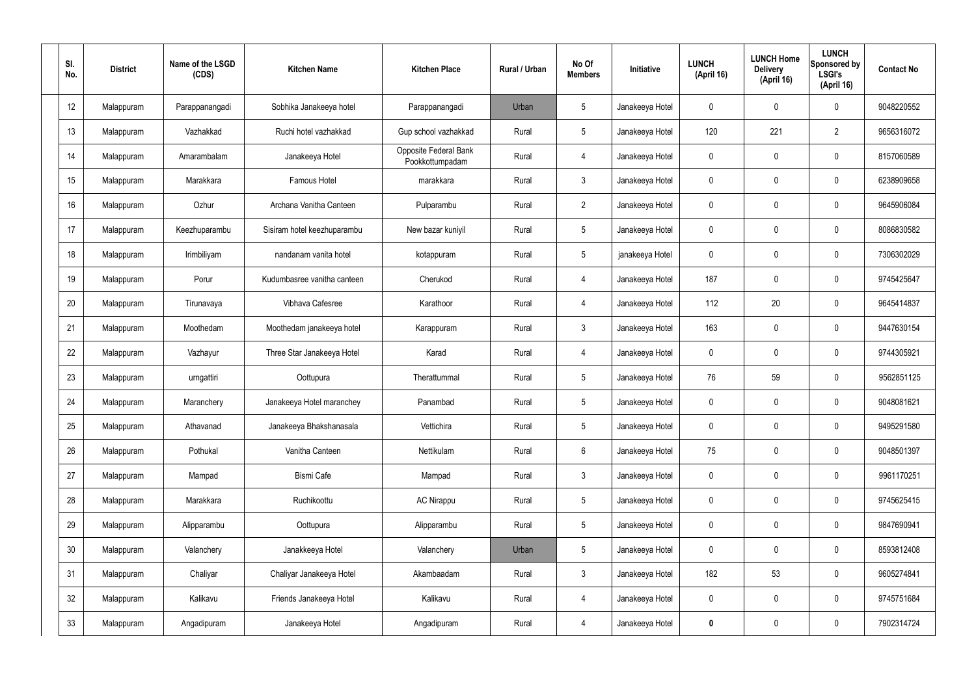| SI.<br>No. | <b>District</b> | Name of the LSGD<br>(CDS) | <b>Kitchen Name</b>         | <b>Kitchen Place</b>                     | Rural / Urban | No Of<br><b>Members</b> | Initiative      | <b>LUNCH</b><br>(April 16) | <b>LUNCH Home</b><br><b>Delivery</b><br>(April 16) | <b>LUNCH</b><br>Sponsored by<br>LSGI's<br>(April 16) | <b>Contact No</b> |
|------------|-----------------|---------------------------|-----------------------------|------------------------------------------|---------------|-------------------------|-----------------|----------------------------|----------------------------------------------------|------------------------------------------------------|-------------------|
| 12         | Malappuram      | Parappanangadi            | Sobhika Janakeeya hotel     | Parappanangadi                           | Urban         | 5                       | Janakeeya Hotel | $\mathbf 0$                | 0                                                  | $\mathbf 0$                                          | 9048220552        |
| 13         | Malappuram      | Vazhakkad                 | Ruchi hotel vazhakkad       | Gup school vazhakkad                     | Rural         | $5\overline{)}$         | Janakeeya Hotel | 120                        | 221                                                | $\overline{2}$                                       | 9656316072        |
| 14         | Malappuram      | Amarambalam               | Janakeeya Hotel             | Opposite Federal Bank<br>Pookkottumpadam | Rural         | $\overline{4}$          | Janakeeya Hotel | $\mathbf 0$                | 0                                                  | $\mathbf 0$                                          | 8157060589        |
| 15         | Malappuram      | Marakkara                 | <b>Famous Hotel</b>         | marakkara                                | Rural         | $\mathbf{3}$            | Janakeeya Hotel | $\mathbf 0$                | 0                                                  | $\mathbf 0$                                          | 6238909658        |
| 16         | Malappuram      | Ozhur                     | Archana Vanitha Canteen     | Pulparambu                               | Rural         | $\overline{2}$          | Janakeeya Hotel | $\mathbf 0$                | 0                                                  | $\mathbf 0$                                          | 9645906084        |
| 17         | Malappuram      | Keezhuparambu             | Sisiram hotel keezhuparambu | New bazar kuniyil                        | Rural         | $5\overline{)}$         | Janakeeya Hotel | $\mathbf 0$                | 0                                                  | $\mathbf 0$                                          | 8086830582        |
| 18         | Malappuram      | Irimbiliyam               | nandanam vanita hotel       | kotappuram                               | Rural         | $5\phantom{.0}$         | janakeeya Hotel | $\mathbf 0$                | 0                                                  | $\mathbf 0$                                          | 7306302029        |
| 19         | Malappuram      | Porur                     | Kudumbasree vanitha canteen | Cherukod                                 | Rural         | $\overline{4}$          | Janakeeya Hotel | 187                        | 0                                                  | $\mathbf 0$                                          | 9745425647        |
| 20         | Malappuram      | Tirunavaya                | Vibhava Cafesree            | Karathoor                                | Rural         | $\overline{4}$          | Janakeeya Hotel | 112                        | 20                                                 | $\mathbf 0$                                          | 9645414837        |
| 21         | Malappuram      | Moothedam                 | Moothedam janakeeya hotel   | Karappuram                               | Rural         | $\mathbf{3}$            | Janakeeya Hotel | 163                        | 0                                                  | $\mathbf 0$                                          | 9447630154        |
| 22         | Malappuram      | Vazhayur                  | Three Star Janakeeya Hotel  | Karad                                    | Rural         | 4                       | Janakeeya Hotel | $\mathbf 0$                | 0                                                  | $\mathbf 0$                                          | 9744305921        |
| 23         | Malappuram      | urngattiri                | Oottupura                   | Therattummal                             | Rural         | $5\phantom{.0}$         | Janakeeya Hotel | 76                         | 59                                                 | $\mathbf 0$                                          | 9562851125        |
| 24         | Malappuram      | Maranchery                | Janakeeya Hotel maranchey   | Panambad                                 | Rural         | $5\phantom{.0}$         | Janakeeya Hotel | $\mathbf 0$                | 0                                                  | $\mathbf 0$                                          | 9048081621        |
| 25         | Malappuram      | Athavanad                 | Janakeeya Bhakshanasala     | Vettichira                               | Rural         | $5\,$                   | Janakeeya Hotel | $\mathbf 0$                | $\mathbf 0$                                        | $\mathbf 0$                                          | 9495291580        |
| 26         | Malappuram      | Pothukal                  | Vanitha Canteen             | Nettikulam                               | Rural         | $6\overline{6}$         | Janakeeya Hotel | 75                         | $\mathbf 0$                                        | $\mathbf 0$                                          | 9048501397        |
| 27         | Malappuram      | Mampad                    | Bismi Cafe                  | Mampad                                   | Rural         | $\mathbf{3}$            | Janakeeya Hotel | $\mathbf 0$                | $\mathbf 0$                                        | $\mathbf 0$                                          | 9961170251        |
| 28         | Malappuram      | Marakkara                 | Ruchikoottu                 | <b>AC Nirappu</b>                        | Rural         | $5\phantom{.0}$         | Janakeeya Hotel | $\mathbf 0$                | $\mathbf 0$                                        | $\mathbf 0$                                          | 9745625415        |
| 29         | Malappuram      | Alipparambu               | Oottupura                   | Alipparambu                              | Rural         | $5\phantom{.0}$         | Janakeeya Hotel | $\mathbf 0$                | $\mathbf 0$                                        | $\mathbf 0$                                          | 9847690941        |
| 30         | Malappuram      | Valanchery                | Janakkeeya Hotel            | Valanchery                               | Urban         | $5\phantom{.0}$         | Janakeeya Hotel | $\mathbf 0$                | 0                                                  | $\mathbf 0$                                          | 8593812408        |
| 31         | Malappuram      | Chaliyar                  | Chaliyar Janakeeya Hotel    | Akambaadam                               | Rural         | $\mathfrak{Z}$          | Janakeeya Hotel | 182                        | 53                                                 | $\mathbf 0$                                          | 9605274841        |
| 32         | Malappuram      | Kalikavu                  | Friends Janakeeya Hotel     | Kalikavu                                 | Rural         | 4                       | Janakeeya Hotel | $\mathbf 0$                | $\mathbf 0$                                        | $\mathbf 0$                                          | 9745751684        |
| 33         | Malappuram      | Angadipuram               | Janakeeya Hotel             | Angadipuram                              | Rural         | $\overline{4}$          | Janakeeya Hotel | $\mathbf 0$                | 0                                                  | $\boldsymbol{0}$                                     | 7902314724        |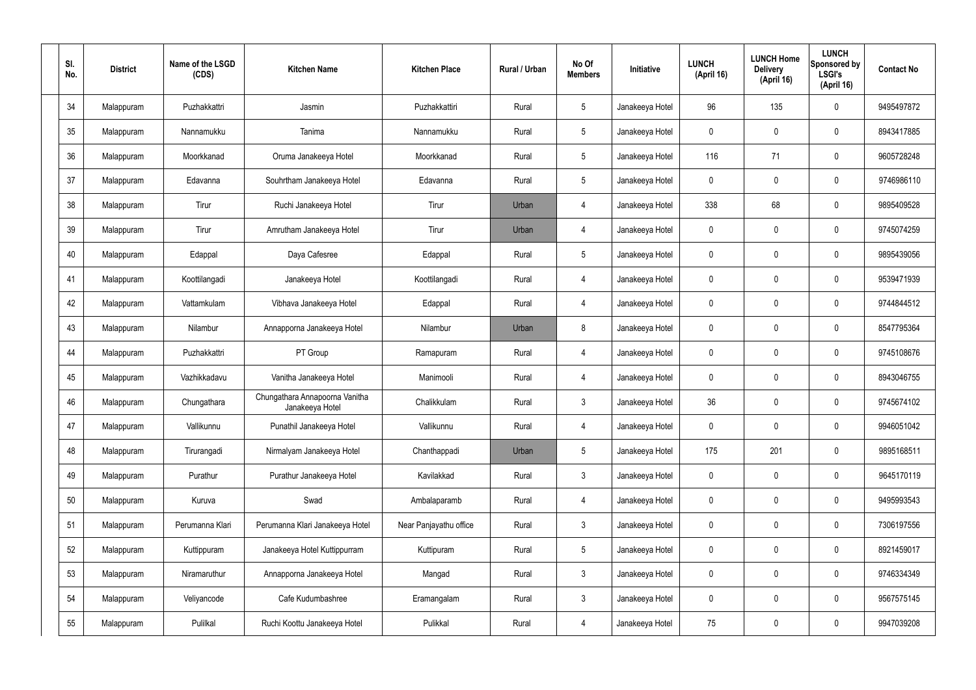| SI.<br>No. | <b>District</b> | Name of the LSGD<br>(CDS) | <b>Kitchen Name</b>                               | <b>Kitchen Place</b>   | Rural / Urban | No Of<br><b>Members</b> | Initiative      | <b>LUNCH</b><br>(April 16) | <b>LUNCH Home</b><br><b>Delivery</b><br>(April 16) | <b>LUNCH</b><br>Sponsored by<br><b>LSGI's</b><br>(April 16) | <b>Contact No</b> |
|------------|-----------------|---------------------------|---------------------------------------------------|------------------------|---------------|-------------------------|-----------------|----------------------------|----------------------------------------------------|-------------------------------------------------------------|-------------------|
| 34         | Malappuram      | Puzhakkattri              | Jasmin                                            | Puzhakkattiri          | Rural         | $5\,$                   | Janakeeya Hotel | 96                         | 135                                                | $\mathbf 0$                                                 | 9495497872        |
| 35         | Malappuram      | Nannamukku                | Tanima                                            | Nannamukku             | Rural         | $5\phantom{.0}$         | Janakeeya Hotel | $\mathbf 0$                | $\mathbf 0$                                        | $\mathbf 0$                                                 | 8943417885        |
| 36         | Malappuram      | Moorkkanad                | Oruma Janakeeya Hotel                             | Moorkkanad             | Rural         | $5\phantom{.0}$         | Janakeeya Hotel | 116                        | 71                                                 | $\mathbf 0$                                                 | 9605728248        |
| 37         | Malappuram      | Edavanna                  | Souhrtham Janakeeya Hotel                         | Edavanna               | Rural         | $5\phantom{.0}$         | Janakeeya Hotel | $\mathbf 0$                | $\mathbf 0$                                        | $\mathbf 0$                                                 | 9746986110        |
| 38         | Malappuram      | Tirur                     | Ruchi Janakeeya Hotel                             | Tirur                  | Urban         | 4                       | Janakeeya Hotel | 338                        | 68                                                 | $\mathbf 0$                                                 | 9895409528        |
| 39         | Malappuram      | Tirur                     | Amrutham Janakeeya Hotel                          | Tirur                  | Urban         | 4                       | Janakeeya Hotel | $\mathbf 0$                | 0                                                  | $\mathbf 0$                                                 | 9745074259        |
| 40         | Malappuram      | Edappal                   | Daya Cafesree                                     | Edappal                | Rural         | $5\phantom{.0}$         | Janakeeya Hotel | $\mathbf 0$                | 0                                                  | $\mathbf 0$                                                 | 9895439056        |
| 41         | Malappuram      | Koottilangadi             | Janakeeya Hotel                                   | Koottilangadi          | Rural         | $\overline{4}$          | Janakeeya Hotel | $\mathbf 0$                | 0                                                  | $\mathbf 0$                                                 | 9539471939        |
| 42         | Malappuram      | Vattamkulam               | Vibhava Janakeeya Hotel                           | Edappal                | Rural         | $\overline{4}$          | Janakeeya Hotel | $\mathbf 0$                | 0                                                  | $\mathbf 0$                                                 | 9744844512        |
| 43         | Malappuram      | Nilambur                  | Annapporna Janakeeya Hotel                        | Nilambur               | Urban         | 8                       | Janakeeya Hotel | $\mathbf 0$                | 0                                                  | $\mathbf 0$                                                 | 8547795364        |
| 44         | Malappuram      | Puzhakkattri              | PT Group                                          | Ramapuram              | Rural         | 4                       | Janakeeya Hotel | $\mathbf 0$                | 0                                                  | $\mathbf 0$                                                 | 9745108676        |
| 45         | Malappuram      | Vazhikkadavu              | Vanitha Janakeeya Hotel                           | Manimooli              | Rural         | 4                       | Janakeeya Hotel | $\mathbf 0$                | 0                                                  | $\mathbf 0$                                                 | 8943046755        |
| 46         | Malappuram      | Chungathara               | Chungathara Annapoorna Vanitha<br>Janakeeya Hotel | Chalikkulam            | Rural         | $\mathbf{3}$            | Janakeeya Hotel | 36                         | 0                                                  | 0                                                           | 9745674102        |
| 47         | Malappuram      | Vallikunnu                | Punathil Janakeeya Hotel                          | Vallikunnu             | Rural         | $\overline{4}$          | Janakeeya Hotel | $\mathbf 0$                | $\mathsf{0}$                                       | $\mathbf 0$                                                 | 9946051042        |
| 48         | Malappuram      | Tirurangadi               | Nirmalyam Janakeeya Hotel                         | Chanthappadi           | Urban         | $5\phantom{.0}$         | Janakeeya Hotel | 175                        | 201                                                | $\mathbf 0$                                                 | 9895168511        |
| 49         | Malappuram      | Purathur                  | Purathur Janakeeya Hotel                          | Kavilakkad             | Rural         | $\mathbf{3}$            | Janakeeya Hotel | $\pmb{0}$                  | 0                                                  | $\mathbf 0$                                                 | 9645170119        |
| 50         | Malappuram      | Kuruva                    | Swad                                              | Ambalaparamb           | Rural         | $\overline{4}$          | Janakeeya Hotel | $\pmb{0}$                  | 0                                                  | $\mathbf 0$                                                 | 9495993543        |
| 51         | Malappuram      | Perumanna Klari           | Perumanna Klari Janakeeya Hotel                   | Near Panjayathu office | Rural         | $\mathfrak{Z}$          | Janakeeya Hotel | 0                          | 0                                                  | $\mathbf 0$                                                 | 7306197556        |
| 52         | Malappuram      | Kuttippuram               | Janakeeya Hotel Kuttippurram                      | Kuttipuram             | Rural         | $5\phantom{.0}$         | Janakeeya Hotel | $\pmb{0}$                  | 0                                                  | $\mathbf 0$                                                 | 8921459017        |
| 53         | Malappuram      | Niramaruthur              | Annapporna Janakeeya Hotel                        | Mangad                 | Rural         | $\mathfrak{Z}$          | Janakeeya Hotel | $\pmb{0}$                  | 0                                                  | $\mathbf 0$                                                 | 9746334349        |
| 54         | Malappuram      | Veliyancode               | Cafe Kudumbashree                                 | Eramangalam            | Rural         | $\mathbf{3}$            | Janakeeya Hotel | $\pmb{0}$                  | 0                                                  | $\mathbf 0$                                                 | 9567575145        |
| 55         | Malappuram      | Pulilkal                  | Ruchi Koottu Janakeeya Hotel                      | Pulikkal               | Rural         | 4                       | Janakeeya Hotel | 75                         | $\pmb{0}$                                          | $\boldsymbol{0}$                                            | 9947039208        |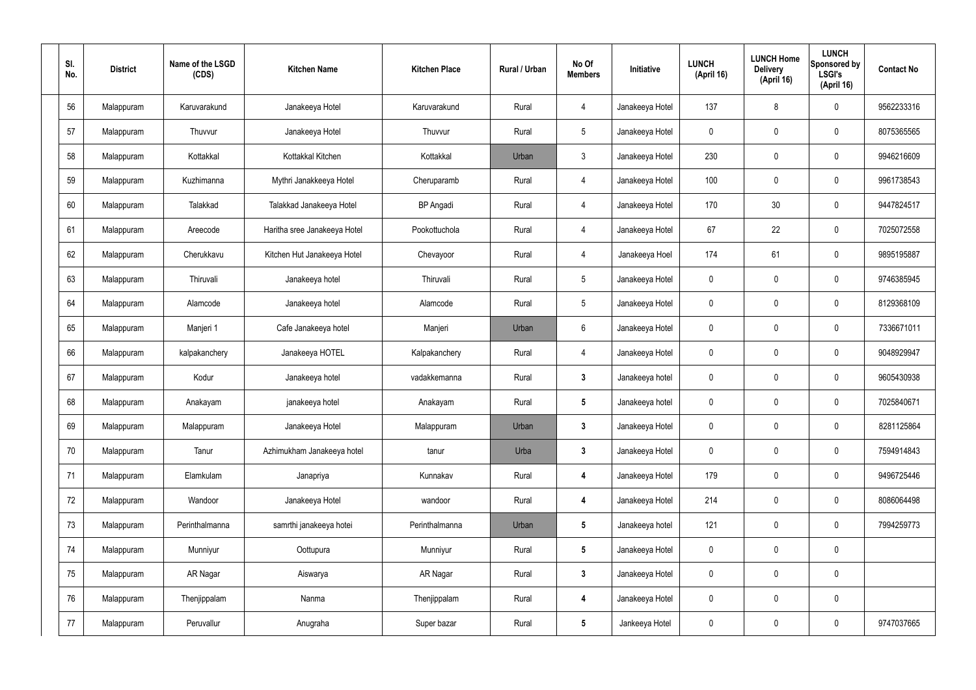| SI.<br>No. | <b>District</b> | Name of the LSGD<br>(CDS) | <b>Kitchen Name</b>          | <b>Kitchen Place</b> | Rural / Urban | No Of<br><b>Members</b> | Initiative      | <b>LUNCH</b><br>(April 16) | <b>LUNCH Home</b><br><b>Delivery</b><br>(April 16) | <b>LUNCH</b><br>Sponsored by<br><b>LSGI's</b><br>(April 16) | <b>Contact No</b> |
|------------|-----------------|---------------------------|------------------------------|----------------------|---------------|-------------------------|-----------------|----------------------------|----------------------------------------------------|-------------------------------------------------------------|-------------------|
| 56         | Malappuram      | Karuvarakund              | Janakeeya Hotel              | Karuvarakund         | Rural         | 4                       | Janakeeya Hotel | 137                        | 8                                                  | $\mathbf 0$                                                 | 9562233316        |
| 57         | Malappuram      | Thuvvur                   | Janakeeya Hotel              | Thuvvur              | Rural         | $5\overline{)}$         | Janakeeya Hotel | $\mathbf 0$                | 0                                                  | $\mathbf 0$                                                 | 8075365565        |
| 58         | Malappuram      | Kottakkal                 | Kottakkal Kitchen            | Kottakkal            | Urban         | $\mathbf{3}$            | Janakeeya Hotel | 230                        | 0                                                  | $\mathbf 0$                                                 | 9946216609        |
| 59         | Malappuram      | Kuzhimanna                | Mythri Janakkeeya Hotel      | Cheruparamb          | Rural         | 4                       | Janakeeya Hotel | 100                        | 0                                                  | $\mathbf 0$                                                 | 9961738543        |
| 60         | Malappuram      | Talakkad                  | Talakkad Janakeeya Hotel     | <b>BP</b> Angadi     | Rural         | 4                       | Janakeeya Hotel | 170                        | 30                                                 | $\mathbf 0$                                                 | 9447824517        |
| 61         | Malappuram      | Areecode                  | Haritha sree Janakeeya Hotel | Pookottuchola        | Rural         | 4                       | Janakeeya Hotel | 67                         | 22                                                 | $\mathbf 0$                                                 | 7025072558        |
| 62         | Malappuram      | Cherukkavu                | Kitchen Hut Janakeeya Hotel  | Chevayoor            | Rural         | 4                       | Janakeeya Hoel  | 174                        | 61                                                 | $\mathbf 0$                                                 | 9895195887        |
| 63         | Malappuram      | Thiruvali                 | Janakeeya hotel              | Thiruvali            | Rural         | $5\,$                   | Janakeeya Hotel | $\mathbf 0$                | 0                                                  | $\mathbf 0$                                                 | 9746385945        |
| 64         | Malappuram      | Alamcode                  | Janakeeya hotel              | Alamcode             | Rural         | $5\phantom{.0}$         | Janakeeya Hotel | $\mathbf 0$                | $\boldsymbol{0}$                                   | $\mathbf 0$                                                 | 8129368109        |
| 65         | Malappuram      | Manjeri 1                 | Cafe Janakeeya hotel         | Manjeri              | Urban         | 6                       | Janakeeya Hotel | $\mathbf 0$                | 0                                                  | $\mathbf 0$                                                 | 7336671011        |
| 66         | Malappuram      | kalpakanchery             | Janakeeya HOTEL              | Kalpakanchery        | Rural         | 4                       | Janakeeya Hotel | $\mathbf 0$                | 0                                                  | $\mathbf 0$                                                 | 9048929947        |
| 67         | Malappuram      | Kodur                     | Janakeeya hotel              | vadakkemanna         | Rural         | $\mathbf{3}$            | Janakeeya hotel | $\mathbf 0$                | $\boldsymbol{0}$                                   | $\mathbf 0$                                                 | 9605430938        |
| 68         | Malappuram      | Anakayam                  | janakeeya hotel              | Anakayam             | Rural         | $5\phantom{.0}$         | Janakeeya hotel | 0                          | $\mathbf 0$                                        | $\boldsymbol{0}$                                            | 7025840671        |
| 69         | Malappuram      | Malappuram                | Janakeeya Hotel              | Malappuram           | Urban         | $\mathbf{3}$            | Janakeeya Hotel | $\mathbf 0$                | 0                                                  | $\mathbf 0$                                                 | 8281125864        |
| 70         | Malappuram      | Tanur                     | Azhimukham Janakeeya hotel   | tanur                | Urba          | $3\phantom{a}$          | Janakeeya Hotel | $\pmb{0}$                  | 0                                                  | $\mathbf 0$                                                 | 7594914843        |
| 71         | Malappuram      | Elamkulam                 | Janapriya                    | Kunnakav             | Rural         | $\overline{\mathbf{4}}$ | Janakeeya Hotel | 179                        | 0                                                  | $\mathbf 0$                                                 | 9496725446        |
| 72         | Malappuram      | Wandoor                   | Janakeeya Hotel              | wandoor              | Rural         | $\overline{\mathbf{4}}$ | Janakeeya Hotel | 214                        | 0                                                  | $\mathbf 0$                                                 | 8086064498        |
| 73         | Malappuram      | Perinthalmanna            | samrthi janakeeya hotei      | Perinthalmanna       | Urban         | $5\phantom{.0}$         | Janakeeya hotel | 121                        | 0                                                  | $\mathbf 0$                                                 | 7994259773        |
| 74         | Malappuram      | Munniyur                  | Oottupura                    | Munniyur             | Rural         | $5\phantom{.0}$         | Janakeeya Hotel | $\mathbf 0$                | $\mathsf{0}$                                       | $\mathbf 0$                                                 |                   |
| 75         | Malappuram      | AR Nagar                  | Aiswarya                     | AR Nagar             | Rural         | $3\phantom{a}$          | Janakeeya Hotel | $\mathbf 0$                | 0                                                  | $\mathbf 0$                                                 |                   |
| 76         | Malappuram      | Thenjippalam              | Nanma                        | Thenjippalam         | Rural         | 4                       | Janakeeya Hotel | $\pmb{0}$                  | $\pmb{0}$                                          | $\mathbf 0$                                                 |                   |
| 77         | Malappuram      | Peruvallur                | Anugraha                     | Super bazar          | Rural         | $5\phantom{.0}$         | Jankeeya Hotel  | 0                          | $\pmb{0}$                                          | $\pmb{0}$                                                   | 9747037665        |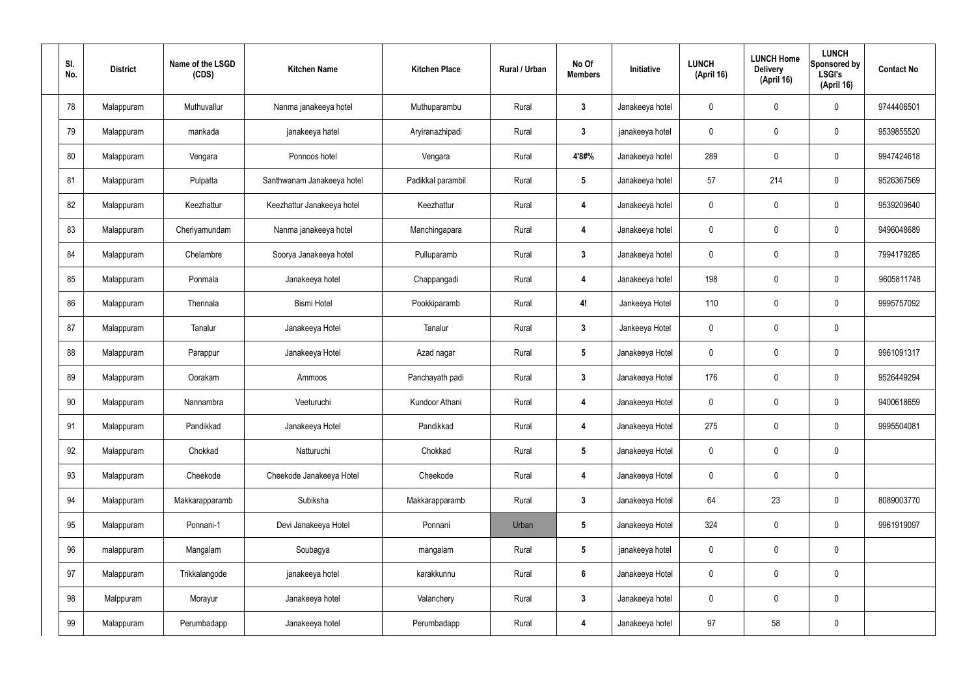| SI.<br>No. | <b>District</b> | Name of the LSGD<br>(CDS) | <b>Kitchen Name</b>        | <b>Kitchen Place</b> | Rural / Urban | No Of<br><b>Members</b> | Initiative      | <b>LUNCH</b><br>(April 16) | <b>LUNCH Home</b><br><b>Delivery</b><br>(April 16) | <b>LUNCH</b><br>Sponsored by<br><b>LSGI's</b><br>(April 16) | <b>Contact No</b> |
|------------|-----------------|---------------------------|----------------------------|----------------------|---------------|-------------------------|-----------------|----------------------------|----------------------------------------------------|-------------------------------------------------------------|-------------------|
| 78         | Malappuram      | Muthuvallur               | Nanma janakeeya hotel      | Muthuparambu         | Rural         | $\mathbf{3}$            | Janakeeya hotel | 0                          | $\mathbf 0$                                        | $\pmb{0}$                                                   | 9744406501        |
| 79         | Malappuram      | mankada                   | janakeeya hatel            | Aryiranazhipadi      | Rural         | $\mathbf{3}$            | janakeeya hotel | 0                          | $\mathbf 0$                                        | $\pmb{0}$                                                   | 9539855520        |
| 80         | Malappuram      | Vengara                   | Ponnoos hotel              | Vengara              | Rural         | 4'8#%                   | Janakeeya hotel | 289                        | $\mathbf 0$                                        | $\pmb{0}$                                                   | 9947424618        |
| 81         | Malappuram      | Pulpatta                  | Santhwanam Janakeeya hotel | Padikkal parambil    | Rural         | $5\phantom{.0}$         | Janakeeya hotel | 57                         | 214                                                | $\mathbf 0$                                                 | 9526367569        |
| 82         | Malappuram      | Keezhattur                | Keezhattur Janakeeya hotel | Keezhattur           | Rural         | $\boldsymbol{4}$        | Janakeeya hotel | 0                          | $\mathbf 0$                                        | $\pmb{0}$                                                   | 9539209640        |
| 83         | Malappuram      | Cheriyamundam             | Nanma janakeeya hotel      | Manchingapara        | Rural         | $\overline{4}$          | Janakeeya hotel | 0                          | $\mathbf 0$                                        | $\mathbf 0$                                                 | 9496048689        |
| 84         | Malappuram      | Chelambre                 | Soorya Janakeeya hotel     | Pulluparamb          | Rural         | $\mathbf{3}$            | Janakeeya hotel | 0                          | $\mathbf 0$                                        | $\pmb{0}$                                                   | 7994179285        |
| 85         | Malappuram      | Ponmala                   | Janakeeya hotel            | Chappangadi          | Rural         | $\overline{\mathbf{4}}$ | Janakeeya hotel | 198                        | $\pmb{0}$                                          | $\mathbf 0$                                                 | 9605811748        |
| 86         | Malappuram      | Thennala                  | <b>Bismi Hotel</b>         | Pookkiparamb         | Rural         | 4!                      | Jankeeya Hotel  | 110                        | $\mathbf 0$                                        | $\pmb{0}$                                                   | 9995757092        |
| 87         | Malappuram      | Tanalur                   | Janakeeya Hotel            | Tanalur              | Rural         | $\mathbf{3}$            | Jankeeya Hotel  | 0                          | $\pmb{0}$                                          | $\pmb{0}$                                                   |                   |
| 88         | Malappuram      | Parappur                  | Janakeeya Hotel            | Azad nagar           | Rural         | $5\phantom{.0}$         | Janakeeya Hotel | 0                          | $\pmb{0}$                                          | $\pmb{0}$                                                   | 9961091317        |
| 89         | Malappuram      | Oorakam                   | Ammoos                     | Panchayath padi      | Rural         | $\mathbf{3}$            | Janakeeya Hotel | 176                        | $\mathbf 0$                                        | $\pmb{0}$                                                   | 9526449294        |
| 90         | Malappuram      | Nannambra                 | Veeturuchi                 | Kundoor Athani       | Rural         | $\overline{4}$          | Janakeeya Hotel | 0                          | $\mathbf 0$                                        | $\mathbf 0$                                                 | 9400618659        |
| 91         | Malappuram      | Pandikkad                 | Janakeeya Hotel            | Pandikkad            | Rural         | $\overline{\mathbf{4}}$ | Janakeeya Hotel | 275                        | $\mathbf 0$                                        | $\pmb{0}$                                                   | 9995504081        |
| 92         | Malappuram      | Chokkad                   | Natturuchi                 | Chokkad              | Rural         | $5\phantom{.0}$         | Janakeeya Hotel | $\mathbf 0$                | $\overline{0}$                                     | $\mathbf 0$                                                 |                   |
| 93         | Malappuram      | Cheekode                  | Cheekode Janakeeya Hotel   | Cheekode             | Rural         | $\overline{\mathbf{4}}$ | Janakeeya Hotel | 0                          | $\mathbf 0$                                        | $\pmb{0}$                                                   |                   |
| 94         | Malappuram      | Makkarapparamb            | Subiksha                   | Makkarapparamb       | Rural         | $3\phantom{a}$          | Janakeeya Hotel | 64                         | 23                                                 | $\pmb{0}$                                                   | 8089003770        |
| 95         | Malappuram      | Ponnani-1                 | Devi Janakeeya Hotel       | Ponnani              | Urban         | $5\phantom{.0}$         | Janakeeya Hotel | 324                        | $\mathbf 0$                                        | $\mathbf 0$                                                 | 9961919097        |
| 96         | malappuram      | Mangalam                  | Soubagya                   | mangalam             | Rural         | $5\phantom{.0}$         | janakeeya hotel | 0                          | $\mathbf 0$                                        | $\mathbf 0$                                                 |                   |
| 97         | Malappuram      | Trikkalangode             | janakeeya hotel            | karakkunnu           | Rural         | $6\phantom{.}6$         | Janakeeya Hotel | 0                          | $\overline{0}$                                     | $\pmb{0}$                                                   |                   |
| 98         | Malppuram       | Morayur                   | Janakeeya hotel            | Valanchery           | Rural         | $\mathbf{3}$            | Janakeeya hotel | 0                          | $\mathbf 0$                                        | $\mathbf 0$                                                 |                   |
| 99         | Malappuram      | Perumbadapp               | Janakeeya hotel            | Perumbadapp          | Rural         | $\overline{\mathbf{4}}$ | Janakeeya hotel | 97                         | 58                                                 | $\pmb{0}$                                                   |                   |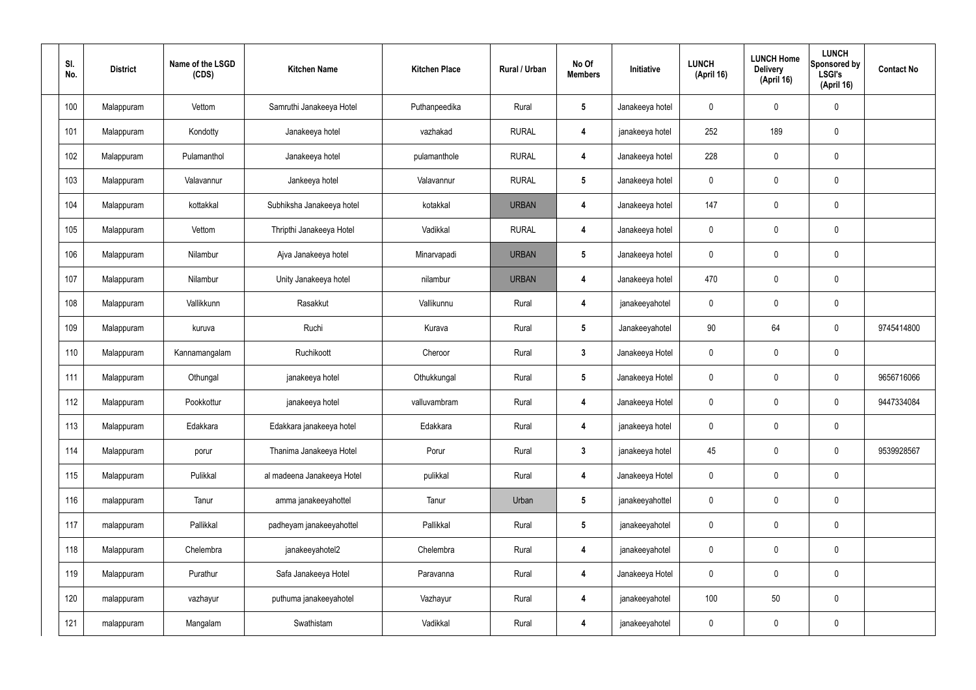| SI.<br>No. | <b>District</b> | Name of the LSGD<br>(CDS) | <b>Kitchen Name</b>        | <b>Kitchen Place</b> | Rural / Urban | No Of<br><b>Members</b> | Initiative      | <b>LUNCH</b><br>(April 16) | <b>LUNCH Home</b><br><b>Delivery</b><br>(April 16) | <b>LUNCH</b><br>Sponsored by<br><b>LSGI's</b><br>(April 16) | <b>Contact No</b> |
|------------|-----------------|---------------------------|----------------------------|----------------------|---------------|-------------------------|-----------------|----------------------------|----------------------------------------------------|-------------------------------------------------------------|-------------------|
| 100        | Malappuram      | Vettom                    | Samruthi Janakeeya Hotel   | Puthanpeedika        | Rural         | $\sqrt{5}$              | Janakeeya hotel | 0                          | $\pmb{0}$                                          | 0                                                           |                   |
| 101        | Malappuram      | Kondotty                  | Janakeeya hotel            | vazhakad             | <b>RURAL</b>  | $\overline{4}$          | janakeeya hotel | 252                        | 189                                                | 0                                                           |                   |
| 102        | Malappuram      | Pulamanthol               | Janakeeya hotel            | pulamanthole         | <b>RURAL</b>  | $\overline{4}$          | Janakeeya hotel | 228                        | $\mathbf 0$                                        | 0                                                           |                   |
| 103        | Malappuram      | Valavannur                | Jankeeya hotel             | Valavannur           | <b>RURAL</b>  | $5\phantom{.0}$         | Janakeeya hotel | 0                          | $\mathbf 0$                                        | 0                                                           |                   |
| 104        | Malappuram      | kottakkal                 | Subhiksha Janakeeya hotel  | kotakkal             | <b>URBAN</b>  | 4                       | Janakeeya hotel | 147                        | $\mathbf 0$                                        | 0                                                           |                   |
| 105        | Malappuram      | Vettom                    | Thripthi Janakeeya Hotel   | Vadikkal             | <b>RURAL</b>  | $\overline{4}$          | Janakeeya hotel | $\mathbf 0$                | $\mathbf 0$                                        | 0                                                           |                   |
| 106        | Malappuram      | Nilambur                  | Ajva Janakeeya hotel       | Minarvapadi          | <b>URBAN</b>  | $\sqrt{5}$              | Janakeeya hotel | 0                          | $\mathbf 0$                                        | 0                                                           |                   |
| 107        | Malappuram      | Nilambur                  | Unity Janakeeya hotel      | nilambur             | <b>URBAN</b>  | $\overline{4}$          | Janakeeya hotel | 470                        | $\mathbf 0$                                        | 0                                                           |                   |
| 108        | Malappuram      | Vallikkunn                | Rasakkut                   | Vallikunnu           | Rural         | $\overline{4}$          | janakeeyahotel  | 0                          | $\mathbf 0$                                        | 0                                                           |                   |
| 109        | Malappuram      | kuruva                    | Ruchi                      | Kurava               | Rural         | $5\phantom{.0}$         | Janakeeyahotel  | 90                         | 64                                                 | 0                                                           | 9745414800        |
| 110        | Malappuram      | Kannamangalam             | Ruchikoott                 | Cheroor              | Rural         | $\mathbf{3}$            | Janakeeya Hotel | 0                          | $\mathbf 0$                                        | 0                                                           |                   |
| 111        | Malappuram      | Othungal                  | janakeeya hotel            | Othukkungal          | Rural         | $5\phantom{.0}$         | Janakeeya Hotel | $\mathbf 0$                | $\mathbf 0$                                        | 0                                                           | 9656716066        |
| 112        | Malappuram      | Pookkottur                | janakeeya hotel            | valluvambram         | Rural         | 4                       | Janakeeya Hotel | 0                          | $\mathbf 0$                                        | 0                                                           | 9447334084        |
| 113        | Malappuram      | Edakkara                  | Edakkara janakeeya hotel   | Edakkara             | Rural         | -4                      | janakeeya hotel | $\mathbf 0$                | $\mathbf 0$                                        | 0                                                           |                   |
| 114        | Malappuram      | porur                     | Thanima Janakeeya Hotel    | Porur                | Rural         | $\mathbf{3}$            | janakeeya hotel | 45                         | $\mathbf 0$                                        | $\pmb{0}$                                                   | 9539928567        |
| 115        | Malappuram      | Pulikkal                  | al madeena Janakeeya Hotel | pulikkal             | Rural         | $\overline{\mathbf{4}}$ | Janakeeya Hotel | 0                          | $\mathbf 0$                                        | 0                                                           |                   |
| 116        | malappuram      | Tanur                     | amma janakeeyahottel       | Tanur                | Urban         | $5\phantom{.0}$         | janakeeyahottel | $\mathbf 0$                | $\mathbf 0$                                        | $\pmb{0}$                                                   |                   |
| 117        | malappuram      | Pallikkal                 | padheyam janakeeyahottel   | Pallikkal            | Rural         | $5\phantom{.0}$         | janakeeyahotel  | 0                          | $\mathbf 0$                                        | 0                                                           |                   |
| 118        | Malappuram      | Chelembra                 | janakeeyahotel2            | Chelembra            | Rural         | $\overline{4}$          | janakeeyahotel  | $\mathbf 0$                | $\mathbf 0$                                        | 0                                                           |                   |
| 119        | Malappuram      | Purathur                  | Safa Janakeeya Hotel       | Paravanna            | Rural         | $\boldsymbol{4}$        | Janakeeya Hotel | $\mathbf 0$                | $\mathbf 0$                                        | 0                                                           |                   |
| 120        | malappuram      | vazhayur                  | puthuma janakeeyahotel     | Vazhayur             | Rural         | 4                       | janakeeyahotel  | 100                        | 50                                                 | 0                                                           |                   |
| 121        | malappuram      | Mangalam                  | Swathistam                 | Vadikkal             | Rural         | 4                       | janakeeyahotel  | 0                          | $\bm{0}$                                           | 0                                                           |                   |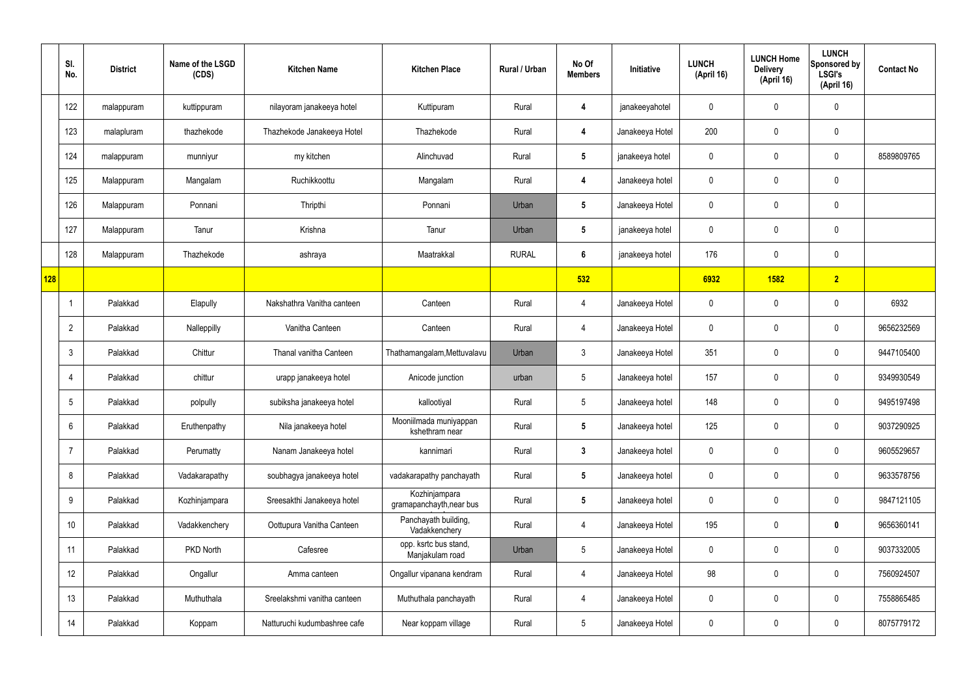|     | SI.<br>No.     | <b>District</b> | Name of the LSGD<br>(CDS) | <b>Kitchen Name</b>          | <b>Kitchen Place</b>                      | Rural / Urban | No Of<br><b>Members</b> | Initiative      | <b>LUNCH</b><br>(April 16) | <b>LUNCH Home</b><br><b>Delivery</b><br>(April 16) | <b>LUNCH</b><br>Sponsored by<br><b>LSGI's</b><br>(April 16) | <b>Contact No</b> |
|-----|----------------|-----------------|---------------------------|------------------------------|-------------------------------------------|---------------|-------------------------|-----------------|----------------------------|----------------------------------------------------|-------------------------------------------------------------|-------------------|
|     | 122            | malappuram      | kuttippuram               | nilayoram janakeeya hotel    | Kuttipuram                                | Rural         | 4                       | janakeeyahotel  | $\mathbf 0$                | $\mathbf 0$                                        | $\pmb{0}$                                                   |                   |
|     | 123            | malapluram      | thazhekode                | Thazhekode Janakeeya Hotel   | Thazhekode                                | Rural         | $\overline{4}$          | Janakeeya Hotel | 200                        | $\mathbf 0$                                        | $\mathbf 0$                                                 |                   |
|     | 124            | malappuram      | munniyur                  | my kitchen                   | Alinchuvad                                | Rural         | $5\phantom{.0}$         | janakeeya hotel | $\mathbf 0$                | $\mathbf 0$                                        | $\mathbf 0$                                                 | 8589809765        |
|     | 125            | Malappuram      | Mangalam                  | Ruchikkoottu                 | Mangalam                                  | Rural         | $\overline{4}$          | Janakeeya hotel | $\mathbf 0$                | $\mathbf 0$                                        | $\mathbf 0$                                                 |                   |
|     | 126            | Malappuram      | Ponnani                   | Thripthi                     | Ponnani                                   | Urban         | $5\phantom{.0}$         | Janakeeya Hotel | $\mathbf 0$                | $\mathbf 0$                                        | $\mathbf 0$                                                 |                   |
|     | 127            | Malappuram      | Tanur                     | Krishna                      | Tanur                                     | Urban         | $5\phantom{.0}$         | janakeeya hotel | $\mathbf 0$                | $\mathbf 0$                                        | $\mathbf 0$                                                 |                   |
|     | 128            | Malappuram      | Thazhekode                | ashraya                      | Maatrakkal                                | <b>RURAL</b>  | $6\phantom{.}6$         | janakeeya hotel | 176                        | $\mathbf 0$                                        | $\mathbf 0$                                                 |                   |
| 128 |                |                 |                           |                              |                                           |               | 532                     |                 | 6932                       | 1582                                               | 2                                                           |                   |
|     | -1             | Palakkad        | Elapully                  | Nakshathra Vanitha canteen   | Canteen                                   | Rural         | 4                       | Janakeeya Hotel | $\mathbf 0$                | $\mathbf 0$                                        | $\mathbf 0$                                                 | 6932              |
|     | $\overline{2}$ | Palakkad        | Nalleppilly               | Vanitha Canteen              | Canteen                                   | Rural         | 4                       | Janakeeya Hotel | $\mathbf 0$                | $\mathbf 0$                                        | $\mathbf 0$                                                 | 9656232569        |
|     | 3              | Palakkad        | Chittur                   | Thanal vanitha Canteen       | Thathamangalam, Mettuvalavu               | Urban         | $\mathbf{3}$            | Janakeeya Hotel | 351                        | 0                                                  | $\mathbf 0$                                                 | 9447105400        |
|     | $\overline{4}$ | Palakkad        | chittur                   | urapp janakeeya hotel        | Anicode junction                          | urban         | $5\overline{)}$         | Janakeeya hotel | 157                        | $\mathbf 0$                                        | $\mathbf 0$                                                 | 9349930549        |
|     | 5              | Palakkad        | polpully                  | subiksha janakeeya hotel     | kallootiyal                               | Rural         | $5\overline{)}$         | Janakeeya hotel | 148                        | $\mathbf 0$                                        | $\mathbf 0$                                                 | 9495197498        |
|     | 6              | Palakkad        | Eruthenpathy              | Nila janakeeya hotel         | Mooniilmada muniyappan<br>kshethram near  | Rural         | $5\overline{)}$         | Janakeeya hotel | 125                        | $\mathbf 0$                                        | $\mathbf 0$                                                 | 9037290925        |
|     | $\overline{7}$ | Palakkad        | Perumatty                 | Nanam Janakeeya hotel        | kannimari                                 | Rural         | $3\phantom{a}$          | Janakeeya hotel | $\mathbf 0$                | $\mathbf 0$                                        | $\mathbf 0$                                                 | 9605529657        |
|     | 8              | Palakkad        | Vadakarapathy             | soubhagya janakeeya hotel    | vadakarapathy panchayath                  | Rural         | $5\overline{)}$         | Janakeeya hotel | $\mathbf 0$                | $\mathbf 0$                                        | $\mathbf 0$                                                 | 9633578756        |
|     | 9              | Palakkad        | Kozhinjampara             | Sreesakthi Janakeeya hotel   | Kozhinjampara<br>gramapanchayth, near bus | Rural         | $5\phantom{.0}$         | Janakeeya hotel | $\mathbf 0$                | $\mathbf 0$                                        | $\mathbf 0$                                                 | 9847121105        |
|     | 10             | Palakkad        | Vadakkenchery             | Oottupura Vanitha Canteen    | Panchayath building,<br>Vadakkenchery     | Rural         | $\overline{4}$          | Janakeeya Hotel | 195                        | 0                                                  | $\mathbf 0$                                                 | 9656360141        |
|     | 11             | Palakkad        | PKD North                 | Cafesree                     | opp. ksrtc bus stand,<br>Manjakulam road  | Urban         | $5\overline{)}$         | Janakeeya Hotel | $\mathbf 0$                | 0                                                  | $\mathbf 0$                                                 | 9037332005        |
|     | 12             | Palakkad        | Ongallur                  | Amma canteen                 | Ongallur vipanana kendram                 | Rural         | $\overline{4}$          | Janakeeya Hotel | 98                         | 0                                                  | $\mathbf 0$                                                 | 7560924507        |
|     | 13             | Palakkad        | Muthuthala                | Sreelakshmi vanitha canteen  | Muthuthala panchayath                     | Rural         | $\overline{4}$          | Janakeeya Hotel | $\mathbf 0$                | $\mathbf 0$                                        | $\mathbf 0$                                                 | 7558865485        |
|     | 14             | Palakkad        | Koppam                    | Natturuchi kudumbashree cafe | Near koppam village                       | Rural         | $5\phantom{.0}$         | Janakeeya Hotel | $\pmb{0}$                  | 0                                                  | $\boldsymbol{0}$                                            | 8075779172        |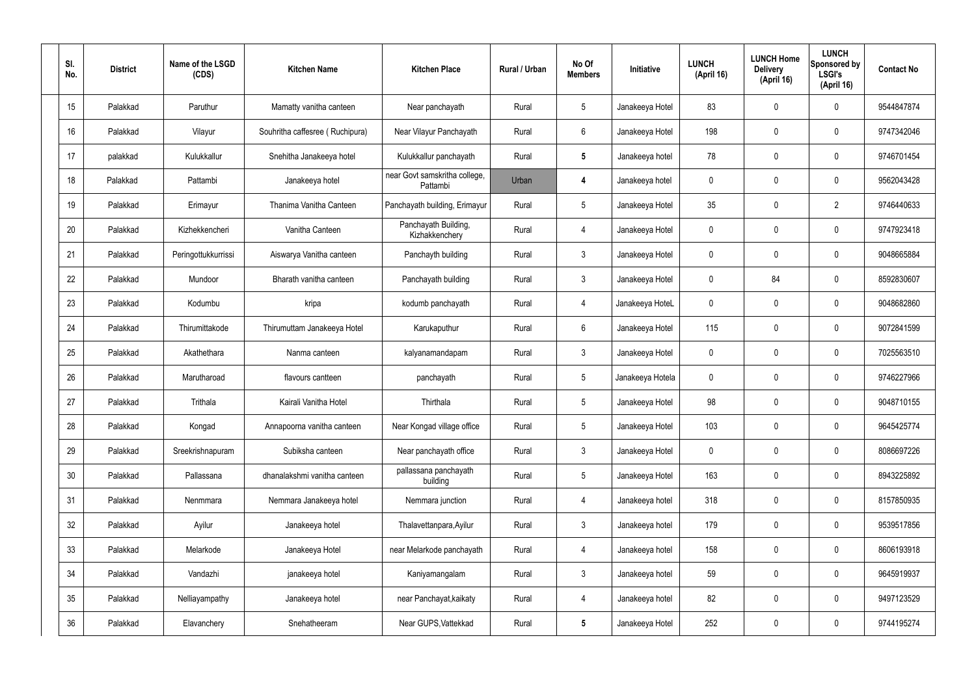| SI.<br>No. | <b>District</b> | Name of the LSGD<br>(CDS) | <b>Kitchen Name</b>             | <b>Kitchen Place</b>                      | Rural / Urban | No Of<br><b>Members</b> | Initiative       | <b>LUNCH</b><br>(April 16) | <b>LUNCH Home</b><br><b>Delivery</b><br>(April 16) | <b>LUNCH</b><br>Sponsored by<br><b>LSGI's</b><br>(April 16) | <b>Contact No</b> |
|------------|-----------------|---------------------------|---------------------------------|-------------------------------------------|---------------|-------------------------|------------------|----------------------------|----------------------------------------------------|-------------------------------------------------------------|-------------------|
| 15         | Palakkad        | Paruthur                  | Mamatty vanitha canteen         | Near panchayath                           | Rural         | 5                       | Janakeeya Hotel  | 83                         | 0                                                  | $\mathbf 0$                                                 | 9544847874        |
| 16         | Palakkad        | Vilayur                   | Souhritha caffesree (Ruchipura) | Near Vilayur Panchayath                   | Rural         | 6                       | Janakeeya Hotel  | 198                        | 0                                                  | $\mathbf 0$                                                 | 9747342046        |
| 17         | palakkad        | Kulukkallur               | Snehitha Janakeeya hotel        | Kulukkallur panchayath                    | Rural         | $5\phantom{.0}$         | Janakeeya hotel  | 78                         | 0                                                  | $\mathbf 0$                                                 | 9746701454        |
| 18         | Palakkad        | Pattambi                  | Janakeeya hotel                 | near Govt samskritha college,<br>Pattambi | Urban         | 4                       | Janakeeya hotel  | $\mathbf 0$                | 0                                                  | $\mathbf 0$                                                 | 9562043428        |
| 19         | Palakkad        | Erimayur                  | Thanima Vanitha Canteen         | Panchayath building, Erimayur             | Rural         | $5\overline{)}$         | Janakeeya Hotel  | 35                         | 0                                                  | $\overline{2}$                                              | 9746440633        |
| 20         | Palakkad        | Kizhekkencheri            | Vanitha Canteen                 | Panchayath Building,<br>Kizhakkenchery    | Rural         | 4                       | Janakeeya Hotel  | $\mathbf 0$                | $\mathbf 0$                                        | $\mathbf 0$                                                 | 9747923418        |
| 21         | Palakkad        | Peringottukkurrissi       | Aiswarya Vanitha canteen        | Panchayth building                        | Rural         | $\mathbf{3}$            | Janakeeya Hotel  | $\mathbf 0$                | $\mathbf 0$                                        | $\mathbf 0$                                                 | 9048665884        |
| 22         | Palakkad        | Mundoor                   | Bharath vanitha canteen         | Panchayath building                       | Rural         | $\mathbf{3}$            | Janakeeya Hotel  | $\mathbf 0$                | 84                                                 | $\mathbf 0$                                                 | 8592830607        |
| 23         | Palakkad        | Kodumbu                   | kripa                           | kodumb panchayath                         | Rural         | 4                       | Janakeeya HoteL  | $\mathbf 0$                | 0                                                  | $\mathbf 0$                                                 | 9048682860        |
| 24         | Palakkad        | Thirumittakode            | Thirumuttam Janakeeya Hotel     | Karukaputhur                              | Rural         | 6                       | Janakeeya Hotel  | 115                        | 0                                                  | $\mathbf 0$                                                 | 9072841599        |
| 25         | Palakkad        | Akathethara               | Nanma canteen                   | kalyanamandapam                           | Rural         | $\mathbf{3}$            | Janakeeya Hotel  | $\mathbf 0$                | 0                                                  | $\mathbf 0$                                                 | 7025563510        |
| 26         | Palakkad        | Marutharoad               | flavours cantteen               | panchayath                                | Rural         | $5\phantom{.0}$         | Janakeeya Hotela | $\mathbf 0$                | 0                                                  | $\boldsymbol{0}$                                            | 9746227966        |
| 27         | Palakkad        | Trithala                  | Kairali Vanitha Hotel           | Thirthala                                 | Rural         | $5\phantom{.0}$         | Janakeeya Hotel  | 98                         | 0                                                  | 0                                                           | 9048710155        |
| 28         | Palakkad        | Kongad                    | Annapoorna vanitha canteen      | Near Kongad village office                | Rural         | $5\phantom{.0}$         | Janakeeya Hotel  | 103                        | $\mathbf 0$                                        | $\mathbf 0$                                                 | 9645425774        |
| 29         | Palakkad        | Sreekrishnapuram          | Subiksha canteen                | Near panchayath office                    | Rural         | $3\phantom{a}$          | Janakeeya Hotel  | $\mathbf 0$                | $\mathbf 0$                                        | $\mathbf 0$                                                 | 8086697226        |
| 30         | Palakkad        | Pallassana                | dhanalakshmi vanitha canteen    | pallassana panchayath<br>building         | Rural         | $5\phantom{.0}$         | Janakeeya Hotel  | 163                        | $\mathbf 0$                                        | $\mathbf 0$                                                 | 8943225892        |
| 31         | Palakkad        | Nenmmara                  | Nemmara Janakeeya hotel         | Nemmara junction                          | Rural         | $\overline{4}$          | Janakeeya hotel  | 318                        | $\mathbf 0$                                        | $\mathbf 0$                                                 | 8157850935        |
| 32         | Palakkad        | Ayilur                    | Janakeeya hotel                 | Thalavettanpara, Ayilur                   | Rural         | $\mathbf{3}$            | Janakeeya hotel  | 179                        | 0                                                  | $\mathbf 0$                                                 | 9539517856        |
| 33         | Palakkad        | Melarkode                 | Janakeeya Hotel                 | near Melarkode panchayath                 | Rural         | 4                       | Janakeeya hotel  | 158                        | 0                                                  | $\mathbf 0$                                                 | 8606193918        |
| 34         | Palakkad        | Vandazhi                  | janakeeya hotel                 | Kaniyamangalam                            | Rural         | $\mathbf{3}$            | Janakeeya hotel  | 59                         | 0                                                  | $\mathbf 0$                                                 | 9645919937        |
| 35         | Palakkad        | Nelliayampathy            | Janakeeya hotel                 | near Panchayat, kaikaty                   | Rural         | $\overline{4}$          | Janakeeya hotel  | 82                         | $\mathbf 0$                                        | $\mathbf 0$                                                 | 9497123529        |
| 36         | Palakkad        | Elavanchery               | Snehatheeram                    | Near GUPS, Vattekkad                      | Rural         | $5\phantom{.0}$         | Janakeeya Hotel  | 252                        | 0                                                  | $\boldsymbol{0}$                                            | 9744195274        |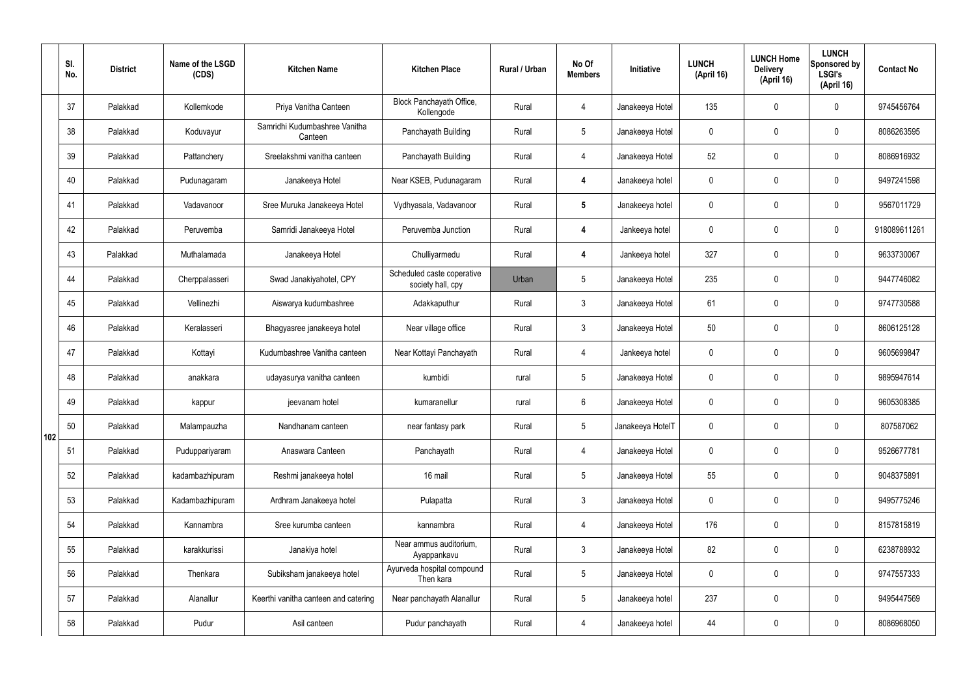|     | SI.<br>No. | <b>District</b> | Name of the LSGD<br>(CDS) | <b>Kitchen Name</b>                      | <b>Kitchen Place</b>                            | Rural / Urban | No Of<br><b>Members</b> | Initiative       | <b>LUNCH</b><br>(April 16) | <b>LUNCH Home</b><br><b>Delivery</b><br>(April 16) | <b>LUNCH</b><br>Sponsored by<br><b>LSGI's</b><br>(April 16) | <b>Contact No</b> |
|-----|------------|-----------------|---------------------------|------------------------------------------|-------------------------------------------------|---------------|-------------------------|------------------|----------------------------|----------------------------------------------------|-------------------------------------------------------------|-------------------|
|     | 37         | Palakkad        | Kollemkode                | Priya Vanitha Canteen                    | Block Panchayath Office,<br>Kollengode          | Rural         | $\overline{4}$          | Janakeeya Hotel  | 135                        | $\mathbf 0$                                        | $\mathbf 0$                                                 | 9745456764        |
|     | 38         | Palakkad        | Koduvayur                 | Samridhi Kudumbashree Vanitha<br>Canteen | Panchayath Building                             | Rural         | $5\overline{)}$         | Janakeeya Hotel  | $\mathbf 0$                | $\mathbf 0$                                        | $\mathbf 0$                                                 | 8086263595        |
|     | 39         | Palakkad        | Pattanchery               | Sreelakshmi vanitha canteen              | Panchayath Building                             | Rural         | $\overline{4}$          | Janakeeya Hotel  | 52                         | $\mathbf 0$                                        | $\mathbf 0$                                                 | 8086916932        |
|     | 40         | Palakkad        | Pudunagaram               | Janakeeya Hotel                          | Near KSEB, Pudunagaram                          | Rural         | $\boldsymbol{4}$        | Janakeeya hotel  | $\mathbf 0$                | $\mathbf 0$                                        | $\mathbf 0$                                                 | 9497241598        |
|     | 41         | Palakkad        | Vadavanoor                | Sree Muruka Janakeeya Hotel              | Vydhyasala, Vadavanoor                          | Rural         | $5\phantom{.0}$         | Janakeeya hotel  | $\mathbf 0$                | $\mathbf 0$                                        | $\mathbf 0$                                                 | 9567011729        |
|     | 42         | Palakkad        | Peruvemba                 | Samridi Janakeeya Hotel                  | Peruvemba Junction                              | Rural         | $\boldsymbol{4}$        | Jankeeya hotel   | $\mathbf 0$                | $\mathbf 0$                                        | $\mathbf 0$                                                 | 918089611261      |
|     | 43         | Palakkad        | Muthalamada               | Janakeeya Hotel                          | Chulliyarmedu                                   | Rural         | $\boldsymbol{4}$        | Jankeeya hotel   | 327                        | $\mathbf 0$                                        | $\mathbf 0$                                                 | 9633730067        |
|     | 44         | Palakkad        | Cherppalasseri            | Swad Janakiyahotel, CPY                  | Scheduled caste coperative<br>society hall, cpy | Urban         | 5                       | Janakeeya Hotel  | 235                        | $\mathbf 0$                                        | $\mathbf 0$                                                 | 9447746082        |
|     | 45         | Palakkad        | Vellinezhi                | Aiswarya kudumbashree                    | Adakkaputhur                                    | Rural         | $\mathbf{3}$            | Janakeeya Hotel  | 61                         | $\mathbf 0$                                        | $\mathbf 0$                                                 | 9747730588        |
|     | 46         | Palakkad        | Keralasseri               | Bhagyasree janakeeya hotel               | Near village office                             | Rural         | $\mathbf{3}$            | Janakeeya Hotel  | 50                         | $\mathbf 0$                                        | $\mathbf 0$                                                 | 8606125128        |
|     | 47         | Palakkad        | Kottayi                   | Kudumbashree Vanitha canteen             | Near Kottayi Panchayath                         | Rural         | $\overline{4}$          | Jankeeya hotel   | $\mathbf 0$                | $\mathbf 0$                                        | $\mathbf 0$                                                 | 9605699847        |
|     | 48         | Palakkad        | anakkara                  | udayasurya vanitha canteen               | kumbidi                                         | rural         | $5\phantom{.0}$         | Janakeeya Hotel  | $\mathbf 0$                | 0                                                  | $\mathbf 0$                                                 | 9895947614        |
|     | 49         | Palakkad        | kappur                    | jeevanam hotel                           | kumaranellur                                    | rural         | 6                       | Janakeeya Hotel  | $\mathbf 0$                | 0                                                  | $\mathbf 0$                                                 | 9605308385        |
| 102 | 50         | Palakkad        | Malampauzha               | Nandhanam canteen                        | near fantasy park                               | Rural         | $5\phantom{.0}$         | Janakeeya HotelT | $\mathbf 0$                | $\mathbf 0$                                        | $\mathbf 0$                                                 | 807587062         |
|     | 51         | Palakkad        | Puduppariyaram            | Anaswara Canteen                         | Panchayath                                      | Rural         | $\overline{4}$          | Janakeeya Hotel  | $\mathbf 0$                | $\mathbf 0$                                        | $\mathbf 0$                                                 | 9526677781        |
|     | 52         | Palakkad        | kadambazhipuram           | Reshmi janakeeya hotel                   | 16 mail                                         | Rural         | 5 <sup>5</sup>          | Janakeeya Hotel  | 55                         | $\mathbf 0$                                        | $\mathbf 0$                                                 | 9048375891        |
|     | 53         | Palakkad        | Kadambazhipuram           | Ardhram Janakeeya hotel                  | Pulapatta                                       | Rural         | $\mathbf{3}$            | Janakeeya Hotel  | $\mathbf 0$                | $\pmb{0}$                                          | $\mathbf 0$                                                 | 9495775246        |
|     | 54         | Palakkad        | Kannambra                 | Sree kurumba canteen                     | kannambra                                       | Rural         | $\overline{4}$          | Janakeeya Hotel  | 176                        | $\pmb{0}$                                          | $\mathbf 0$                                                 | 8157815819        |
|     | 55         | Palakkad        | karakkurissi              | Janakiya hotel                           | Near ammus auditorium,<br>Ayappankavu           | Rural         | $\mathbf{3}$            | Janakeeya Hotel  | 82                         | $\pmb{0}$                                          | $\mathbf 0$                                                 | 6238788932        |
|     | 56         | Palakkad        | Thenkara                  | Subiksham janakeeya hotel                | Ayurveda hospital compound<br>Then kara         | Rural         | $5\phantom{.0}$         | Janakeeya Hotel  | $\mathbf 0$                | $\mathbf 0$                                        | $\mathbf 0$                                                 | 9747557333        |
|     | 57         | Palakkad        | Alanallur                 | Keerthi vanitha canteen and catering     | Near panchayath Alanallur                       | Rural         | $5\phantom{.0}$         | Janakeeya hotel  | 237                        | $\mathbf 0$                                        | $\mathbf 0$                                                 | 9495447569        |
|     | 58         | Palakkad        | Pudur                     | Asil canteen                             | Pudur panchayath                                | Rural         | 4                       | Janakeeya hotel  | 44                         | $\pmb{0}$                                          | $\boldsymbol{0}$                                            | 8086968050        |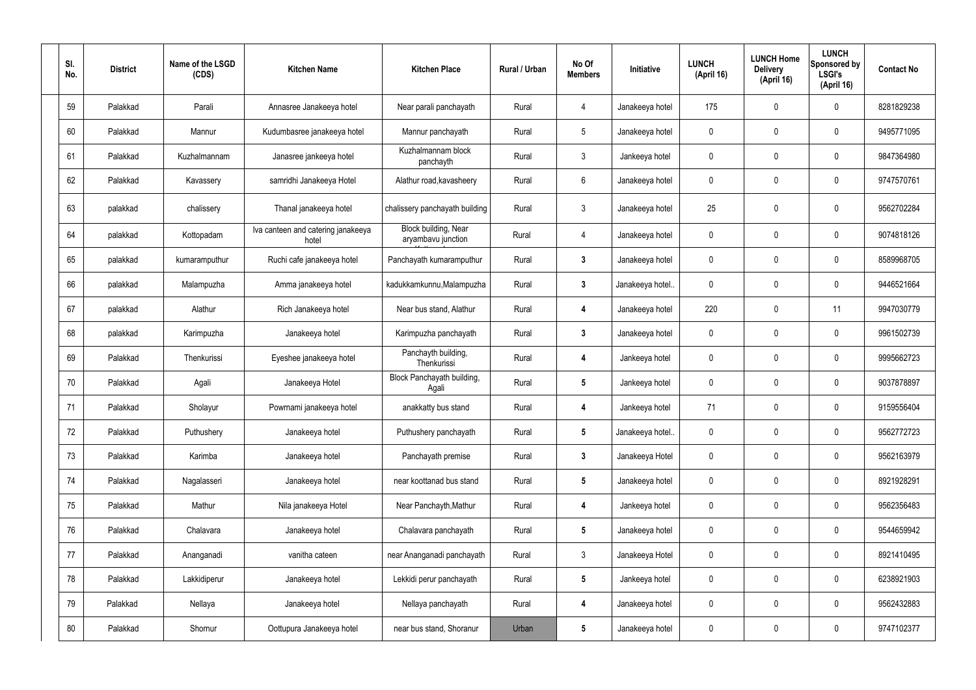| SI.<br>No. | <b>District</b> | Name of the LSGD<br>(CDS) | <b>Kitchen Name</b>                         | <b>Kitchen Place</b>                              | Rural / Urban | No Of<br><b>Members</b> | Initiative       | <b>LUNCH</b><br>(April 16) | <b>LUNCH Home</b><br><b>Delivery</b><br>(April 16) | <b>LUNCH</b><br>Sponsored by<br><b>LSGI's</b><br>(April 16) | <b>Contact No</b> |
|------------|-----------------|---------------------------|---------------------------------------------|---------------------------------------------------|---------------|-------------------------|------------------|----------------------------|----------------------------------------------------|-------------------------------------------------------------|-------------------|
| 59         | Palakkad        | Parali                    | Annasree Janakeeya hotel                    | Near parali panchayath                            | Rural         | 4                       | Janakeeya hotel  | 175                        | 0                                                  | $\mathbf 0$                                                 | 8281829238        |
| 60         | Palakkad        | Mannur                    | Kudumbasree janakeeya hotel                 | Mannur panchayath                                 | Rural         | $5\phantom{.0}$         | Janakeeya hotel  | $\mathbf 0$                | $\mathbf 0$                                        | $\mathbf 0$                                                 | 9495771095        |
| 61         | Palakkad        | Kuzhalmannam              | Janasree jankeeya hotel                     | Kuzhalmannam block<br>panchayth                   | Rural         | $\mathbf{3}$            | Jankeeya hotel   | $\mathbf 0$                | 0                                                  | $\mathbf 0$                                                 | 9847364980        |
| 62         | Palakkad        | Kavassery                 | samridhi Janakeeya Hotel                    | Alathur road, kavasheery                          | Rural         | $6\phantom{.}6$         | Janakeeya hotel  | $\mathbf 0$                | 0                                                  | $\mathbf 0$                                                 | 9747570761        |
| 63         | palakkad        | chalissery                | Thanal janakeeya hotel                      | chalissery panchayath building                    | Rural         | $\mathfrak{Z}$          | Janakeeya hotel  | 25                         | $\boldsymbol{0}$                                   | $\boldsymbol{0}$                                            | 9562702284        |
| 64         | palakkad        | Kottopadam                | Iva canteen and catering janakeeya<br>hotel | <b>Block building, Near</b><br>aryambavu junction | Rural         | 4                       | Janakeeya hotel  | $\mathbf 0$                | 0                                                  | $\mathbf 0$                                                 | 9074818126        |
| 65         | palakkad        | kumaramputhur             | Ruchi cafe janakeeya hotel                  | Panchayath kumaramputhur                          | Rural         | $\mathbf{3}$            | Janakeeya hotel  | $\mathbf 0$                | 0                                                  | $\mathbf 0$                                                 | 8589968705        |
| 66         | palakkad        | Malampuzha                | Amma janakeeya hotel                        | kadukkamkunnu, Malampuzha                         | Rural         | $3\phantom{a}$          | Janakeeya hotel. | $\mathbf 0$                | 0                                                  | $\mathbf 0$                                                 | 9446521664        |
| 67         | palakkad        | Alathur                   | Rich Janakeeya hotel                        | Near bus stand, Alathur                           | Rural         | 4                       | Janakeeya hotel  | 220                        | $\boldsymbol{0}$                                   | 11                                                          | 9947030779        |
| 68         | palakkad        | Karimpuzha                | Janakeeya hotel                             | Karimpuzha panchayath                             | Rural         | $\mathbf{3}$            | Janakeeya hotel  | $\mathbf 0$                | 0                                                  | $\mathbf 0$                                                 | 9961502739        |
| 69         | Palakkad        | Thenkurissi               | Eyeshee janakeeya hotel                     | Panchayth building,<br>Thenkurissi                | Rural         | 4                       | Jankeeya hotel   | $\mathbf 0$                | 0                                                  | $\mathbf 0$                                                 | 9995662723        |
| 70         | Palakkad        | Agali                     | Janakeeya Hotel                             | Block Panchayath building,<br>Agali               | Rural         | $5\phantom{.0}$         | Jankeeya hotel   | $\mathbf 0$                | 0                                                  | $\mathbf 0$                                                 | 9037878897        |
| 71         | Palakkad        | Sholayur                  | Powrnami janakeeya hotel                    | anakkatty bus stand                               | Rural         | 4                       | Jankeeya hotel   | 71                         | 0                                                  | $\Omega$                                                    | 9159556404        |
| 72         | Palakkad        | Puthushery                | Janakeeya hotel                             | Puthushery panchayath                             | Rural         | $5\phantom{.0}$         | Janakeeya hotel  | $\pmb{0}$                  | 0                                                  | $\mathbf 0$                                                 | 9562772723        |
| 73         | Palakkad        | Karimba                   | Janakeeya hotel                             | Panchayath premise                                | Rural         | $3\phantom{a}$          | Janakeeya Hotel  | 0                          | 0                                                  | $\mathbf 0$                                                 | 9562163979        |
| 74         | Palakkad        | Nagalasseri               | Janakeeya hotel                             | near koottanad bus stand                          | Rural         | $5\phantom{.0}$         | Janakeeya hotel  | 0                          | 0                                                  | $\mathbf 0$                                                 | 8921928291        |
| 75         | Palakkad        | Mathur                    | Nila janakeeya Hotel                        | Near Panchayth, Mathur                            | Rural         | 4                       | Jankeeya hotel   | 0                          | 0                                                  | $\mathbf 0$                                                 | 9562356483        |
| 76         | Palakkad        | Chalavara                 | Janakeeya hotel                             | Chalavara panchayath                              | Rural         | $5\phantom{.0}$         | Janakeeya hotel  | 0                          | 0                                                  | $\mathbf 0$                                                 | 9544659942        |
| 77         | Palakkad        | Ananganadi                | vanitha cateen                              | near Ananganadi panchayath                        | Rural         | $\mathfrak{Z}$          | Janakeeya Hotel  | 0                          | 0                                                  | $\mathbf 0$                                                 | 8921410495        |
| 78         | Palakkad        | Lakkidiperur              | Janakeeya hotel                             | Lekkidi perur panchayath                          | Rural         | $5\phantom{.0}$         | Jankeeya hotel   | 0                          | 0                                                  | $\mathbf 0$                                                 | 6238921903        |
| 79         | Palakkad        | Nellaya                   | Janakeeya hotel                             | Nellaya panchayath                                | Rural         | 4                       | Janakeeya hotel  | 0                          | 0                                                  | $\mathbf 0$                                                 | 9562432883        |
| 80         | Palakkad        | Shornur                   | Oottupura Janakeeya hotel                   | near bus stand, Shoranur                          | Urban         | $\sqrt{5}$              | Janakeeya hotel  | 0                          | 0                                                  | $\mathbf 0$                                                 | 9747102377        |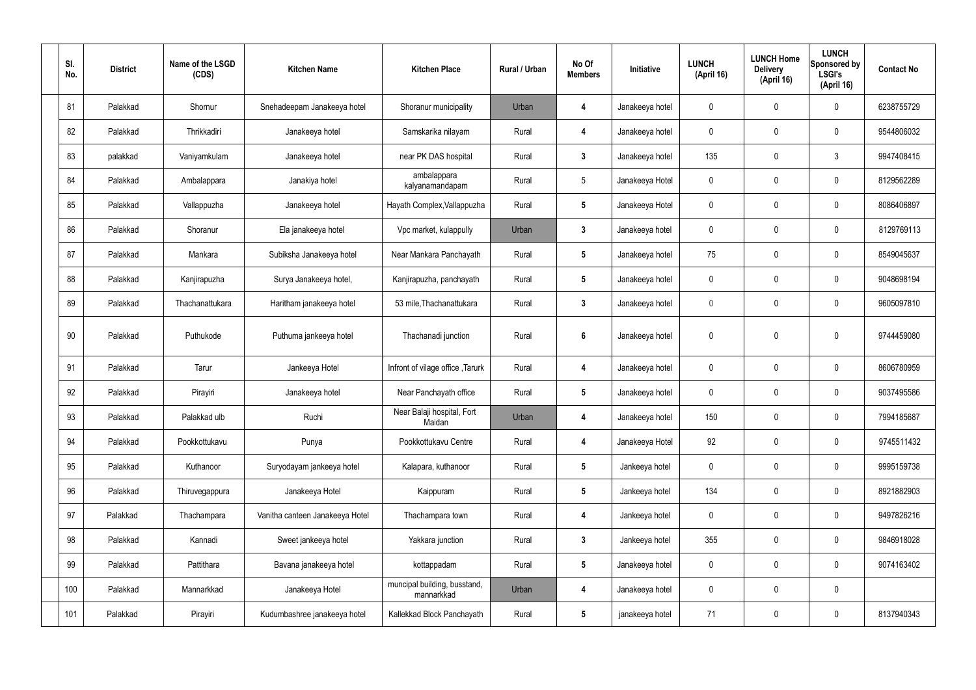| SI.<br>No. | <b>District</b> | Name of the LSGD<br>(CDS) | <b>Kitchen Name</b>             | <b>Kitchen Place</b>                       | <b>Rural / Urban</b> | No Of<br><b>Members</b> | Initiative      | <b>LUNCH</b><br>(April 16) | <b>LUNCH Home</b><br><b>Delivery</b><br>(April 16) | <b>LUNCH</b><br>Sponsored by<br><b>LSGI's</b><br>(April 16) | <b>Contact No</b> |
|------------|-----------------|---------------------------|---------------------------------|--------------------------------------------|----------------------|-------------------------|-----------------|----------------------------|----------------------------------------------------|-------------------------------------------------------------|-------------------|
| 81         | Palakkad        | Shornur                   | Snehadeepam Janakeeya hotel     | Shoranur municipality                      | Urban                | 4                       | Janakeeya hotel | $\mathbf 0$                | 0                                                  | $\mathbf 0$                                                 | 6238755729        |
| 82         | Palakkad        | Thrikkadiri               | Janakeeya hotel                 | Samskarika nilayam                         | Rural                | $\overline{4}$          | Janakeeya hotel | $\mathbf 0$                | $\mathbf 0$                                        | $\mathbf 0$                                                 | 9544806032        |
| 83         | palakkad        | Vaniyamkulam              | Janakeeya hotel                 | near PK DAS hospital                       | Rural                | $\mathbf{3}$            | Janakeeya hotel | 135                        | 0                                                  | $\mathfrak{Z}$                                              | 9947408415        |
| 84         | Palakkad        | Ambalappara               | Janakiya hotel                  | ambalappara<br>kalyanamandapam             | Rural                | 5                       | Janakeeya Hotel | $\mathbf 0$                | $\mathbf 0$                                        | $\mathbf 0$                                                 | 8129562289        |
| 85         | Palakkad        | Vallappuzha               | Janakeeya hotel                 | Hayath Complex, Vallappuzha                | Rural                | $5\phantom{.0}$         | Janakeeya Hotel | $\mathbf 0$                | 0                                                  | $\mathbf 0$                                                 | 8086406897        |
| 86         | Palakkad        | Shoranur                  | Ela janakeeya hotel             | Vpc market, kulappully                     | Urban                | 3                       | Janakeeya hotel | $\mathbf 0$                | $\mathbf 0$                                        | $\mathbf 0$                                                 | 8129769113        |
| 87         | Palakkad        | Mankara                   | Subiksha Janakeeya hotel        | Near Mankara Panchayath                    | Rural                | $5\phantom{.0}$         | Janakeeya hotel | 75                         | $\mathbf 0$                                        | $\mathbf 0$                                                 | 8549045637        |
| 88         | Palakkad        | Kanjirapuzha              | Surya Janakeeya hotel,          | Kanjirapuzha, panchayath                   | Rural                | $5\phantom{.0}$         | Janakeeya hotel | $\mathbf 0$                | $\mathbf 0$                                        | $\mathbf 0$                                                 | 9048698194        |
| 89         | Palakkad        | Thachanattukara           | Haritham janakeeya hotel        | 53 mile, Thachanattukara                   | Rural                | $\mathbf{3}$            | Janakeeya hotel | $\mathbf 0$                | 0                                                  | $\mathbf 0$                                                 | 9605097810        |
| 90         | Palakkad        | Puthukode                 | Puthuma jankeeya hotel          | Thachanadi junction                        | Rural                | 6                       | Janakeeya hotel | $\boldsymbol{0}$           | $\mathbf 0$                                        | $\mathbf 0$                                                 | 9744459080        |
| 91         | Palakkad        | Tarur                     | Jankeeya Hotel                  | Infront of vilage office, Tarurk           | Rural                | $\overline{\mathbf{4}}$ | Janakeeya hotel | $\mathbf 0$                | $\mathbf 0$                                        | $\mathbf 0$                                                 | 8606780959        |
| 92         | Palakkad        | Pirayiri                  | Janakeeya hotel                 | Near Panchayath office                     | Rural                | $5\phantom{.0}$         | Janakeeya hotel | $\boldsymbol{0}$           | $\pmb{0}$                                          | $\mathbf 0$                                                 | 9037495586        |
| 93         | Palakkad        | Palakkad ulb              | Ruchi                           | Near Balaji hospital, Fort<br>Maidan       | Urban                | 4                       | Janakeeya hotel | 150                        | $\mathbf 0$                                        | $\mathbf 0$                                                 | 7994185687        |
| 94         | Palakkad        | Pookkottukavu             | Punya                           | Pookkottukavu Centre                       | Rural                | 4                       | Janakeeya Hotel | 92                         | $\pmb{0}$                                          | $\mathbf 0$                                                 | 9745511432        |
| 95         | Palakkad        | Kuthanoor                 | Suryodayam jankeeya hotel       | Kalapara, kuthanoor                        | Rural                | $5\phantom{.0}$         | Jankeeya hotel  | $\pmb{0}$                  | $\mathbf 0$                                        | $\mathbf 0$                                                 | 9995159738        |
| 96         | Palakkad        | Thiruvegappura            | Janakeeya Hotel                 | Kaippuram                                  | Rural                | $5\phantom{.0}$         | Jankeeya hotel  | 134                        | $\pmb{0}$                                          | $\mathbf 0$                                                 | 8921882903        |
| 97         | Palakkad        | Thachampara               | Vanitha canteen Janakeeya Hotel | Thachampara town                           | Rural                | 4                       | Jankeeya hotel  | $\pmb{0}$                  | $\pmb{0}$                                          | $\mathbf 0$                                                 | 9497826216        |
| 98         | Palakkad        | Kannadi                   | Sweet jankeeya hotel            | Yakkara junction                           | Rural                | 3                       | Jankeeya hotel  | 355                        | $\mathbf 0$                                        | $\mathbf 0$                                                 | 9846918028        |
| 99         | Palakkad        | Pattithara                | Bavana janakeeya hotel          | kottappadam                                | Rural                | $5\phantom{.0}$         | Janakeeya hotel | $\pmb{0}$                  | $\pmb{0}$                                          | $\mathbf 0$                                                 | 9074163402        |
| 100        | Palakkad        | Mannarkkad                | Janakeeya Hotel                 | muncipal building, busstand,<br>mannarkkad | Urban                | 4                       | Janakeeya hotel | $\pmb{0}$                  | $\pmb{0}$                                          | $\mathbf 0$                                                 |                   |
| 101        | Palakkad        | Pirayiri                  | Kudumbashree janakeeya hotel    | Kallekkad Block Panchayath                 | Rural                | $5\phantom{.0}$         | janakeeya hotel | 71                         | $\pmb{0}$                                          | $\mathbf 0$                                                 | 8137940343        |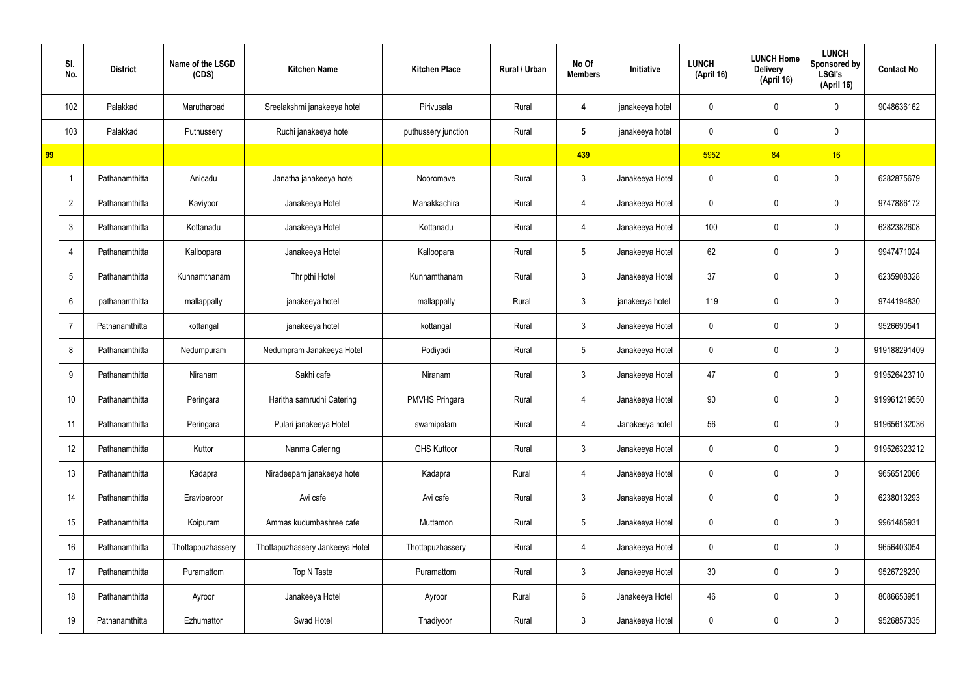|    | SI.<br>No.      | <b>District</b> | Name of the LSGD<br>(CDS) | <b>Kitchen Name</b>             | <b>Kitchen Place</b>  | Rural / Urban | No Of<br><b>Members</b> | Initiative      | <b>LUNCH</b><br>(April 16) | <b>LUNCH Home</b><br><b>Delivery</b><br>(April 16) | <b>LUNCH</b><br>Sponsored by<br><b>LSGI's</b><br>(April 16) | <b>Contact No</b> |
|----|-----------------|-----------------|---------------------------|---------------------------------|-----------------------|---------------|-------------------------|-----------------|----------------------------|----------------------------------------------------|-------------------------------------------------------------|-------------------|
|    | 102             | Palakkad        | Marutharoad               | Sreelakshmi janakeeya hotel     | Pirivusala            | Rural         | 4                       | janakeeya hotel | 0                          | 0                                                  | $\mathbf 0$                                                 | 9048636162        |
|    | 103             | Palakkad        | Puthussery                | Ruchi janakeeya hotel           | puthussery junction   | Rural         | $5\overline{)}$         | janakeeya hotel | 0                          | $\mathbf 0$                                        | $\pmb{0}$                                                   |                   |
| 99 |                 |                 |                           |                                 |                       |               | 439                     |                 | 5952                       | 84                                                 | 16                                                          |                   |
|    |                 | Pathanamthitta  | Anicadu                   | Janatha janakeeya hotel         | Nooromave             | Rural         | $\mathbf{3}$            | Janakeeya Hotel | 0                          | $\mathbf 0$                                        | $\mathbf 0$                                                 | 6282875679        |
|    | $\overline{2}$  | Pathanamthitta  | Kaviyoor                  | Janakeeya Hotel                 | Manakkachira          | Rural         | 4                       | Janakeeya Hotel | 0                          | 0                                                  | $\mathbf 0$                                                 | 9747886172        |
|    | $\mathbf{3}$    | Pathanamthitta  | Kottanadu                 | Janakeeya Hotel                 | Kottanadu             | Rural         | 4                       | Janakeeya Hotel | 100                        | 0                                                  | $\mathbf 0$                                                 | 6282382608        |
|    | $\overline{4}$  | Pathanamthitta  | Kalloopara                | Janakeeya Hotel                 | Kalloopara            | Rural         | $5\overline{)}$         | Janakeeya Hotel | 62                         | 0                                                  | $\mathbf 0$                                                 | 9947471024        |
|    | $5\phantom{.0}$ | Pathanamthitta  | Kunnamthanam              | Thripthi Hotel                  | Kunnamthanam          | Rural         | $\mathbf{3}$            | Janakeeya Hotel | 37                         | $\mathbf 0$                                        | $\mathbf 0$                                                 | 6235908328        |
|    | 6               | pathanamthitta  | mallappally               | janakeeya hotel                 | mallappally           | Rural         | $\mathbf{3}$            | janakeeya hotel | 119                        | 0                                                  | $\mathbf 0$                                                 | 9744194830        |
|    | 7               | Pathanamthitta  | kottangal                 | janakeeya hotel                 | kottangal             | Rural         | $\mathbf{3}$            | Janakeeya Hotel | 0                          | 0                                                  | $\mathbf 0$                                                 | 9526690541        |
|    | 8               | Pathanamthitta  | Nedumpuram                | Nedumpram Janakeeya Hotel       | Podiyadi              | Rural         | $5\overline{)}$         | Janakeeya Hotel | 0                          | 0                                                  | $\mathbf 0$                                                 | 919188291409      |
|    | 9               | Pathanamthitta  | Niranam                   | Sakhi cafe                      | Niranam               | Rural         | $\mathbf{3}$            | Janakeeya Hotel | 47                         | 0                                                  | $\mathbf 0$                                                 | 919526423710      |
|    | 10              | Pathanamthitta  | Peringara                 | Haritha samrudhi Catering       | <b>PMVHS Pringara</b> | Rural         | 4                       | Janakeeya Hotel | 90                         | 0                                                  | $\mathbf 0$                                                 | 919961219550      |
|    | 11              | Pathanamthitta  | Peringara                 | Pulari janakeeya Hotel          | swamipalam            | Rural         | 4                       | Janakeeya hotel | 56                         | $\mathbf 0$                                        | $\mathbf 0$                                                 | 919656132036      |
|    | 12              | Pathanamthitta  | Kuttor                    | Nanma Catering                  | <b>GHS Kuttoor</b>    | Rural         | 3 <sup>1</sup>          | Janakeeya Hotel | $\mathbf 0$                | 0                                                  | $\mathbf 0$                                                 | 919526323212      |
|    | 13              | Pathanamthitta  | Kadapra                   | Niradeepam janakeeya hotel      | Kadapra               | Rural         | 4                       | Janakeeya Hotel | $\mathbf 0$                | 0                                                  | $\mathbf 0$                                                 | 9656512066        |
|    | 14              | Pathanamthitta  | Eraviperoor               | Avi cafe                        | Avi cafe              | Rural         | $\mathbf{3}$            | Janakeeya Hotel | $\mathbf 0$                | 0                                                  | $\mathbf 0$                                                 | 6238013293        |
|    | 15              | Pathanamthitta  | Koipuram                  | Ammas kudumbashree cafe         | Muttamon              | Rural         | $5\overline{)}$         | Janakeeya Hotel | $\mathbf 0$                | 0                                                  | $\mathbf 0$                                                 | 9961485931        |
|    | 16              | Pathanamthitta  | Thottappuzhassery         | Thottapuzhassery Jankeeya Hotel | Thottapuzhassery      | Rural         | 4                       | Janakeeya Hotel | $\mathbf 0$                | 0                                                  | $\mathbf 0$                                                 | 9656403054        |
|    | 17              | Pathanamthitta  | Puramattom                | Top N Taste                     | Puramattom            | Rural         | $\mathbf{3}$            | Janakeeya Hotel | 30 <sub>o</sub>            | 0                                                  | $\mathbf 0$                                                 | 9526728230        |
|    | 18              | Pathanamthitta  | Ayroor                    | Janakeeya Hotel                 | Ayroor                | Rural         | $6\phantom{.}6$         | Janakeeya Hotel | 46                         | 0                                                  | $\mathbf 0$                                                 | 8086653951        |
|    | 19              | Pathanamthitta  | Ezhumattor                | Swad Hotel                      | Thadiyoor             | Rural         | $\mathfrak{Z}$          | Janakeeya Hotel | 0                          | 0                                                  | $\overline{0}$                                              | 9526857335        |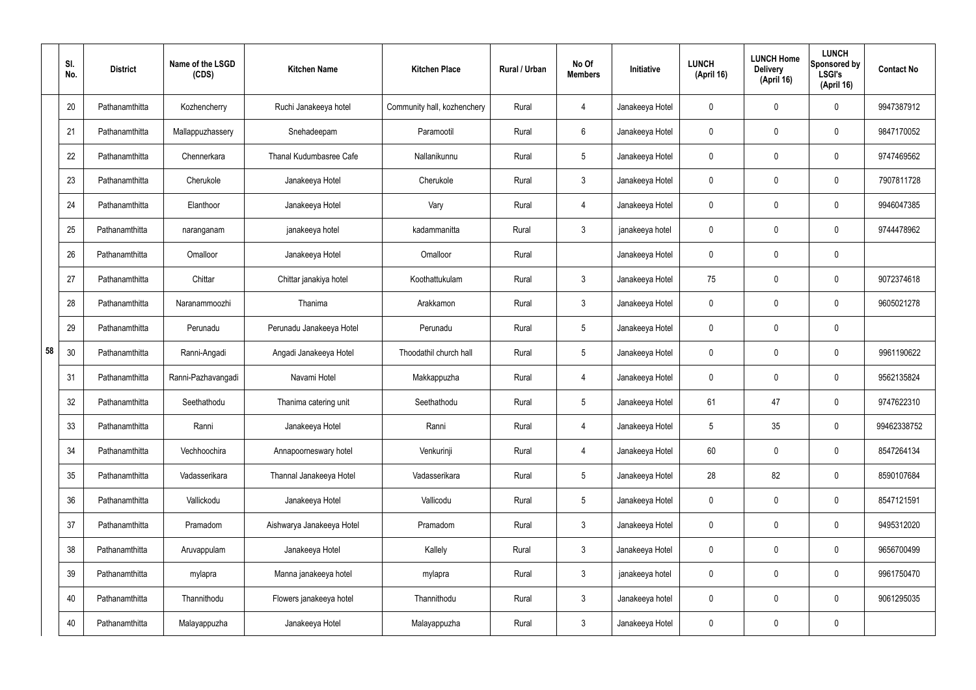|    | SI.<br>No. | <b>District</b> | Name of the LSGD<br>(CDS) | <b>Kitchen Name</b>       | <b>Kitchen Place</b>        | Rural / Urban | No Of<br><b>Members</b> | Initiative      | <b>LUNCH</b><br>(April 16) | <b>LUNCH Home</b><br><b>Delivery</b><br>(April 16) | <b>LUNCH</b><br>Sponsored by<br><b>LSGI's</b><br>(April 16) | <b>Contact No</b> |
|----|------------|-----------------|---------------------------|---------------------------|-----------------------------|---------------|-------------------------|-----------------|----------------------------|----------------------------------------------------|-------------------------------------------------------------|-------------------|
|    | 20         | Pathanamthitta  | Kozhencherry              | Ruchi Janakeeya hotel     | Community hall, kozhenchery | Rural         | $\overline{4}$          | Janakeeya Hotel | 0                          | 0                                                  | $\mathbf 0$                                                 | 9947387912        |
|    | 21         | Pathanamthitta  | Mallappuzhassery          | Snehadeepam               | Paramootil                  | Rural         | 6                       | Janakeeya Hotel | $\mathbf 0$                | 0                                                  | $\mathbf 0$                                                 | 9847170052        |
|    | 22         | Pathanamthitta  | Chennerkara               | Thanal Kudumbasree Cafe   | Nallanikunnu                | Rural         | $5\phantom{.0}$         | Janakeeya Hotel | 0                          | 0                                                  | $\mathbf 0$                                                 | 9747469562        |
|    | 23         | Pathanamthitta  | Cherukole                 | Janakeeya Hotel           | Cherukole                   | Rural         | $\mathbf{3}$            | Janakeeya Hotel | $\mathbf 0$                | 0                                                  | $\mathbf 0$                                                 | 7907811728        |
|    | 24         | Pathanamthitta  | Elanthoor                 | Janakeeya Hotel           | Vary                        | Rural         | $\overline{4}$          | Janakeeya Hotel | $\mathbf 0$                | 0                                                  | $\mathbf 0$                                                 | 9946047385        |
|    | 25         | Pathanamthitta  | naranganam                | janakeeya hotel           | kadammanitta                | Rural         | $\mathbf{3}$            | janakeeya hotel | $\mathbf 0$                | 0                                                  | $\mathbf 0$                                                 | 9744478962        |
|    | 26         | Pathanamthitta  | Omalloor                  | Janakeeya Hotel           | Omalloor                    | Rural         |                         | Janakeeya Hotel | $\mathbf 0$                | 0                                                  | $\mathbf 0$                                                 |                   |
|    | 27         | Pathanamthitta  | Chittar                   | Chittar janakiya hotel    | Koothattukulam              | Rural         | $\mathbf{3}$            | Janakeeya Hotel | 75                         | 0                                                  | $\mathbf 0$                                                 | 9072374618        |
|    | 28         | Pathanamthitta  | Naranammoozhi             | Thanima                   | Arakkamon                   | Rural         | $\mathbf{3}$            | Janakeeya Hotel | $\mathbf 0$                | 0                                                  | $\mathbf 0$                                                 | 9605021278        |
|    | 29         | Pathanamthitta  | Perunadu                  | Perunadu Janakeeya Hotel  | Perunadu                    | Rural         | $5\phantom{.0}$         | Janakeeya Hotel | $\mathbf 0$                | 0                                                  | $\mathbf 0$                                                 |                   |
| 58 | 30         | Pathanamthitta  | Ranni-Angadi              | Angadi Janakeeya Hotel    | Thoodathil church hall      | Rural         | $5\phantom{.0}$         | Janakeeya Hotel | 0                          | 0                                                  | $\boldsymbol{0}$                                            | 9961190622        |
|    | 31         | Pathanamthitta  | Ranni-Pazhavangadi        | Navami Hotel              | Makkappuzha                 | Rural         | 4                       | Janakeeya Hotel | $\mathbf 0$                | 0                                                  | $\boldsymbol{0}$                                            | 9562135824        |
|    | 32         | Pathanamthitta  | Seethathodu               | Thanima catering unit     | Seethathodu                 | Rural         | $5\phantom{.0}$         | Janakeeya Hotel | 61                         | 47                                                 | $\mathbf 0$                                                 | 9747622310        |
|    | 33         | Pathanamthitta  | Ranni                     | Janakeeya Hotel           | Ranni                       | Rural         | $\overline{4}$          | Janakeeya Hotel | $5\phantom{.0}$            | 35                                                 | $\mathbf 0$                                                 | 99462338752       |
|    | 34         | Pathanamthitta  | Vechhoochira              | Annapoorneswary hotel     | Venkurinji                  | Rural         | $\overline{4}$          | Janakeeya Hotel | 60                         | $\mathbf 0$                                        | $\mathbf 0$                                                 | 8547264134        |
|    | 35         | Pathanamthitta  | Vadasserikara             | Thannal Janakeeya Hotel   | Vadasserikara               | Rural         | $5\phantom{.0}$         | Janakeeya Hotel | 28                         | 82                                                 | $\mathbf 0$                                                 | 8590107684        |
|    | 36         | Pathanamthitta  | Vallickodu                | Janakeeya Hotel           | Vallicodu                   | Rural         | $5\,$                   | Janakeeya Hotel | $\mathbf 0$                | $\mathbf 0$                                        | $\mathbf 0$                                                 | 8547121591        |
|    | 37         | Pathanamthitta  | Pramadom                  | Aishwarya Janakeeya Hotel | Pramadom                    | Rural         | $\mathbf{3}$            | Janakeeya Hotel | $\mathbf 0$                | 0                                                  | $\mathbf 0$                                                 | 9495312020        |
|    | 38         | Pathanamthitta  | Aruvappulam               | Janakeeya Hotel           | Kallely                     | Rural         | $\mathfrak{Z}$          | Janakeeya Hotel | $\mathbf 0$                | 0                                                  | $\mathbf 0$                                                 | 9656700499        |
|    | 39         | Pathanamthitta  | mylapra                   | Manna janakeeya hotel     | mylapra                     | Rural         | $\mathfrak{Z}$          | janakeeya hotel | 0                          | $\boldsymbol{0}$                                   | $\mathbf 0$                                                 | 9961750470        |
|    | 40         | Pathanamthitta  | Thannithodu               | Flowers janakeeya hotel   | Thannithodu                 | Rural         | $\mathfrak{Z}$          | Janakeeya hotel | $\mathbf 0$                | $\mathbf 0$                                        | $\mathbf 0$                                                 | 9061295035        |
|    | 40         | Pathanamthitta  | Malayappuzha              | Janakeeya Hotel           | Malayappuzha                | Rural         | $\mathfrak{Z}$          | Janakeeya Hotel | 0                          | 0                                                  | $\pmb{0}$                                                   |                   |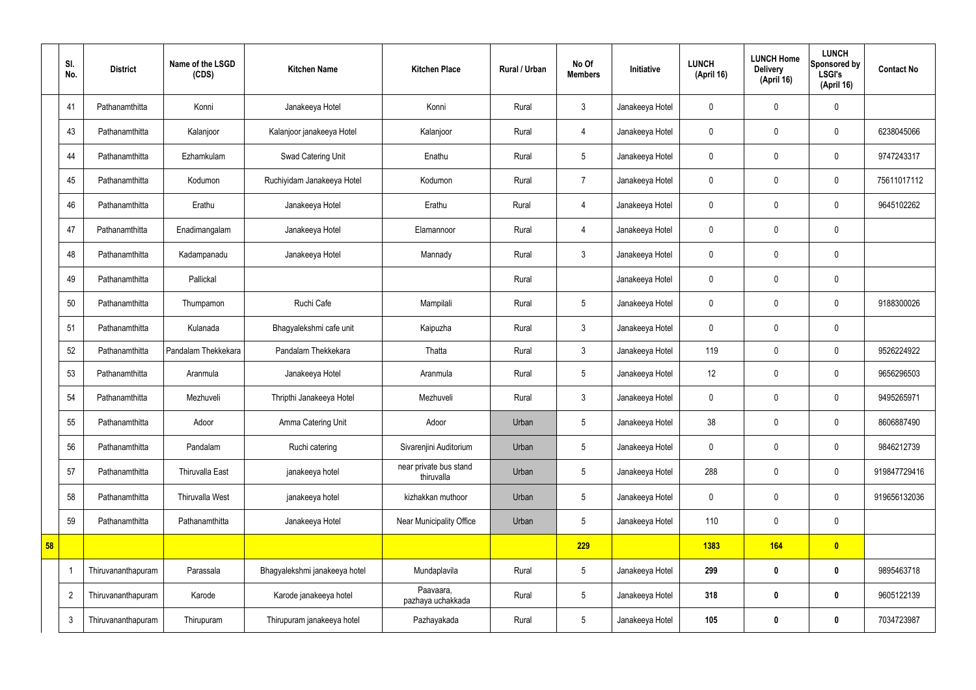|    | SI.<br>No.     | <b>District</b>    | Name of the LSGD<br>(CDS) | <b>Kitchen Name</b>           | <b>Kitchen Place</b>                 | Rural / Urban | No Of<br><b>Members</b> | Initiative      | <b>LUNCH</b><br>(April 16) | <b>LUNCH Home</b><br><b>Delivery</b><br>(April 16) | <b>LUNCH</b><br>Sponsored by<br><b>LSGI's</b><br>(April 16) | <b>Contact No</b> |
|----|----------------|--------------------|---------------------------|-------------------------------|--------------------------------------|---------------|-------------------------|-----------------|----------------------------|----------------------------------------------------|-------------------------------------------------------------|-------------------|
|    | 41             | Pathanamthitta     | Konni                     | Janakeeya Hotel               | Konni                                | Rural         | $\mathbf{3}$            | Janakeeya Hotel | $\mathbf 0$                | $\mathbf 0$                                        | $\mathbf 0$                                                 |                   |
|    | 43             | Pathanamthitta     | Kalanjoor                 | Kalanjoor janakeeya Hotel     | Kalanjoor                            | Rural         | $\overline{4}$          | Janakeeya Hotel | $\mathbf 0$                | $\mathbf 0$                                        | $\mathbf 0$                                                 | 6238045066        |
|    | 44             | Pathanamthitta     | Ezhamkulam                | Swad Catering Unit            | Enathu                               | Rural         | $5\phantom{.0}$         | Janakeeya Hotel | $\mathbf 0$                | $\mathbf 0$                                        | $\mathbf 0$                                                 | 9747243317        |
|    | 45             | Pathanamthitta     | Kodumon                   | Ruchiyidam Janakeeya Hotel    | Kodumon                              | Rural         | $\overline{7}$          | Janakeeya Hotel | $\mathbf 0$                | $\mathbf 0$                                        | $\mathbf 0$                                                 | 75611017112       |
|    | 46             | Pathanamthitta     | Erathu                    | Janakeeya Hotel               | Erathu                               | Rural         | 4                       | Janakeeya Hotel | $\mathbf 0$                | $\mathbf 0$                                        | $\mathbf 0$                                                 | 9645102262        |
|    | 47             | Pathanamthitta     | Enadimangalam             | Janakeeya Hotel               | Elamannoor                           | Rural         | $\overline{4}$          | Janakeeya Hotel | $\pmb{0}$                  | $\mathbf 0$                                        | $\mathbf 0$                                                 |                   |
|    | 48             | Pathanamthitta     | Kadampanadu               | Janakeeya Hotel               | Mannady                              | Rural         | $\mathbf{3}$            | Janakeeya Hotel | $\mathbf 0$                | $\mathbf 0$                                        | $\mathbf 0$                                                 |                   |
|    | 49             | Pathanamthitta     | Pallickal                 |                               |                                      | Rural         |                         | Janakeeya Hotel | $\mathbf 0$                | $\mathbf 0$                                        | $\mathbf 0$                                                 |                   |
|    | 50             | Pathanamthitta     | Thumpamon                 | Ruchi Cafe                    | Mampilali                            | Rural         | $5\phantom{.0}$         | Janakeeya Hotel | $\mathbf 0$                | $\mathbf 0$                                        | $\mathbf 0$                                                 | 9188300026        |
|    | 51             | Pathanamthitta     | Kulanada                  | Bhagyalekshmi cafe unit       | Kaipuzha                             | Rural         | $\mathbf{3}$            | Janakeeya Hotel | $\mathbf 0$                | $\mathbf 0$                                        | $\mathbf 0$                                                 |                   |
|    | 52             | Pathanamthitta     | Pandalam Thekkekara       | Pandalam Thekkekara           | Thatta                               | Rural         | $\mathbf{3}$            | Janakeeya Hotel | 119                        | $\mathbf 0$                                        | $\mathbf 0$                                                 | 9526224922        |
|    | 53             | Pathanamthitta     | Aranmula                  | Janakeeya Hotel               | Aranmula                             | Rural         | $5\phantom{.0}$         | Janakeeya Hotel | 12                         | $\mathbf 0$                                        | $\mathbf 0$                                                 | 9656296503        |
|    | 54             | Pathanamthitta     | Mezhuveli                 | Thripthi Janakeeya Hotel      | Mezhuveli                            | Rural         | $\mathbf{3}$            | Janakeeya Hotel | $\pmb{0}$                  | $\mathbf 0$                                        | $\mathbf 0$                                                 | 9495265971        |
|    | 55             | Pathanamthitta     | Adoor                     | Amma Catering Unit            | Adoor                                | Urban         | $5\phantom{.0}$         | Janakeeya Hotel | 38                         | $\pmb{0}$                                          | $\mathbf 0$                                                 | 8606887490        |
|    | 56             | Pathanamthitta     | Pandalam                  | Ruchi catering                | Sivarenjini Auditorium               | Urban         | $5\overline{)}$         | Janakeeya Hotel | $\pmb{0}$                  | $\pmb{0}$                                          | $\mathbf 0$                                                 | 9846212739        |
|    | 57             | Pathanamthitta     | Thiruvalla East           | janakeeya hotel               | near private bus stand<br>thiruvalla | Urban         | $5\phantom{.0}$         | Janakeeya Hotel | 288                        | $\pmb{0}$                                          | $\pmb{0}$                                                   | 919847729416      |
|    | 58             | Pathanamthitta     | Thiruvalla West           | janakeeya hotel               | kizhakkan muthoor                    | Urban         | $5\phantom{.0}$         | Janakeeya Hotel | $\pmb{0}$                  | $\mathbf 0$                                        | $\mathbf 0$                                                 | 919656132036      |
|    | 59             | Pathanamthitta     | Pathanamthitta            | Janakeeya Hotel               | Near Municipality Office             | Urban         | $5\phantom{.0}$         | Janakeeya Hotel | 110                        | $\mathbf 0$                                        | $\mathbf 0$                                                 |                   |
| 58 |                |                    |                           |                               |                                      |               | 229                     |                 | 1383                       | <b>164</b>                                         | $\bullet$                                                   |                   |
|    |                | Thiruvananthapuram | Parassala                 | Bhagyalekshmi janakeeya hotel | Mundaplavila                         | Rural         | $5\phantom{.0}$         | Janakeeya Hotel | 299                        | $\bm{0}$                                           | $\bf{0}$                                                    | 9895463718        |
|    | $\overline{2}$ | Thiruvananthapuram | Karode                    | Karode janakeeya hotel        | Paavaara,<br>pazhaya uchakkada       | Rural         | $5\phantom{.0}$         | Janakeeya Hotel | 318                        | $\bm{0}$                                           | $\bf{0}$                                                    | 9605122139        |
|    | $\mathbf{3}$   | Thiruvananthapuram | Thirupuram                | Thirupuram janakeeya hotel    | Pazhayakada                          | Rural         | $5\phantom{.0}$         | Janakeeya Hotel | 105                        | $\pmb{0}$                                          | $\bf{0}$                                                    | 7034723987        |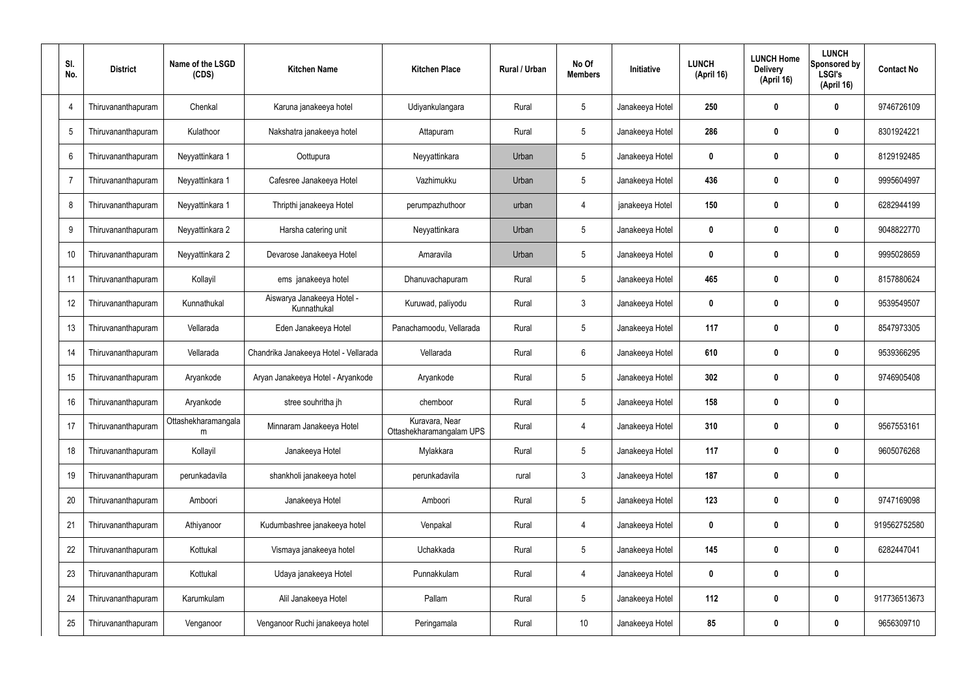| SI.<br>No.     | <b>District</b>    | Name of the LSGD<br>(CDS) | <b>Kitchen Name</b>                       | <b>Kitchen Place</b>                       | Rural / Urban | No Of<br><b>Members</b> | Initiative      | <b>LUNCH</b><br>(April 16) | <b>LUNCH Home</b><br><b>Delivery</b><br>(April 16) | <b>LUNCH</b><br>Sponsored by<br><b>LSGI's</b><br>(April 16) | <b>Contact No</b> |
|----------------|--------------------|---------------------------|-------------------------------------------|--------------------------------------------|---------------|-------------------------|-----------------|----------------------------|----------------------------------------------------|-------------------------------------------------------------|-------------------|
| $\overline{4}$ | Thiruvananthapuram | Chenkal                   | Karuna janakeeya hotel                    | Udiyankulangara                            | Rural         | $5\phantom{.0}$         | Janakeeya Hotel | 250                        | 0                                                  | 0                                                           | 9746726109        |
| 5              | Thiruvananthapuram | Kulathoor                 | Nakshatra janakeeya hotel                 | Attapuram                                  | Rural         | $5\phantom{.0}$         | Janakeeya Hotel | 286                        | 0                                                  | $\boldsymbol{0}$                                            | 8301924221        |
| 6              | Thiruvananthapuram | Neyyattinkara 1           | Oottupura                                 | Neyyattinkara                              | Urban         | $5\phantom{.0}$         | Janakeeya Hotel | 0                          | 0                                                  | $\boldsymbol{0}$                                            | 8129192485        |
| $\overline{7}$ | Thiruvananthapuram | Neyyattinkara 1           | Cafesree Janakeeya Hotel                  | Vazhimukku                                 | Urban         | $5\phantom{.0}$         | Janakeeya Hotel | 436                        | 0                                                  | $\boldsymbol{0}$                                            | 9995604997        |
| 8              | Thiruvananthapuram | Neyyattinkara 1           | Thripthi janakeeya Hotel                  | perumpazhuthoor                            | urban         | 4                       | janakeeya Hotel | 150                        | 0                                                  | $\boldsymbol{0}$                                            | 6282944199        |
| 9              | Thiruvananthapuram | Neyyattinkara 2           | Harsha catering unit                      | Neyyattinkara                              | Urban         | $5\phantom{.0}$         | Janakeeya Hotel | 0                          | 0                                                  | $\boldsymbol{0}$                                            | 9048822770        |
| 10             | Thiruvananthapuram | Neyyattinkara 2           | Devarose Janakeeya Hotel                  | Amaravila                                  | Urban         | $5\phantom{.0}$         | Janakeeya Hotel | 0                          | 0                                                  | $\boldsymbol{0}$                                            | 9995028659        |
| 11             | Thiruvananthapuram | Kollayil                  | ems janakeeya hotel                       | Dhanuvachapuram                            | Rural         | $5\phantom{.0}$         | Janakeeya Hotel | 465                        | 0                                                  | $\boldsymbol{0}$                                            | 8157880624        |
| 12             | Thiruvananthapuram | Kunnathukal               | Aiswarya Janakeeya Hotel -<br>Kunnathukal | Kuruwad, paliyodu                          | Rural         | $\mathfrak{Z}$          | Janakeeya Hotel | 0                          | 0                                                  | $\boldsymbol{0}$                                            | 9539549507        |
| 13             | Thiruvananthapuram | Vellarada                 | Eden Janakeeya Hotel                      | Panachamoodu, Vellarada                    | Rural         | $5\phantom{.0}$         | Janakeeya Hotel | 117                        | 0                                                  | $\mathbf 0$                                                 | 8547973305        |
| 14             | Thiruvananthapuram | Vellarada                 | Chandrika Janakeeya Hotel - Vellarada     | Vellarada                                  | Rural         | $6\phantom{.}$          | Janakeeya Hotel | 610                        | 0                                                  | $\mathbf 0$                                                 | 9539366295        |
| 15             | Thiruvananthapuram | Aryankode                 | Aryan Janakeeya Hotel - Aryankode         | Aryankode                                  | Rural         | $5\phantom{.0}$         | Janakeeya Hotel | 302                        | 0                                                  | $\boldsymbol{0}$                                            | 9746905408        |
| 16             | Thiruvananthapuram | Aryankode                 | stree souhritha jh                        | chemboor                                   | Rural         | $5\phantom{.0}$         | Janakeeya Hotel | 158                        | 0                                                  | $\mathbf 0$                                                 |                   |
| 17             | Thiruvananthapuram | Ottashekharamangala<br>m  | Minnaram Janakeeya Hotel                  | Kuravara, Near<br>Ottashekharamangalam UPS | Rural         | 4                       | Janakeeya Hotel | 310                        | 0                                                  | $\mathbf 0$                                                 | 9567553161        |
| 18             | Thiruvananthapuram | Kollayil                  | Janakeeya Hotel                           | Mylakkara                                  | Rural         | $5\phantom{.0}$         | Janakeeya Hotel | 117                        | $\boldsymbol{0}$                                   | $\mathbf 0$                                                 | 9605076268        |
| 19             | Thiruvananthapuram | perunkadavila             | shankholi janakeeya hotel                 | perunkadavila                              | rural         | $\mathfrak{Z}$          | Janakeeya Hotel | 187                        | $\boldsymbol{0}$                                   | $\pmb{0}$                                                   |                   |
| 20             | Thiruvananthapuram | Amboori                   | Janakeeya Hotel                           | Amboori                                    | Rural         | $5\phantom{.0}$         | Janakeeya Hotel | 123                        | $\boldsymbol{0}$                                   | $\pmb{0}$                                                   | 9747169098        |
| 21             | Thiruvananthapuram | Athiyanoor                | Kudumbashree janakeeya hotel              | Venpakal                                   | Rural         | 4                       | Janakeeya Hotel | 0                          | $\boldsymbol{0}$                                   | $\mathbf 0$                                                 | 919562752580      |
| 22             | Thiruvananthapuram | Kottukal                  | Vismaya janakeeya hotel                   | Uchakkada                                  | Rural         | $5\phantom{.0}$         | Janakeeya Hotel | 145                        | $\boldsymbol{0}$                                   | $\mathbf 0$                                                 | 6282447041        |
| 23             | Thiruvananthapuram | Kottukal                  | Udaya janakeeya Hotel                     | Punnakkulam                                | Rural         | 4                       | Janakeeya Hotel | 0                          | $\boldsymbol{0}$                                   | $\pmb{0}$                                                   |                   |
| 24             | Thiruvananthapuram | Karumkulam                | Alil Janakeeya Hotel                      | Pallam                                     | Rural         | $5\phantom{.0}$         | Janakeeya Hotel | 112                        | $\boldsymbol{0}$                                   | $\pmb{0}$                                                   | 917736513673      |
| 25             | Thiruvananthapuram | Venganoor                 | Venganoor Ruchi janakeeya hotel           | Peringamala                                | Rural         | 10 <sup>°</sup>         | Janakeeya Hotel | 85                         | $\boldsymbol{0}$                                   | $\pmb{0}$                                                   | 9656309710        |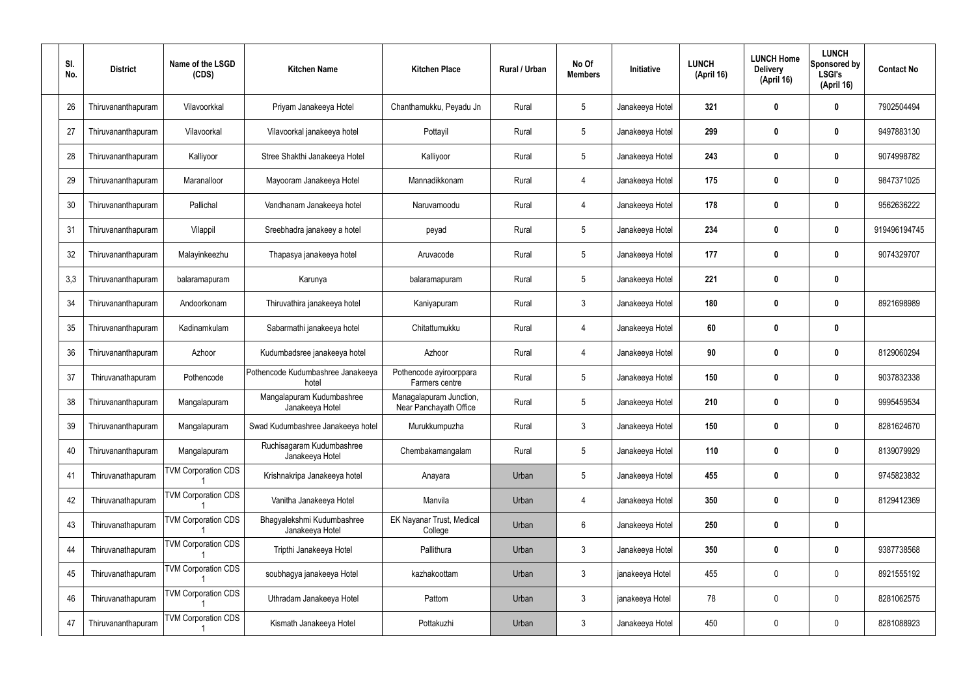| SI.<br>No. | <b>District</b>    | Name of the LSGD<br>(CDS)  | <b>Kitchen Name</b>                           | <b>Kitchen Place</b>                              | Rural / Urban | No Of<br><b>Members</b> | Initiative      | <b>LUNCH</b><br>(April 16) | <b>LUNCH Home</b><br><b>Delivery</b><br>(April 16) | <b>LUNCH</b><br>Sponsored by<br><b>LSGI's</b><br>(April 16) | <b>Contact No</b> |
|------------|--------------------|----------------------------|-----------------------------------------------|---------------------------------------------------|---------------|-------------------------|-----------------|----------------------------|----------------------------------------------------|-------------------------------------------------------------|-------------------|
| 26         | Thiruvananthapuram | Vilavoorkkal               | Priyam Janakeeya Hotel                        | Chanthamukku, Peyadu Jn                           | Rural         | 5                       | Janakeeya Hotel | 321                        | 0                                                  | 0                                                           | 7902504494        |
| 27         | Thiruvananthapuram | Vilavoorkal                | Vilavoorkal janakeeya hotel                   | Pottayil                                          | Rural         | $5\phantom{.0}$         | Janakeeya Hotel | 299                        | 0                                                  | 0                                                           | 9497883130        |
| 28         | Thiruvananthapuram | Kalliyoor                  | Stree Shakthi Janakeeya Hotel                 | Kalliyoor                                         | Rural         | 5                       | Janakeeya Hotel | 243                        | 0                                                  | 0                                                           | 9074998782        |
| 29         | Thiruvananthapuram | Maranalloor                | Mayooram Janakeeya Hotel                      | Mannadikkonam                                     | Rural         | 4                       | Janakeeya Hotel | 175                        | 0                                                  | $\boldsymbol{0}$                                            | 9847371025        |
| 30         | Thiruvananthapuram | Pallichal                  | Vandhanam Janakeeya hotel                     | Naruvamoodu                                       | Rural         | 4                       | Janakeeya Hotel | 178                        | 0                                                  | 0                                                           | 9562636222        |
| 31         | Thiruvananthapuram | Vilappil                   | Sreebhadra janakeey a hotel                   | peyad                                             | Rural         | $5\phantom{.0}$         | Janakeeya Hotel | 234                        | 0                                                  | $\boldsymbol{0}$                                            | 919496194745      |
| 32         | Thiruvananthapuram | Malayinkeezhu              | Thapasya janakeeya hotel                      | Aruvacode                                         | Rural         | $5\phantom{.0}$         | Janakeeya Hotel | 177                        | 0                                                  | 0                                                           | 9074329707        |
| 3,3        | Thiruvananthapuram | balaramapuram              | Karunya                                       | balaramapuram                                     | Rural         | $5\phantom{.0}$         | Janakeeya Hotel | 221                        | 0                                                  | $\boldsymbol{0}$                                            |                   |
| 34         | Thiruvananthapuram | Andoorkonam                | Thiruvathira janakeeya hotel                  | Kaniyapuram                                       | Rural         | $\mathbf{3}$            | Janakeeya Hotel | 180                        | 0                                                  | 0                                                           | 8921698989        |
| 35         | Thiruvananthapuram | Kadinamkulam               | Sabarmathi janakeeya hotel                    | Chitattumukku                                     | Rural         | 4                       | Janakeeya Hotel | 60                         | 0                                                  | $\mathbf 0$                                                 |                   |
| 36         | Thiruvananthapuram | Azhoor                     | Kudumbadsree janakeeya hotel                  | Azhoor                                            | Rural         | 4                       | Janakeeya Hotel | 90                         | 0                                                  | 0                                                           | 8129060294        |
| 37         | Thiruvanathapuram  | Pothencode                 | Pothencode Kudumbashree Janakeeya<br>hotel    | Pothencode ayiroorppara<br>Farmers centre         | Rural         | $5\phantom{.0}$         | Janakeeya Hotel | 150                        | 0                                                  | $\bf{0}$                                                    | 9037832338        |
| 38         | Thiruvananthapuram | Mangalapuram               | Mangalapuram Kudumbashree<br>Janakeeya Hotel  | Managalapuram Junction,<br>Near Panchayath Office | Rural         | 5                       | Janakeeya Hotel | 210                        | 0                                                  | 0                                                           | 9995459534        |
| 39         | Thiruvananthapuram | Mangalapuram               | Swad Kudumbashree Janakeeya hotel             | Murukkumpuzha                                     | Rural         | $\mathfrak{Z}$          | Janakeeya Hotel | 150                        | 0                                                  | $\mathbf 0$                                                 | 8281624670        |
| 40         | Thiruvananthapuram | Mangalapuram               | Ruchisagaram Kudumbashree<br>Janakeeya Hotel  | Chembakamangalam                                  | Rural         | $5\,$                   | Janakeeya Hotel | 110                        | $\boldsymbol{0}$                                   | $\mathbf 0$                                                 | 8139079929        |
| 41         | Thiruvanathapuram  | <b>TVM Corporation CDS</b> | Krishnakripa Janakeeya hotel                  | Anayara                                           | Urban         | $\sqrt{5}$              | Janakeeya Hotel | 455                        | 0                                                  | $\pmb{0}$                                                   | 9745823832        |
| 42         | Thiruvanathapuram  | <b>TVM Corporation CDS</b> | Vanitha Janakeeya Hotel                       | Manvila                                           | Urban         | 4                       | Janakeeya Hotel | 350                        | $\boldsymbol{0}$                                   | $\mathbf 0$                                                 | 8129412369        |
| 43         | Thiruvanathapuram  | <b>TVM Corporation CDS</b> | Bhagyalekshmi Kudumbashree<br>Janakeeya Hotel | EK Nayanar Trust, Medical<br>College              | Urban         | $6\,$                   | Janakeeya Hotel | 250                        | 0                                                  | $\pmb{0}$                                                   |                   |
| 44         | Thiruvanathapuram  | <b>TVM Corporation CDS</b> | Tripthi Janakeeya Hotel                       | Pallithura                                        | Urban         | $\mathfrak{Z}$          | Janakeeya Hotel | 350                        | $\boldsymbol{0}$                                   | $\pmb{0}$                                                   | 9387738568        |
| 45         | Thiruvanathapuram  | <b>TVM Corporation CDS</b> | soubhagya janakeeya Hotel                     | kazhakoottam                                      | Urban         | $\mathfrak{Z}$          | janakeeya Hotel | 455                        | 0                                                  | $\mathbf 0$                                                 | 8921555192        |
| 46         | Thiruvanathapuram  | <b>TVM Corporation CDS</b> | Uthradam Janakeeya Hotel                      | Pattom                                            | Urban         | $\mathfrak{Z}$          | janakeeya Hotel | 78                         | $\boldsymbol{0}$                                   | $\mathbf 0$                                                 | 8281062575        |
| 47         | Thiruvananthapuram | <b>TVM Corporation CDS</b> | Kismath Janakeeya Hotel                       | Pottakuzhi                                        | Urban         | $\mathfrak{Z}$          | Janakeeya Hotel | 450                        | 0                                                  | $\boldsymbol{0}$                                            | 8281088923        |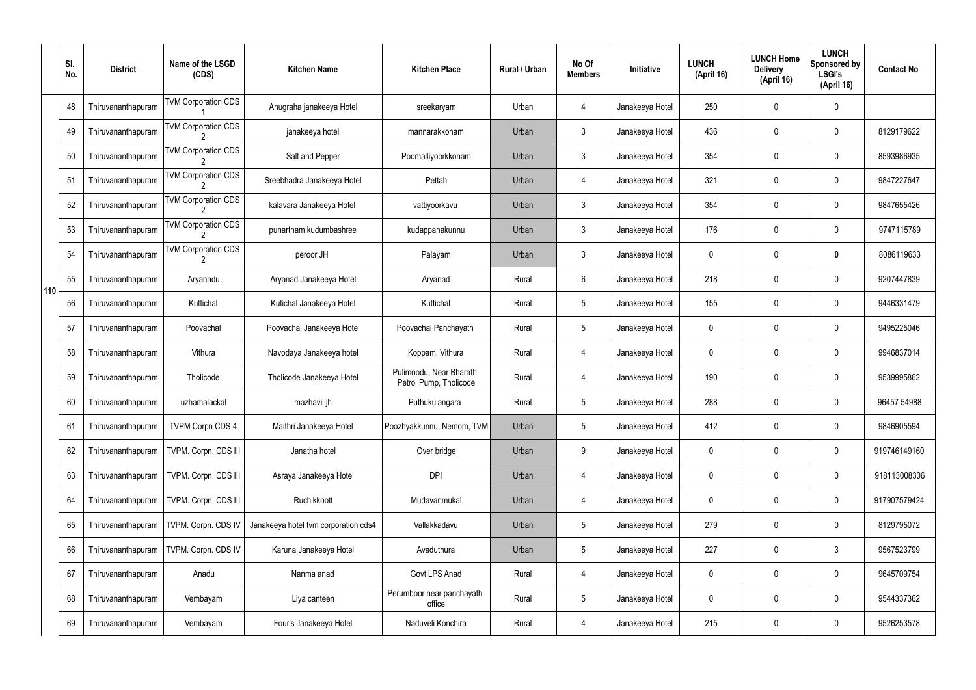|     | SI.<br>No. | <b>District</b>    | Name of the LSGD<br>(CDS)                    | <b>Kitchen Name</b>                  | <b>Kitchen Place</b>                              | Rural / Urban | No Of<br><b>Members</b> | Initiative      | <b>LUNCH</b><br>(April 16) | <b>LUNCH Home</b><br><b>Delivery</b><br>(April 16) | <b>LUNCH</b><br>Sponsored by<br><b>LSGI's</b><br>(April 16) | <b>Contact No</b> |
|-----|------------|--------------------|----------------------------------------------|--------------------------------------|---------------------------------------------------|---------------|-------------------------|-----------------|----------------------------|----------------------------------------------------|-------------------------------------------------------------|-------------------|
|     | 48         | Thiruvananthapuram | <b>TVM Corporation CDS</b>                   | Anugraha janakeeya Hotel             | sreekaryam                                        | Urban         | 4                       | Janakeeya Hotel | 250                        | 0                                                  | $\mathbf 0$                                                 |                   |
|     | 49         | Thiruvananthapuram | <b>TVM Corporation CDS</b>                   | janakeeya hotel                      | mannarakkonam                                     | Urban         | $\mathbf{3}$            | Janakeeya Hotel | 436                        | 0                                                  | $\pmb{0}$                                                   | 8129179622        |
|     | 50         | Thiruvananthapuram | <b>TVM Corporation CDS</b>                   | Salt and Pepper                      | Poomalliyoorkkonam                                | Urban         | $\mathbf{3}$            | Janakeeya Hotel | 354                        | 0                                                  | $\mathbf 0$                                                 | 8593986935        |
|     | 51         | Thiruvananthapuram | <b>TVM Corporation CDS</b>                   | Sreebhadra Janakeeya Hotel           | Pettah                                            | Urban         | 4                       | Janakeeya Hotel | 321                        | 0                                                  | $\pmb{0}$                                                   | 9847227647        |
|     | 52         | Thiruvananthapuram | <b>TVM Corporation CDS</b>                   | kalavara Janakeeya Hotel             | vattiyoorkavu                                     | Urban         | $\mathbf{3}$            | Janakeeya Hotel | 354                        | 0                                                  | $\mathbf 0$                                                 | 9847655426        |
|     | 53         | Thiruvananthapuram | <b>TVM Corporation CDS</b>                   | punartham kudumbashree               | kudappanakunnu                                    | Urban         | $\mathfrak{Z}$          | Janakeeya Hotel | 176                        | 0                                                  | $\pmb{0}$                                                   | 9747115789        |
|     | 54         | Thiruvananthapuram | <b>TVM Corporation CDS</b><br>$\overline{2}$ | peroor JH                            | Palayam                                           | Urban         | $\mathbf{3}$            | Janakeeya Hotel | 0                          | 0                                                  | 0                                                           | 8086119633        |
| 110 | 55         | Thiruvananthapuram | Aryanadu                                     | Aryanad Janakeeya Hotel              | Aryanad                                           | Rural         | 6                       | Janakeeya Hotel | 218                        | 0                                                  | $\pmb{0}$                                                   | 9207447839        |
|     | 56         | Thiruvananthapuram | Kuttichal                                    | Kutichal Janakeeya Hotel             | Kuttichal                                         | Rural         | $5\phantom{.0}$         | Janakeeya Hotel | 155                        | 0                                                  | $\mathbf 0$                                                 | 9446331479        |
|     | 57         | Thiruvananthapuram | Poovachal                                    | Poovachal Janakeeya Hotel            | Poovachal Panchayath                              | Rural         | $5\phantom{.0}$         | Janakeeya Hotel | 0                          | 0                                                  | $\boldsymbol{0}$                                            | 9495225046        |
|     | 58         | Thiruvananthapuram | Vithura                                      | Navodaya Janakeeya hotel             | Koppam, Vithura                                   | Rural         | 4                       | Janakeeya Hotel | 0                          | 0                                                  | $\mathbf 0$                                                 | 9946837014        |
|     | 59         | Thiruvananthapuram | Tholicode                                    | Tholicode Janakeeya Hotel            | Pulimoodu, Near Bharath<br>Petrol Pump, Tholicode | Rural         | 4                       | Janakeeya Hotel | 190                        | 0                                                  | $\mathbf 0$                                                 | 9539995862        |
|     | 60         | Thiruvananthapuram | uzhamalackal                                 | mazhavil jh                          | Puthukulangara                                    | Rural         | $5\overline{)}$         | Janakeeya Hotel | 288                        | 0                                                  | $\mathbf 0$                                                 | 96457 54988       |
|     | 61         | Thiruvananthapuram | <b>TVPM Corpn CDS 4</b>                      | Maithri Janakeeya Hotel              | Poozhyakkunnu, Nemom, TVM                         | Urban         | 5                       | Janakeeya Hotel | 412                        | 0                                                  | $\pmb{0}$                                                   | 9846905594        |
|     | 62         | Thiruvananthapuram | TVPM. Corpn. CDS III                         | Janatha hotel                        | Over bridge                                       | Urban         | 9                       | Janakeeya Hotel | 0                          | 0                                                  | $\pmb{0}$                                                   | 919746149160      |
|     | 63         | Thiruvananthapuram | TVPM. Corpn. CDS III                         | Asraya Janakeeya Hotel               | <b>DPI</b>                                        | Urban         | 4                       | Janakeeya Hotel | 0                          | 0                                                  | $\pmb{0}$                                                   | 918113008306      |
|     | 64         | Thiruvananthapuram | TVPM. Corpn. CDS III                         | Ruchikkoott                          | Mudavanmukal                                      | Urban         | 4                       | Janakeeya Hotel | 0                          | 0                                                  | $\pmb{0}$                                                   | 917907579424      |
|     | 65         | Thiruvananthapuram | TVPM. Corpn. CDS IV                          | Janakeeya hotel tvm corporation cds4 | Vallakkadavu                                      | Urban         | 5                       | Janakeeya Hotel | 279                        | 0                                                  | $\pmb{0}$                                                   | 8129795072        |
|     | 66         | Thiruvananthapuram | TVPM. Corpn. CDS IV                          | Karuna Janakeeya Hotel               | Avaduthura                                        | Urban         | 5                       | Janakeeya Hotel | 227                        | 0                                                  | $\mathfrak{Z}$                                              | 9567523799        |
|     | 67         | Thiruvananthapuram | Anadu                                        | Nanma anad                           | Govt LPS Anad                                     | Rural         | 4                       | Janakeeya Hotel | 0                          | 0                                                  | $\pmb{0}$                                                   | 9645709754        |
|     | 68         | Thiruvananthapuram | Vembayam                                     | Liya canteen                         | Perumboor near panchayath<br>office               | Rural         | 5                       | Janakeeya Hotel | 0                          | 0                                                  | $\mathbf 0$                                                 | 9544337362        |
|     | 69         | Thiruvananthapuram | Vembayam                                     | Four's Janakeeya Hotel               | Naduveli Konchira                                 | Rural         | 4                       | Janakeeya Hotel | 215                        | 0                                                  | $\pmb{0}$                                                   | 9526253578        |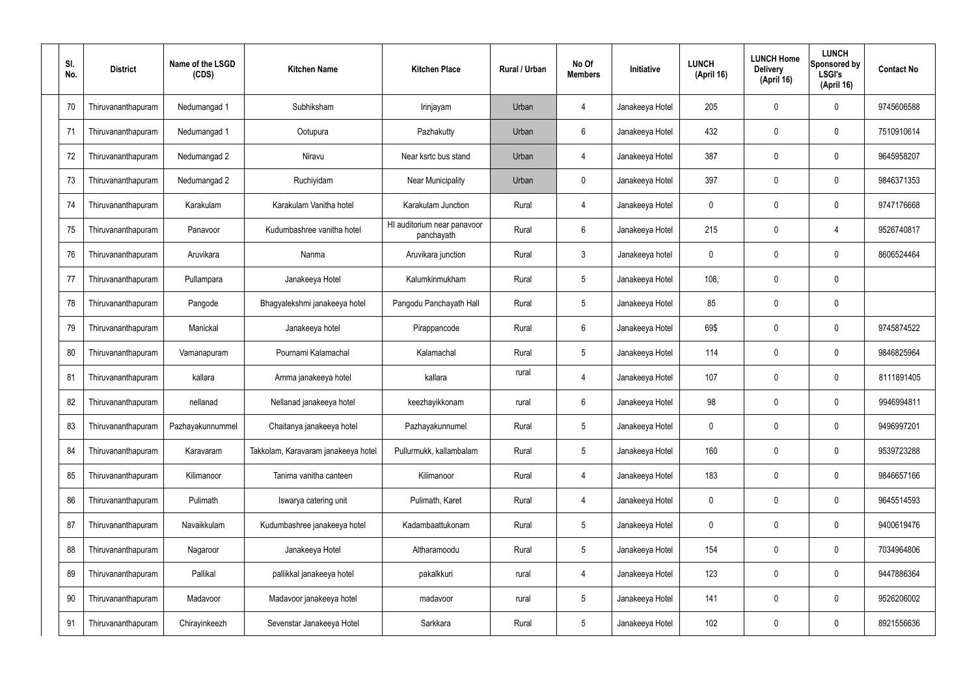| SI.<br>No. | <b>District</b>    | Name of the LSGD<br>(CDS) | <b>Kitchen Name</b>                 | <b>Kitchen Place</b>                      | Rural / Urban | No Of<br><b>Members</b> | Initiative      | <b>LUNCH</b><br>(April 16) | <b>LUNCH Home</b><br><b>Delivery</b><br>(April 16) | <b>LUNCH</b><br>Sponsored by<br><b>LSGI's</b><br>(April 16) | <b>Contact No</b> |
|------------|--------------------|---------------------------|-------------------------------------|-------------------------------------------|---------------|-------------------------|-----------------|----------------------------|----------------------------------------------------|-------------------------------------------------------------|-------------------|
| 70         | Thiruvananthapuram | Nedumangad 1              | Subhiksham                          | Irinjayam                                 | Urban         | 4                       | Janakeeya Hotel | 205                        | 0                                                  | $\mathbf 0$                                                 | 9745606588        |
| 71         | Thiruvananthapuram | Nedumangad 1              | Ootupura                            | Pazhakutty                                | Urban         | 6                       | Janakeeya Hotel | 432                        | 0                                                  | $\mathbf 0$                                                 | 7510910614        |
| 72         | Thiruvananthapuram | Nedumangad 2              | Niravu                              | Near ksrtc bus stand                      | Urban         | $\overline{4}$          | Janakeeya Hotel | 387                        | 0                                                  | $\mathbf 0$                                                 | 9645958207        |
| 73         | Thiruvananthapuram | Nedumangad 2              | Ruchiyidam                          | Near Municipality                         | Urban         | $\mathbf 0$             | Janakeeya Hotel | 397                        | 0                                                  | $\mathbf 0$                                                 | 9846371353        |
| 74         | Thiruvananthapuram | Karakulam                 | Karakulam Vanitha hotel             | Karakulam Junction                        | Rural         | $\overline{4}$          | Janakeeya Hotel | 0                          | 0                                                  | $\mathbf 0$                                                 | 9747176668        |
| 75         | Thiruvananthapuram | Panavoor                  | Kudumbashree vanitha hotel          | HI auditorium near panavoor<br>panchayath | Rural         | $6\phantom{.}$          | Janakeeya Hotel | 215                        | 0                                                  | 4                                                           | 9526740817        |
| 76         | Thiruvananthapuram | Aruvikara                 | Nanma                               | Aruvikara junction                        | Rural         | $\mathbf{3}$            | Janakeeya hotel | 0                          | 0                                                  | $\mathbf 0$                                                 | 8606524464        |
| 77         | Thiruvananthapuram | Pullampara                | Janakeeya Hotel                     | Kalumkinmukham                            | Rural         | $5\phantom{.0}$         | Janakeeya Hotel | 108,                       | 0                                                  | $\mathbf 0$                                                 |                   |
| 78         | Thiruvananthapuram | Pangode                   | Bhagyalekshmi janakeeya hotel       | Pangodu Panchayath Hall                   | Rural         | $5\phantom{.0}$         | Janakeeya Hotel | 85                         | 0                                                  | $\mathbf 0$                                                 |                   |
| 79         | Thiruvananthapuram | Manickal                  | Janakeeya hotel                     | Pirappancode                              | Rural         | $6\phantom{.}$          | Janakeeya Hotel | 69\$                       | 0                                                  | $\boldsymbol{0}$                                            | 9745874522        |
| 80         | Thiruvananthapuram | Vamanapuram               | Pournami Kalamachal                 | Kalamachal                                | Rural         | $5\phantom{.0}$         | Janakeeya Hotel | 114                        | 0                                                  | $\mathbf 0$                                                 | 9846825964        |
| 81         | Thiruvananthapuram | kallara                   | Amma janakeeya hotel                | kallara                                   | rural         | 4                       | Janakeeya Hotel | 107                        | 0                                                  | $\boldsymbol{0}$                                            | 8111891405        |
| 82         | Thiruvananthapuram | nellanad                  | Nellanad janakeeya hotel            | keezhayikkonam                            | rural         | 6                       | Janakeeya Hotel | 98                         | 0                                                  | 0                                                           | 9946994811        |
| 83         | Thiruvananthapuram | Pazhayakunnummel          | Chaitanya janakeeya hotel           | Pazhayakunnumel                           | Rural         | $5\phantom{.0}$         | Janakeeya Hotel | 0                          | 0                                                  | $\mathbf 0$                                                 | 9496997201        |
| 84         | Thiruvananthapuram | Karavaram                 | Takkolam, Karavaram janakeeya hotel | Pullurmukk, kallambalam                   | Rural         | $5\phantom{.0}$         | Janakeeya Hotel | 160                        | $\mathbf 0$                                        | $\mathbf 0$                                                 | 9539723288        |
| 85         | Thiruvananthapuram | Kilimanoor                | Tanima vanitha canteen              | Kilimanoor                                | Rural         | $\overline{4}$          | Janakeeya Hotel | 183                        | 0                                                  | $\mathbf 0$                                                 | 9846657166        |
| 86         | Thiruvananthapuram | Pulimath                  | Iswarya catering unit               | Pulimath, Karet                           | Rural         | $\overline{4}$          | Janakeeya Hotel | $\mathbf 0$                | 0                                                  | $\mathbf 0$                                                 | 9645514593        |
| 87         | Thiruvananthapuram | Navaikkulam               | Kudumbashree janakeeya hotel        | Kadambaattukonam                          | Rural         | $5\phantom{.0}$         | Janakeeya Hotel | 0                          | 0                                                  | $\mathbf 0$                                                 | 9400619476        |
| 88         | Thiruvananthapuram | Nagaroor                  | Janakeeya Hotel                     | Altharamoodu                              | Rural         | $5\phantom{.0}$         | Janakeeya Hotel | 154                        | 0                                                  | $\mathbf 0$                                                 | 7034964806        |
| 89         | Thiruvananthapuram | Pallikal                  | pallikkal janakeeya hotel           | pakalkkuri                                | rural         | 4                       | Janakeeya Hotel | 123                        | 0                                                  | $\mathbf 0$                                                 | 9447886364        |
| 90         | Thiruvananthapuram | Madavoor                  | Madavoor janakeeya hotel            | madavoor                                  | rural         | $5\phantom{.0}$         | Janakeeya Hotel | 141                        | $\boldsymbol{0}$                                   | $\pmb{0}$                                                   | 9526206002        |
| 91         | Thiruvananthapuram | Chirayinkeezh             | Sevenstar Janakeeya Hotel           | Sarkkara                                  | Rural         | $5\,$                   | Janakeeya Hotel | 102                        | $\boldsymbol{0}$                                   | $\bf{0}$                                                    | 8921556636        |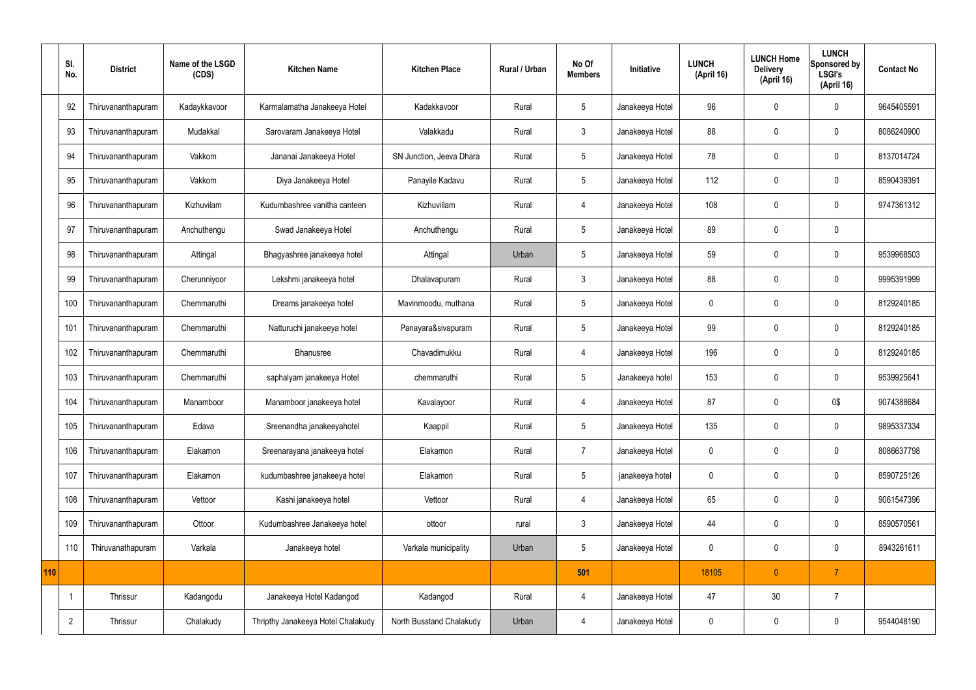|     | SI.<br>No.     | <b>District</b>    | Name of the LSGD<br>(CDS) | <b>Kitchen Name</b>                | <b>Kitchen Place</b>     | <b>Rural / Urban</b> | No Of<br><b>Members</b> | Initiative      | <b>LUNCH</b><br>(April 16) | <b>LUNCH Home</b><br><b>Delivery</b><br>(April 16) | <b>LUNCH</b><br>Sponsored by<br><b>LSGI's</b><br>(April 16) | <b>Contact No</b> |
|-----|----------------|--------------------|---------------------------|------------------------------------|--------------------------|----------------------|-------------------------|-----------------|----------------------------|----------------------------------------------------|-------------------------------------------------------------|-------------------|
|     | 92             | Thiruvananthapuram | Kadaykkavoor              | Karmalamatha Janakeeya Hotel       | Kadakkavoor              | Rural                | $5\phantom{.0}$         | Janakeeya Hotel | 96                         | $\mathbf 0$                                        | $\mathbf 0$                                                 | 9645405591        |
|     | 93             | Thiruvananthapuram | Mudakkal                  | Sarovaram Janakeeya Hotel          | Valakkadu                | Rural                | $\mathbf{3}$            | Janakeeya Hotel | 88                         | $\mathbf 0$                                        | $\mathbf 0$                                                 | 8086240900        |
|     | 94             | Thiruvananthapuram | Vakkom                    | Jananai Janakeeya Hotel            | SN Junction, Jeeva Dhara | Rural                | $5\phantom{.0}$         | Janakeeya Hotel | 78                         | $\mathbf 0$                                        | $\mathbf 0$                                                 | 8137014724        |
|     | 95             | Thiruvananthapuram | Vakkom                    | Diya Janakeeya Hotel               | Panayile Kadavu          | Rural                | $5\overline{)}$         | Janakeeya Hotel | 112                        | $\mathbf 0$                                        | $\mathbf 0$                                                 | 8590439391        |
|     | 96             | Thiruvananthapuram | Kizhuvilam                | Kudumbashree vanitha canteen       | Kizhuvillam              | Rural                | $\overline{4}$          | Janakeeya Hotel | 108                        | $\mathbf 0$                                        | $\mathbf 0$                                                 | 9747361312        |
|     | 97             | Thiruvananthapuram | Anchuthengu               | Swad Janakeeya Hotel               | Anchuthengu              | Rural                | $5\overline{)}$         | Janakeeya Hotel | 89                         | $\mathbf 0$                                        | $\mathbf 0$                                                 |                   |
|     | 98             | Thiruvananthapuram | Attingal                  | Bhagyashree janakeeya hotel        | Attingal                 | Urban                | $5\overline{)}$         | Janakeeya Hotel | 59                         | $\mathbf 0$                                        | $\mathbf 0$                                                 | 9539968503        |
|     | 99             | Thiruvananthapuram | Cherunniyoor              | Lekshmi janakeeya hotel            | Dhalavapuram             | Rural                | $\mathbf{3}$            | Janakeeya Hotel | 88                         | $\mathbf 0$                                        | $\mathbf 0$                                                 | 9995391999        |
|     | 100            | Thiruvananthapuram | Chemmaruthi               | Dreams janakeeya hotel             | Mavinmoodu, muthana      | Rural                | $5\phantom{.0}$         | Janakeeya Hotel | $\mathbf 0$                | $\mathbf 0$                                        | $\mathbf 0$                                                 | 8129240185        |
|     | 101            | Thiruvananthapuram | Chemmaruthi               | Natturuchi janakeeya hotel         | Panayara&sivapuram       | Rural                | $5\overline{)}$         | Janakeeya Hotel | 99                         | $\mathbf 0$                                        | $\mathbf 0$                                                 | 8129240185        |
|     | 102            | Thiruvananthapuram | Chemmaruthi               | Bhanusree                          | Chavadimukku             | Rural                | $\overline{4}$          | Janakeeya Hotel | 196                        | $\mathbf 0$                                        | $\mathbf 0$                                                 | 8129240185        |
|     | 103            | Thiruvananthapuram | Chemmaruthi               | saphalyam janakeeya Hotel          | chemmaruthi              | Rural                | $5\phantom{.0}$         | Janakeeya hotel | 153                        | $\mathbf 0$                                        | $\mathbf 0$                                                 | 9539925641        |
|     | 104            | Thiruvananthapuram | Manamboor                 | Manamboor janakeeya hotel          | Kavalayoor               | Rural                | 4                       | Janakeeya Hotel | 87                         | 0                                                  | 0\$                                                         | 9074388684        |
|     | 105            | Thiruvananthapuram | Edava                     | Sreenandha janakeeyahotel          | Kaappil                  | Rural                | $5\phantom{.0}$         | Janakeeya Hotel | 135                        | $\mathbf 0$                                        | $\mathbf 0$                                                 | 9895337334        |
|     | 106            | Thiruvananthapuram | Elakamon                  | Sreenarayana janakeeya hotel       | Elakamon                 | Rural                | $\overline{7}$          | Janakeeya Hotel | $\mathbf 0$                | $\mathbf 0$                                        | $\mathbf 0$                                                 | 8086637798        |
|     | 107            | Thiruvananthapuram | Elakamon                  | kudumbashree janakeeya hotel       | Elakamon                 | Rural                | $5\phantom{.0}$         | janakeeya hotel | $\mathbf 0$                | $\mathbf 0$                                        | $\mathbf 0$                                                 | 8590725126        |
|     | 108            | Thiruvananthapuram | Vettoor                   | Kashi janakeeya hotel              | Vettoor                  | Rural                | 4                       | Janakeeya Hotel | 65                         | $\mathbf 0$                                        | $\mathbf 0$                                                 | 9061547396        |
|     | 109            | Thiruvananthapuram | Ottoor                    | Kudumbashree Janakeeya hotel       | ottoor                   | rural                | $\mathbf{3}$            | Janakeeya Hotel | 44                         | $\mathbf 0$                                        | $\mathbf 0$                                                 | 8590570561        |
|     | 110            | Thiruvanathapuram  | Varkala                   | Janakeeya hotel                    | Varkala municipality     | Urban                | 5 <sub>5</sub>          | Janakeeya Hotel | $\pmb{0}$                  | $\pmb{0}$                                          | $\mathbf 0$                                                 | 8943261611        |
| 110 |                |                    |                           |                                    |                          |                      | 501                     |                 | 18105                      | $\mathbf{0}$                                       | $\overline{7}$                                              |                   |
|     | $\mathbf 1$    | Thrissur           | Kadangodu                 | Janakeeya Hotel Kadangod           | Kadangod                 | Rural                | 4                       | Janakeeya Hotel | 47                         | 30                                                 | $\overline{7}$                                              |                   |
|     | $\overline{2}$ | Thrissur           | Chalakudy                 | Thripthy Janakeeya Hotel Chalakudy | North Busstand Chalakudy | Urban                | 4                       | Janakeeya Hotel | $\mathbf 0$                | $\pmb{0}$                                          | $\mathbf 0$                                                 | 9544048190        |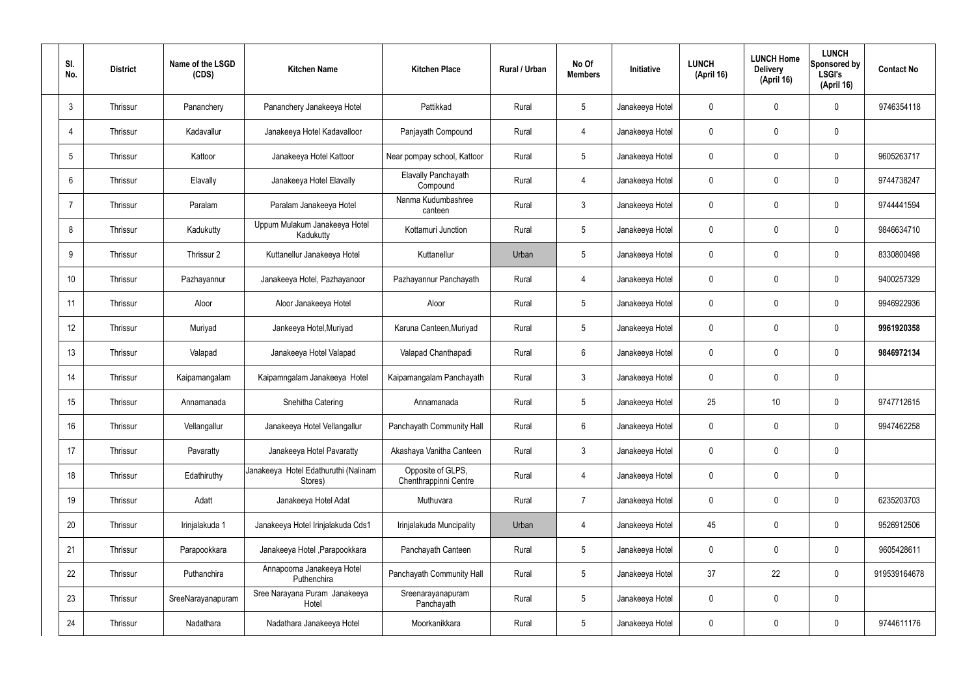| SI.<br>No.      | <b>District</b> | Name of the LSGD<br>(CDS) | <b>Kitchen Name</b>                             | <b>Kitchen Place</b>                       | Rural / Urban | No Of<br><b>Members</b> | Initiative      | <b>LUNCH</b><br>(April 16) | <b>LUNCH Home</b><br><b>Delivery</b><br>(April 16) | <b>LUNCH</b><br>Sponsored by<br><b>LSGI's</b><br>(April 16) | <b>Contact No</b> |
|-----------------|-----------------|---------------------------|-------------------------------------------------|--------------------------------------------|---------------|-------------------------|-----------------|----------------------------|----------------------------------------------------|-------------------------------------------------------------|-------------------|
| $\mathbf{3}$    | Thrissur        | Pananchery                | Pananchery Janakeeya Hotel                      | Pattikkad                                  | Rural         | $5\phantom{.0}$         | Janakeeya Hotel | 0                          | 0                                                  | $\mathbf 0$                                                 | 9746354118        |
| $\overline{4}$  | Thrissur        | Kadavallur                | Janakeeya Hotel Kadavalloor                     | Panjayath Compound                         | Rural         | $\overline{4}$          | Janakeeya Hotel | $\mathbf 0$                | 0                                                  | $\mathbf 0$                                                 |                   |
| $5\phantom{.0}$ | Thrissur        | Kattoor                   | Janakeeya Hotel Kattoor                         | Near pompay school, Kattoor                | Rural         | $5\phantom{.0}$         | Janakeeya Hotel | 0                          | 0                                                  | $\mathbf 0$                                                 | 9605263717        |
| 6               | Thrissur        | Elavally                  | Janakeeya Hotel Elavally                        | <b>Elavally Panchayath</b><br>Compound     | Rural         | $\overline{4}$          | Janakeeya Hotel | $\mathbf 0$                | 0                                                  | $\mathbf 0$                                                 | 9744738247        |
| $\overline{7}$  | Thrissur        | Paralam                   | Paralam Janakeeya Hotel                         | Nanma Kudumbashree<br>canteen              | Rural         | $\mathbf{3}$            | Janakeeya Hotel | $\mathbf 0$                | 0                                                  | $\mathbf 0$                                                 | 9744441594        |
| 8               | Thrissur        | Kadukutty                 | Uppum Mulakum Janakeeya Hotel<br>Kadukutty      | Kottamuri Junction                         | Rural         | $5\phantom{.0}$         | Janakeeya Hotel | $\mathbf 0$                | 0                                                  | $\mathbf 0$                                                 | 9846634710        |
| 9               | Thrissur        | Thrissur 2                | Kuttanellur Janakeeya Hotel                     | Kuttanellur                                | Urban         | $5\phantom{.0}$         | Janakeeya Hotel | $\mathbf 0$                | 0                                                  | $\mathbf 0$                                                 | 8330800498        |
| 10              | Thrissur        | Pazhayannur               | Janakeeya Hotel, Pazhayanoor                    | Pazhayannur Panchayath                     | Rural         | $\overline{4}$          | Janakeeya Hotel | $\mathbf 0$                | 0                                                  | $\mathbf 0$                                                 | 9400257329        |
| 11              | Thrissur        | Aloor                     | Aloor Janakeeya Hotel                           | Aloor                                      | Rural         | $5\phantom{.0}$         | Janakeeya Hotel | $\mathbf 0$                | 0                                                  | $\mathbf 0$                                                 | 9946922936        |
| 12              | Thrissur        | Muriyad                   | Jankeeya Hotel, Muriyad                         | Karuna Canteen, Muriyad                    | Rural         | $5\phantom{.0}$         | Janakeeya Hotel | $\mathbf 0$                | 0                                                  | $\mathbf 0$                                                 | 9961920358        |
| 13              | Thrissur        | Valapad                   | Janakeeya Hotel Valapad                         | Valapad Chanthapadi                        | Rural         | $6\phantom{.}6$         | Janakeeya Hotel | $\mathbf 0$                | 0                                                  | $\mathbf 0$                                                 | 9846972134        |
| 14              | Thrissur        | Kaipamangalam             | Kaipamngalam Janakeeya Hotel                    | Kaipamangalam Panchayath                   | Rural         | $\mathbf{3}$            | Janakeeya Hotel | $\mathbf 0$                | 0                                                  | $\mathbf 0$                                                 |                   |
| 15              | Thrissur        | Annamanada                | Snehitha Catering                               | Annamanada                                 | Rural         | $5\phantom{.0}$         | Janakeeya Hotel | 25                         | 10                                                 | 0                                                           | 9747712615        |
| 16              | Thrissur        | Vellangallur              | Janakeeya Hotel Vellangallur                    | Panchayath Community Hall                  | Rural         | $6\,$                   | Janakeeya Hotel | $\mathbf 0$                | $\mathsf{0}$                                       | $\mathbf 0$                                                 | 9947462258        |
| 17              | Thrissur        | Pavaratty                 | Janakeeya Hotel Pavaratty                       | Akashaya Vanitha Canteen                   | Rural         | $\mathbf{3}$            | Janakeeya Hotel | $\mathbf 0$                | 0                                                  | $\mathbf 0$                                                 |                   |
| 18              | Thrissur        | Edathiruthy               | Janakeeya Hotel Edathuruthi (Nalinam<br>Stores) | Opposite of GLPS,<br>Chenthrappinni Centre | Rural         | $\overline{4}$          | Janakeeya Hotel | $\mathbf 0$                | 0                                                  | $\mathbf 0$                                                 |                   |
| 19              | Thrissur        | Adatt                     | Janakeeya Hotel Adat                            | Muthuvara                                  | Rural         | $\overline{7}$          | Janakeeya Hotel | $\mathbf 0$                | 0                                                  | $\mathbf 0$                                                 | 6235203703        |
| 20              | Thrissur        | Irinjalakuda 1            | Janakeeya Hotel Irinjalakuda Cds1               | Irinjalakuda Muncipality                   | Urban         | $\overline{4}$          | Janakeeya Hotel | 45                         | 0                                                  | $\mathbf 0$                                                 | 9526912506        |
| 21              | Thrissur        | Parapookkara              | Janakeeya Hotel, Parapookkara                   | Panchayath Canteen                         | Rural         | $5\phantom{.0}$         | Janakeeya Hotel | $\mathbf 0$                | 0                                                  | $\mathbf 0$                                                 | 9605428611        |
| 22              | Thrissur        | Puthanchira               | Annapoorna Janakeeya Hotel<br>Puthenchira       | Panchayath Community Hall                  | Rural         | $5\phantom{.0}$         | Janakeeya Hotel | 37                         | 22                                                 | $\mathbf 0$                                                 | 919539164678      |
| 23              | Thrissur        | SreeNarayanapuram         | Sree Narayana Puram Janakeeya<br>Hotel          | Sreenarayanapuram<br>Panchayath            | Rural         | $5\phantom{.0}$         | Janakeeya Hotel | $\mathbf 0$                | 0                                                  | $\mathbf 0$                                                 |                   |
| 24              | Thrissur        | Nadathara                 | Nadathara Janakeeya Hotel                       | Moorkanikkara                              | Rural         | $5\phantom{.0}$         | Janakeeya Hotel | 0                          | 0                                                  | $\mathbf 0$                                                 | 9744611176        |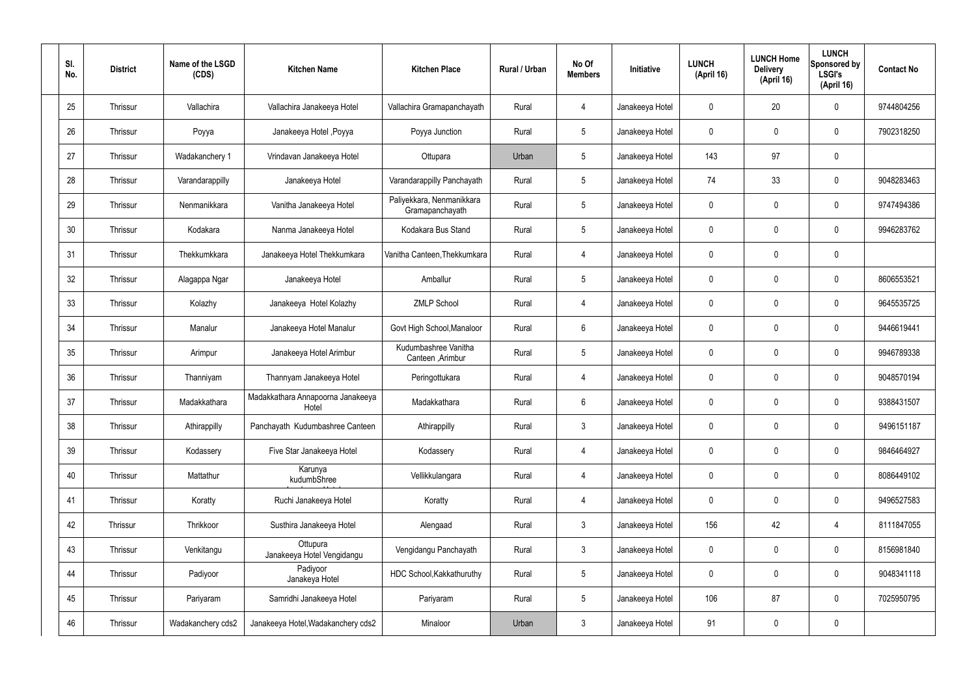| SI.<br>No. | <b>District</b> | Name of the LSGD<br>(CDS) | <b>Kitchen Name</b>                        | <b>Kitchen Place</b>                         | Rural / Urban | No Of<br><b>Members</b> | Initiative      | <b>LUNCH</b><br>(April 16) | <b>LUNCH Home</b><br><b>Delivery</b><br>(April 16) | <b>LUNCH</b><br>Sponsored by<br><b>LSGI's</b><br>(April 16) | <b>Contact No</b> |
|------------|-----------------|---------------------------|--------------------------------------------|----------------------------------------------|---------------|-------------------------|-----------------|----------------------------|----------------------------------------------------|-------------------------------------------------------------|-------------------|
| 25         | Thrissur        | Vallachira                | Vallachira Janakeeya Hotel                 | Vallachira Gramapanchayath                   | Rural         | 4                       | Janakeeya Hotel | $\mathbf 0$                | 20                                                 | $\mathbf 0$                                                 | 9744804256        |
| 26         | Thrissur        | Poyya                     | Janakeeya Hotel , Poyya                    | Poyya Junction                               | Rural         | $5\phantom{.0}$         | Janakeeya Hotel | $\mathbf 0$                | 0                                                  | $\mathbf 0$                                                 | 7902318250        |
| 27         | Thrissur        | Wadakanchery 1            | Vrindavan Janakeeya Hotel                  | Ottupara                                     | Urban         | $5\phantom{.0}$         | Janakeeya Hotel | 143                        | 97                                                 | $\mathbf 0$                                                 |                   |
| 28         | Thrissur        | Varandarappilly           | Janakeeya Hotel                            | Varandarappilly Panchayath                   | Rural         | $5\phantom{.0}$         | Janakeeya Hotel | 74                         | 33                                                 | $\mathbf 0$                                                 | 9048283463        |
| 29         | Thrissur        | Nenmanikkara              | Vanitha Janakeeya Hotel                    | Paliyekkara, Nenmanikkara<br>Gramapanchayath | Rural         | $5\phantom{.0}$         | Janakeeya Hotel | $\mathbf 0$                | 0                                                  | $\mathbf 0$                                                 | 9747494386        |
| 30         | Thrissur        | Kodakara                  | Nanma Janakeeya Hotel                      | Kodakara Bus Stand                           | Rural         | $5\phantom{.0}$         | Janakeeya Hotel | $\mathbf 0$                | 0                                                  | $\mathbf 0$                                                 | 9946283762        |
| 31         | Thrissur        | Thekkumkkara              | Janakeeya Hotel Thekkumkara                | Vanitha Canteen, Thekkumkara                 | Rural         | $\overline{4}$          | Janakeeya Hotel | $\mathbf 0$                | 0                                                  | $\mathbf 0$                                                 |                   |
| 32         | Thrissur        | Alagappa Ngar             | Janakeeya Hotel                            | Amballur                                     | Rural         | $5\phantom{.0}$         | Janakeeya Hotel | $\mathbf 0$                | 0                                                  | $\mathbf 0$                                                 | 8606553521        |
| 33         | Thrissur        | Kolazhy                   | Janakeeya Hotel Kolazhy                    | <b>ZMLP School</b>                           | Rural         | $\overline{4}$          | Janakeeya Hotel | $\mathbf 0$                | 0                                                  | $\mathbf 0$                                                 | 9645535725        |
| 34         | Thrissur        | Manalur                   | Janakeeya Hotel Manalur                    | Govt High School, Manaloor                   | Rural         | $6\phantom{.}6$         | Janakeeya Hotel | $\mathbf 0$                | 0                                                  | $\mathbf 0$                                                 | 9446619441        |
| 35         | Thrissur        | Arimpur                   | Janakeeya Hotel Arimbur                    | Kudumbashree Vanitha<br>Canteen , Arimbur    | Rural         | $5\phantom{.0}$         | Janakeeya Hotel | $\mathbf 0$                | 0                                                  | $\mathbf 0$                                                 | 9946789338        |
| 36         | Thrissur        | Thanniyam                 | Thannyam Janakeeya Hotel                   | Peringottukara                               | Rural         | 4                       | Janakeeya Hotel | $\mathbf 0$                | 0                                                  | $\mathbf 0$                                                 | 9048570194        |
| 37         | Thrissur        | Madakkathara              | Madakkathara Annapoorna Janakeeya<br>Hotel | Madakkathara                                 | Rural         | $6\phantom{.}6$         | Janakeeya Hotel | $\mathbf 0$                | 0                                                  | 0                                                           | 9388431507        |
| 38         | Thrissur        | Athirappilly              | Panchayath Kudumbashree Canteen            | Athirappilly                                 | Rural         | $\mathbf{3}$            | Janakeeya Hotel | $\mathbf 0$                | $\mathbf 0$                                        | $\mathbf 0$                                                 | 9496151187        |
| 39         | Thrissur        | Kodassery                 | Five Star Janakeeya Hotel                  | Kodassery                                    | Rural         | $\overline{4}$          | Janakeeya Hotel | $\mathbf 0$                | $\mathbf 0$                                        | $\mathbf 0$                                                 | 9846464927        |
| 40         | Thrissur        | Mattathur                 | Karunya<br>kudumbShree                     | Vellikkulangara                              | Rural         | $\overline{4}$          | Janakeeya Hotel | $\mathbf 0$                | $\mathbf 0$                                        | $\mathbf 0$                                                 | 8086449102        |
| 41         | Thrissur        | Koratty                   | Ruchi Janakeeya Hotel                      | Koratty                                      | Rural         | $\overline{4}$          | Janakeeya Hotel | $\mathbf 0$                | $\mathbf 0$                                        | $\mathbf 0$                                                 | 9496527583        |
| 42         | Thrissur        | Thrikkoor                 | Susthira Janakeeya Hotel                   | Alengaad                                     | Rural         | $\mathfrak{Z}$          | Janakeeya Hotel | 156                        | 42                                                 | $\overline{4}$                                              | 8111847055        |
| 43         | Thrissur        | Venkitangu                | Ottupura<br>Janakeeya Hotel Vengidangu     | Vengidangu Panchayath                        | Rural         | $\mathfrak{Z}$          | Janakeeya Hotel | $\mathbf 0$                | 0                                                  | $\mathbf 0$                                                 | 8156981840        |
| 44         | Thrissur        | Padiyoor                  | Padiyoor<br>Janakeya Hotel                 | HDC School, Kakkathuruthy                    | Rural         | $5\phantom{.0}$         | Janakeeya Hotel | $\mathbf 0$                | 0                                                  | $\mathbf 0$                                                 | 9048341118        |
| 45         | Thrissur        | Pariyaram                 | Samridhi Janakeeya Hotel                   | Pariyaram                                    | Rural         | $5\phantom{.0}$         | Janakeeya Hotel | 106                        | 87                                                 | $\mathbf 0$                                                 | 7025950795        |
| 46         | Thrissur        | Wadakanchery cds2         | Janakeeya Hotel, Wadakanchery cds2         | Minaloor                                     | Urban         | $\mathbf{3}$            | Janakeeya Hotel | 91                         | 0                                                  | $\mathbf 0$                                                 |                   |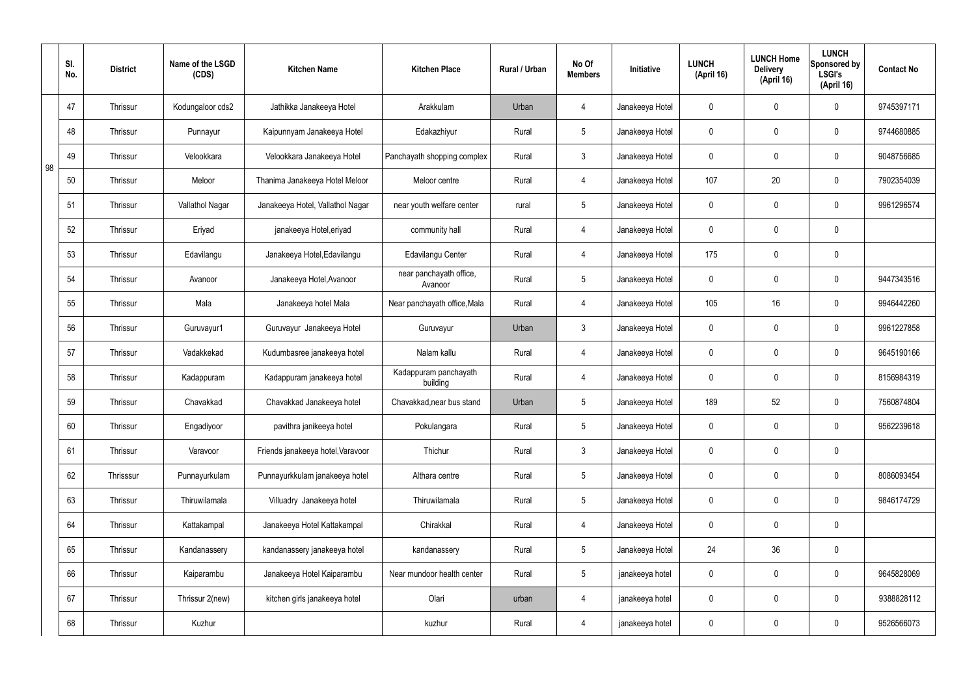|    | SI.<br>No. | <b>District</b> | Name of the LSGD<br>(CDS) | <b>Kitchen Name</b>               | <b>Kitchen Place</b>               | Rural / Urban | No Of<br><b>Members</b> | Initiative      | <b>LUNCH</b><br>(April 16) | <b>LUNCH Home</b><br><b>Delivery</b><br>(April 16) | <b>LUNCH</b><br>Sponsored by<br><b>LSGI's</b><br>(April 16) | <b>Contact No</b> |
|----|------------|-----------------|---------------------------|-----------------------------------|------------------------------------|---------------|-------------------------|-----------------|----------------------------|----------------------------------------------------|-------------------------------------------------------------|-------------------|
|    | 47         | Thrissur        | Kodungaloor cds2          | Jathikka Janakeeya Hotel          | Arakkulam                          | Urban         | 4                       | Janakeeya Hotel | $\mathbf 0$                | $\mathbf 0$                                        | $\mathbf 0$                                                 | 9745397171        |
|    | 48         | <b>Thrissur</b> | Punnayur                  | Kaipunnyam Janakeeya Hotel        | Edakazhiyur                        | Rural         | $5\overline{)}$         | Janakeeya Hotel | $\mathbf 0$                | $\mathbf 0$                                        | $\mathbf 0$                                                 | 9744680885        |
| 98 | 49         | <b>Thrissur</b> | Velookkara                | Velookkara Janakeeya Hotel        | Panchayath shopping complex        | Rural         | $\mathbf{3}$            | Janakeeya Hotel | $\mathbf 0$                | $\mathbf 0$                                        | $\mathbf 0$                                                 | 9048756685        |
|    | 50         | <b>Thrissur</b> | Meloor                    | Thanima Janakeeya Hotel Meloor    | Meloor centre                      | Rural         | $\overline{4}$          | Janakeeya Hotel | 107                        | 20                                                 | $\mathbf 0$                                                 | 7902354039        |
|    | 51         | <b>Thrissur</b> | Vallathol Nagar           | Janakeeya Hotel, Vallathol Nagar  | near youth welfare center          | rural         | $5\overline{)}$         | Janakeeya Hotel | $\mathbf 0$                | $\mathbf 0$                                        | $\mathbf 0$                                                 | 9961296574        |
|    | 52         | Thrissur        | Eriyad                    | janakeeya Hotel, eriyad           | community hall                     | Rural         | $\overline{4}$          | Janakeeya Hotel | $\mathbf 0$                | $\mathbf 0$                                        | $\mathbf 0$                                                 |                   |
|    | 53         | <b>Thrissur</b> | Edavilangu                | Janakeeya Hotel, Edavilangu       | <b>Edavilangu Center</b>           | Rural         | $\overline{4}$          | Janakeeya Hotel | 175                        | $\mathbf 0$                                        | $\mathbf 0$                                                 |                   |
|    | 54         | Thrissur        | Avanoor                   | Janakeeya Hotel, Avanoor          | near panchayath office,<br>Avanoor | Rural         | $5\phantom{.0}$         | Janakeeya Hotel | $\mathbf 0$                | $\mathbf 0$                                        | $\mathbf 0$                                                 | 9447343516        |
|    | 55         | <b>Thrissur</b> | Mala                      | Janakeeya hotel Mala              | Near panchayath office, Mala       | Rural         | $\overline{4}$          | Janakeeya Hotel | 105                        | 16                                                 | $\mathbf 0$                                                 | 9946442260        |
|    | 56         | Thrissur        | Guruvayur1                | Guruvayur Janakeeya Hotel         | Guruvayur                          | Urban         | $\mathbf{3}$            | Janakeeya Hotel | $\mathbf 0$                | $\mathbf 0$                                        | $\mathbf 0$                                                 | 9961227858        |
|    | 57         | <b>Thrissur</b> | Vadakkekad                | Kudumbasree janakeeya hotel       | Nalam kallu                        | Rural         | $\overline{4}$          | Janakeeya Hotel | $\mathbf 0$                | $\mathbf 0$                                        | $\mathbf 0$                                                 | 9645190166        |
|    | 58         | Thrissur        | Kadappuram                | Kadappuram janakeeya hotel        | Kadappuram panchayath<br>building  | Rural         | 4                       | Janakeeya Hotel | $\mathbf 0$                | $\mathbf 0$                                        | $\mathbf 0$                                                 | 8156984319        |
|    | 59         | <b>Thrissur</b> | Chavakkad                 | Chavakkad Janakeeya hotel         | Chavakkad, near bus stand          | Urban         | $5\overline{)}$         | Janakeeya Hotel | 189                        | 52                                                 | $\mathbf 0$                                                 | 7560874804        |
|    | 60         | Thrissur        | Engadiyoor                | pavithra janikeeya hotel          | Pokulangara                        | Rural         | $5\phantom{.0}$         | Janakeeya Hotel | $\mathbf 0$                | $\pmb{0}$                                          | $\mathbf 0$                                                 | 9562239618        |
|    | 61         | Thrissur        | Varavoor                  | Friends janakeeya hotel, Varavoor | Thichur                            | Rural         | $3\phantom{a}$          | Janakeeya Hotel | $\mathbf 0$                | $\pmb{0}$                                          | $\mathbf 0$                                                 |                   |
|    | 62         | Thrisssur       | Punnayurkulam             | Punnayurkkulam janakeeya hotel    | Althara centre                     | Rural         | $5\overline{)}$         | Janakeeya Hotel | $\mathbf 0$                | $\mathbf 0$                                        | $\mathbf 0$                                                 | 8086093454        |
|    | 63         | Thrissur        | Thiruwilamala             | Villuadry Janakeeya hotel         | Thiruwilamala                      | Rural         | $5\overline{)}$         | Janakeeya Hotel | $\mathbf 0$                | $\pmb{0}$                                          | $\mathbf 0$                                                 | 9846174729        |
|    | 64         | Thrissur        | Kattakampal               | Janakeeya Hotel Kattakampal       | Chirakkal                          | Rural         | $\overline{4}$          | Janakeeya Hotel | $\mathbf 0$                | 0                                                  | $\mathbf 0$                                                 |                   |
|    | 65         | Thrissur        | Kandanassery              | kandanassery janakeeya hotel      | kandanassery                       | Rural         | $5\overline{)}$         | Janakeeya Hotel | 24                         | 36                                                 | $\mathbf 0$                                                 |                   |
|    | 66         | Thrissur        | Kaiparambu                | Janakeeya Hotel Kaiparambu        | Near mundoor health center         | Rural         | $5\overline{)}$         | janakeeya hotel | $\mathbf 0$                | 0                                                  | $\mathbf 0$                                                 | 9645828069        |
|    | 67         | Thrissur        | Thrissur 2(new)           | kitchen girls janakeeya hotel     | Olari                              | urban         | 4                       | janakeeya hotel | $\mathbf 0$                | 0                                                  | $\mathbf 0$                                                 | 9388828112        |
|    | 68         | Thrissur        | Kuzhur                    |                                   | kuzhur                             | Rural         | 4                       | janakeeya hotel | $\pmb{0}$                  | 0                                                  | $\overline{0}$                                              | 9526566073        |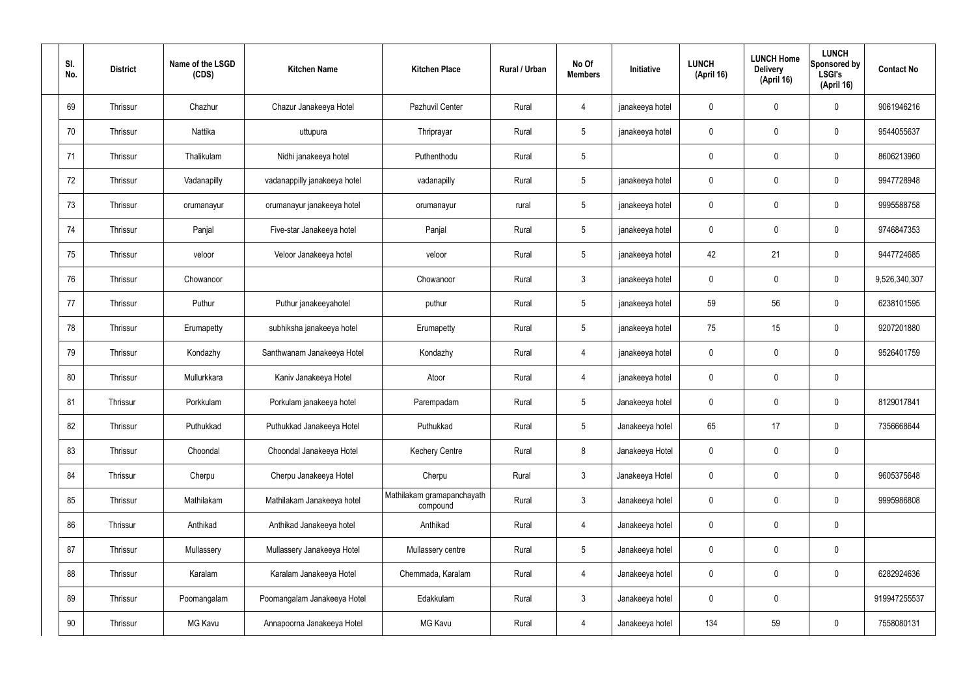| SI.<br>No. | <b>District</b> | Name of the LSGD<br>(CDS) | <b>Kitchen Name</b>          | <b>Kitchen Place</b>                   | Rural / Urban | No Of<br><b>Members</b> | Initiative      | <b>LUNCH</b><br>(April 16) | <b>LUNCH Home</b><br><b>Delivery</b><br>(April 16) | <b>LUNCH</b><br>Sponsored by<br><b>LSGI's</b><br>(April 16) | <b>Contact No</b> |
|------------|-----------------|---------------------------|------------------------------|----------------------------------------|---------------|-------------------------|-----------------|----------------------------|----------------------------------------------------|-------------------------------------------------------------|-------------------|
| 69         | Thrissur        | Chazhur                   | Chazur Janakeeya Hotel       | Pazhuvil Center                        | Rural         | 4                       | janakeeya hotel | $\mathbf 0$                | $\mathbf 0$                                        | $\mathbf 0$                                                 | 9061946216        |
| 70         | Thrissur        | Nattika                   | uttupura                     | Thriprayar                             | Rural         | $5\overline{)}$         | janakeeya hotel | $\mathbf 0$                | $\mathbf 0$                                        | $\mathbf 0$                                                 | 9544055637        |
| 71         | Thrissur        | Thalikulam                | Nidhi janakeeya hotel        | Puthenthodu                            | Rural         | $5\phantom{.0}$         |                 | $\mathbf 0$                | $\mathbf 0$                                        | $\mathbf 0$                                                 | 8606213960        |
| 72         | Thrissur        | Vadanapilly               | vadanappilly janakeeya hotel | vadanapilly                            | Rural         | $5\overline{)}$         | janakeeya hotel | $\mathbf 0$                | $\mathbf 0$                                        | $\mathbf 0$                                                 | 9947728948        |
| 73         | Thrissur        | orumanayur                | orumanayur janakeeya hotel   | orumanayur                             | rural         | $5\overline{)}$         | janakeeya hotel | $\mathbf 0$                | $\mathbf 0$                                        | $\mathbf 0$                                                 | 9995588758        |
| 74         | Thrissur        | Panjal                    | Five-star Janakeeya hotel    | Panjal                                 | Rural         | $5\overline{)}$         | janakeeya hotel | $\mathbf 0$                | $\mathbf 0$                                        | $\mathbf 0$                                                 | 9746847353        |
| 75         | Thrissur        | veloor                    | Veloor Janakeeya hotel       | veloor                                 | Rural         | $5\overline{)}$         | janakeeya hotel | 42                         | 21                                                 | $\mathbf 0$                                                 | 9447724685        |
| 76         | Thrissur        | Chowanoor                 |                              | Chowanoor                              | Rural         | $\mathbf{3}$            | janakeeya hotel | $\mathbf 0$                | $\mathbf 0$                                        | $\mathbf 0$                                                 | 9,526,340,307     |
| 77         | Thrissur        | Puthur                    | Puthur janakeeyahotel        | puthur                                 | Rural         | $5\overline{)}$         | janakeeya hotel | 59                         | 56                                                 | $\mathbf 0$                                                 | 6238101595        |
| 78         | Thrissur        | Erumapetty                | subhiksha janakeeya hotel    | Erumapetty                             | Rural         | $5\phantom{.0}$         | janakeeya hotel | 75                         | 15                                                 | $\mathbf 0$                                                 | 9207201880        |
| 79         | Thrissur        | Kondazhy                  | Santhwanam Janakeeya Hotel   | Kondazhy                               | Rural         | $\overline{4}$          | janakeeya hotel | $\mathbf 0$                | $\mathbf 0$                                        | $\mathbf 0$                                                 | 9526401759        |
| 80         | Thrissur        | Mullurkkara               | Kaniv Janakeeya Hotel        | Atoor                                  | Rural         | $\overline{4}$          | janakeeya hotel | $\mathbf 0$                | $\mathbf 0$                                        | $\mathbf 0$                                                 |                   |
| 81         | Thrissur        | Porkkulam                 | Porkulam janakeeya hotel     | Parempadam                             | Rural         | $5\phantom{.0}$         | Janakeeya hotel | $\mathbf 0$                | $\mathbf 0$                                        | $\mathbf 0$                                                 | 8129017841        |
| 82         | Thrissur        | Puthukkad                 | Puthukkad Janakeeya Hotel    | Puthukkad                              | Rural         | $5\phantom{.0}$         | Janakeeya hotel | 65                         | 17                                                 | $\mathbf 0$                                                 | 7356668644        |
| 83         | Thrissur        | Choondal                  | Choondal Janakeeya Hotel     | <b>Kechery Centre</b>                  | Rural         | 8                       | Janakeeya Hotel | $\mathbf 0$                | $\mathbf 0$                                        | $\mathbf 0$                                                 |                   |
| 84         | Thrissur        | Cherpu                    | Cherpu Janakeeya Hotel       | Cherpu                                 | Rural         | $\mathbf{3}$            | Janakeeya Hotel | $\mathbf 0$                | $\pmb{0}$                                          | $\mathbf 0$                                                 | 9605375648        |
| 85         | Thrissur        | Mathilakam                | Mathilakam Janakeeya hotel   | Mathilakam gramapanchayath<br>compound | Rural         | $\mathbf{3}$            | Janakeeya hotel | $\mathbf 0$                | $\pmb{0}$                                          | $\mathbf 0$                                                 | 9995986808        |
| 86         | Thrissur        | Anthikad                  | Anthikad Janakeeya hotel     | Anthikad                               | Rural         | $\overline{4}$          | Janakeeya hotel | $\mathbf 0$                | $\pmb{0}$                                          | $\mathbf 0$                                                 |                   |
| 87         | Thrissur        | Mullassery                | Mullassery Janakeeya Hotel   | Mullassery centre                      | Rural         | $5\overline{)}$         | Janakeeya hotel | $\mathbf 0$                | $\pmb{0}$                                          | $\mathbf 0$                                                 |                   |
| 88         | Thrissur        | Karalam                   | Karalam Janakeeya Hotel      | Chemmada, Karalam                      | Rural         | $\overline{4}$          | Janakeeya hotel | $\mathbf 0$                | $\pmb{0}$                                          | $\mathbf 0$                                                 | 6282924636        |
| 89         | Thrissur        | Poomangalam               | Poomangalam Janakeeya Hotel  | Edakkulam                              | Rural         | $\mathbf{3}$            | Janakeeya hotel | $\mathbf 0$                | $\pmb{0}$                                          |                                                             | 919947255537      |
| 90         | Thrissur        | MG Kavu                   | Annapoorna Janakeeya Hotel   | MG Kavu                                | Rural         | 4                       | Janakeeya hotel | 134                        | 59                                                 | $\mathbf 0$                                                 | 7558080131        |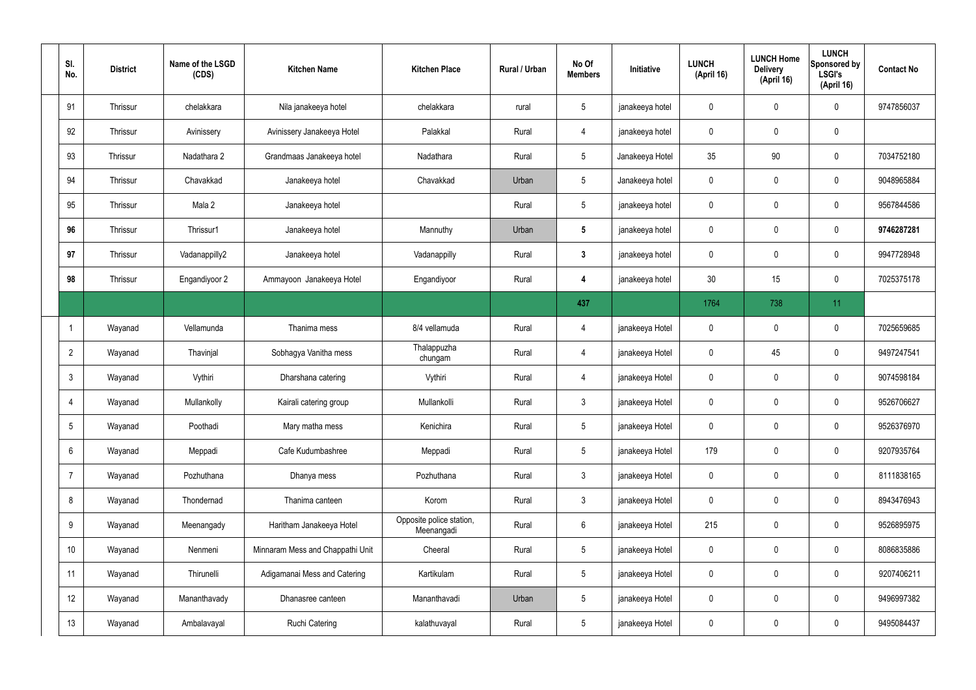| SI.<br>No.     | <b>District</b> | Name of the LSGD<br>(CDS) | <b>Kitchen Name</b>              | <b>Kitchen Place</b>                   | Rural / Urban | No Of<br><b>Members</b> | Initiative      | <b>LUNCH</b><br>(April 16) | <b>LUNCH Home</b><br><b>Delivery</b><br>(April 16) | <b>LUNCH</b><br>Sponsored by<br><b>LSGI's</b><br>(April 16) | <b>Contact No</b> |
|----------------|-----------------|---------------------------|----------------------------------|----------------------------------------|---------------|-------------------------|-----------------|----------------------------|----------------------------------------------------|-------------------------------------------------------------|-------------------|
| 91             | Thrissur        | chelakkara                | Nila janakeeya hotel             | chelakkara                             | rural         | $5\overline{)}$         | janakeeya hotel | $\mathbf 0$                | $\mathbf 0$                                        | $\mathbf 0$                                                 | 9747856037        |
| 92             | Thrissur        | Avinissery                | Avinissery Janakeeya Hotel       | Palakkal                               | Rural         | 4                       | janakeeya hotel | $\mathbf 0$                | $\mathbf 0$                                        | $\mathbf 0$                                                 |                   |
| 93             | Thrissur        | Nadathara 2               | Grandmaas Janakeeya hotel        | Nadathara                              | Rural         | $5\overline{)}$         | Janakeeya Hotel | 35                         | 90                                                 | $\mathbf 0$                                                 | 7034752180        |
| 94             | Thrissur        | Chavakkad                 | Janakeeya hotel                  | Chavakkad                              | Urban         | $5\phantom{.0}$         | Janakeeya hotel | $\mathbf 0$                | $\mathbf 0$                                        | $\mathbf 0$                                                 | 9048965884        |
| 95             | Thrissur        | Mala 2                    | Janakeeya hotel                  |                                        | Rural         | $5\overline{)}$         | janakeeya hotel | $\mathbf 0$                | 0                                                  | $\mathbf 0$                                                 | 9567844586        |
| 96             | Thrissur        | Thrissur1                 | Janakeeya hotel                  | Mannuthy                               | Urban         | $5\phantom{.0}$         | janakeeya hotel | $\mathbf 0$                | $\mathbf 0$                                        | $\mathbf 0$                                                 | 9746287281        |
| 97             | Thrissur        | Vadanappilly2             | Janakeeya hotel                  | Vadanappilly                           | Rural         | $\mathbf{3}$            | janakeeya hotel | $\mathbf 0$                | 0                                                  | $\mathbf 0$                                                 | 9947728948        |
| 98             | Thrissur        | Engandiyoor 2             | Ammayoon Janakeeya Hotel         | Engandiyoor                            | Rural         | 4                       | janakeeya hotel | 30                         | 15                                                 | $\mathbf 0$                                                 | 7025375178        |
|                |                 |                           |                                  |                                        |               | 437                     |                 | 1764                       | 738                                                | 11                                                          |                   |
|                | Wayanad         | Vellamunda                | Thanima mess                     | 8/4 vellamuda                          | Rural         | 4                       | janakeeya Hotel | $\mathbf 0$                | $\mathbf 0$                                        | $\mathbf 0$                                                 | 7025659685        |
| $\overline{2}$ | Wayanad         | Thavinjal                 | Sobhagya Vanitha mess            | Thalappuzha<br>chungam                 | Rural         | 4                       | janakeeya Hotel | $\mathbf 0$                | 45                                                 | $\mathbf 0$                                                 | 9497247541        |
| $\mathbf{3}$   | Wayanad         | Vythiri                   | Dharshana catering               | Vythiri                                | Rural         | $\overline{4}$          | janakeeya Hotel | $\mathbf 0$                | 0                                                  | $\mathbf 0$                                                 | 9074598184        |
| $\overline{4}$ | Wayanad         | Mullankolly               | Kairali catering group           | Mullankolli                            | Rural         | $\mathbf{3}$            | janakeeya Hotel | $\mathbf 0$                | $\mathbf 0$                                        | $\mathbf 0$                                                 | 9526706627        |
| 5              | Wayanad         | Poothadi                  | Mary matha mess                  | Kenichira                              | Rural         | $5\phantom{.0}$         | janakeeya Hotel | $\mathbf 0$                | $\pmb{0}$                                          | $\mathbf 0$                                                 | 9526376970        |
| 6              | Wayanad         | Meppadi                   | Cafe Kudumbashree                | Meppadi                                | Rural         | $5\phantom{.0}$         | janakeeya Hotel | 179                        | 0                                                  | $\mathbf 0$                                                 | 9207935764        |
| $\overline{7}$ | Wayanad         | Pozhuthana                | Dhanya mess                      | Pozhuthana                             | Rural         | $3\phantom{a}$          | janakeeya Hotel | $\mathbf 0$                | 0                                                  | $\mathbf 0$                                                 | 8111838165        |
| 8              | Wayanad         | Thondernad                | Thanima canteen                  | Korom                                  | Rural         | $3\phantom{a}$          | janakeeya Hotel | $\mathbf 0$                | 0                                                  | $\mathbf 0$                                                 | 8943476943        |
| 9              | Wayanad         | Meenangady                | Haritham Janakeeya Hotel         | Opposite police station,<br>Meenangadi | Rural         | $6\overline{6}$         | janakeeya Hotel | 215                        | 0                                                  | $\mathbf 0$                                                 | 9526895975        |
| 10             | Wayanad         | Nenmeni                   | Minnaram Mess and Chappathi Unit | Cheeral                                | Rural         | $5\phantom{.0}$         | janakeeya Hotel | $\mathbf 0$                | $\mathbf 0$                                        | $\mathbf 0$                                                 | 8086835886        |
| 11             | Wayanad         | Thirunelli                | Adigamanai Mess and Catering     | Kartikulam                             | Rural         | $5\phantom{.0}$         | janakeeya Hotel | $\mathbf 0$                | $\mathbf 0$                                        | $\mathbf 0$                                                 | 9207406211        |
| 12             | Wayanad         | Mananthavady              | Dhanasree canteen                | Mananthavadi                           | Urban         | $5\phantom{.0}$         | janakeeya Hotel | $\mathbf 0$                | $\pmb{0}$                                          | $\mathbf 0$                                                 | 9496997382        |
| 13             | Wayanad         | Ambalavayal               | <b>Ruchi Catering</b>            | kalathuvayal                           | Rural         | $5\phantom{.0}$         | janakeeya Hotel | $\pmb{0}$                  | $\pmb{0}$                                          | $\pmb{0}$                                                   | 9495084437        |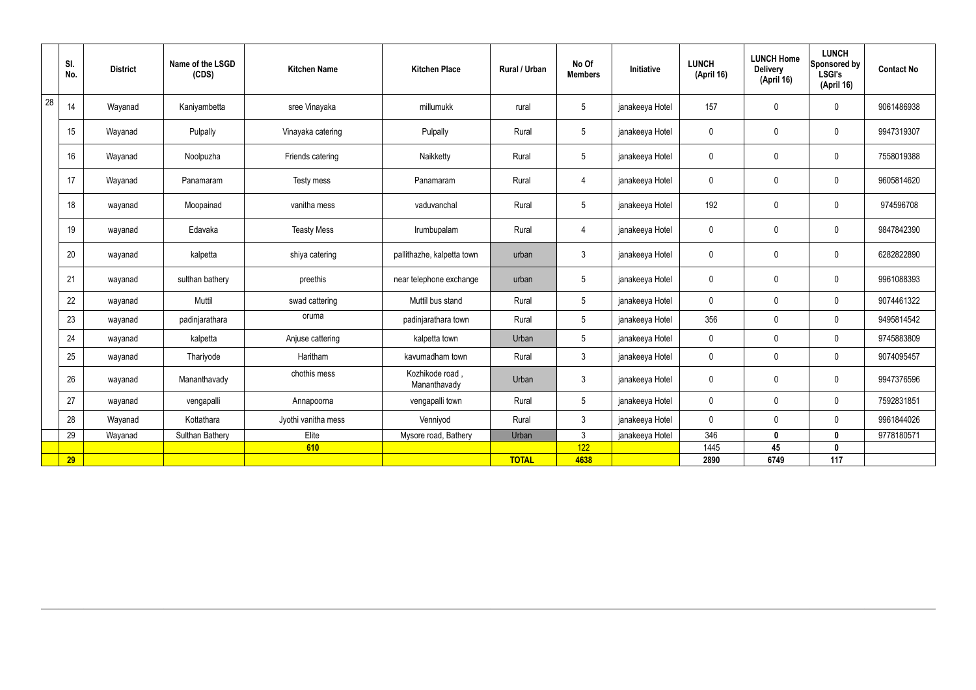|    | SI.<br>No. | <b>District</b> | Name of the LSGD<br>(CDS) | <b>Kitchen Name</b> | <b>Kitchen Place</b>           | Rural / Urban | No Of<br><b>Members</b> | Initiative      | <b>LUNCH</b><br>(April 16) | <b>LUNCH Home</b><br><b>Delivery</b><br>(April 16) | <b>LUNCH</b><br>Sponsored by<br><b>LSGI's</b><br>(April 16) | <b>Contact No</b> |
|----|------------|-----------------|---------------------------|---------------------|--------------------------------|---------------|-------------------------|-----------------|----------------------------|----------------------------------------------------|-------------------------------------------------------------|-------------------|
| 28 | 14         | Wayanad         | Kaniyambetta              | sree Vinayaka       | millumukk                      | rural         | $5\overline{)}$         | janakeeya Hotel | 157                        | $\mathbf 0$                                        | $\mathbf 0$                                                 | 9061486938        |
|    | 15         | Wayanad         | Pulpally                  | Vinayaka catering   | Pulpally                       | Rural         | $5\overline{)}$         | janakeeya Hotel | $\mathbf 0$                | $\mathbf 0$                                        | $\mathbf 0$                                                 | 9947319307        |
|    | 16         | Wayanad         | Noolpuzha                 | Friends catering    | Naikketty                      | Rural         | $5\overline{)}$         | janakeeya Hotel | $\pmb{0}$                  | $\mathbf 0$                                        | $\mathbf 0$                                                 | 7558019388        |
|    | 17         | Wayanad         | Panamaram                 | Testy mess          | Panamaram                      | Rural         | $\overline{4}$          | janakeeya Hotel | $\pmb{0}$                  | $\pmb{0}$                                          | $\mathbf 0$                                                 | 9605814620        |
|    | 18         | wayanad         | Moopainad                 | vanitha mess        | vaduvanchal                    | Rural         | $5\overline{)}$         | janakeeya Hotel | 192                        | $\pmb{0}$                                          | $\mathbf 0$                                                 | 974596708         |
|    | 19         | wayanad         | Edavaka                   | <b>Teasty Mess</b>  | Irumbupalam                    | Rural         | $\overline{4}$          | janakeeya Hotel | $\pmb{0}$                  | $\pmb{0}$                                          | $\mathbf 0$                                                 | 9847842390        |
|    | 20         | wayanad         | kalpetta                  | shiya catering      | pallithazhe, kalpetta town     | urban         | $\mathbf{3}$            | janakeeya Hotel | $\pmb{0}$                  | $\pmb{0}$                                          | $\mathbf 0$                                                 | 6282822890        |
|    | 21         | wayanad         | sulthan bathery           | preethis            | near telephone exchange        | urban         | $5\phantom{.0}$         | janakeeya Hotel | $\mathbf 0$                | $\mathbf 0$                                        | $\mathbf 0$                                                 | 9961088393        |
|    | 22         | wayanad         | Muttil                    | swad cattering      | Muttil bus stand               | Rural         | $5\overline{)}$         | janakeeya Hotel | $\mathbf 0$                | $\pmb{0}$                                          | $\mathbf 0$                                                 | 9074461322        |
|    | 23         | wayanad         | padinjarathara            | oruma               | padinjarathara town            | Rural         | $5\overline{)}$         | janakeeya Hotel | 356                        | $\mathbf 0$                                        | $\mathbf 0$                                                 | 9495814542        |
|    | 24         | wayanad         | kalpetta                  | Anjuse cattering    | kalpetta town                  | Urban         | $5\overline{)}$         | janakeeya Hotel | $\mathbf 0$                | $\mathbf 0$                                        | $\mathbf 0$                                                 | 9745883809        |
|    | 25         | wayanad         | Thariyode                 | Haritham            | kavumadham town                | Rural         | $\mathbf{3}$            | janakeeya Hotel | $\mathbf 0$                | $\pmb{0}$                                          | $\mathbf 0$                                                 | 9074095457        |
|    | 26         | wayanad         | Mananthavady              | chothis mess        | Kozhikode road<br>Mananthavady | Urban         | $\mathbf{3}$            | janakeeya Hotel | $\mathbf 0$                | $\mathbf 0$                                        | $\mathbf 0$                                                 | 9947376596        |
|    | 27         | wayanad         | vengapalli                | Annapoorna          | vengapalli town                | Rural         | $5\phantom{.0}$         | janakeeya Hotel | $\mathbf 0$                | $\pmb{0}$                                          | $\mathbf 0$                                                 | 7592831851        |
|    | 28         | Wayanad         | Kottathara                | Jyothi vanitha mess | Venniyod                       | Rural         | $\mathbf{3}$            | janakeeya Hotel | $\pmb{0}$                  | $\mathbf 0$                                        | $\mathbf 0$                                                 | 9961844026        |
|    | 29         | Wayanad         | Sulthan Bathery           | Elite               | Mysore road, Bathery           | Urban         | $\mathbf{3}$            | janakeeya Hotel | 346                        | $\mathbf 0$                                        | $\mathbf 0$                                                 | 9778180571        |
|    |            |                 |                           | 610                 |                                |               | 122                     |                 | 1445                       | 45                                                 | $\mathbf 0$                                                 |                   |
|    | 29         |                 |                           |                     |                                | <b>TOTAL</b>  | 4638                    |                 | 2890                       | 6749                                               | 117                                                         |                   |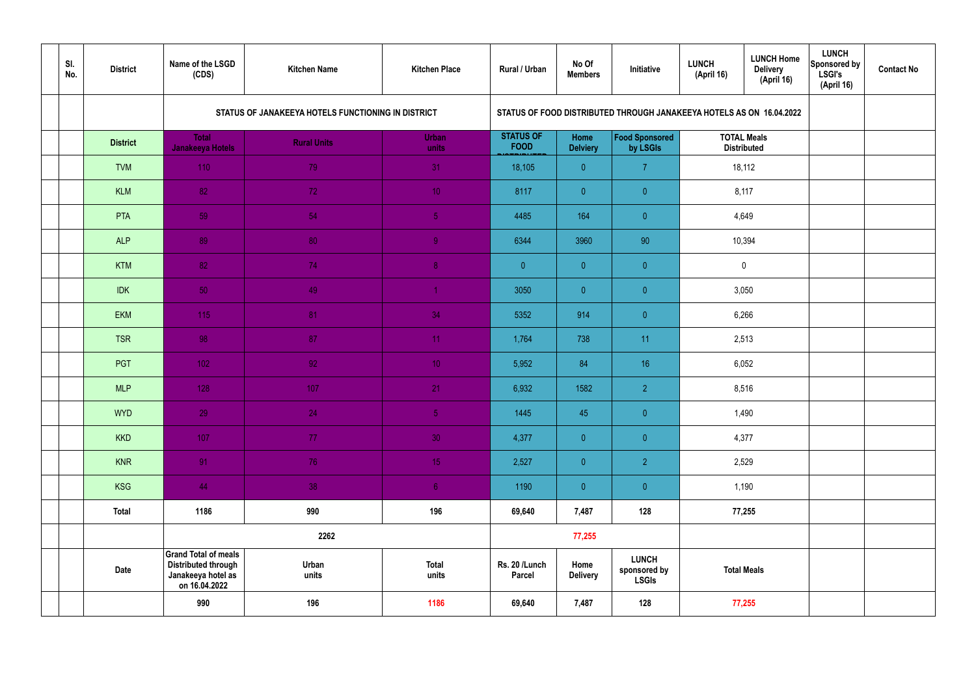| SI.<br>No. | <b>District</b> | Name of the LSGD<br>(CDS)                                                                        | <b>Kitchen Name</b>                                | <b>Kitchen Place</b>  | Rural / Urban                   | No Of<br><b>Members</b> | Initiative                                                           | <b>LUNCH</b><br>(April 16) | <b>LUNCH Home</b><br><b>Delivery</b><br>(April 16) | <b>LUNCH</b><br>Sponsored by<br>LSGI's<br>(April 16) | <b>Contact No</b> |
|------------|-----------------|--------------------------------------------------------------------------------------------------|----------------------------------------------------|-----------------------|---------------------------------|-------------------------|----------------------------------------------------------------------|----------------------------|----------------------------------------------------|------------------------------------------------------|-------------------|
|            |                 |                                                                                                  | STATUS OF JANAKEEYA HOTELS FUNCTIONING IN DISTRICT |                       |                                 |                         | STATUS OF FOOD DISTRIBUTED THROUGH JANAKEEYA HOTELS AS ON 16.04.2022 |                            |                                                    |                                                      |                   |
|            | <b>District</b> | <b>Total</b><br>Janakeeya Hotels                                                                 | <b>Rural Units</b>                                 | <b>Urban</b><br>units | <b>STATUS OF</b><br><b>FOOD</b> | Home<br><b>Delviery</b> | Food Sponsored<br>by LSGIs                                           | <b>TOTAL Meals</b>         | <b>Distributed</b>                                 |                                                      |                   |
|            | <b>TVM</b>      | 110                                                                                              | 79                                                 | 31                    | 18,105                          | $\overline{0}$          | $\overline{7}$                                                       |                            | 18,112                                             |                                                      |                   |
|            | <b>KLM</b>      | 82                                                                                               | 72                                                 | 10 <sub>1</sub>       | 8117                            | $\overline{0}$          | $\overline{0}$                                                       |                            | 8,117                                              |                                                      |                   |
|            | PTA             | 59                                                                                               | 54                                                 | 5 <sub>o</sub>        | 4485                            | 164                     | $\overline{0}$                                                       |                            | 4,649                                              |                                                      |                   |
|            | <b>ALP</b>      | 89                                                                                               | 80                                                 | $\overline{9}$        | 6344                            | 3960                    | 90                                                                   |                            | 10,394                                             |                                                      |                   |
|            | <b>KTM</b>      | 82                                                                                               | 74                                                 | 8 <sup>°</sup>        | $\overline{0}$                  | $\mathbf{0}$            | $\overline{0}$                                                       |                            | $\mathbf 0$                                        |                                                      |                   |
|            | <b>IDK</b>      | 50                                                                                               | 49                                                 | $\blacktriangleleft$  | 3050                            | $\overline{0}$          | $\overline{0}$                                                       | 3,050                      |                                                    |                                                      |                   |
|            | <b>EKM</b>      | 115                                                                                              | 81                                                 | 34                    | 5352                            | 914                     | $\overline{0}$                                                       |                            | 6,266                                              |                                                      |                   |
|            | <b>TSR</b>      | 98                                                                                               | 87                                                 | 11                    | 1,764                           | 738                     | 11                                                                   |                            | 2,513                                              |                                                      |                   |
|            | PGT             | $102$                                                                                            | 92                                                 | 10 <sup>°</sup>       | 5,952                           | 84                      | 16                                                                   |                            | 6,052                                              |                                                      |                   |
|            | <b>MLP</b>      | 128                                                                                              | 107                                                | 21                    | 6,932                           | 1582                    | $\overline{2}$                                                       |                            | 8,516                                              |                                                      |                   |
|            | <b>WYD</b>      | 29                                                                                               | 24                                                 | 5 <sub>1</sub>        | 1445                            | 45                      | $\overline{0}$                                                       |                            | 1,490                                              |                                                      |                   |
|            | <b>KKD</b>      | 107                                                                                              | 77 <sub>z</sub>                                    | 30 <sup>°</sup>       | 4,377                           | $\overline{0}$          | $\pmb{0}$                                                            |                            | 4,377                                              |                                                      |                   |
|            | <b>KNR</b>      | 91                                                                                               | 76                                                 | 15 <sub>1</sub>       | 2,527                           | $\overline{0}$          | $\overline{2}$                                                       |                            | 2,529                                              |                                                      |                   |
|            | <b>KSG</b>      | 44                                                                                               | 38                                                 | 6 <sup>1</sup>        | 1190                            | $\overline{0}$          | $\pmb{0}$                                                            |                            | 1,190                                              |                                                      |                   |
|            | <b>Total</b>    | 1186                                                                                             | 990                                                | 196                   | 69,640                          | 7,487                   | 128                                                                  |                            | 77,255                                             |                                                      |                   |
|            |                 |                                                                                                  | 2262                                               |                       |                                 | 77,255                  |                                                                      |                            |                                                    |                                                      |                   |
|            | <b>Date</b>     | <b>Grand Total of meals</b><br><b>Distributed through</b><br>Janakeeya hotel as<br>on 16.04.2022 | Urban<br>units                                     | <b>Total</b><br>units | Rs. 20 /Lunch<br><b>Parcel</b>  | Home<br><b>Delivery</b> | <b>LUNCH</b><br>sponsored by<br><b>LSGIs</b>                         |                            | <b>Total Meals</b>                                 |                                                      |                   |
|            |                 | 990                                                                                              | 196                                                | 1186                  | 69,640                          | 7,487                   | 128                                                                  |                            | 77,255                                             |                                                      |                   |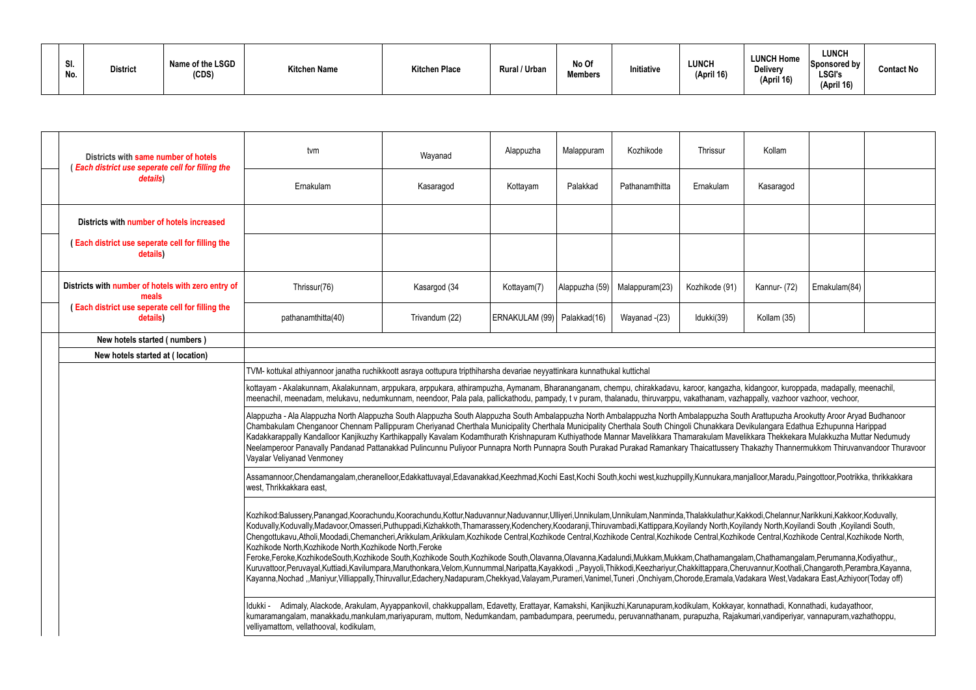| SI.<br>No. | <b>District</b> | Name of the LSGD<br>(CDS) | <b>Kitchen Name</b> | <b>Kitchen Place</b> | Rural / Urban | No Of<br><b>Members</b> | Initiative | <b>LUNCH</b><br>(April 16) | <b>LUNCH Home</b><br>Delivery<br>(April 16) | <b>LUNCH</b><br>Sponsored by<br><b>LSGI's</b><br>(April 16) | Contact No |
|------------|-----------------|---------------------------|---------------------|----------------------|---------------|-------------------------|------------|----------------------------|---------------------------------------------|-------------------------------------------------------------|------------|
|------------|-----------------|---------------------------|---------------------|----------------------|---------------|-------------------------|------------|----------------------------|---------------------------------------------|-------------------------------------------------------------|------------|

| Districts with same number of hotels                                                                                      | tvm                                                                                                                                                                                                                                                                                                                                                                                                                                                                                                                                                                                                                                                                                                                                                                                                                                                                                                                                                                                                                                                                                                                                                                                                                                                   | Wayanad        | Alappuzha                     | Malappuram     | Kozhikode      | Thrissur       | Kollam       |               |  |  |  |
|---------------------------------------------------------------------------------------------------------------------------|-------------------------------------------------------------------------------------------------------------------------------------------------------------------------------------------------------------------------------------------------------------------------------------------------------------------------------------------------------------------------------------------------------------------------------------------------------------------------------------------------------------------------------------------------------------------------------------------------------------------------------------------------------------------------------------------------------------------------------------------------------------------------------------------------------------------------------------------------------------------------------------------------------------------------------------------------------------------------------------------------------------------------------------------------------------------------------------------------------------------------------------------------------------------------------------------------------------------------------------------------------|----------------|-------------------------------|----------------|----------------|----------------|--------------|---------------|--|--|--|
| (Each district use seperate cell for filling the<br>details)                                                              | Ernakulam                                                                                                                                                                                                                                                                                                                                                                                                                                                                                                                                                                                                                                                                                                                                                                                                                                                                                                                                                                                                                                                                                                                                                                                                                                             | Kasaragod      | Kottayam                      | Palakkad       | Pathanamthitta | Ernakulam      | Kasaragod    |               |  |  |  |
| Districts with number of hotels increased                                                                                 |                                                                                                                                                                                                                                                                                                                                                                                                                                                                                                                                                                                                                                                                                                                                                                                                                                                                                                                                                                                                                                                                                                                                                                                                                                                       |                |                               |                |                |                |              |               |  |  |  |
| (Each district use seperate cell for filling the<br>details)                                                              |                                                                                                                                                                                                                                                                                                                                                                                                                                                                                                                                                                                                                                                                                                                                                                                                                                                                                                                                                                                                                                                                                                                                                                                                                                                       |                |                               |                |                |                |              |               |  |  |  |
| Districts with number of hotels with zero entry of<br>meals                                                               | Thrissur(76)                                                                                                                                                                                                                                                                                                                                                                                                                                                                                                                                                                                                                                                                                                                                                                                                                                                                                                                                                                                                                                                                                                                                                                                                                                          | Kasargod (34   | Kottayam(7)                   | Alappuzha (59) | Malappuram(23) | Kozhikode (91) | Kannur- (72) | Ernakulam(84) |  |  |  |
| (Each district use seperate cell for filling the<br>details)                                                              | pathanamthitta(40)                                                                                                                                                                                                                                                                                                                                                                                                                                                                                                                                                                                                                                                                                                                                                                                                                                                                                                                                                                                                                                                                                                                                                                                                                                    | Trivandum (22) | ERNAKULAM (99)   Palakkad(16) |                | Wayanad - (23) | Idukki(39)     | Kollam (35)  |               |  |  |  |
| New hotels started (numbers)                                                                                              |                                                                                                                                                                                                                                                                                                                                                                                                                                                                                                                                                                                                                                                                                                                                                                                                                                                                                                                                                                                                                                                                                                                                                                                                                                                       |                |                               |                |                |                |              |               |  |  |  |
| New hotels started at (location)                                                                                          |                                                                                                                                                                                                                                                                                                                                                                                                                                                                                                                                                                                                                                                                                                                                                                                                                                                                                                                                                                                                                                                                                                                                                                                                                                                       |                |                               |                |                |                |              |               |  |  |  |
| TVM- kottukal athiyannoor janatha ruchikkoott asraya oottupura tripthiharsha devariae neyyattinkara kunnathukal kuttichal |                                                                                                                                                                                                                                                                                                                                                                                                                                                                                                                                                                                                                                                                                                                                                                                                                                                                                                                                                                                                                                                                                                                                                                                                                                                       |                |                               |                |                |                |              |               |  |  |  |
|                                                                                                                           | kottayam - Akalakunnam, Akalakunnam, arppukara, arppukara, athirampuzha, Aymanam, Bharananganam, chempu, chirakkadavu, karoor, kangazha, kidangoor, kuroppada, madapally, meenachil,<br>meenachil, meenadam, melukavu, nedumkunnam, neendoor, Pala pala, pallickathodu, pampady, t v puram, thalanadu, thiruvarppu, vakathanam, vazhappally, vazhoor vazhoor, vechoor,                                                                                                                                                                                                                                                                                                                                                                                                                                                                                                                                                                                                                                                                                                                                                                                                                                                                                |                |                               |                |                |                |              |               |  |  |  |
|                                                                                                                           | Alappuzha - Ala Alappuzha North Alappuzha South Alappuzha South Alappuzha South Ambalappuzha North Ambalappuzha South Arattupuzha Arookutty Aroor Aryad Budhanoor<br>Chambakulam Chenganoor Chennam Pallippuram Cheriyanad Cherthala Municipality Cherthala Municipality Cherthala South Chingoli Chunakkara Devikulangara Edathua Ezhupunna Harippad<br>Kadakkarappally Kandalloor Kanjikuzhy Karthikappally Kavalam Kodamthurath Krishnapuram Kuthiyathode Mannar Mavelikkara Thamarakulam Mavelikkara Thekkekara Mulakkuzha Muttar Nedumudy<br>Neelamperoor Panavally Pandanad Pattanakkad Pulincunnu Puliyoor Punnapra North Punnapra South Purakad Purakad Ramankary Thaicattussery Thakazhy Thannermukkom Thiruvanvandoor Thuravoor<br>Vayalar Veliyanad Venmoney                                                                                                                                                                                                                                                                                                                                                                                                                                                                               |                |                               |                |                |                |              |               |  |  |  |
|                                                                                                                           | Assamannoor,Chendamangalam,cheranelloor,Edakkattuvayal,Edavanakkad,Keezhmad,Kochi East,Kochi South,kochi west,kuzhuppilly,Kunnukara,manjalloor,Maradu,Paingottoor,Pootrikka, thrikkakkara<br>west, Thrikkakkara east,                                                                                                                                                                                                                                                                                                                                                                                                                                                                                                                                                                                                                                                                                                                                                                                                                                                                                                                                                                                                                                 |                |                               |                |                |                |              |               |  |  |  |
|                                                                                                                           | Kozhikod:Balussery,Panangad,Koorachundu,Koorachundu,Kottur,Naduvannur,Naduvannur,Ulliyeri,Unnikulam,Unnikulam,Nanminda,Thalakkulathur,Kakkodi,Chelannur,Narikkuni,Kakkoor,Koduvally,<br>Koduvally,Koduvally,Madavoor,Omasseri,Puthuppadi,Kizhakkoth,Thamarassery,Kodenchery,Koodaranji,Thiruvambadi,Kattippara,Koyilandy North,Koyilandy North,Koyilandi South,Koyilandi South,<br>Chengottukavu,Atholi,Moodadi,Chemancheri,Arikkulam,Arikkulam,Kozhikode Central,Kozhikode Central,Kozhikode Central,Kozhikode Central,Kozhikode Central,Kozhikode Central,Kozhikode Central,Kozhikode Central,Kozhikode Central<br>Kozhikode North, Kozhikode North, Kozhikode North, Feroke<br>Feroke,Feroke,KozhikodeSouth,Kozhikode South,Kozhikode South,Kozhikode South,Olavanna,Olavanna,Kadalundi,Mukkam,Mukkam,Chathamangalam,Chathamangalam,Perumanna,Kodiyathur,,<br>Kuruvattoor,Peruvayal,Kuttiadi,Kavilumpara,Maruthonkara,Velom,Kunnummal,Naripatta,Kayakkodi "Payyoli,Thikkodi,Keezhariyur,Chakkittappara,Cheruvannur,Koothali,Changaroth,Perambra,Kayanna,<br>Kayanna,Nochad ,,Maniyur,Villiappally,Thiruvallur,Edachery,Nadapuram,Chekkyad,Valayam,Purameri,Vanimel,Tuneri,Onchiyam,Chorode,Eramala,Vadakara West,Vadakara East,Azhiyoor(Today off) |                |                               |                |                |                |              |               |  |  |  |
|                                                                                                                           | Adimaly, Alackode, Arakulam, Ayyappankovil, chakkuppallam, Edavetty, Erattayar, Kamakshi, Kanjikuzhi,Karunapuram,kodikulam, Kokkayar, konnathadi, Konnathadi, kudayathoor,<br>Idukki -<br>kumaramangalam, manakkadu,mankulam,mariyapuram, muttom, Nedumkandam, pambadumpara, peerumedu, peruvannathanam, purapuzha, Rajakumari,vandiperiyar, vannapuram,vazhathoppu,<br>velliyamattom, vellathooval, kodikulam,                                                                                                                                                                                                                                                                                                                                                                                                                                                                                                                                                                                                                                                                                                                                                                                                                                       |                |                               |                |                |                |              |               |  |  |  |